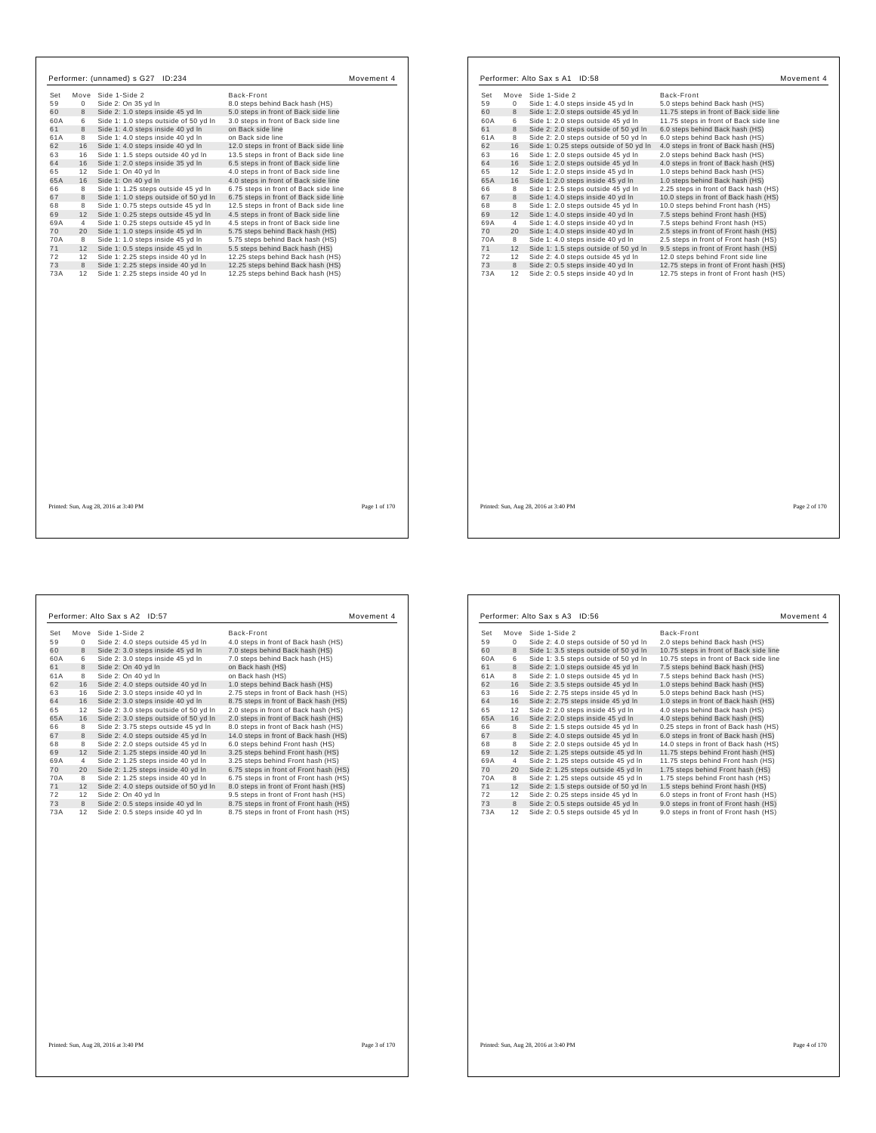| Set      |                | Performer: (unnamed) s G27 ID:234                                       |                                                                               | Movement 4 |
|----------|----------------|-------------------------------------------------------------------------|-------------------------------------------------------------------------------|------------|
|          |                | Move Side 1-Side 2                                                      | Back-Front                                                                    |            |
| 59       | $\mathbf 0$    | Side 2: On 35 yd In                                                     | 8.0 steps behind Back hash (HS)                                               |            |
| 60       | 8              | Side 2: 1.0 steps inside 45 yd In                                       | 5.0 steps in front of Back side line                                          |            |
| 60A      | 6              | Side 1: 1.0 steps outside of 50 yd In                                   | 3.0 steps in front of Back side line                                          |            |
| 61       | 8              | Side 1: 4.0 steps inside 40 yd In                                       | on Back side line                                                             |            |
| 61A      | 8              | Side 1: 4.0 steps inside 40 yd In                                       | on Back side line                                                             |            |
| 62<br>63 | 16<br>16       | Side 1: 4.0 steps inside 40 yd In                                       | 12.0 steps in front of Back side line                                         |            |
| 64       | 16             | Side 1: 1.5 steps outside 40 yd In<br>Side 1: 2.0 steps inside 35 yd In | 13.5 steps in front of Back side line<br>6.5 steps in front of Back side line |            |
| 65       | 12             | Side 1: On 40 yd In                                                     | 4.0 steps in front of Back side line                                          |            |
| 65A      | 16             | Side 1: On 40 yd In                                                     | 4.0 steps in front of Back side line                                          |            |
| 66       | 8              | Side 1: 1.25 steps outside 45 yd In                                     | 6.75 steps in front of Back side line                                         |            |
| 67       | 8              | Side 1: 1.0 steps outside of 50 yd In                                   | 6.75 steps in front of Back side line                                         |            |
| 68       | 8              | Side 1: 0.75 steps outside 45 yd In                                     | 12.5 steps in front of Back side line                                         |            |
| 69       | 12             | Side 1: 0.25 steps outside 45 yd In                                     | 4.5 steps in front of Back side line                                          |            |
| 69A      | $\overline{4}$ | Side 1: 0.25 steps outside 45 yd In                                     | 4.5 steps in front of Back side line                                          |            |
| 70       | 20             | Side 1: 1.0 steps inside 45 yd In                                       | 5.75 steps behind Back hash (HS)                                              |            |
| 70A      | 8              | Side 1: 1.0 steps inside 45 vd In                                       | 5.75 steps behind Back hash (HS)                                              |            |
| 71       | 12             | Side 1: 0.5 steps inside 45 yd In                                       | 5.5 steps behind Back hash (HS)                                               |            |
| 72       | 12             | Side 1: 2.25 steps inside 40 vd In                                      | 12.25 steps behind Back hash (HS)                                             |            |
| 73       | 8              | Side 1: 2.25 steps inside 40 yd In                                      | 12.25 steps behind Back hash (HS)                                             |            |
| 73A      | 12             | Side 1: 2.25 steps inside 40 yd In                                      | 12.25 steps behind Back hash (HS)                                             |            |
|          |                |                                                                         |                                                                               |            |
|          |                |                                                                         |                                                                               |            |

| Move<br>Side 1-Side 2<br>Back-Front<br>Set<br>59<br>Side 1: 4.0 steps inside 45 yd In<br>5.0 steps behind Back hash (HS)<br>0<br>60<br>8<br>Side 1: 2.0 steps outside 45 yd In<br>11.75 steps in front of Back side line<br>Side 1: 2.0 steps outside 45 yd In<br>60A<br>6<br>11.75 steps in front of Back side line<br>8<br>61<br>Side 2: 2.0 steps outside of 50 yd In<br>6.0 steps behind Back hash (HS)<br>61A<br>8<br>Side 2: 2.0 steps outside of 50 yd In<br>6.0 steps behind Back hash (HS)<br>16<br>62<br>Side 1: 0.25 steps outside of 50 yd In<br>4.0 steps in front of Back hash (HS)<br>63<br>16<br>Side 1: 2.0 steps outside 45 yd In<br>2.0 steps behind Back hash (HS)<br>64<br>16<br>Side 1: 2.0 steps outside 45 yd In<br>4.0 steps in front of Back hash (HS)<br>65<br>12<br>Side 1: 2.0 steps inside 45 yd In<br>1.0 steps behind Back hash (HS)<br>65A<br>16<br>Side 1: 2.0 steps inside 45 yd In<br>1.0 steps behind Back hash (HS)<br>66<br>8<br>Side 1: 2.5 steps outside 45 yd In<br>2.25 steps in front of Back hash (HS)<br>67<br>8<br>Side 1: 4.0 steps inside 40 yd In<br>10.0 steps in front of Back hash (HS)<br>8<br>68<br>Side 1: 2.0 steps outside 45 yd In<br>10.0 steps behind Front hash (HS)<br>69<br>12<br>Side 1: 4.0 steps inside 40 yd In<br>7.5 steps behind Front hash (HS)<br>69A<br>$\overline{4}$<br>Side 1: 4.0 steps inside 40 yd In<br>7.5 steps behind Front hash (HS)<br>70<br>20<br>Side 1: 4.0 steps inside 40 yd In<br>2.5 steps in front of Front hash (HS)<br>70A<br>8<br>Side 1: 4.0 steps inside 40 yd In<br>2.5 steps in front of Front hash (HS)<br>71<br>12<br>Side 1: 1.5 steps outside of 50 yd In<br>9.5 steps in front of Front hash (HS)<br>72<br>12<br>Side 2: 4.0 steps outside 45 vd In<br>12.0 steps behind Front side line<br>73<br>8<br>Side 2: 0.5 steps inside 40 yd In<br>12.75 steps in front of Front hash (HS)<br>73A<br>12<br>Side 2: 0.5 steps inside 40 yd In<br>12.75 steps in front of Front hash (HS) |  |  |
|--------------------------------------------------------------------------------------------------------------------------------------------------------------------------------------------------------------------------------------------------------------------------------------------------------------------------------------------------------------------------------------------------------------------------------------------------------------------------------------------------------------------------------------------------------------------------------------------------------------------------------------------------------------------------------------------------------------------------------------------------------------------------------------------------------------------------------------------------------------------------------------------------------------------------------------------------------------------------------------------------------------------------------------------------------------------------------------------------------------------------------------------------------------------------------------------------------------------------------------------------------------------------------------------------------------------------------------------------------------------------------------------------------------------------------------------------------------------------------------------------------------------------------------------------------------------------------------------------------------------------------------------------------------------------------------------------------------------------------------------------------------------------------------------------------------------------------------------------------------------------------------------------------------------------------------------------------------------------------------------|--|--|
|                                                                                                                                                                                                                                                                                                                                                                                                                                                                                                                                                                                                                                                                                                                                                                                                                                                                                                                                                                                                                                                                                                                                                                                                                                                                                                                                                                                                                                                                                                                                                                                                                                                                                                                                                                                                                                                                                                                                                                                            |  |  |
|                                                                                                                                                                                                                                                                                                                                                                                                                                                                                                                                                                                                                                                                                                                                                                                                                                                                                                                                                                                                                                                                                                                                                                                                                                                                                                                                                                                                                                                                                                                                                                                                                                                                                                                                                                                                                                                                                                                                                                                            |  |  |
|                                                                                                                                                                                                                                                                                                                                                                                                                                                                                                                                                                                                                                                                                                                                                                                                                                                                                                                                                                                                                                                                                                                                                                                                                                                                                                                                                                                                                                                                                                                                                                                                                                                                                                                                                                                                                                                                                                                                                                                            |  |  |
|                                                                                                                                                                                                                                                                                                                                                                                                                                                                                                                                                                                                                                                                                                                                                                                                                                                                                                                                                                                                                                                                                                                                                                                                                                                                                                                                                                                                                                                                                                                                                                                                                                                                                                                                                                                                                                                                                                                                                                                            |  |  |
|                                                                                                                                                                                                                                                                                                                                                                                                                                                                                                                                                                                                                                                                                                                                                                                                                                                                                                                                                                                                                                                                                                                                                                                                                                                                                                                                                                                                                                                                                                                                                                                                                                                                                                                                                                                                                                                                                                                                                                                            |  |  |
|                                                                                                                                                                                                                                                                                                                                                                                                                                                                                                                                                                                                                                                                                                                                                                                                                                                                                                                                                                                                                                                                                                                                                                                                                                                                                                                                                                                                                                                                                                                                                                                                                                                                                                                                                                                                                                                                                                                                                                                            |  |  |
|                                                                                                                                                                                                                                                                                                                                                                                                                                                                                                                                                                                                                                                                                                                                                                                                                                                                                                                                                                                                                                                                                                                                                                                                                                                                                                                                                                                                                                                                                                                                                                                                                                                                                                                                                                                                                                                                                                                                                                                            |  |  |
|                                                                                                                                                                                                                                                                                                                                                                                                                                                                                                                                                                                                                                                                                                                                                                                                                                                                                                                                                                                                                                                                                                                                                                                                                                                                                                                                                                                                                                                                                                                                                                                                                                                                                                                                                                                                                                                                                                                                                                                            |  |  |
|                                                                                                                                                                                                                                                                                                                                                                                                                                                                                                                                                                                                                                                                                                                                                                                                                                                                                                                                                                                                                                                                                                                                                                                                                                                                                                                                                                                                                                                                                                                                                                                                                                                                                                                                                                                                                                                                                                                                                                                            |  |  |
|                                                                                                                                                                                                                                                                                                                                                                                                                                                                                                                                                                                                                                                                                                                                                                                                                                                                                                                                                                                                                                                                                                                                                                                                                                                                                                                                                                                                                                                                                                                                                                                                                                                                                                                                                                                                                                                                                                                                                                                            |  |  |
|                                                                                                                                                                                                                                                                                                                                                                                                                                                                                                                                                                                                                                                                                                                                                                                                                                                                                                                                                                                                                                                                                                                                                                                                                                                                                                                                                                                                                                                                                                                                                                                                                                                                                                                                                                                                                                                                                                                                                                                            |  |  |
|                                                                                                                                                                                                                                                                                                                                                                                                                                                                                                                                                                                                                                                                                                                                                                                                                                                                                                                                                                                                                                                                                                                                                                                                                                                                                                                                                                                                                                                                                                                                                                                                                                                                                                                                                                                                                                                                                                                                                                                            |  |  |
|                                                                                                                                                                                                                                                                                                                                                                                                                                                                                                                                                                                                                                                                                                                                                                                                                                                                                                                                                                                                                                                                                                                                                                                                                                                                                                                                                                                                                                                                                                                                                                                                                                                                                                                                                                                                                                                                                                                                                                                            |  |  |
|                                                                                                                                                                                                                                                                                                                                                                                                                                                                                                                                                                                                                                                                                                                                                                                                                                                                                                                                                                                                                                                                                                                                                                                                                                                                                                                                                                                                                                                                                                                                                                                                                                                                                                                                                                                                                                                                                                                                                                                            |  |  |
|                                                                                                                                                                                                                                                                                                                                                                                                                                                                                                                                                                                                                                                                                                                                                                                                                                                                                                                                                                                                                                                                                                                                                                                                                                                                                                                                                                                                                                                                                                                                                                                                                                                                                                                                                                                                                                                                                                                                                                                            |  |  |
|                                                                                                                                                                                                                                                                                                                                                                                                                                                                                                                                                                                                                                                                                                                                                                                                                                                                                                                                                                                                                                                                                                                                                                                                                                                                                                                                                                                                                                                                                                                                                                                                                                                                                                                                                                                                                                                                                                                                                                                            |  |  |
|                                                                                                                                                                                                                                                                                                                                                                                                                                                                                                                                                                                                                                                                                                                                                                                                                                                                                                                                                                                                                                                                                                                                                                                                                                                                                                                                                                                                                                                                                                                                                                                                                                                                                                                                                                                                                                                                                                                                                                                            |  |  |
|                                                                                                                                                                                                                                                                                                                                                                                                                                                                                                                                                                                                                                                                                                                                                                                                                                                                                                                                                                                                                                                                                                                                                                                                                                                                                                                                                                                                                                                                                                                                                                                                                                                                                                                                                                                                                                                                                                                                                                                            |  |  |
|                                                                                                                                                                                                                                                                                                                                                                                                                                                                                                                                                                                                                                                                                                                                                                                                                                                                                                                                                                                                                                                                                                                                                                                                                                                                                                                                                                                                                                                                                                                                                                                                                                                                                                                                                                                                                                                                                                                                                                                            |  |  |
|                                                                                                                                                                                                                                                                                                                                                                                                                                                                                                                                                                                                                                                                                                                                                                                                                                                                                                                                                                                                                                                                                                                                                                                                                                                                                                                                                                                                                                                                                                                                                                                                                                                                                                                                                                                                                                                                                                                                                                                            |  |  |
|                                                                                                                                                                                                                                                                                                                                                                                                                                                                                                                                                                                                                                                                                                                                                                                                                                                                                                                                                                                                                                                                                                                                                                                                                                                                                                                                                                                                                                                                                                                                                                                                                                                                                                                                                                                                                                                                                                                                                                                            |  |  |
|                                                                                                                                                                                                                                                                                                                                                                                                                                                                                                                                                                                                                                                                                                                                                                                                                                                                                                                                                                                                                                                                                                                                                                                                                                                                                                                                                                                                                                                                                                                                                                                                                                                                                                                                                                                                                                                                                                                                                                                            |  |  |
|                                                                                                                                                                                                                                                                                                                                                                                                                                                                                                                                                                                                                                                                                                                                                                                                                                                                                                                                                                                                                                                                                                                                                                                                                                                                                                                                                                                                                                                                                                                                                                                                                                                                                                                                                                                                                                                                                                                                                                                            |  |  |
|                                                                                                                                                                                                                                                                                                                                                                                                                                                                                                                                                                                                                                                                                                                                                                                                                                                                                                                                                                                                                                                                                                                                                                                                                                                                                                                                                                                                                                                                                                                                                                                                                                                                                                                                                                                                                                                                                                                                                                                            |  |  |
|                                                                                                                                                                                                                                                                                                                                                                                                                                                                                                                                                                                                                                                                                                                                                                                                                                                                                                                                                                                                                                                                                                                                                                                                                                                                                                                                                                                                                                                                                                                                                                                                                                                                                                                                                                                                                                                                                                                                                                                            |  |  |
|                                                                                                                                                                                                                                                                                                                                                                                                                                                                                                                                                                                                                                                                                                                                                                                                                                                                                                                                                                                                                                                                                                                                                                                                                                                                                                                                                                                                                                                                                                                                                                                                                                                                                                                                                                                                                                                                                                                                                                                            |  |  |
|                                                                                                                                                                                                                                                                                                                                                                                                                                                                                                                                                                                                                                                                                                                                                                                                                                                                                                                                                                                                                                                                                                                                                                                                                                                                                                                                                                                                                                                                                                                                                                                                                                                                                                                                                                                                                                                                                                                                                                                            |  |  |
|                                                                                                                                                                                                                                                                                                                                                                                                                                                                                                                                                                                                                                                                                                                                                                                                                                                                                                                                                                                                                                                                                                                                                                                                                                                                                                                                                                                                                                                                                                                                                                                                                                                                                                                                                                                                                                                                                                                                                                                            |  |  |
|                                                                                                                                                                                                                                                                                                                                                                                                                                                                                                                                                                                                                                                                                                                                                                                                                                                                                                                                                                                                                                                                                                                                                                                                                                                                                                                                                                                                                                                                                                                                                                                                                                                                                                                                                                                                                                                                                                                                                                                            |  |  |
|                                                                                                                                                                                                                                                                                                                                                                                                                                                                                                                                                                                                                                                                                                                                                                                                                                                                                                                                                                                                                                                                                                                                                                                                                                                                                                                                                                                                                                                                                                                                                                                                                                                                                                                                                                                                                                                                                                                                                                                            |  |  |

Printed: Sun, Aug 28, 2016 at 3:40 PM Page 2 of 170

h

┑

|     |             | Performer: Alto Sax s A2 ID:57        | Movement 4                             |
|-----|-------------|---------------------------------------|----------------------------------------|
| Set | Move        | Side 1-Side 2                         | Back-Front                             |
| 59  | $\mathbf 0$ | Side 2: 4.0 steps outside 45 yd In    | 4.0 steps in front of Back hash (HS)   |
| 60  | 8           | Side 2: 3.0 steps inside 45 yd In     | 7.0 steps behind Back hash (HS)        |
| 60A | 6           | Side 2: 3.0 steps inside 45 yd In     | 7.0 steps behind Back hash (HS)        |
| 61  | 8           | Side 2: On 40 yd In                   | on Back hash (HS)                      |
| 61A | 8           | Side 2: On 40 yd In                   | on Back hash (HS)                      |
| 62  | 16          | Side 2: 4.0 steps outside 40 vd In    | 1.0 steps behind Back hash (HS)        |
| 63  | 16          | Side 2: 3.0 steps inside 40 yd In     | 2.75 steps in front of Back hash (HS)  |
| 64  | 16          | Side 2: 3.0 steps inside 40 yd In     | 8.75 steps in front of Back hash (HS)  |
| 65  | 12          | Side 2: 3.0 steps outside of 50 yd In | 2.0 steps in front of Back hash (HS)   |
| 65A | 16          | Side 2: 3.0 steps outside of 50 yd In | 2.0 steps in front of Back hash (HS)   |
| 66  | 8           | Side 2: 3.75 steps outside 45 vd In   | 8.0 steps in front of Back hash (HS)   |
| 67  | 8           | Side 2: 4.0 steps outside 45 vd In    | 14.0 steps in front of Back hash (HS)  |
| 68  | 8           | Side 2: 2.0 steps outside 45 vd In    | 6.0 steps behind Front hash (HS)       |
| 69  | 12          | Side 2: 1.25 steps inside 40 yd In    | 3.25 steps behind Front hash (HS)      |
| 69A | 4           | Side 2: 1.25 steps inside 40 yd In    | 3.25 steps behind Front hash (HS)      |
| 70  | 20          | Side 2: 1.25 steps inside 40 yd In    | 6.75 steps in front of Front hash (HS) |
| 70A | 8           | Side 2: 1.25 steps inside 40 yd In    | 6.75 steps in front of Front hash (HS) |
| 71  | 12          | Side 2: 4.0 steps outside of 50 yd In | 8.0 steps in front of Front hash (HS)  |
| 72  | 12          | Side 2: On 40 yd In                   | 9.5 steps in front of Front hash (HS)  |
| 73  | 8           | Side 2: 0.5 steps inside 40 yd In     | 8.75 steps in front of Front hash (HS) |
| 73A | 12          | Side 2: 0.5 steps inside 40 yd In     | 8.75 steps in front of Front hash (HS) |

|     |      | Performer: Alto Sax s A3 ID:56        | Movement 4                             |
|-----|------|---------------------------------------|----------------------------------------|
| Set | Move | Side 1-Side 2                         | Back-Front                             |
| 59  | 0    | Side 2: 4.0 steps outside of 50 yd In | 2.0 steps behind Back hash (HS)        |
| 60  | 8    | Side 1: 3.5 steps outside of 50 yd In | 10.75 steps in front of Back side line |
| 60A | 6    | Side 1: 3.5 steps outside of 50 yd In | 10.75 steps in front of Back side line |
| 61  | 8    | Side 2: 1.0 steps outside 45 yd In    | 7.5 steps behind Back hash (HS)        |
| 61A | 8    | Side 2: 1.0 steps outside 45 yd In    | 7.5 steps behind Back hash (HS)        |
| 62  | 16   | Side 2: 3.5 steps outside 45 yd In    | 1.0 steps behind Back hash (HS)        |
| 63  | 16   | Side 2: 2.75 steps inside 45 yd In    | 5.0 steps behind Back hash (HS)        |
| 64  | 16   | Side 2: 2.75 steps inside 45 yd In    | 1.0 steps in front of Back hash (HS)   |
| 65  | 12   | Side 2: 2.0 steps inside 45 yd In     | 4.0 steps behind Back hash (HS)        |
| 65A | 16   | Side 2: 2.0 steps inside 45 yd In     | 4.0 steps behind Back hash (HS)        |
| 66  | 8    | Side 2: 1.5 steps outside 45 vd In    | 0.25 steps in front of Back hash (HS)  |
| 67  | 8    | Side 2: 4.0 steps outside 45 yd In    | 6.0 steps in front of Back hash (HS)   |
| 68  | 8    | Side 2: 2.0 steps outside 45 vd In    | 14.0 steps in front of Back hash (HS)  |
| 69  | 12   | Side 2: 1.25 steps outside 45 yd In   | 11.75 steps behind Front hash (HS)     |
| 69A | 4    | Side 2: 1.25 steps outside 45 yd In   | 11.75 steps behind Front hash (HS)     |
| 70  | 20   | Side 2: 1.25 steps outside 45 yd In   | 1.75 steps behind Front hash (HS)      |
| 70A | 8    | Side 2: 1.25 steps outside 45 vd In   | 1.75 steps behind Front hash (HS)      |
| 71  | 12   | Side 2: 1.5 steps outside of 50 yd In | 1.5 steps behind Front hash (HS)       |
| 72  | 12   | Side 2: 0.25 steps inside 45 yd In    | 6.0 steps in front of Front hash (HS)  |
| 73  | 8    | Side 2: 0.5 steps outside 45 yd In    | 9.0 steps in front of Front hash (HS)  |
| 73A | 12   | Side 2: 0.5 steps outside 45 yd In    | 9.0 steps in front of Front hash (HS)  |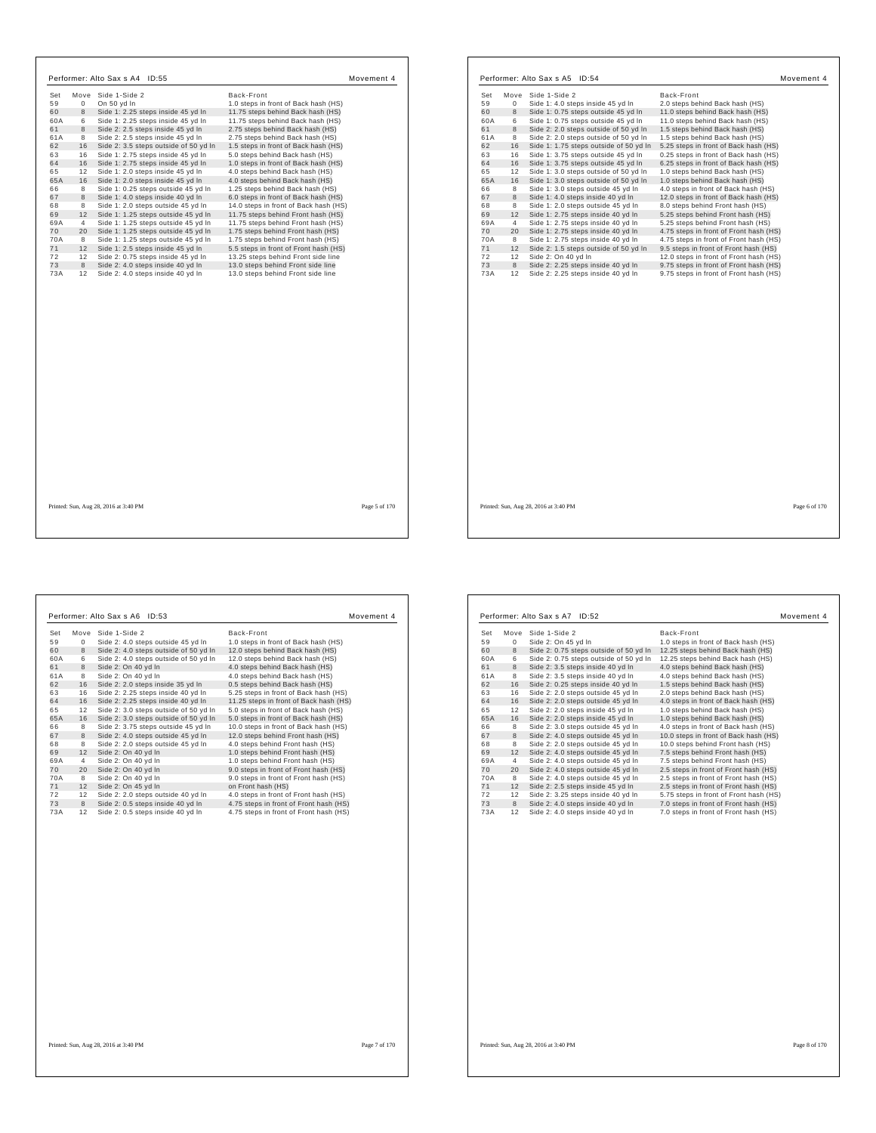| Performer: Alto Sax s A4 ID:55                                                                                                                                                                                                                                                                                                                                                                                                                                                                                                                                                                                                                                                                                                                                                                                                                                                                                                                                                                                                                                                               |                                                                                                                                                                                                                                                                                                                                                                                                                                                                                                                                                                                                                                                                                                                                                                                                                                                 |                                                                                                                                         | Performer: Alto Sax s A5 ID:54                                                                                                                                                                                                                                                                                                                                                                                                                                                                                                                                                                                                                                                                                                                                                                                                                                                                                                                                                         |                                                                                                                                                                                                                                                                                                                                                                                                                                                                                                                                                                                                                                                                                                                                                                                                                                                                      |
|----------------------------------------------------------------------------------------------------------------------------------------------------------------------------------------------------------------------------------------------------------------------------------------------------------------------------------------------------------------------------------------------------------------------------------------------------------------------------------------------------------------------------------------------------------------------------------------------------------------------------------------------------------------------------------------------------------------------------------------------------------------------------------------------------------------------------------------------------------------------------------------------------------------------------------------------------------------------------------------------------------------------------------------------------------------------------------------------|-------------------------------------------------------------------------------------------------------------------------------------------------------------------------------------------------------------------------------------------------------------------------------------------------------------------------------------------------------------------------------------------------------------------------------------------------------------------------------------------------------------------------------------------------------------------------------------------------------------------------------------------------------------------------------------------------------------------------------------------------------------------------------------------------------------------------------------------------|-----------------------------------------------------------------------------------------------------------------------------------------|----------------------------------------------------------------------------------------------------------------------------------------------------------------------------------------------------------------------------------------------------------------------------------------------------------------------------------------------------------------------------------------------------------------------------------------------------------------------------------------------------------------------------------------------------------------------------------------------------------------------------------------------------------------------------------------------------------------------------------------------------------------------------------------------------------------------------------------------------------------------------------------------------------------------------------------------------------------------------------------|----------------------------------------------------------------------------------------------------------------------------------------------------------------------------------------------------------------------------------------------------------------------------------------------------------------------------------------------------------------------------------------------------------------------------------------------------------------------------------------------------------------------------------------------------------------------------------------------------------------------------------------------------------------------------------------------------------------------------------------------------------------------------------------------------------------------------------------------------------------------|
| Set<br>Move Side 1-Side 2<br>59<br>$\mathbf{0}$<br>On 50 yd In<br>60<br>8<br>Side 1: 2.25 steps inside 45 yd In<br>Side 1: 2.25 steps inside 45 yd In<br>60A<br>6<br>8<br>Side 2: 2.5 steps inside 45 yd In<br>61<br>Side 2: 2.5 steps inside 45 yd In<br>61A<br>8<br>62<br>16<br>Side 2: 3.5 steps outside of 50 yd In<br>63<br>Side 1: 2.75 steps inside 45 yd In<br>16<br>64<br>16<br>Side 1: 2.75 steps inside 45 yd In<br>Side 1: 2.0 steps inside 45 yd In<br>65<br>12<br>65A<br>Side 1: 2.0 steps inside 45 yd In<br>16<br>66<br>Side 1: 0.25 steps outside 45 yd In<br>8<br>67<br>Side 1: 4.0 steps inside 40 yd In<br>8<br>68<br>Side 1: 2.0 steps outside 45 yd In<br>8<br>69<br>12<br>Side 1: 1.25 steps outside 45 yd In<br>69A<br>Side 1: 1.25 steps outside 45 yd In<br>4<br>70<br>20<br>Side 1: 1.25 steps outside 45 yd In<br>70A<br>Side 1: 1.25 steps outside 45 yd In<br>8<br>71<br>12 Side 1: 2.5 steps inside 45 yd In<br>Side 2: 0.75 steps inside 45 vd In<br>72<br>12<br>73<br>Side 2: 4.0 steps inside 40 yd In<br>8<br>73A<br>12 Side 2: 4.0 steps inside 40 yd In | Movement 4<br>Back-Front<br>1.0 steps in front of Back hash (HS)<br>11.75 steps behind Back hash (HS)<br>11.75 steps behind Back hash (HS)<br>2.75 steps behind Back hash (HS)<br>2.75 steps behind Back hash (HS)<br>1.5 steps in front of Back hash (HS)<br>5.0 steps behind Back hash (HS)<br>1.0 steps in front of Back hash (HS)<br>4.0 steps behind Back hash (HS)<br>4.0 steps behind Back hash (HS)<br>1.25 steps behind Back hash (HS)<br>6.0 steps in front of Back hash (HS)<br>14.0 steps in front of Back hash (HS)<br>11.75 steps behind Front hash (HS)<br>11.75 steps behind Front hash (HS)<br>1.75 steps behind Front hash (HS)<br>1.75 steps behind Front hash (HS)<br>5.5 steps in front of Front hash (HS)<br>13.25 steps behind Front side line<br>13.0 steps behind Front side line<br>13.0 steps behind Front side line | Set<br>59<br>60<br>60A<br>61<br>61A<br>62<br>63<br>64<br>65<br>65A<br>66<br>67<br>68<br>69<br>69A<br>70<br>70A<br>71<br>72<br>73<br>73A | Move Side 1-Side 2<br>0<br>Side 1: 4.0 steps inside 45 yd In<br>8<br>Side 1: 0.75 steps outside 45 yd In<br>Side 1: 0.75 steps outside 45 yd In<br>6<br>8<br>Side 2: 2.0 steps outside of 50 yd In<br>8<br>Side 2: 2.0 steps outside of 50 yd In<br>16<br>Side 1: 1.75 steps outside of 50 yd In<br>16<br>Side 1: 3.75 steps outside 45 yd In<br>16<br>Side 1: 3.75 steps outside 45 yd In<br>Side 1: 3.0 steps outside of 50 yd In<br>12<br>Side 1: 3.0 steps outside of 50 yd In<br>16<br>Side 1: 3.0 steps outside 45 yd In<br>8<br>8<br>Side 1: 4.0 steps inside 40 yd In<br>8<br>Side 1: 2.0 steps outside 45 yd In<br>12<br>Side 1: 2.75 steps inside 40 yd In<br>$\overline{4}$<br>Side 1: 2.75 steps inside 40 yd In<br>20<br>Side 1: 2.75 steps inside 40 yd In<br>8<br>Side 1: 2.75 steps inside 40 yd In<br>Side 2: 1.5 steps outside of 50 yd In<br>12<br>12<br>Side 2: On 40 vd In<br>Side 2: 2.25 steps inside 40 yd In<br>8<br>Side 2: 2.25 steps inside 40 yd In<br>12 | Movement 4<br>Back-Front<br>2.0 steps behind Back hash (HS)<br>11.0 steps behind Back hash (HS)<br>11.0 steps behind Back hash (HS)<br>1.5 steps behind Back hash (HS)<br>1.5 steps behind Back hash (HS)<br>5.25 steps in front of Back hash (HS)<br>0.25 steps in front of Back hash (HS)<br>6.25 steps in front of Back hash (HS)<br>1.0 steps behind Back hash (HS)<br>1.0 steps behind Back hash (HS)<br>4.0 steps in front of Back hash (HS)<br>12.0 steps in front of Back hash (HS)<br>8.0 steps behind Front hash (HS)<br>5.25 steps behind Front hash (HS)<br>5.25 steps behind Front hash (HS)<br>4.75 steps in front of Front hash (HS)<br>4.75 steps in front of Front hash (HS)<br>9.5 steps in front of Front hash (HS)<br>12.0 steps in front of Front hash (HS)<br>9.75 steps in front of Front hash (HS)<br>9.75 steps in front of Front hash (HS) |
| Printed: Sun, Aug 28, 2016 at 3:40 PM                                                                                                                                                                                                                                                                                                                                                                                                                                                                                                                                                                                                                                                                                                                                                                                                                                                                                                                                                                                                                                                        | Page 5 of 170                                                                                                                                                                                                                                                                                                                                                                                                                                                                                                                                                                                                                                                                                                                                                                                                                                   |                                                                                                                                         | Printed: Sun, Aug 28, 2016 at 3:40 PM                                                                                                                                                                                                                                                                                                                                                                                                                                                                                                                                                                                                                                                                                                                                                                                                                                                                                                                                                  | Page 6 of 170                                                                                                                                                                                                                                                                                                                                                                                                                                                                                                                                                                                                                                                                                                                                                                                                                                                        |

|     |      | Performer: Alto Sax s A6 ID:53        | Movement 4                             |
|-----|------|---------------------------------------|----------------------------------------|
| Set | Move | Side 1-Side 2                         | Back-Front                             |
| 59  | 0    | Side 2: 4.0 steps outside 45 yd In    | 1.0 steps in front of Back hash (HS)   |
| 60  | 8    | Side 2: 4.0 steps outside of 50 yd In | 12.0 steps behind Back hash (HS)       |
| 60A | 6    | Side 2: 4.0 steps outside of 50 yd In | 12.0 steps behind Back hash (HS)       |
| 61  | 8    | Side 2: On 40 yd In                   | 4.0 steps behind Back hash (HS)        |
| 61A | 8    | Side 2: On 40 vd In                   | 4.0 steps behind Back hash (HS)        |
| 62  | 16   | Side 2: 2.0 steps inside 35 vd In     | 0.5 steps behind Back hash (HS)        |
| 63  | 16   | Side 2: 2.25 steps inside 40 yd In    | 5.25 steps in front of Back hash (HS)  |
| 64  | 16   | Side 2: 2.25 steps inside 40 yd In    | 11.25 steps in front of Back hash (HS) |
| 65  | 12   | Side 2: 3.0 steps outside of 50 yd In | 5.0 steps in front of Back hash (HS)   |
| 65A | 16   | Side 2: 3.0 steps outside of 50 yd In | 5.0 steps in front of Back hash (HS)   |
| 66  | 8    | Side 2: 3.75 steps outside 45 yd In   | 10.0 steps in front of Back hash (HS)  |
| 67  | 8    | Side 2: 4.0 steps outside 45 yd In    | 12.0 steps behind Front hash (HS)      |
| 68  | 8    | Side 2: 2.0 steps outside 45 yd In    | 4.0 steps behind Front hash (HS)       |
| 69  | 12   | Side 2: On 40 yd In                   | 1.0 steps behind Front hash (HS)       |
| 69A | 4    | Side 2: On 40 yd In                   | 1.0 steps behind Front hash (HS)       |
| 70  | 20   | Side 2: On 40 yd In                   | 9.0 steps in front of Front hash (HS)  |
| 70A | 8    | Side 2: On 40 yd In                   | 9.0 steps in front of Front hash (HS)  |
| 71  | 12   | Side 2: On 45 yd In                   | on Front hash (HS)                     |
| 72  | 12   | Side 2: 2.0 steps outside 40 yd In    | 4.0 steps in front of Front hash (HS)  |
| 73  | 8    | Side 2: 0.5 steps inside 40 yd In     | 4.75 steps in front of Front hash (HS) |
| 73A | 12   | Side 2: 0.5 steps inside 40 yd In     | 4.75 steps in front of Front hash (HS) |

|     |                | Performer: Alto Sax s A7 ID:52         |                                        | Movement 4 |
|-----|----------------|----------------------------------------|----------------------------------------|------------|
| Set | Move           | Side 1-Side 2                          | Back-Front                             |            |
| 59  | 0              | Side 2: On 45 vd In                    | 1.0 steps in front of Back hash (HS)   |            |
| 60  | 8              | Side 2: 0.75 steps outside of 50 yd In | 12.25 steps behind Back hash (HS)      |            |
| 60A | 6              | Side 2: 0.75 steps outside of 50 yd In | 12.25 steps behind Back hash (HS)      |            |
| 61  | 8              | Side 2: 3.5 steps inside 40 yd In      | 4.0 steps behind Back hash (HS)        |            |
| 61A | 8              | Side 2: 3.5 steps inside 40 yd In      | 4.0 steps behind Back hash (HS)        |            |
| 62  | 16             | Side 2: 0.25 steps inside 40 yd In     | 1.5 steps behind Back hash (HS)        |            |
| 63  | 16             | Side 2: 2.0 steps outside 45 yd In     | 2.0 steps behind Back hash (HS)        |            |
| 64  | 16             | Side 2: 2.0 steps outside 45 yd In     | 4.0 steps in front of Back hash (HS)   |            |
| 65  | 12             | Side 2: 2.0 steps inside 45 yd In      | 1.0 steps behind Back hash (HS)        |            |
| 65A | 16             | Side 2: 2.0 steps inside 45 yd In      | 1.0 steps behind Back hash (HS)        |            |
| 66  | 8              | Side 2: 3.0 steps outside 45 yd In     | 4.0 steps in front of Back hash (HS)   |            |
| 67  | 8              | Side 2: 4.0 steps outside 45 yd In     | 10.0 steps in front of Back hash (HS)  |            |
| 68  | 8              | Side 2: 2.0 steps outside 45 yd In     | 10.0 steps behind Front hash (HS)      |            |
| 69  | 12             | Side 2: 4.0 steps outside 45 yd In     | 7.5 steps behind Front hash (HS)       |            |
| 69A | $\overline{4}$ | Side 2: 4.0 steps outside 45 yd In     | 7.5 steps behind Front hash (HS)       |            |
| 70  | 20             | Side 2: 4.0 steps outside 45 yd In     | 2.5 steps in front of Front hash (HS)  |            |
| 70A | 8              | Side 2: 4.0 steps outside 45 yd In     | 2.5 steps in front of Front hash (HS)  |            |
| 71  | 12             | Side 2: 2.5 steps inside 45 yd In      | 2.5 steps in front of Front hash (HS)  |            |
| 72  | 12             | Side 2: 3.25 steps inside 40 yd In     | 5.75 steps in front of Front hash (HS) |            |
| 73  | 8              | Side 2: 4.0 steps inside 40 yd In      | 7.0 steps in front of Front hash (HS)  |            |
| 73A | 12             | Side 2: 4.0 steps inside 40 yd In      | 7.0 steps in front of Front hash (HS)  |            |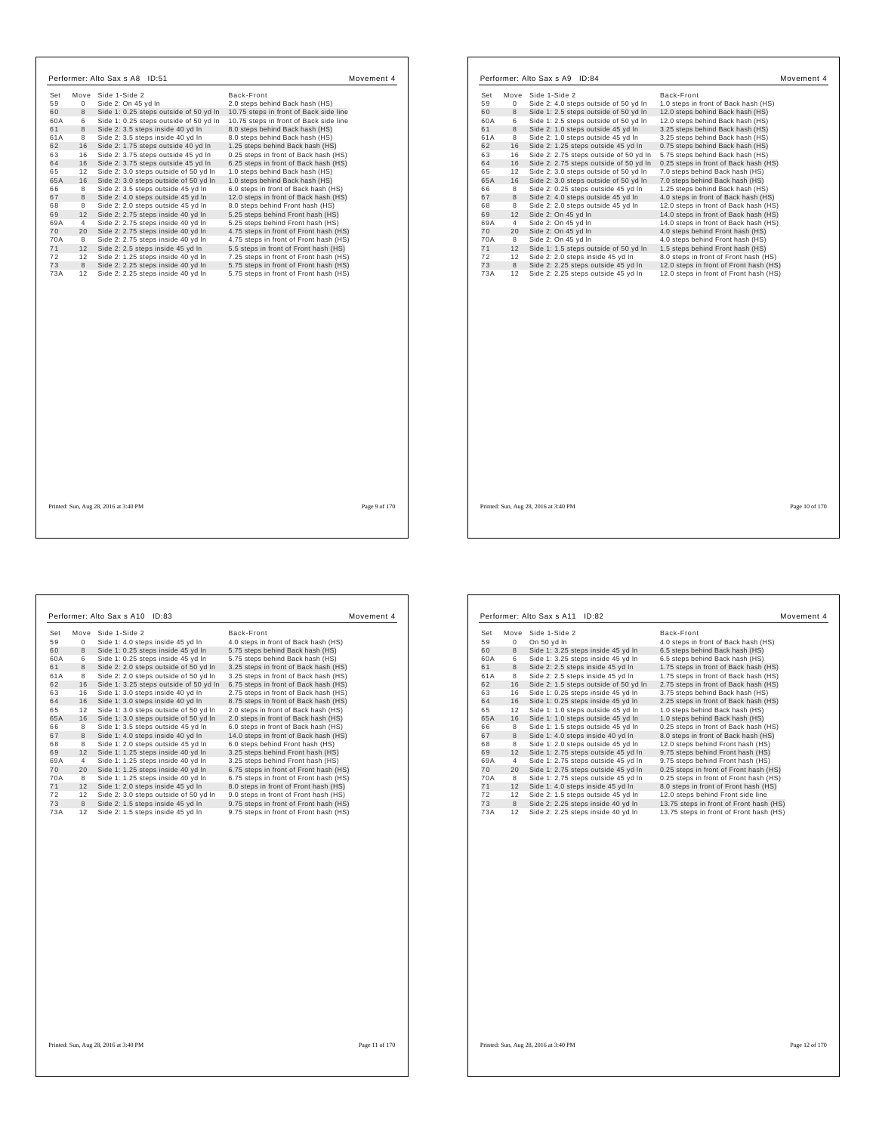| Set       | Move             | Side 1-Side 2                                                                    | Back-Front                                                                       |  |
|-----------|------------------|----------------------------------------------------------------------------------|----------------------------------------------------------------------------------|--|
| 59        | $\mathbf 0$<br>8 | Side 2: On 45 yd In                                                              | 2.0 steps behind Back hash (HS)                                                  |  |
| 60<br>60A | 6                | Side 1: 0.25 steps outside of 50 yd In<br>Side 1: 0.25 steps outside of 50 yd In | 10.75 steps in front of Back side line<br>10.75 steps in front of Back side line |  |
| 61        | 8                | Side 2: 3.5 steps inside 40 yd In                                                | 8.0 steps behind Back hash (HS)                                                  |  |
| 61A       | 8                | Side 2: 3.5 steps inside 40 yd In                                                | 8.0 steps behind Back hash (HS)                                                  |  |
| 62        | 16               | Side 2: 1.75 steps outside 40 yd In                                              | 1.25 steps behind Back hash (HS)                                                 |  |
| 63        | 16               | Side 2: 3.75 steps outside 45 yd In                                              | 0.25 steps in front of Back hash (HS)                                            |  |
| 64        | 16               | Side 2: 3.75 steps outside 45 yd In                                              | 6.25 steps in front of Back hash (HS)                                            |  |
| 65        | 12               | Side 2: 3.0 steps outside of 50 yd In                                            | 1.0 steps behind Back hash (HS)                                                  |  |
| 65A       | 16               | Side 2: 3.0 steps outside of 50 yd In                                            | 1.0 steps behind Back hash (HS)                                                  |  |
| 66        | 8                | Side 2: 3.5 steps outside 45 vd In                                               | 6.0 steps in front of Back hash (HS)                                             |  |
| 67        | 8                | Side 2: 4.0 steps outside 45 yd In                                               | 12.0 steps in front of Back hash (HS)                                            |  |
| 68        | 8                | Side 2: 2.0 steps outside 45 yd In                                               | 8.0 steps behind Front hash (HS)                                                 |  |
| 69        | 12               | Side 2: 2.75 steps inside 40 yd In                                               | 5.25 steps behind Front hash (HS)                                                |  |
| 69A       | $\overline{4}$   | Side 2: 2.75 steps inside 40 yd In                                               | 5.25 steps behind Front hash (HS)                                                |  |
| 70        | 20               | Side 2: 2.75 steps inside 40 yd In                                               | 4.75 steps in front of Front hash (HS)                                           |  |
| 70A       | 8                | Side 2: 2.75 steps inside 40 yd In                                               | 4.75 steps in front of Front hash (HS)                                           |  |
| 71        | 12               | Side 2: 2.5 steps inside 45 yd In                                                | 5.5 steps in front of Front hash (HS)                                            |  |
| 72        | 12               | Side 2: 1.25 steps inside 40 yd In                                               | 7.25 steps in front of Front hash (HS)                                           |  |
| 73        | 8                | Side 2: 2.25 steps inside 40 yd In                                               | 5.75 steps in front of Front hash (HS)                                           |  |
| 73A       | 12               | Side 2: 2.25 steps inside 40 yd In                                               | 5.75 steps in front of Front hash (HS)                                           |  |
|           |                  |                                                                                  |                                                                                  |  |
|           |                  |                                                                                  |                                                                                  |  |

| Set<br>Move          | Side 1-Side 2                          | Back-Front                             |  |
|----------------------|----------------------------------------|----------------------------------------|--|
| 59<br>0              | Side 2: 4.0 steps outside of 50 yd In  | 1.0 steps in front of Back hash (HS)   |  |
| 8<br>60              | Side 1: 2.5 steps outside of 50 yd In  | 12.0 steps behind Back hash (HS)       |  |
| 60A<br>6             | Side 1: 2.5 steps outside of 50 yd In  | 12.0 steps behind Back hash (HS)       |  |
| 8<br>61              | Side 2: 1.0 steps outside 45 yd In     | 3.25 steps behind Back hash (HS)       |  |
| 61A<br>8             | Side 2: 1.0 steps outside 45 yd In     | 3.25 steps behind Back hash (HS)       |  |
| 16<br>62             | Side 2: 1.25 steps outside 45 yd In    | 0.75 steps behind Back hash (HS)       |  |
| 63<br>16             | Side 2: 2.75 steps outside of 50 yd In | 5.75 steps behind Back hash (HS)       |  |
| 16<br>64             | Side 2: 2.75 steps outside of 50 yd In | 0.25 steps in front of Back hash (HS)  |  |
| 12<br>65             | Side 2: 3.0 steps outside of 50 yd In  | 7.0 steps behind Back hash (HS)        |  |
| 65A<br>16            | Side 2: 3.0 steps outside of 50 yd In  | 7.0 steps behind Back hash (HS)        |  |
| 8<br>66              | Side 2: 0.25 steps outside 45 yd In    | 1.25 steps behind Back hash (HS)       |  |
| 8<br>67              | Side 2: 4.0 steps outside 45 yd In     | 4.0 steps in front of Back hash (HS)   |  |
| 8<br>68              | Side 2: 2.0 steps outside 45 yd In     | 12.0 steps in front of Back hash (HS)  |  |
| 12<br>69             | Side 2: On 45 yd In                    | 14.0 steps in front of Back hash (HS)  |  |
| 69A<br>4             | Side 2: On 45 yd In                    | 14.0 steps in front of Back hash (HS)  |  |
| 70<br>20             | Side 2: On 45 yd In                    | 4.0 steps behind Front hash (HS)       |  |
| 70A<br>8             | Side 2: On 45 yd In                    | 4.0 steps behind Front hash (HS)       |  |
| 71<br>12             | Side 1: 1.5 steps outside of 50 yd In  | 1.5 steps behind Front hash (HS)       |  |
| 72<br>12             | Side 2: 2.0 steps inside 45 yd In      | 8.0 steps in front of Front hash (HS)  |  |
| 73<br>8<br>73A<br>12 | Side 2: 2.25 steps outside 45 yd In    | 12.0 steps in front of Front hash (HS) |  |
|                      |                                        |                                        |  |
|                      |                                        |                                        |  |

|     |      | Performer: Alto Sax s A10<br>ID:83     | Movement 4                             |
|-----|------|----------------------------------------|----------------------------------------|
| Set | Move | Side 1-Side 2                          | Back-Front                             |
| 59  | 0    | Side 1: 4.0 steps inside 45 yd In      | 4.0 steps in front of Back hash (HS)   |
| 60  | 8    | Side 1: 0.25 steps inside 45 yd In     | 5.75 steps behind Back hash (HS)       |
| 60A | 6    | Side 1: 0.25 steps inside 45 yd In     | 5.75 steps behind Back hash (HS)       |
| 61  | 8    | Side 2: 2.0 steps outside of 50 yd In  | 3.25 steps in front of Back hash (HS)  |
| 61A | 8    | Side 2: 2.0 steps outside of 50 yd In  | 3.25 steps in front of Back hash (HS)  |
| 62  | 16   | Side 1: 3.25 steps outside of 50 yd In | 6.75 steps in front of Back hash (HS)  |
| 63  | 16   | Side 1: 3.0 steps inside 40 yd In      | 2.75 steps in front of Back hash (HS)  |
| 64  | 16   | Side 1: 3.0 steps inside 40 yd In      | 8.75 steps in front of Back hash (HS)  |
| 65  | 12   | Side 1: 3.0 steps outside of 50 yd In  | 2.0 steps in front of Back hash (HS)   |
| 65A | 16   | Side 1: 3.0 steps outside of 50 yd In  | 2.0 steps in front of Back hash (HS)   |
| 66  | 8    | Side 1: 3.5 steps outside 45 yd In     | 6.0 steps in front of Back hash (HS)   |
| 67  | 8    | Side 1: 4.0 steps inside 40 yd In      | 14.0 steps in front of Back hash (HS)  |
| 68  | 8    | Side 1: 2.0 steps outside 45 yd In     | 6.0 steps behind Front hash (HS)       |
| 69  | 12   | Side 1: 1.25 steps inside 40 yd In     | 3.25 steps behind Front hash (HS)      |
| 69A | 4    | Side 1: 1.25 steps inside 40 yd In     | 3.25 steps behind Front hash (HS)      |
| 70  | 20   | Side 1: 1.25 steps inside 40 yd In     | 6.75 steps in front of Front hash (HS) |
| 70A | 8    | Side 1: 1.25 steps inside 40 yd In     | 6.75 steps in front of Front hash (HS) |
| 71  | 12   | Side 1: 2.0 steps inside 45 yd In      | 8.0 steps in front of Front hash (HS)  |
| 72  | 12   | Side 2: 3.0 steps outside of 50 yd In  | 9.0 steps in front of Front hash (HS)  |
| 73  | 8    | Side 2: 1.5 steps inside 45 yd In      | 9.75 steps in front of Front hash (HS) |
| 73A | 12   | Side 2: 1.5 steps inside 45 yd In      | 9.75 steps in front of Front hash (HS) |

| On 50 yd In<br>4.0 steps in front of Back hash (HS)<br>0<br>Side 1: 3.25 steps inside 45 yd In<br>6.5 steps behind Back hash (HS)<br>8<br>6<br>Side 1: 3.25 steps inside 45 yd In<br>6.5 steps behind Back hash (HS)<br>Side 2: 2.5 steps inside 45 yd In<br>1.75 steps in front of Back hash (HS)<br>8<br>8<br>Side 2: 2.5 steps inside 45 vd In<br>1.75 steps in front of Back hash (HS)<br>16<br>Side 2: 1.5 steps outside of 50 yd In<br>2.75 steps in front of Back hash (HS)<br>Side 1: 0.25 steps inside 45 yd In<br>3.75 steps behind Back hash (HS)<br>16<br>16<br>Side 1: 0.25 steps inside 45 yd In<br>2.25 steps in front of Back hash (HS)<br>12<br>Side 1: 1.0 steps outside 45 yd In<br>1.0 steps behind Back hash (HS)<br>16<br>Side 1: 1.0 steps outside 45 yd In<br>1.0 steps behind Back hash (HS)<br>Side 1: 1.5 steps outside 45 yd In<br>0.25 steps in front of Back hash (HS)<br>8<br>Side 1: 4.0 steps inside 40 yd In<br>8.0 steps in front of Back hash (HS)<br>8<br>Side 1: 2.0 steps outside 45 yd In<br>8<br>12.0 steps behind Front hash (HS)<br>Side 1: 2.75 steps outside 45 yd In<br>9.75 steps behind Front hash (HS)<br>12<br>9.75 steps behind Front hash (HS)<br>Side 1: 2.75 steps outside 45 yd In<br>4<br>Side 1: 2.75 steps outside 45 yd In<br>0.25 steps in front of Front hash (HS)<br>20<br>8<br>Side 1: 2.75 steps outside 45 yd In<br>0.25 steps in front of Front hash (HS)<br>Side 1: 4.0 steps inside 45 yd In<br>8.0 steps in front of Front hash (HS)<br>12<br>Side 2: 1.5 steps outside 45 yd In<br>12.0 steps behind Front side line<br>12<br>Side 2: 2.25 steps inside 40 yd In<br>13.75 steps in front of Front hash (HS)<br>8 | Set | Move | Side 1-Side 2                      | Back-Front                              |
|----------------------------------------------------------------------------------------------------------------------------------------------------------------------------------------------------------------------------------------------------------------------------------------------------------------------------------------------------------------------------------------------------------------------------------------------------------------------------------------------------------------------------------------------------------------------------------------------------------------------------------------------------------------------------------------------------------------------------------------------------------------------------------------------------------------------------------------------------------------------------------------------------------------------------------------------------------------------------------------------------------------------------------------------------------------------------------------------------------------------------------------------------------------------------------------------------------------------------------------------------------------------------------------------------------------------------------------------------------------------------------------------------------------------------------------------------------------------------------------------------------------------------------------------------------------------------------------------------------------------------------------------------------------------------------------|-----|------|------------------------------------|-----------------------------------------|
|                                                                                                                                                                                                                                                                                                                                                                                                                                                                                                                                                                                                                                                                                                                                                                                                                                                                                                                                                                                                                                                                                                                                                                                                                                                                                                                                                                                                                                                                                                                                                                                                                                                                                        | 59  |      |                                    |                                         |
|                                                                                                                                                                                                                                                                                                                                                                                                                                                                                                                                                                                                                                                                                                                                                                                                                                                                                                                                                                                                                                                                                                                                                                                                                                                                                                                                                                                                                                                                                                                                                                                                                                                                                        | 60  |      |                                    |                                         |
|                                                                                                                                                                                                                                                                                                                                                                                                                                                                                                                                                                                                                                                                                                                                                                                                                                                                                                                                                                                                                                                                                                                                                                                                                                                                                                                                                                                                                                                                                                                                                                                                                                                                                        | 60A |      |                                    |                                         |
|                                                                                                                                                                                                                                                                                                                                                                                                                                                                                                                                                                                                                                                                                                                                                                                                                                                                                                                                                                                                                                                                                                                                                                                                                                                                                                                                                                                                                                                                                                                                                                                                                                                                                        | 61  |      |                                    |                                         |
|                                                                                                                                                                                                                                                                                                                                                                                                                                                                                                                                                                                                                                                                                                                                                                                                                                                                                                                                                                                                                                                                                                                                                                                                                                                                                                                                                                                                                                                                                                                                                                                                                                                                                        | 61A |      |                                    |                                         |
|                                                                                                                                                                                                                                                                                                                                                                                                                                                                                                                                                                                                                                                                                                                                                                                                                                                                                                                                                                                                                                                                                                                                                                                                                                                                                                                                                                                                                                                                                                                                                                                                                                                                                        | 62  |      |                                    |                                         |
|                                                                                                                                                                                                                                                                                                                                                                                                                                                                                                                                                                                                                                                                                                                                                                                                                                                                                                                                                                                                                                                                                                                                                                                                                                                                                                                                                                                                                                                                                                                                                                                                                                                                                        | 63  |      |                                    |                                         |
|                                                                                                                                                                                                                                                                                                                                                                                                                                                                                                                                                                                                                                                                                                                                                                                                                                                                                                                                                                                                                                                                                                                                                                                                                                                                                                                                                                                                                                                                                                                                                                                                                                                                                        | 64  |      |                                    |                                         |
|                                                                                                                                                                                                                                                                                                                                                                                                                                                                                                                                                                                                                                                                                                                                                                                                                                                                                                                                                                                                                                                                                                                                                                                                                                                                                                                                                                                                                                                                                                                                                                                                                                                                                        | 65  |      |                                    |                                         |
|                                                                                                                                                                                                                                                                                                                                                                                                                                                                                                                                                                                                                                                                                                                                                                                                                                                                                                                                                                                                                                                                                                                                                                                                                                                                                                                                                                                                                                                                                                                                                                                                                                                                                        | 65A |      |                                    |                                         |
|                                                                                                                                                                                                                                                                                                                                                                                                                                                                                                                                                                                                                                                                                                                                                                                                                                                                                                                                                                                                                                                                                                                                                                                                                                                                                                                                                                                                                                                                                                                                                                                                                                                                                        | 66  |      |                                    |                                         |
|                                                                                                                                                                                                                                                                                                                                                                                                                                                                                                                                                                                                                                                                                                                                                                                                                                                                                                                                                                                                                                                                                                                                                                                                                                                                                                                                                                                                                                                                                                                                                                                                                                                                                        | 67  |      |                                    |                                         |
|                                                                                                                                                                                                                                                                                                                                                                                                                                                                                                                                                                                                                                                                                                                                                                                                                                                                                                                                                                                                                                                                                                                                                                                                                                                                                                                                                                                                                                                                                                                                                                                                                                                                                        | 68  |      |                                    |                                         |
|                                                                                                                                                                                                                                                                                                                                                                                                                                                                                                                                                                                                                                                                                                                                                                                                                                                                                                                                                                                                                                                                                                                                                                                                                                                                                                                                                                                                                                                                                                                                                                                                                                                                                        | 69  |      |                                    |                                         |
|                                                                                                                                                                                                                                                                                                                                                                                                                                                                                                                                                                                                                                                                                                                                                                                                                                                                                                                                                                                                                                                                                                                                                                                                                                                                                                                                                                                                                                                                                                                                                                                                                                                                                        | 69A |      |                                    |                                         |
|                                                                                                                                                                                                                                                                                                                                                                                                                                                                                                                                                                                                                                                                                                                                                                                                                                                                                                                                                                                                                                                                                                                                                                                                                                                                                                                                                                                                                                                                                                                                                                                                                                                                                        | 70  |      |                                    |                                         |
|                                                                                                                                                                                                                                                                                                                                                                                                                                                                                                                                                                                                                                                                                                                                                                                                                                                                                                                                                                                                                                                                                                                                                                                                                                                                                                                                                                                                                                                                                                                                                                                                                                                                                        | 70A |      |                                    |                                         |
|                                                                                                                                                                                                                                                                                                                                                                                                                                                                                                                                                                                                                                                                                                                                                                                                                                                                                                                                                                                                                                                                                                                                                                                                                                                                                                                                                                                                                                                                                                                                                                                                                                                                                        | 71  |      |                                    |                                         |
|                                                                                                                                                                                                                                                                                                                                                                                                                                                                                                                                                                                                                                                                                                                                                                                                                                                                                                                                                                                                                                                                                                                                                                                                                                                                                                                                                                                                                                                                                                                                                                                                                                                                                        | 72  |      |                                    |                                         |
|                                                                                                                                                                                                                                                                                                                                                                                                                                                                                                                                                                                                                                                                                                                                                                                                                                                                                                                                                                                                                                                                                                                                                                                                                                                                                                                                                                                                                                                                                                                                                                                                                                                                                        | 73  |      |                                    |                                         |
|                                                                                                                                                                                                                                                                                                                                                                                                                                                                                                                                                                                                                                                                                                                                                                                                                                                                                                                                                                                                                                                                                                                                                                                                                                                                                                                                                                                                                                                                                                                                                                                                                                                                                        | 73A | 12   | Side 2: 2.25 steps inside 40 yd In | 13.75 steps in front of Front hash (HS) |

 $\Gamma$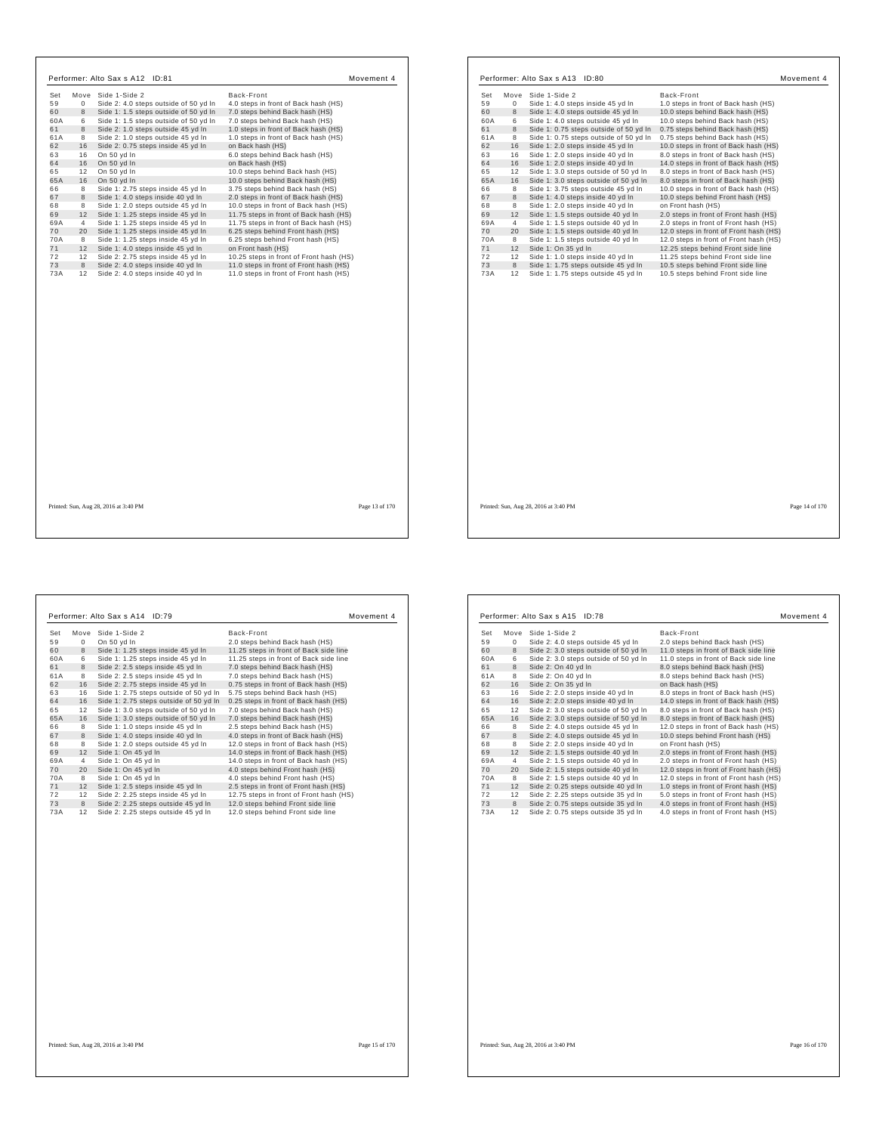|           |                | Performer: Alto Sax s A12 ID:81                                        |                                                                                  | Movement 4 |
|-----------|----------------|------------------------------------------------------------------------|----------------------------------------------------------------------------------|------------|
| Set       |                | Move Side 1-Side 2                                                     | Back-Front                                                                       |            |
| 59        | $\Omega$       | Side 2: 4.0 steps outside of 50 yd In                                  | 4.0 steps in front of Back hash (HS)                                             |            |
| 60        | 8              | Side 1: 1.5 steps outside of 50 yd In                                  | 7.0 steps behind Back hash (HS)                                                  |            |
| 60A       | 6              | Side 1: 1.5 steps outside of 50 yd In                                  | 7.0 steps behind Back hash (HS)                                                  |            |
| 61        | 8              | Side 2: 1.0 steps outside 45 yd In                                     | 1.0 steps in front of Back hash (HS)                                             |            |
| 61A       | 8              | Side 2: 1.0 steps outside 45 yd In                                     | 1.0 steps in front of Back hash (HS)                                             |            |
| 62        | 16             | Side 2: 0.75 steps inside 45 yd In                                     | on Back hash (HS)                                                                |            |
| 63        | 16             | On 50 yd In                                                            | 6.0 steps behind Back hash (HS)                                                  |            |
| 64        | 16             | On 50 yd In                                                            | on Back hash (HS)                                                                |            |
| 65        | 12             | On 50 yd In                                                            | 10.0 steps behind Back hash (HS)                                                 |            |
| 65A       | 16             | On 50 yd In                                                            | 10.0 steps behind Back hash (HS)                                                 |            |
| 66        | 8              | Side 1: 2.75 steps inside 45 yd In                                     | 3.75 steps behind Back hash (HS)                                                 |            |
| 67        | 8              | Side 1: 4.0 steps inside 40 yd In                                      | 2.0 steps in front of Back hash (HS)                                             |            |
| 68        | 8              | Side 1: 2.0 steps outside 45 yd In                                     | 10.0 steps in front of Back hash (HS)                                            |            |
| 69        | 12             | Side 1: 1.25 steps inside 45 yd In                                     | 11.75 steps in front of Back hash (HS)                                           |            |
| 69A       | $\overline{4}$ | Side 1: 1.25 steps inside 45 yd In                                     | 11.75 steps in front of Back hash (HS)                                           |            |
| 70        | 20             | Side 1: 1.25 steps inside 45 yd In                                     | 6.25 steps behind Front hash (HS)                                                |            |
| 70A       | 8              | Side 1: 1.25 steps inside 45 yd In                                     | 6.25 steps behind Front hash (HS)                                                |            |
| 71        | 12             | Side 1: 4.0 steps inside 45 yd In                                      | on Front hash (HS)                                                               |            |
| 72        | 12             | Side 2: 2.75 steps inside 45 vd In                                     | 10.25 steps in front of Front hash (HS)                                          |            |
| 73<br>73A | 8<br>12        | Side 2: 4.0 steps inside 40 yd In<br>Side 2: 4.0 steps inside 40 yd In | 11.0 steps in front of Front hash (HS)<br>11.0 steps in front of Front hash (HS) |            |
|           |                |                                                                        |                                                                                  |            |
|           |                |                                                                        |                                                                                  |            |

| Set       | Move           | Side 1-Side 2                                             | Back-Front                                                                   |  |
|-----------|----------------|-----------------------------------------------------------|------------------------------------------------------------------------------|--|
| 59        | 0              | Side 1: 4.0 steps inside 45 yd In                         | 1.0 steps in front of Back hash (HS)                                         |  |
| 60        | 8              | Side 1: 4.0 steps outside 45 yd In                        | 10.0 steps behind Back hash (HS)                                             |  |
| 60A       | 6              | Side 1: 4.0 steps outside 45 yd In                        | 10.0 steps behind Back hash (HS)                                             |  |
| 61        | 8              | Side 1: 0.75 steps outside of 50 yd In                    | 0.75 steps behind Back hash (HS)                                             |  |
| 61A       | 8              | Side 1: 0.75 steps outside of 50 yd In                    | 0.75 steps behind Back hash (HS)                                             |  |
| 62        | 16             | Side 1: 2.0 steps inside 45 yd In                         | 10.0 steps in front of Back hash (HS)                                        |  |
| 63        | 16             | Side 1: 2.0 steps inside 40 yd In                         | 8.0 steps in front of Back hash (HS)                                         |  |
| 64        | 16             | Side 1: 2.0 steps inside 40 yd In                         | 14.0 steps in front of Back hash (HS)                                        |  |
| 65        | 12             | Side 1: 3.0 steps outside of 50 yd In                     | 8.0 steps in front of Back hash (HS)                                         |  |
| 65A       | 16             | Side 1: 3.0 steps outside of 50 yd In                     | 8.0 steps in front of Back hash (HS)                                         |  |
| 66        | 8              | Side 1: 3.75 steps outside 45 yd In                       | 10.0 steps in front of Back hash (HS)                                        |  |
| 67        | 8              | Side 1: 4.0 steps inside 40 yd In                         | 10.0 steps behind Front hash (HS)                                            |  |
| 68        | 8              | Side 1: 2.0 steps inside 40 yd In                         | on Front hash (HS)                                                           |  |
| 69        | 12             | Side 1: 1.5 steps outside 40 yd In                        | 2.0 steps in front of Front hash (HS)                                        |  |
| 69A       | $\overline{4}$ | Side 1: 1.5 steps outside 40 yd In                        | 2.0 steps in front of Front hash (HS)                                        |  |
| 70        | 20<br>8        | Side 1: 1.5 steps outside 40 yd In                        | 12.0 steps in front of Front hash (HS)                                       |  |
| 70A<br>71 | 12             | Side 1: 1.5 steps outside 40 yd In<br>Side 1: On 35 yd In | 12.0 steps in front of Front hash (HS)<br>12.25 steps behind Front side line |  |
| 72        | 12             | Side 1: 1.0 steps inside 40 yd In                         | 11.25 steps behind Front side line                                           |  |
| 73        | 8              | Side 1: 1.75 steps outside 45 yd In                       | 10.5 steps behind Front side line                                            |  |
| 73A       | 12             | Side 1: 1.75 steps outside 45 yd In                       | 10.5 steps behind Front side line                                            |  |
|           |                |                                                           |                                                                              |  |
|           |                |                                                           |                                                                              |  |
|           |                |                                                           |                                                                              |  |
|           |                |                                                           |                                                                              |  |
|           |                |                                                           |                                                                              |  |
|           |                |                                                           |                                                                              |  |
|           |                |                                                           |                                                                              |  |
|           |                |                                                           |                                                                              |  |
|           |                |                                                           |                                                                              |  |
|           |                |                                                           |                                                                              |  |

| Set | Move     | Side 1-Side 2                          | Back-Front                              |
|-----|----------|----------------------------------------|-----------------------------------------|
| 59  | $\Omega$ | On 50 yd In                            | 2.0 steps behind Back hash (HS)         |
| 60  | 8        | Side 1: 1.25 steps inside 45 yd In     | 11.25 steps in front of Back side line  |
| 60A | 6        | Side 1: 1.25 steps inside 45 yd In     | 11.25 steps in front of Back side line  |
| 61  | 8        | Side 2: 2.5 steps inside 45 yd In      | 7.0 steps behind Back hash (HS)         |
| 61A | 8        | Side 2: 2.5 steps inside 45 yd In      | 7.0 steps behind Back hash (HS)         |
| 62  | 16       | Side 2: 2.75 steps inside 45 yd In     | 0.75 steps in front of Back hash (HS)   |
| 63  | 16       | Side 1: 2.75 steps outside of 50 yd In | 5.75 steps behind Back hash (HS)        |
| 64  | 16       | Side 1: 2.75 steps outside of 50 yd In | 0.25 steps in front of Back hash (HS)   |
| 65  | 12       | Side 1: 3.0 steps outside of 50 yd In  | 7.0 steps behind Back hash (HS)         |
| 65A | 16       | Side 1: 3.0 steps outside of 50 yd In  | 7.0 steps behind Back hash (HS)         |
| 66  | 8        | Side 1: 1.0 steps inside 45 yd In      | 2.5 steps behind Back hash (HS)         |
| 67  | 8        | Side 1: 4.0 steps inside 40 yd In      | 4.0 steps in front of Back hash (HS)    |
| 68  | 8        | Side 1: 2.0 steps outside 45 yd In     | 12.0 steps in front of Back hash (HS)   |
| 69  | 12       | Side 1: On 45 yd In                    | 14.0 steps in front of Back hash (HS)   |
| 69A | 4        | Side 1: On 45 yd In                    | 14.0 steps in front of Back hash (HS)   |
| 70  | 20       | Side 1: On 45 yd In                    | 4.0 steps behind Front hash (HS)        |
| 70A | 8        | Side 1: On 45 yd In                    | 4.0 steps behind Front hash (HS)        |
| 71  | 12       | Side 1: 2.5 steps inside 45 yd In      | 2.5 steps in front of Front hash (HS)   |
| 72  | 12       | Side 2: 2.25 steps inside 45 yd In     | 12.75 steps in front of Front hash (HS) |
| 73  | 8        | Side 2: 2.25 steps outside 45 yd In    | 12.0 steps behind Front side line       |
| 73A | 12       | Side 2: 2.25 steps outside 45 yd In    | 12.0 steps behind Front side line       |

| 11.0 steps in front of Back side line  |
|----------------------------------------|
| 11.0 steps in front of Back side line  |
|                                        |
|                                        |
|                                        |
| 8.0 steps in front of Back hash (HS)   |
| 14.0 steps in front of Back hash (HS)  |
| 8.0 steps in front of Back hash (HS)   |
| 8.0 steps in front of Back hash (HS)   |
| 12.0 steps in front of Back hash (HS)  |
| 10.0 steps behind Front hash (HS)      |
|                                        |
| 2.0 steps in front of Front hash (HS)  |
| 2.0 steps in front of Front hash (HS)  |
| 12.0 steps in front of Front hash (HS) |
| 12.0 steps in front of Front hash (HS) |
| 1.0 steps in front of Front hash (HS)  |
| 5.0 steps in front of Front hash (HS)  |
| 4.0 steps in front of Front hash (HS)  |
| 4.0 steps in front of Front hash (HS)  |
|                                        |

Printed: Sun, Aug 28, 2016 at 3:40 PM Page 16 of 170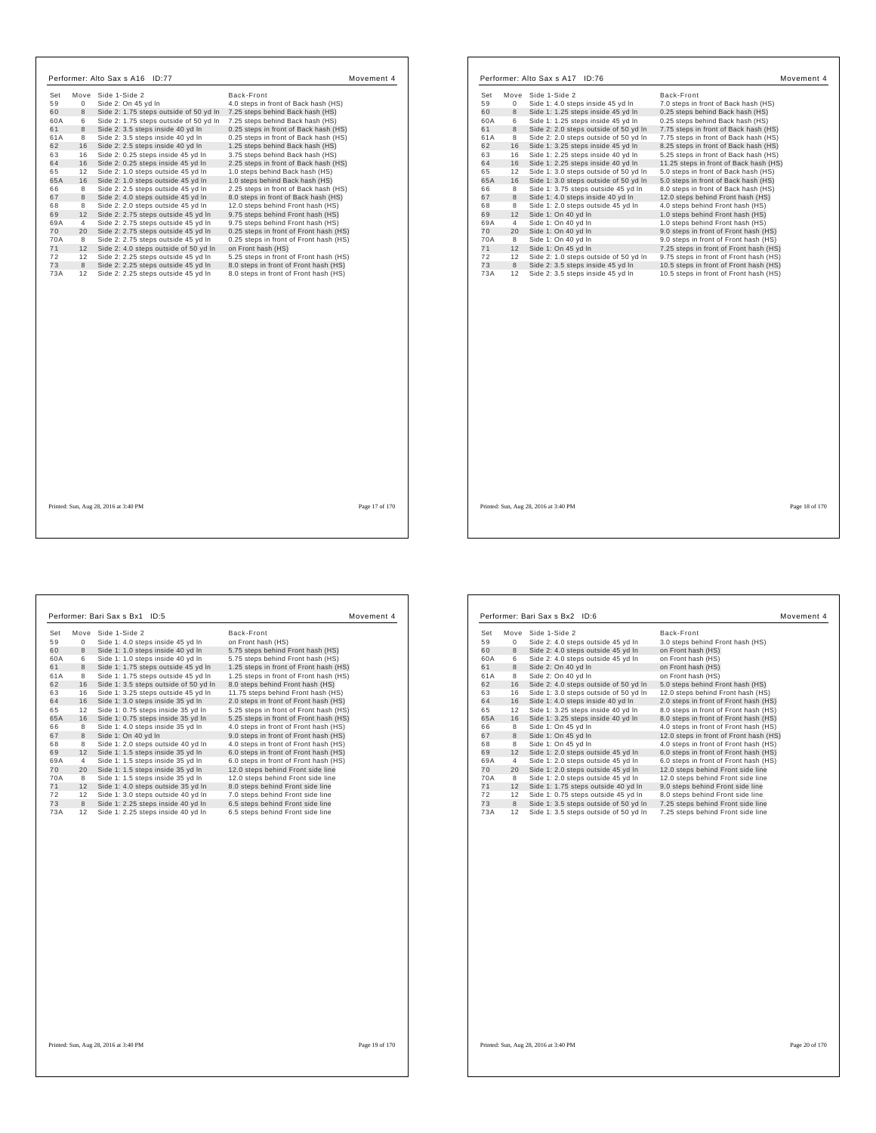| Set | Move           | Side 1-Side 2                          | Back-Front                             |
|-----|----------------|----------------------------------------|----------------------------------------|
| 59  | $\mathbf 0$    | Side 2: On 45 yd In                    | 4.0 steps in front of Back hash (HS)   |
| 60  | 8              | Side 2: 1.75 steps outside of 50 yd In | 7.25 steps behind Back hash (HS)       |
| 60A | 6              | Side 2: 1.75 steps outside of 50 yd In | 7.25 steps behind Back hash (HS)       |
| 61  | 8              | Side 2: 3.5 steps inside 40 yd In      | 0.25 steps in front of Back hash (HS)  |
| 61A | 8              | Side 2: 3.5 steps inside 40 yd In      | 0.25 steps in front of Back hash (HS)  |
| 62  | 16             | Side 2: 2.5 steps inside 40 yd In      | 1.25 steps behind Back hash (HS)       |
| 63  | 16             | Side 2: 0.25 steps inside 45 yd In     | 3.75 steps behind Back hash (HS)       |
| 64  | 16             | Side 2: 0.25 steps inside 45 yd In     | 2.25 steps in front of Back hash (HS)  |
| 65  | 12             | Side 2: 1.0 steps outside 45 yd In     | 1.0 steps behind Back hash (HS)        |
| 65A | 16             | Side 2: 1.0 steps outside 45 yd In     | 1.0 steps behind Back hash (HS)        |
| 66  | 8              | Side 2: 2.5 steps outside 45 yd In     | 2.25 steps in front of Back hash (HS)  |
| 67  | 8              | Side 2: 4.0 steps outside 45 yd In     | 8.0 steps in front of Back hash (HS)   |
| 68  | 8              | Side 2: 2.0 steps outside 45 yd In     | 12.0 steps behind Front hash (HS)      |
| 69  | 12             | Side 2: 2.75 steps outside 45 yd In    | 9.75 steps behind Front hash (HS)      |
| 69A | $\overline{4}$ | Side 2: 2.75 steps outside 45 yd In    | 9.75 steps behind Front hash (HS)      |
| 70  | 20             | Side 2: 2.75 steps outside 45 yd In    | 0.25 steps in front of Front hash (HS) |
| 70A | 8              | Side 2: 2.75 steps outside 45 yd In    | 0.25 steps in front of Front hash (HS) |
| 71  | 12             | Side 2: 4.0 steps outside of 50 yd In  | on Front hash (HS)                     |
| 72  | 12             | Side 2: 2.25 steps outside 45 vd In    | 5.25 steps in front of Front hash (HS) |
| 73  | 8              | Side 2: 2.25 steps outside 45 yd In    | 8.0 steps in front of Front hash (HS)  |
| 73A | 12             | Side 2: 2.25 steps outside 45 yd In    | 8.0 steps in front of Front hash (HS)  |
|     |                |                                        |                                        |
|     |                |                                        |                                        |
|     |                |                                        |                                        |
|     |                |                                        |                                        |
|     |                |                                        |                                        |
|     |                | Printed: Sun, Aug 28, 2016 at 3:40 PM  | Page 17 of 170                         |

| Set       |         |                                       |                                        |
|-----------|---------|---------------------------------------|----------------------------------------|
|           | Move    | Side 1-Side 2                         | Back-Front                             |
| 59        | 0       | Side 1: 4.0 steps inside 45 yd In     | 7.0 steps in front of Back hash (HS)   |
| 60        | 8       | Side 1: 1.25 steps inside 45 yd In    | 0.25 steps behind Back hash (HS)       |
| 60A       | 6       | Side 1: 1.25 steps inside 45 vd In    | 0.25 steps behind Back hash (HS)       |
| 61        | 8       | Side 2: 2.0 steps outside of 50 yd In | 7.75 steps in front of Back hash (HS)  |
| 61A       | 8       | Side 2: 2.0 steps outside of 50 yd In | 7.75 steps in front of Back hash (HS)  |
| 62        | 16      | Side 1: 3.25 steps inside 45 yd In    | 8.25 steps in front of Back hash (HS)  |
| 63        | 16      | Side 1: 2.25 steps inside 40 yd In    | 5.25 steps in front of Back hash (HS)  |
| 64        | 16      | Side 1: 2.25 steps inside 40 yd In    | 11.25 steps in front of Back hash (HS) |
| 65        | 12      | Side 1: 3.0 steps outside of 50 yd In | 5.0 steps in front of Back hash (HS)   |
| 65A       | 16      | Side 1: 3.0 steps outside of 50 yd In | 5.0 steps in front of Back hash (HS)   |
| 66        | 8       | Side 1: 3.75 steps outside 45 vd In   | 8.0 steps in front of Back hash (HS)   |
| 67        | 8       | Side 1: 4.0 steps inside 40 yd In     | 12.0 steps behind Front hash (HS)      |
| 68        | 8       | Side 1: 2.0 steps outside 45 yd In    | 4.0 steps behind Front hash (HS)       |
| 69        | 12      | Side 1: On 40 yd In                   | 1.0 steps behind Front hash (HS)       |
| 69A       | 4       | Side 1: On 40 yd In                   | 1.0 steps behind Front hash (HS)       |
| 70        | 20      | Side 1: On 40 yd In                   | 9.0 steps in front of Front hash (HS)  |
| 70A       | 8       | Side 1: On 40 yd In                   | 9.0 steps in front of Front hash (HS)  |
| 71        | 12      | Side 1: On 45 yd In                   | 7.25 steps in front of Front hash (HS) |
| 72        | 12      | Side 2: 1.0 steps outside of 50 yd In | 9.75 steps in front of Front hash (HS) |
| 73<br>73A | 8<br>12 | Side 2: 3.5 steps inside 45 yd In     | 10.5 steps in front of Front hash (HS) |
|           |         |                                       |                                        |
|           |         |                                       |                                        |

| Set | Move        | Side 1-Side 2                         | Back-Front                             |
|-----|-------------|---------------------------------------|----------------------------------------|
| 59  | $\mathbf 0$ | Side 1: 4.0 steps inside 45 yd In     | on Front hash (HS)                     |
| 60  | 8           | Side 1: 1.0 steps inside 40 yd In     | 5.75 steps behind Front hash (HS)      |
| 60A | 6           | Side 1: 1.0 steps inside 40 yd In     | 5.75 steps behind Front hash (HS)      |
| 61  | 8           | Side 1: 1.75 steps outside 45 yd In   | 1.25 steps in front of Front hash (HS) |
| 61A | 8           | Side 1: 1.75 steps outside 45 vd In   | 1.25 steps in front of Front hash (HS) |
| 62  | 16          | Side 1: 3.5 steps outside of 50 yd In | 8.0 steps behind Front hash (HS)       |
| 63  | 16          | Side 1: 3.25 steps outside 45 yd In   | 11.75 steps behind Front hash (HS)     |
| 64  | 16          | Side 1: 3.0 steps inside 35 yd In     | 2.0 steps in front of Front hash (HS)  |
| 65  | 12          | Side 1: 0.75 steps inside 35 yd In    | 5.25 steps in front of Front hash (HS) |
| 65A | 16          | Side 1: 0.75 steps inside 35 yd In    | 5.25 steps in front of Front hash (HS) |
| 66  | 8           | Side 1: 4.0 steps inside 35 yd In     | 4.0 steps in front of Front hash (HS)  |
| 67  | 8           | Side 1: On 40 vd In                   | 9.0 steps in front of Front hash (HS)  |
| 68  | 8           | Side 1: 2.0 steps outside 40 yd In    | 4.0 steps in front of Front hash (HS)  |
| 69  | 12          | Side 1: 1.5 steps inside 35 yd In     | 6.0 steps in front of Front hash (HS)  |
| 69A | 4           | Side 1: 1.5 steps inside 35 yd In     | 6.0 steps in front of Front hash (HS)  |
| 70  | 20          | Side 1: 1.5 steps inside 35 yd In     | 12.0 steps behind Front side line      |
| 70A | 8           | Side 1: 1.5 steps inside 35 yd In     | 12.0 steps behind Front side line      |
| 71  | 12          | Side 1: 4.0 steps outside 35 yd In    | 8.0 steps behind Front side line       |
| 72  | 12          | Side 1: 3.0 steps outside 40 yd In    | 7.0 steps behind Front side line       |
| 73  | 8           | Side 1: 2.25 steps inside 40 yd In    | 6.5 steps behind Front side line       |
| 73A | 12          | Side 1: 2.25 steps inside 40 yd In    | 6.5 steps behind Front side line       |

| Set | Move            | Side 1-Side 2                         | Back-Front                             |
|-----|-----------------|---------------------------------------|----------------------------------------|
| 59  | $^{\circ}$      | Side 2: 4.0 steps outside 45 yd In    | 3.0 steps behind Front hash (HS)       |
| 60  | 8               | Side 2: 4.0 steps outside 45 yd In    | on Front hash (HS)                     |
| 60A | 6               | Side 2: 4.0 steps outside 45 yd In    | on Front hash (HS)                     |
| 61  | 8               | Side 2: On 40 yd In                   | on Front hash (HS)                     |
| 61A | 8               | Side 2: On 40 yd In                   | on Front hash (HS)                     |
| 62  | 16              | Side 2: 4.0 steps outside of 50 yd In | 5.0 steps behind Front hash (HS)       |
| 63  | 16              | Side 1: 3.0 steps outside of 50 yd In | 12.0 steps behind Front hash (HS)      |
| 64  | 16              | Side 1: 4.0 steps inside 40 yd In     | 2.0 steps in front of Front hash (HS)  |
| 65  | 12              | Side 1: 3.25 steps inside 40 yd In    | 8.0 steps in front of Front hash (HS)  |
| 65A | 16              | Side 1: 3.25 steps inside 40 yd In    | 8.0 steps in front of Front hash (HS)  |
| 66  | 8               | Side 1: On 45 yd In                   | 4.0 steps in front of Front hash (HS)  |
| 67  | 8               | Side 1: On 45 yd In                   | 12.0 steps in front of Front hash (HS) |
| 68  | 8               | Side 1: On 45 vd In                   | 4.0 steps in front of Front hash (HS)  |
| 69  | 12              | Side 1: 2.0 steps outside 45 yd In    | 6.0 steps in front of Front hash (HS)  |
| 69A | $\overline{4}$  | Side 1: 2.0 steps outside 45 yd In    | 6.0 steps in front of Front hash (HS)  |
| 70  | 20              | Side 1: 2.0 steps outside 45 yd In    | 12.0 steps behind Front side line      |
| 70A | 8               | Side 1: 2.0 steps outside 45 yd In    | 12.0 steps behind Front side line      |
| 71  | 12              | Side 1: 1.75 steps outside 40 yd In   | 9.0 steps behind Front side line       |
| 72  | 12              | Side 1: 0.75 steps outside 45 yd In   | 8.0 steps behind Front side line       |
| 73  | 8               | Side 1: 3.5 steps outside of 50 yd In | 7.25 steps behind Front side line      |
| 73A | 12 <sup>1</sup> | Side 1: 3.5 steps outside of 50 yd In | 7.25 steps behind Front side line      |

Printed: Sun, Aug 28, 2016 at 3:40 PM Page 20 of 170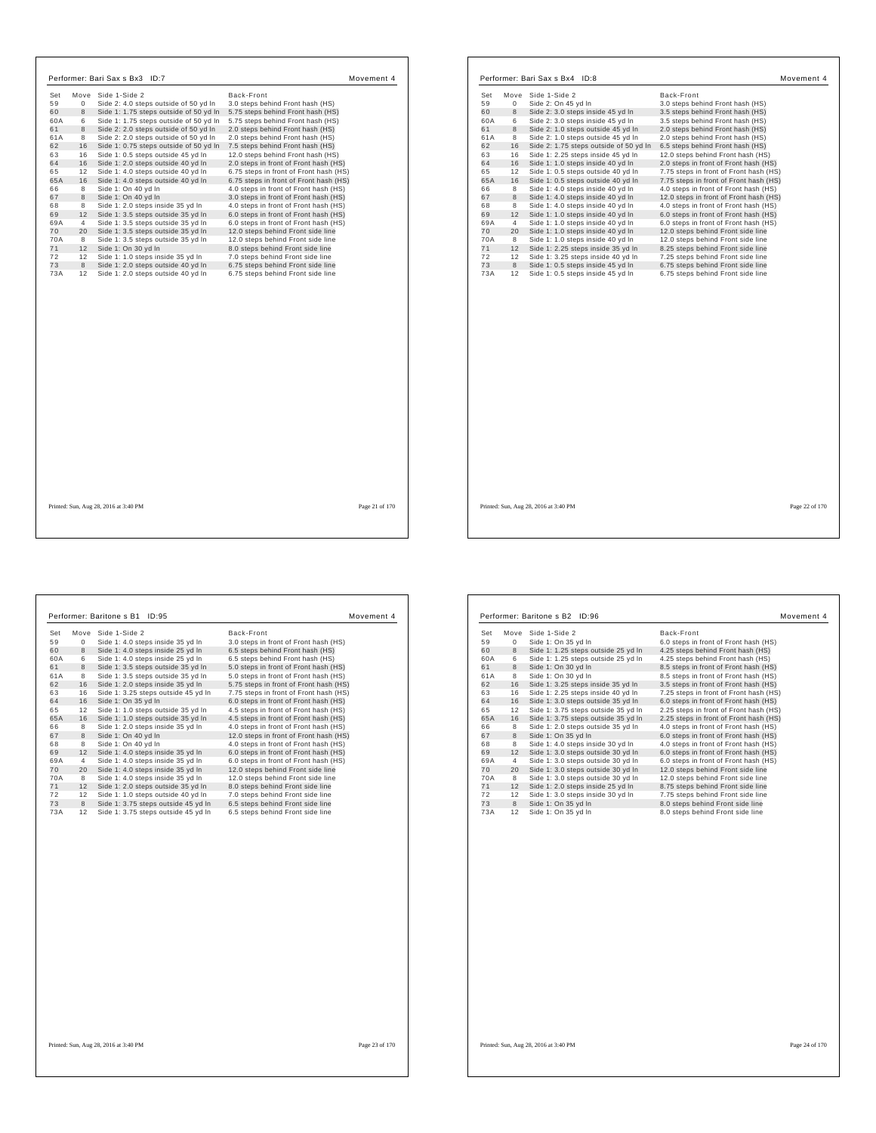| Set      |          | Move Side 1-Side 2                                                       | Back-Front                                                             |  |
|----------|----------|--------------------------------------------------------------------------|------------------------------------------------------------------------|--|
| 59       | $\Omega$ | Side 2: 4.0 steps outside of 50 yd In                                    | 3.0 steps behind Front hash (HS)                                       |  |
| 60       | 8        | Side 1: 1.75 steps outside of 50 yd In                                   | 5.75 steps behind Front hash (HS)                                      |  |
| 60A      | 6        | Side 1: 1.75 steps outside of 50 yd In                                   | 5.75 steps behind Front hash (HS)                                      |  |
| 61       | 8        | Side 2: 2.0 steps outside of 50 yd In                                    | 2.0 steps behind Front hash (HS)                                       |  |
| 61A      | 8        | Side 2: 2.0 steps outside of 50 yd In                                    | 2.0 steps behind Front hash (HS)                                       |  |
| 62       | 16       | Side 1: 0.75 steps outside of 50 yd In                                   | 7.5 steps behind Front hash (HS)                                       |  |
| 63       | 16       | Side 1: 0.5 steps outside 45 yd In                                       | 12.0 steps behind Front hash (HS)                                      |  |
| 64       | 16       | Side 1: 2.0 steps outside 40 yd In                                       | 2.0 steps in front of Front hash (HS)                                  |  |
| 65       | 12       | Side 1: 4.0 steps outside 40 yd In                                       | 6.75 steps in front of Front hash (HS)                                 |  |
| 65A      | 16       | Side 1: 4.0 steps outside 40 yd In                                       | 6.75 steps in front of Front hash (HS)                                 |  |
| 66       | 8        | Side 1: On 40 yd In                                                      | 4.0 steps in front of Front hash (HS)                                  |  |
| 67       | 8        | Side 1: On 40 yd In                                                      | 3.0 steps in front of Front hash (HS)                                  |  |
| 68       | 8        | Side 1: 2.0 steps inside 35 yd In                                        | 4.0 steps in front of Front hash (HS)                                  |  |
| 69       | 12       | Side 1: 3.5 steps outside 35 yd In                                       | 6.0 steps in front of Front hash (HS)                                  |  |
| 69A      | 4        | Side 1: 3.5 steps outside 35 yd In                                       | 6.0 steps in front of Front hash (HS)                                  |  |
| 70       | 20       | Side 1: 3.5 steps outside 35 yd In                                       | 12.0 steps behind Front side line                                      |  |
| 70A      | 8        | Side 1: 3.5 steps outside 35 yd In                                       | 12.0 steps behind Front side line                                      |  |
| 71       | 12       | Side 1: On 30 yd In                                                      | 8.0 steps behind Front side line                                       |  |
| 72<br>73 | 12<br>8  | Side 1: 1.0 steps inside 35 vd In                                        | 7.0 steps behind Front side line                                       |  |
| 73A      | 12       | Side 1: 2.0 steps outside 40 yd In<br>Side 1: 2.0 steps outside 40 yd In | 6.75 steps behind Front side line<br>6.75 steps behind Front side line |  |
|          |          |                                                                          |                                                                        |  |
|          |          |                                                                          |                                                                        |  |
|          |          |                                                                          |                                                                        |  |
|          |          |                                                                          |                                                                        |  |
|          |          |                                                                          |                                                                        |  |
|          |          |                                                                          |                                                                        |  |

| Set | Move           | Side 1-Side 2                          | Back-Front                             |
|-----|----------------|----------------------------------------|----------------------------------------|
| 59  | 0              | Side 2: On 45 yd In                    | 3.0 steps behind Front hash (HS)       |
| 60  | 8              | Side 2: 3.0 steps inside 45 yd In      | 3.5 steps behind Front hash (HS)       |
| 60A | 6              | Side 2: 3.0 steps inside 45 yd In      | 3.5 steps behind Front hash (HS)       |
| 61  | 8              | Side 2: 1.0 steps outside 45 yd In     | 2.0 steps behind Front hash (HS)       |
| 61A | 8              | Side 2: 1.0 steps outside 45 yd In     | 2.0 steps behind Front hash (HS)       |
| 62  | 16             | Side 2: 1.75 steps outside of 50 yd In | 6.5 steps behind Front hash (HS)       |
| 63  | 16             | Side 1: 2.25 steps inside 45 yd In     | 12.0 steps behind Front hash (HS)      |
| 64  | 16             | Side 1: 1.0 steps inside 40 yd In      | 2.0 steps in front of Front hash (HS)  |
| 65  | 12             | Side 1: 0.5 steps outside 40 yd In     | 7.75 steps in front of Front hash (HS) |
| 65A | 16             | Side 1: 0.5 steps outside 40 yd In     | 7.75 steps in front of Front hash (HS) |
| 66  | 8              | Side 1: 4.0 steps inside 40 yd In      | 4.0 steps in front of Front hash (HS)  |
| 67  | 8              | Side 1: 4.0 steps inside 40 yd In      | 12.0 steps in front of Front hash (HS) |
| 68  | 8              | Side 1: 4.0 steps inside 40 yd In      | 4.0 steps in front of Front hash (HS)  |
| 69  | 12             | Side 1: 1.0 steps inside 40 yd In      | 6.0 steps in front of Front hash (HS)  |
| 69A | $\overline{4}$ | Side 1: 1.0 steps inside 40 yd In      | 6.0 steps in front of Front hash (HS)  |
| 70  | 20             | Side 1: 1.0 steps inside 40 yd In      | 12.0 steps behind Front side line      |
| 70A | 8              | Side 1: 1.0 steps inside 40 yd In      | 12.0 steps behind Front side line      |
| 71  | 12             | Side 1: 2.25 steps inside 35 yd In     | 8.25 steps behind Front side line      |
| 72  | 12             | Side 1: 3.25 steps inside 40 yd In     | 7.25 steps behind Front side line      |
| 73  | 8              | Side 1: 0.5 steps inside 45 yd In      | 6.75 steps behind Front side line      |
| 73A | 12             | Side 1: 0.5 steps inside 45 yd In      | 6.75 steps behind Front side line      |
|     |                |                                        |                                        |
|     |                |                                        |                                        |
|     |                |                                        |                                        |
|     |                |                                        |                                        |
|     |                |                                        |                                        |
|     |                |                                        |                                        |

Printed: Sun, Aug 28, 2016 at 3:40 PM Page 22 of 170

 $\Gamma$ 

| 59  | Move         | Side 1-Side 2                       | Back-Front                             |
|-----|--------------|-------------------------------------|----------------------------------------|
|     | $\mathbf{0}$ | Side 1: 4.0 steps inside 35 yd In   | 3.0 steps in front of Front hash (HS)  |
| 60  | 8            | Side 1: 4.0 steps inside 25 yd In   | 6.5 steps behind Front hash (HS)       |
| 60A | 6            | Side 1: 4.0 steps inside 25 yd In   | 6.5 steps behind Front hash (HS)       |
| 61  | 8            | Side 1: 3.5 steps outside 35 yd In  | 5.0 steps in front of Front hash (HS)  |
| 61A | 8            | Side 1: 3.5 steps outside 35 yd In  | 5.0 steps in front of Front hash (HS)  |
| 62  | 16           | Side 1: 2.0 steps inside 35 yd In   | 5.75 steps in front of Front hash (HS) |
| 63  | 16           | Side 1: 3.25 steps outside 45 yd In | 7.75 steps in front of Front hash (HS) |
| 64  | 16           | Side 1: On 35 yd In                 | 6.0 steps in front of Front hash (HS)  |
| 65  | 12           | Side 1: 1.0 steps outside 35 yd In  | 4.5 steps in front of Front hash (HS)  |
| 65A | 16           | Side 1: 1.0 steps outside 35 yd In  | 4.5 steps in front of Front hash (HS)  |
| 66  | 8            | Side 1: 2.0 steps inside 35 yd In   | 4.0 steps in front of Front hash (HS)  |
| 67  | 8            | Side 1: On 40 yd In                 | 12.0 steps in front of Front hash (HS) |
| 68  | 8            | Side 1: On 40 vd In                 | 4.0 steps in front of Front hash (HS)  |
| 69  | 12           | Side 1: 4.0 steps inside 35 yd In   | 6.0 steps in front of Front hash (HS)  |
| 69A | 4            | Side 1: 4.0 steps inside 35 yd In   | 6.0 steps in front of Front hash (HS)  |
| 70  | 20           | Side 1: 4.0 steps inside 35 yd In   | 12.0 steps behind Front side line      |
| 70A | 8            | Side 1: 4.0 steps inside 35 yd In   | 12.0 steps behind Front side line      |
| 71  | 12           | Side 1: 2.0 steps outside 35 yd In  | 8.0 steps behind Front side line       |
| 72  | 12           | Side 1: 1.0 steps outside 40 yd In  | 7.0 steps behind Front side line       |
| 73  | 8            | Side 1: 3.75 steps outside 45 yd In | 6.5 steps behind Front side line       |
| 73A | 12           | Side 1: 3.75 steps outside 45 yd In | 6.5 steps behind Front side line       |

|     |    | Performer: Baritone s B2 ID:96      | Movement 4                             |  |
|-----|----|-------------------------------------|----------------------------------------|--|
| Set |    | Move Side 1-Side 2                  | Back-Front                             |  |
| 59  | 0  | Side 1: On 35 yd In                 | 6.0 steps in front of Front hash (HS)  |  |
| 60  | 8  | Side 1: 1.25 steps outside 25 yd In | 4.25 steps behind Front hash (HS)      |  |
| 60A | 6  | Side 1: 1.25 steps outside 25 yd In | 4.25 steps behind Front hash (HS)      |  |
| 61  | 8  | Side 1: On 30 yd In                 | 8.5 steps in front of Front hash (HS)  |  |
| 61A | 8  | Side 1: On 30 vd In                 | 8.5 steps in front of Front hash (HS)  |  |
| 62  | 16 | Side 1: 3.25 steps inside 35 yd In  | 3.5 steps in front of Front hash (HS)  |  |
| 63  | 16 | Side 1: 2.25 steps inside 40 yd In  | 7.25 steps in front of Front hash (HS) |  |
| 64  | 16 | Side 1: 3.0 steps outside 35 yd In  | 6.0 steps in front of Front hash (HS)  |  |
| 65  | 12 | Side 1: 3.75 steps outside 35 yd In | 2.25 steps in front of Front hash (HS) |  |
| 65A | 16 | Side 1: 3.75 steps outside 35 yd In | 2.25 steps in front of Front hash (HS) |  |
| 66  | 8  | Side 1: 2.0 steps outside 35 yd In  | 4.0 steps in front of Front hash (HS)  |  |
| 67  | 8  | Side 1: On 35 yd In                 | 6.0 steps in front of Front hash (HS)  |  |
| 68  | 8  | Side 1: 4.0 steps inside 30 yd In   | 4.0 steps in front of Front hash (HS)  |  |
| 69  | 12 | Side 1: 3.0 steps outside 30 yd In  | 6.0 steps in front of Front hash (HS)  |  |
| 69A | 4  | Side 1: 3.0 steps outside 30 yd In  | 6.0 steps in front of Front hash (HS)  |  |
| 70  | 20 | Side 1: 3.0 steps outside 30 yd In  | 12.0 steps behind Front side line      |  |
| 70A | 8  | Side 1: 3.0 steps outside 30 yd In  | 12.0 steps behind Front side line      |  |
| 71  | 12 | Side 1: 2.0 steps inside 25 yd In   | 8.75 steps behind Front side line      |  |
| 72  | 12 | Side 1: 3.0 steps inside 30 yd In   | 7.75 steps behind Front side line      |  |
| 73  | 8  | Side 1: On 35 yd In                 | 8.0 steps behind Front side line       |  |
| 73A | 12 | Side 1: On 35 yd In                 | 8.0 steps behind Front side line       |  |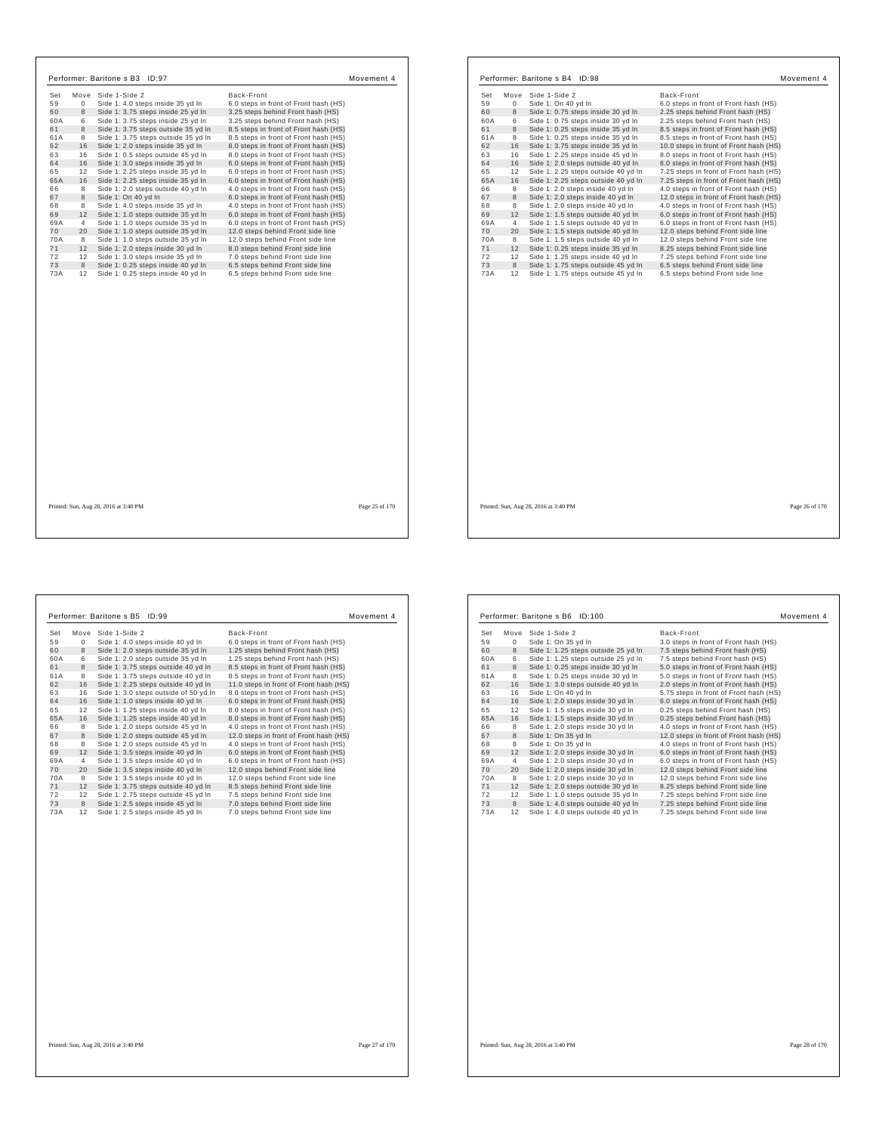| Set |                | Move Side 1-Side 2                  | Back-Front                            |  |
|-----|----------------|-------------------------------------|---------------------------------------|--|
| 59  | $\Omega$       | Side 1: 4.0 steps inside 35 yd In   | 6.0 steps in front of Front hash (HS) |  |
| 60  | 8              | Side 1: 3.75 steps inside 25 yd In  | 3.25 steps behind Front hash (HS)     |  |
| 60A | 6              | Side 1: 3.75 steps inside 25 vd In  | 3.25 steps behind Front hash (HS)     |  |
| 61  | 8              | Side 1: 3.75 steps outside 35 yd In | 8.5 steps in front of Front hash (HS) |  |
| 61A | 8              | Side 1: 3.75 steps outside 35 yd In | 8.5 steps in front of Front hash (HS) |  |
| 62  | 16             | Side 1: 2.0 steps inside 35 yd In   | 8.0 steps in front of Front hash (HS) |  |
| 63  | 16             | Side 1: 0.5 steps outside 45 yd In  | 8.0 steps in front of Front hash (HS) |  |
| 64  | 16             | Side 1: 3.0 steps inside 35 yd In   | 6.0 steps in front of Front hash (HS) |  |
| 65  | 12             | Side 1: 2.25 steps inside 35 yd In  | 6.0 steps in front of Front hash (HS) |  |
| 65A | 16             | Side 1: 2.25 steps inside 35 yd In  | 6.0 steps in front of Front hash (HS) |  |
| 66  | 8              | Side 1: 2.0 steps outside 40 yd In  | 4.0 steps in front of Front hash (HS) |  |
| 67  | 8              | Side 1: On 40 vd In                 | 6.0 steps in front of Front hash (HS) |  |
| 68  | 8              | Side 1: 4.0 steps inside 35 yd In   | 4.0 steps in front of Front hash (HS) |  |
| 69  | 12             | Side 1: 1.0 steps outside 35 yd In  | 6.0 steps in front of Front hash (HS) |  |
| 69A | $\overline{4}$ | Side 1: 1.0 steps outside 35 yd In  | 6.0 steps in front of Front hash (HS) |  |
| 70  | 20             | Side 1: 1.0 steps outside 35 yd In  | 12.0 steps behind Front side line     |  |
| 70A | 8              | Side 1: 1.0 steps outside 35 yd In  | 12.0 steps behind Front side line     |  |
| 71  | 12             | Side 1: 2.0 steps inside 30 yd In   | 8.0 steps behind Front side line      |  |
| 72  | 12             | Side 1: 3.0 steps inside 35 yd In   | 7.0 steps behind Front side line      |  |
| 73  | 8              | Side 1: 0.25 steps inside 40 yd In  | 6.5 steps behind Front side line      |  |
| 73A | 12             | Side 1: 0.25 steps inside 40 yd In  | 6.5 steps behind Front side line      |  |
|     |                |                                     |                                       |  |
|     |                |                                     |                                       |  |
|     |                |                                     |                                       |  |
|     |                |                                     |                                       |  |
|     |                |                                     |                                       |  |
|     |                |                                     |                                       |  |
|     |                |                                     |                                       |  |
|     |                |                                     |                                       |  |
|     |                |                                     |                                       |  |

| Set | Move | Side 1-Side 2                       | Back-Front                             |
|-----|------|-------------------------------------|----------------------------------------|
| 59  | 0    | Side 1: On 40 vd In                 | 6.0 steps in front of Front hash (HS)  |
| 60  | 8    | Side 1: 0.75 steps inside 30 yd In  | 2.25 steps behind Front hash (HS)      |
| 60A | 6    | Side 1: 0.75 steps inside 30 yd In  | 2.25 steps behind Front hash (HS)      |
| 61  | 8    | Side 1: 0.25 steps inside 35 yd In  | 8.5 steps in front of Front hash (HS)  |
| 61A | 8    | Side 1: 0.25 steps inside 35 yd In  | 8.5 steps in front of Front hash (HS)  |
| 62  | 16   | Side 1: 3.75 steps inside 35 yd In  | 10.0 steps in front of Front hash (HS) |
| 63  | 16   | Side 1: 2.25 steps inside 45 yd In  | 8.0 steps in front of Front hash (HS)  |
| 64  | 16   | Side 1: 2.0 steps outside 40 yd In  | 6.0 steps in front of Front hash (HS)  |
| 65  | 12   | Side 1: 2.25 steps outside 40 yd In | 7.25 steps in front of Front hash (HS) |
| 65A | 16   | Side 1: 2.25 steps outside 40 yd In | 7.25 steps in front of Front hash (HS) |
| 66  | 8    | Side 1: 2.0 steps inside 40 yd In   | 4.0 steps in front of Front hash (HS)  |
| 67  | 8    | Side 1: 2.0 steps inside 40 yd In   | 12.0 steps in front of Front hash (HS) |
| 68  | 8    | Side 1: 2.0 steps inside 40 yd In   | 4.0 steps in front of Front hash (HS)  |
| 69  | 12   | Side 1: 1.5 steps outside 40 yd In  | 6.0 steps in front of Front hash (HS)  |
| 69A | 4    | Side 1: 1.5 steps outside 40 yd In  | 6.0 steps in front of Front hash (HS)  |
| 70  | 20   | Side 1: 1.5 steps outside 40 yd In  | 12.0 steps behind Front side line      |
| 70A | 8    | Side 1: 1.5 steps outside 40 yd In  | 12.0 steps behind Front side line      |
| 71  | 12   | Side 1: 0.25 steps inside 35 yd In  | 8.25 steps behind Front side line      |
| 72  | 12   | Side 1: 1.25 steps inside 40 vd In  | 7.25 steps behind Front side line      |
| 73  | 8    | Side 1: 1.75 steps outside 45 yd In | 6.5 steps behind Front side line       |
|     |      |                                     |                                        |
|     |      |                                     |                                        |

Printed: Sun, Aug 28, 2016 at 3:40 PM Page 26 of 170

 $\Gamma$ 

┑

| Set<br>59<br>60<br>60A<br>61<br>61A<br>62<br>63<br>64<br>65<br>65A<br>66<br>67<br>68 | Move<br>$\mathbf 0$<br>8<br>6<br>8<br>8<br>16<br>16<br>16<br>12<br>16<br>8<br>8 | Side 1-Side 2<br>Side 1: 4.0 steps inside 40 yd In<br>Side 1: 2.0 steps outside 35 yd In<br>Side 1: 2.0 steps outside 35 yd In<br>Side 1: 3.75 steps outside 40 yd In<br>Side 1: 3.75 steps outside 40 yd In<br>Side 1: 2.25 steps outside 40 yd In<br>Side 1: 3.0 steps outside of 50 yd In<br>Side 1: 1.0 steps inside 40 yd In<br>Side 1: 1.25 steps inside 40 yd In<br>Side 1: 1.25 steps inside 40 yd In<br>Side 1: 2.0 steps outside 45 yd In | Back-Front<br>6.0 steps in front of Front hash (HS)<br>1.25 steps behind Front hash (HS)<br>1.25 steps behind Front hash (HS)<br>8.5 steps in front of Front hash (HS)<br>8.5 steps in front of Front hash (HS)<br>11.0 steps in front of Front hash (HS)<br>8.0 steps in front of Front hash (HS)<br>6.0 steps in front of Front hash (HS)<br>8.0 steps in front of Front hash (HS)<br>8.0 steps in front of Front hash (HS) |
|--------------------------------------------------------------------------------------|---------------------------------------------------------------------------------|-----------------------------------------------------------------------------------------------------------------------------------------------------------------------------------------------------------------------------------------------------------------------------------------------------------------------------------------------------------------------------------------------------------------------------------------------------|-------------------------------------------------------------------------------------------------------------------------------------------------------------------------------------------------------------------------------------------------------------------------------------------------------------------------------------------------------------------------------------------------------------------------------|
|                                                                                      |                                                                                 |                                                                                                                                                                                                                                                                                                                                                                                                                                                     |                                                                                                                                                                                                                                                                                                                                                                                                                               |
|                                                                                      |                                                                                 |                                                                                                                                                                                                                                                                                                                                                                                                                                                     |                                                                                                                                                                                                                                                                                                                                                                                                                               |
|                                                                                      |                                                                                 |                                                                                                                                                                                                                                                                                                                                                                                                                                                     |                                                                                                                                                                                                                                                                                                                                                                                                                               |
|                                                                                      |                                                                                 |                                                                                                                                                                                                                                                                                                                                                                                                                                                     |                                                                                                                                                                                                                                                                                                                                                                                                                               |
|                                                                                      |                                                                                 |                                                                                                                                                                                                                                                                                                                                                                                                                                                     |                                                                                                                                                                                                                                                                                                                                                                                                                               |
|                                                                                      |                                                                                 |                                                                                                                                                                                                                                                                                                                                                                                                                                                     |                                                                                                                                                                                                                                                                                                                                                                                                                               |
|                                                                                      |                                                                                 |                                                                                                                                                                                                                                                                                                                                                                                                                                                     |                                                                                                                                                                                                                                                                                                                                                                                                                               |
|                                                                                      |                                                                                 |                                                                                                                                                                                                                                                                                                                                                                                                                                                     |                                                                                                                                                                                                                                                                                                                                                                                                                               |
|                                                                                      |                                                                                 |                                                                                                                                                                                                                                                                                                                                                                                                                                                     |                                                                                                                                                                                                                                                                                                                                                                                                                               |
|                                                                                      |                                                                                 |                                                                                                                                                                                                                                                                                                                                                                                                                                                     |                                                                                                                                                                                                                                                                                                                                                                                                                               |
|                                                                                      |                                                                                 |                                                                                                                                                                                                                                                                                                                                                                                                                                                     |                                                                                                                                                                                                                                                                                                                                                                                                                               |
|                                                                                      |                                                                                 |                                                                                                                                                                                                                                                                                                                                                                                                                                                     | 4.0 steps in front of Front hash (HS)                                                                                                                                                                                                                                                                                                                                                                                         |
|                                                                                      |                                                                                 | Side 1: 2.0 steps outside 45 yd In                                                                                                                                                                                                                                                                                                                                                                                                                  | 12.0 steps in front of Front hash (HS)                                                                                                                                                                                                                                                                                                                                                                                        |
|                                                                                      | 8                                                                               | Side 1: 2.0 steps outside 45 vd In                                                                                                                                                                                                                                                                                                                                                                                                                  | 4.0 steps in front of Front hash (HS)                                                                                                                                                                                                                                                                                                                                                                                         |
| 69                                                                                   | 12                                                                              | Side 1: 3.5 steps inside 40 yd In                                                                                                                                                                                                                                                                                                                                                                                                                   | 6.0 steps in front of Front hash (HS)                                                                                                                                                                                                                                                                                                                                                                                         |
| 69A                                                                                  | $\overline{4}$                                                                  | Side 1: 3.5 steps inside 40 yd In                                                                                                                                                                                                                                                                                                                                                                                                                   | 6.0 steps in front of Front hash (HS)                                                                                                                                                                                                                                                                                                                                                                                         |
| 70                                                                                   | 20                                                                              | Side 1: 3.5 steps inside 40 yd In                                                                                                                                                                                                                                                                                                                                                                                                                   | 12.0 steps behind Front side line                                                                                                                                                                                                                                                                                                                                                                                             |
| 70A                                                                                  | 8                                                                               | Side 1: 3.5 steps inside 40 yd In                                                                                                                                                                                                                                                                                                                                                                                                                   | 12.0 steps behind Front side line                                                                                                                                                                                                                                                                                                                                                                                             |
| 71                                                                                   | 12                                                                              | Side 1: 3.75 steps outside 40 yd In                                                                                                                                                                                                                                                                                                                                                                                                                 | 8.5 steps behind Front side line                                                                                                                                                                                                                                                                                                                                                                                              |
| 72                                                                                   | 12                                                                              | Side 1: 2.75 steps outside 45 yd In                                                                                                                                                                                                                                                                                                                                                                                                                 | 7.5 steps behind Front side line                                                                                                                                                                                                                                                                                                                                                                                              |
| 73                                                                                   | 8                                                                               | Side 1: 2.5 steps inside 45 yd In                                                                                                                                                                                                                                                                                                                                                                                                                   | 7.0 steps behind Front side line                                                                                                                                                                                                                                                                                                                                                                                              |
| 73A                                                                                  | 12                                                                              | Side 1: 2.5 steps inside 45 yd In                                                                                                                                                                                                                                                                                                                                                                                                                   | 7.0 steps behind Front side line                                                                                                                                                                                                                                                                                                                                                                                              |
|                                                                                      |                                                                                 |                                                                                                                                                                                                                                                                                                                                                                                                                                                     |                                                                                                                                                                                                                                                                                                                                                                                                                               |
|                                                                                      |                                                                                 |                                                                                                                                                                                                                                                                                                                                                                                                                                                     |                                                                                                                                                                                                                                                                                                                                                                                                                               |
|                                                                                      |                                                                                 |                                                                                                                                                                                                                                                                                                                                                                                                                                                     |                                                                                                                                                                                                                                                                                                                                                                                                                               |
|                                                                                      |                                                                                 |                                                                                                                                                                                                                                                                                                                                                                                                                                                     |                                                                                                                                                                                                                                                                                                                                                                                                                               |
|                                                                                      |                                                                                 |                                                                                                                                                                                                                                                                                                                                                                                                                                                     |                                                                                                                                                                                                                                                                                                                                                                                                                               |
|                                                                                      |                                                                                 |                                                                                                                                                                                                                                                                                                                                                                                                                                                     |                                                                                                                                                                                                                                                                                                                                                                                                                               |

| Set | Move | Side 1-Side 2                       | Back-Front                             |  |
|-----|------|-------------------------------------|----------------------------------------|--|
| 59  | 0    | Side 1: On 35 vd In                 | 3.0 steps in front of Front hash (HS)  |  |
| 60  | 8    | Side 1: 1.25 steps outside 25 yd In | 7.5 steps behind Front hash (HS)       |  |
| 60A | 6    | Side 1: 1.25 steps outside 25 yd In | 7.5 steps behind Front hash (HS)       |  |
| 61  | 8    | Side 1: 0.25 steps inside 30 yd In  | 5.0 steps in front of Front hash (HS)  |  |
| 61A | 8    | Side 1: 0.25 steps inside 30 yd In  | 5.0 steps in front of Front hash (HS)  |  |
| 62  | 16   | Side 1: 3.0 steps outside 40 yd In  | 2.0 steps in front of Front hash (HS)  |  |
| 63  | 16   | Side 1: On 40 yd In                 | 5.75 steps in front of Front hash (HS) |  |
| 64  | 16   | Side 1: 2.0 steps inside 30 yd In   | 6.0 steps in front of Front hash (HS)  |  |
| 65  | 12   | Side 1: 1.5 steps inside 30 yd In   | 0.25 steps behind Front hash (HS)      |  |
| 65A | 16   | Side 1: 1.5 steps inside 30 yd In   | 0.25 steps behind Front hash (HS)      |  |
| 66  | 8    | Side 1: 2.0 steps inside 30 yd In   | 4.0 steps in front of Front hash (HS)  |  |
| 67  | 8    | Side 1: On 35 yd In                 | 12.0 steps in front of Front hash (HS) |  |
| 68  | 8    | Side 1: On 35 vd In                 | 4.0 steps in front of Front hash (HS)  |  |
| 69  | 12   | Side 1: 2.0 steps inside 30 yd In   | 6.0 steps in front of Front hash (HS)  |  |
| 69A | 4    | Side 1: 2.0 steps inside 30 yd In   | 6.0 steps in front of Front hash (HS)  |  |
| 70  | 20   | Side 1: 2.0 steps inside 30 yd In   | 12.0 steps behind Front side line      |  |
| 70A | 8    | Side 1: 2.0 steps inside 30 yd In   | 12.0 steps behind Front side line      |  |
| 71  | 12   | Side 1: 2.0 steps outside 30 yd In  | 8.25 steps behind Front side line      |  |
| 72  | 12   | Side 1: 1.0 steps outside 35 yd In  | 7.25 steps behind Front side line      |  |
| 73  | 8    | Side 1: 4.0 steps outside 40 yd In  | 7.25 steps behind Front side line      |  |
| 73A | 12   | Side 1: 4.0 steps outside 40 yd In  | 7.25 steps behind Front side line      |  |

Printed: Sun, Aug 28, 2016 at 3:40 PM Page 28 of 170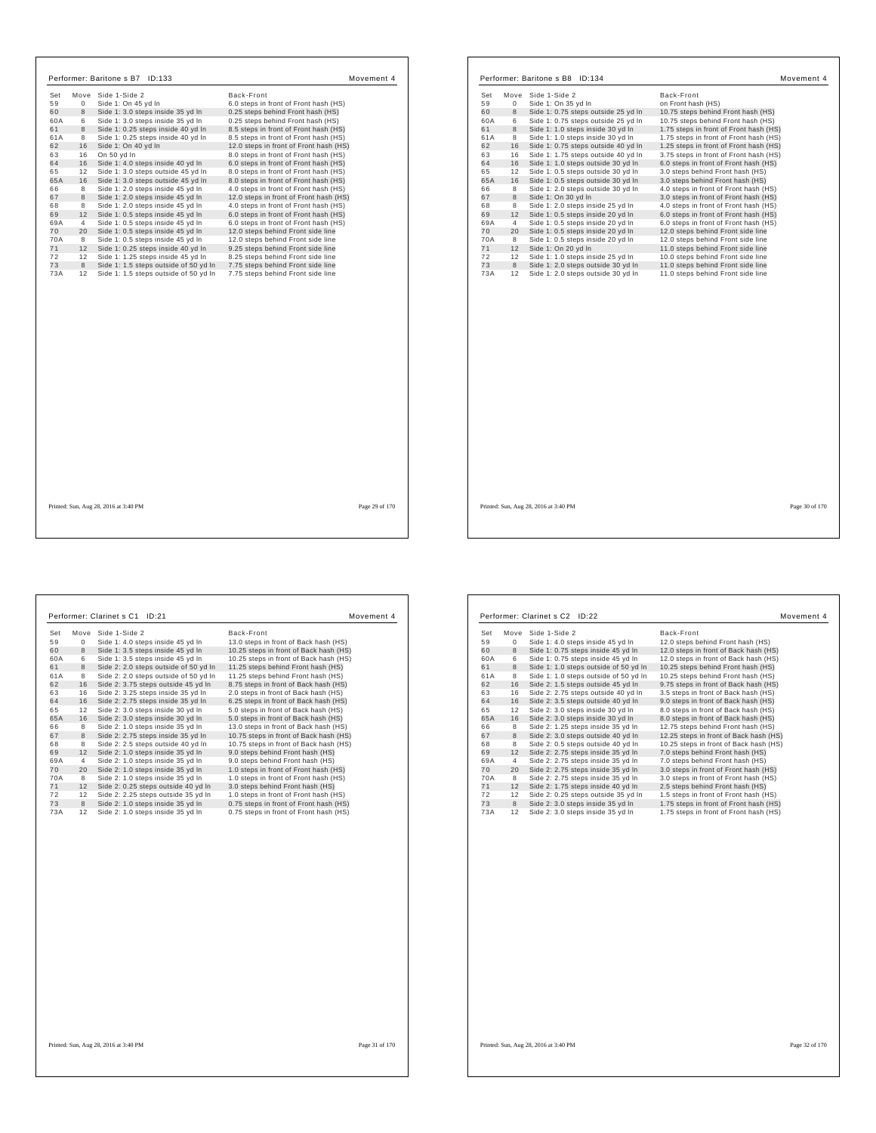| Set | Move           | Side 1-Side 2                                                            | Back-Front                             |  |
|-----|----------------|--------------------------------------------------------------------------|----------------------------------------|--|
| 59  | $\Omega$       | Side 1: On 45 yd In                                                      | 6.0 steps in front of Front hash (HS)  |  |
| 60  | 8              | Side 1: 3.0 steps inside 35 yd In                                        | 0.25 steps behind Front hash (HS)      |  |
| 60A | 6              | Side 1: 3.0 steps inside 35 yd In                                        | 0.25 steps behind Front hash (HS)      |  |
| 61  | 8              | Side 1: 0.25 steps inside 40 vd In                                       | 8.5 steps in front of Front hash (HS)  |  |
| 61A | 8              | Side 1: 0.25 steps inside 40 yd In                                       | 8.5 steps in front of Front hash (HS)  |  |
| 62  | 16             | Side 1: On 40 yd In                                                      | 12.0 steps in front of Front hash (HS) |  |
| 63  | 16             | On 50 yd In                                                              | 8.0 steps in front of Front hash (HS)  |  |
| 64  | 16             | Side 1: 4.0 steps inside 40 yd In                                        | 6.0 steps in front of Front hash (HS)  |  |
| 65  | 12             | Side 1: 3.0 steps outside 45 yd In                                       | 8.0 steps in front of Front hash (HS)  |  |
| 65A | 16             | Side 1: 3.0 steps outside 45 yd In                                       | 8.0 steps in front of Front hash (HS)  |  |
| 66  | 8              | Side 1: 2.0 steps inside 45 yd In                                        | 4.0 steps in front of Front hash (HS)  |  |
| 67  | 8              | Side 1: 2.0 steps inside 45 vd In                                        | 12.0 steps in front of Front hash (HS) |  |
| 68  | 8              | Side 1: 2.0 steps inside 45 yd In                                        | 4.0 steps in front of Front hash (HS)  |  |
| 69  | 12             | Side 1: 0.5 steps inside 45 yd In                                        | 6.0 steps in front of Front hash (HS)  |  |
| 69A | $\overline{4}$ | Side 1: 0.5 steps inside 45 yd In                                        | 6.0 steps in front of Front hash (HS)  |  |
| 70  | 20             | Side 1: 0.5 steps inside 45 yd In                                        | 12.0 steps behind Front side line      |  |
| 70A |                | Side 1: 0.5 steps inside 45 yd In                                        | 12.0 steps behind Front side line      |  |
| 71  | 8<br>12        |                                                                          | 9.25 steps behind Front side line      |  |
| 72  |                | Side 1: 0.25 steps inside 40 yd In<br>Side 1: 1.25 steps inside 45 vd In | 8.25 steps behind Front side line      |  |
| 73  | 12<br>8        | Side 1: 1.5 steps outside of 50 yd In                                    | 7.75 steps behind Front side line      |  |
| 73A | 12             | Side 1: 1.5 steps outside of 50 yd In                                    | 7.75 steps behind Front side line      |  |
|     |                |                                                                          |                                        |  |
|     |                |                                                                          |                                        |  |

| Set<br>Move       | Side 1-Side 2                       | Back-Front                             |
|-------------------|-------------------------------------|----------------------------------------|
| 59<br>$\mathbf 0$ | Side 1: On 35 yd In                 | on Front hash (HS)                     |
| 60<br>8           | Side 1: 0.75 steps outside 25 vd In | 10.75 steps behind Front hash (HS)     |
| 60A<br>6          | Side 1: 0.75 steps outside 25 vd In | 10.75 steps behind Front hash (HS)     |
| 61<br>8           | Side 1: 1.0 steps inside 30 yd In   | 1.75 steps in front of Front hash (HS) |
| 61A<br>8          | Side 1: 1.0 steps inside 30 yd In   | 1.75 steps in front of Front hash (HS) |
| 62<br>16          | Side 1: 0.75 steps outside 40 yd In | 1.25 steps in front of Front hash (HS) |
| 63<br>16          | Side 1: 1.75 steps outside 40 yd In | 3.75 steps in front of Front hash (HS) |
| 64<br>16          | Side 1: 1.0 steps outside 30 yd In  | 6.0 steps in front of Front hash (HS)  |
| 65<br>12          | Side 1: 0.5 steps outside 30 yd In  | 3.0 steps behind Front hash (HS)       |
| 65A<br>16         | Side 1: 0.5 steps outside 30 yd In  | 3.0 steps behind Front hash (HS)       |
| 66<br>8           | Side 1: 2.0 steps outside 30 yd In  | 4.0 steps in front of Front hash (HS)  |
| 67<br>8           | Side 1: On 30 vd In                 | 3.0 steps in front of Front hash (HS)  |
| 68<br>8           | Side 1: 2.0 steps inside 25 yd In   | 4.0 steps in front of Front hash (HS)  |
| 69<br>12          | Side 1: 0.5 steps inside 20 yd In   | 6.0 steps in front of Front hash (HS)  |
| 69A<br>4          | Side 1: 0.5 steps inside 20 yd In   | 6.0 steps in front of Front hash (HS)  |
| 70<br>20          | Side 1: 0.5 steps inside 20 yd In   | 12.0 steps behind Front side line      |
| 70A<br>8          | Side 1: 0.5 steps inside 20 yd In   | 12.0 steps behind Front side line      |
| 71<br>12          | Side 1: On 20 yd In                 | 11.0 steps behind Front side line      |
| 72<br>12          | Side 1: 1.0 steps inside 25 vd In   | 10.0 steps behind Front side line      |
| 73<br>8           | Side 1: 2.0 steps outside 30 yd In  | 11.0 steps behind Front side line      |
|                   |                                     |                                        |

Printed: Sun, Aug 28, 2016 at 3:40 PM Page 30 of 170

 $\Gamma$ 

|    |                                                                                                                     | Back-Front                                                                                                                                                                                                                                                                                                                                                                                                                                                                                                                                                                                                                                                                                                                                                                                                  |
|----|---------------------------------------------------------------------------------------------------------------------|-------------------------------------------------------------------------------------------------------------------------------------------------------------------------------------------------------------------------------------------------------------------------------------------------------------------------------------------------------------------------------------------------------------------------------------------------------------------------------------------------------------------------------------------------------------------------------------------------------------------------------------------------------------------------------------------------------------------------------------------------------------------------------------------------------------|
|    |                                                                                                                     | 13.0 steps in front of Back hash (HS)                                                                                                                                                                                                                                                                                                                                                                                                                                                                                                                                                                                                                                                                                                                                                                       |
|    |                                                                                                                     | 10.25 steps in front of Back hash (HS)                                                                                                                                                                                                                                                                                                                                                                                                                                                                                                                                                                                                                                                                                                                                                                      |
|    |                                                                                                                     | 10.25 steps in front of Back hash (HS)                                                                                                                                                                                                                                                                                                                                                                                                                                                                                                                                                                                                                                                                                                                                                                      |
|    |                                                                                                                     | 11.25 steps behind Front hash (HS)                                                                                                                                                                                                                                                                                                                                                                                                                                                                                                                                                                                                                                                                                                                                                                          |
|    |                                                                                                                     | 11.25 steps behind Front hash (HS)                                                                                                                                                                                                                                                                                                                                                                                                                                                                                                                                                                                                                                                                                                                                                                          |
|    |                                                                                                                     | 8.75 steps in front of Back hash (HS)                                                                                                                                                                                                                                                                                                                                                                                                                                                                                                                                                                                                                                                                                                                                                                       |
|    |                                                                                                                     | 2.0 steps in front of Back hash (HS)                                                                                                                                                                                                                                                                                                                                                                                                                                                                                                                                                                                                                                                                                                                                                                        |
|    |                                                                                                                     | 6.25 steps in front of Back hash (HS)                                                                                                                                                                                                                                                                                                                                                                                                                                                                                                                                                                                                                                                                                                                                                                       |
|    |                                                                                                                     | 5.0 steps in front of Back hash (HS)                                                                                                                                                                                                                                                                                                                                                                                                                                                                                                                                                                                                                                                                                                                                                                        |
|    |                                                                                                                     | 5.0 steps in front of Back hash (HS)                                                                                                                                                                                                                                                                                                                                                                                                                                                                                                                                                                                                                                                                                                                                                                        |
|    |                                                                                                                     | 13.0 steps in front of Back hash (HS)                                                                                                                                                                                                                                                                                                                                                                                                                                                                                                                                                                                                                                                                                                                                                                       |
|    |                                                                                                                     | 10.75 steps in front of Back hash (HS)                                                                                                                                                                                                                                                                                                                                                                                                                                                                                                                                                                                                                                                                                                                                                                      |
|    |                                                                                                                     | 10.75 steps in front of Back hash (HS)                                                                                                                                                                                                                                                                                                                                                                                                                                                                                                                                                                                                                                                                                                                                                                      |
|    |                                                                                                                     | 9.0 steps behind Front hash (HS)                                                                                                                                                                                                                                                                                                                                                                                                                                                                                                                                                                                                                                                                                                                                                                            |
|    |                                                                                                                     | 9.0 steps behind Front hash (HS)                                                                                                                                                                                                                                                                                                                                                                                                                                                                                                                                                                                                                                                                                                                                                                            |
|    |                                                                                                                     | 1.0 steps in front of Front hash (HS)                                                                                                                                                                                                                                                                                                                                                                                                                                                                                                                                                                                                                                                                                                                                                                       |
|    |                                                                                                                     | 1.0 steps in front of Front hash (HS)                                                                                                                                                                                                                                                                                                                                                                                                                                                                                                                                                                                                                                                                                                                                                                       |
|    |                                                                                                                     | 3.0 steps behind Front hash (HS)                                                                                                                                                                                                                                                                                                                                                                                                                                                                                                                                                                                                                                                                                                                                                                            |
|    |                                                                                                                     | 1.0 steps in front of Front hash (HS)                                                                                                                                                                                                                                                                                                                                                                                                                                                                                                                                                                                                                                                                                                                                                                       |
|    |                                                                                                                     | 0.75 steps in front of Front hash (HS)                                                                                                                                                                                                                                                                                                                                                                                                                                                                                                                                                                                                                                                                                                                                                                      |
| 12 | Side 2: 1.0 steps inside 35 yd In                                                                                   | 0.75 steps in front of Front hash (HS)                                                                                                                                                                                                                                                                                                                                                                                                                                                                                                                                                                                                                                                                                                                                                                      |
|    | $\mathbf 0$<br>8<br>6<br>8<br>8<br>16<br>16<br>16<br>12<br>16<br>8<br>8<br>8<br>12<br>4<br>20<br>8<br>12<br>12<br>8 | Side 1-Side 2<br>Move<br>Side 1: 4.0 steps inside 45 yd In<br>Side 1: 3.5 steps inside 45 yd In<br>Side 1: 3.5 steps inside 45 vd In<br>Side 2: 2.0 steps outside of 50 yd In<br>Side 2: 2.0 steps outside of 50 yd In<br>Side 2: 3.75 steps outside 45 yd In<br>Side 2: 3.25 steps inside 35 yd In<br>Side 2: 2.75 steps inside 35 yd In<br>Side 2: 3.0 steps inside 30 yd In<br>Side 2: 3.0 steps inside 30 yd In<br>Side 2: 1.0 steps inside 35 yd In<br>Side 2: 2.75 steps inside 35 yd In<br>Side 2: 2.5 steps outside 40 yd In<br>Side 2: 1.0 steps inside 35 yd In<br>Side 2: 1.0 steps inside 35 yd In<br>Side 2: 1.0 steps inside 35 yd In<br>Side 2: 1.0 steps inside 35 yd In<br>Side 2: 0.25 steps outside 40 yd In<br>Side 2: 2.25 steps outside 35 yd In<br>Side 2: 1.0 steps inside 35 yd In |

| Set | Move | Side 1-Side 2                         | Back-Front                             |
|-----|------|---------------------------------------|----------------------------------------|
| 59  | 0    | Side 1: 4.0 steps inside 45 yd In     | 12.0 steps behind Front hash (HS)      |
| 60  | 8    | Side 1: 0.75 steps inside 45 yd In    | 12.0 steps in front of Back hash (HS)  |
| 60A | 6    | Side 1: 0.75 steps inside 45 yd In    | 12.0 steps in front of Back hash (HS)  |
| 61  | 8    | Side 1: 1.0 steps outside of 50 yd In | 10.25 steps behind Front hash (HS)     |
| 61A | 8    | Side 1: 1.0 steps outside of 50 yd In | 10.25 steps behind Front hash (HS)     |
| 62  | 16   | Side 2: 1.5 steps outside 45 vd In    | 9.75 steps in front of Back hash (HS)  |
| 63  | 16   | Side 2: 2.75 steps outside 40 yd In   | 3.5 steps in front of Back hash (HS)   |
| 64  | 16   | Side 2: 3.5 steps outside 40 yd In    | 9.0 steps in front of Back hash (HS)   |
| 65  | 12   | Side 2: 3.0 steps inside 30 yd In     | 8.0 steps in front of Back hash (HS)   |
| 65A | 16   | Side 2: 3.0 steps inside 30 yd In     | 8.0 steps in front of Back hash (HS)   |
| 66  | 8    | Side 2: 1.25 steps inside 35 yd In    | 12.75 steps behind Front hash (HS)     |
| 67  | 8    | Side 2: 3.0 steps outside 40 yd In    | 12.25 steps in front of Back hash (HS) |
| 68  | 8    | Side 2: 0.5 steps outside 40 vd In    | 10.25 steps in front of Back hash (HS) |
| 69  | 12   | Side 2: 2.75 steps inside 35 yd In    | 7.0 steps behind Front hash (HS)       |
| 69A | 4    | Side 2: 2.75 steps inside 35 yd In    | 7.0 steps behind Front hash (HS)       |
| 70  | 20   | Side 2: 2.75 steps inside 35 yd In    | 3.0 steps in front of Front hash (HS)  |
| 70A | 8    | Side 2: 2.75 steps inside 35 yd In    | 3.0 steps in front of Front hash (HS)  |
| 71  | 12   | Side 2: 1.75 steps inside 40 yd In    | 2.5 steps behind Front hash (HS)       |
| 72  | 12   | Side 2: 0.25 steps outside 35 yd In   | 1.5 steps in front of Front hash (HS)  |
| 73  | 8    | Side 2: 3.0 steps inside 35 yd In     | 1.75 steps in front of Front hash (HS) |
| 73A | 12   | Side 2: 3.0 steps inside 35 yd In     | 1.75 steps in front of Front hash (HS) |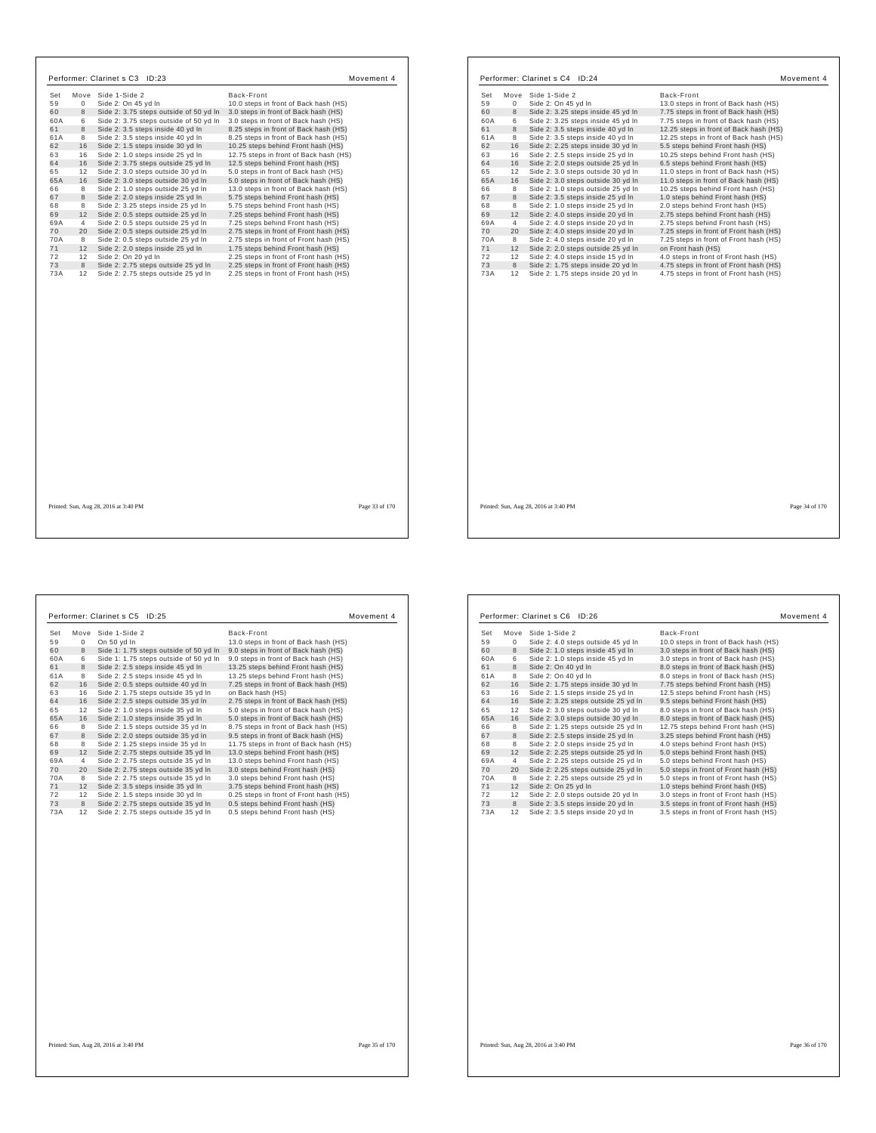| Set       | Move           | Side 1-Side 2                                                               | Back-Front                                                                    |
|-----------|----------------|-----------------------------------------------------------------------------|-------------------------------------------------------------------------------|
| 59        | $\Omega$       | Side 2: On 45 yd In                                                         | 10.0 steps in front of Back hash (HS)                                         |
| 60        | 8              | Side 2: 3.75 steps outside of 50 yd In                                      | 3.0 steps in front of Back hash (HS)                                          |
| 60A       | 6<br>8         | Side 2: 3.75 steps outside of 50 yd In<br>Side 2: 3.5 steps inside 40 vd In | 3.0 steps in front of Back hash (HS)<br>8.25 steps in front of Back hash (HS) |
| 61<br>61A | 8              | Side 2: 3.5 steps inside 40 yd In                                           | 8.25 steps in front of Back hash (HS)                                         |
| 62        | 16             | Side 2: 1.5 steps inside 30 yd In                                           | 10.25 steps behind Front hash (HS)                                            |
| 63        | 16             | Side 2: 1.0 steps inside 25 yd In                                           | 12.75 steps in front of Back hash (HS)                                        |
| 64        | 16             | Side 2: 3.75 steps outside 25 yd In                                         | 12.5 steps behind Front hash (HS)                                             |
| 65        | 12             | Side 2: 3.0 steps outside 30 vd In                                          | 5.0 steps in front of Back hash (HS)                                          |
| 65A       | 16             | Side 2: 3.0 steps outside 30 yd In                                          | 5.0 steps in front of Back hash (HS)                                          |
| 66        | 8              | Side 2: 1.0 steps outside 25 vd In                                          | 13.0 steps in front of Back hash (HS)                                         |
| 67        | 8              | Side 2: 2.0 steps inside 25 yd In                                           | 5.75 steps behind Front hash (HS)                                             |
| 68        | 8              | Side 2: 3.25 steps inside 25 yd In                                          | 5.75 steps behind Front hash (HS)                                             |
| 69        | 12             | Side 2: 0.5 steps outside 25 yd In                                          | 7.25 steps behind Front hash (HS)                                             |
| 69A       | $\overline{4}$ | Side 2: 0.5 steps outside 25 yd In                                          | 7.25 steps behind Front hash (HS)                                             |
| 70        | 20             | Side 2: 0.5 steps outside 25 yd In                                          | 2.75 steps in front of Front hash (HS)                                        |
| 70A       | 8              | Side 2: 0.5 steps outside 25 yd In                                          | 2.75 steps in front of Front hash (HS)                                        |
| 71        | 12             | Side 2: 2.0 steps inside 25 yd In                                           | 1.75 steps behind Front hash (HS)                                             |
| 72        | 12             | Side 2: On 20 yd In                                                         | 2.25 steps in front of Front hash (HS)                                        |
| 73        | 8              | Side 2: 2.75 steps outside 25 yd In                                         | 2.25 steps in front of Front hash (HS)                                        |
| 73A       | 12             | Side 2: 2.75 steps outside 25 yd In                                         | 2.25 steps in front of Front hash (HS)                                        |
|           |                |                                                                             |                                                                               |
|           |                |                                                                             |                                                                               |
|           |                |                                                                             |                                                                               |
|           |                |                                                                             |                                                                               |
|           |                |                                                                             |                                                                               |
|           |                |                                                                             |                                                                               |
|           |                |                                                                             |                                                                               |
|           |                |                                                                             |                                                                               |
|           |                | Printed: Sun, Aug 28, 2016 at 3:40 PM                                       | Page 33 of 170                                                                |

| Set | Move           | Side 1-Side 2                      | Back-Front                             |
|-----|----------------|------------------------------------|----------------------------------------|
| 59  | 0              | Side 2: On 45 yd In                | 13.0 steps in front of Back hash (HS)  |
| 60  | 8              | Side 2: 3.25 steps inside 45 yd In | 7.75 steps in front of Back hash (HS)  |
| 60A | 6              | Side 2: 3.25 steps inside 45 yd In | 7.75 steps in front of Back hash (HS)  |
| 61  | 8              | Side 2: 3.5 steps inside 40 yd In  | 12.25 steps in front of Back hash (HS) |
| 61A | 8              | Side 2: 3.5 steps inside 40 yd In  | 12.25 steps in front of Back hash (HS) |
| 62  | 16             | Side 2: 2.25 steps inside 30 yd In | 5.5 steps behind Front hash (HS)       |
| 63  | 16             | Side 2: 2.5 steps inside 25 yd In  | 10.25 steps behind Front hash (HS)     |
| 64  | 16             | Side 2: 2.0 steps outside 25 yd In | 6.5 steps behind Front hash (HS)       |
| 65  | 12             | Side 2: 3.0 steps outside 30 yd In | 11.0 steps in front of Back hash (HS)  |
| 65A | 16             | Side 2: 3.0 steps outside 30 yd In | 11.0 steps in front of Back hash (HS)  |
| 66  | 8              | Side 2: 1.0 steps outside 25 yd In | 10.25 steps behind Front hash (HS)     |
| 67  | 8              | Side 2: 3.5 steps inside 25 vd In  | 1.0 steps behind Front hash (HS)       |
| 68  | 8              | Side 2: 1.0 steps inside 25 yd In  | 2.0 steps behind Front hash (HS)       |
| 69  | 12             | Side 2: 4.0 steps inside 20 yd In  | 2.75 steps behind Front hash (HS)      |
| 69A | $\overline{4}$ | Side 2: 4.0 steps inside 20 yd In  | 2.75 steps behind Front hash (HS)      |
| 70  | 20             | Side 2: 4.0 steps inside 20 yd In  | 7.25 steps in front of Front hash (HS) |
| 70A | 8              | Side 2: 4.0 steps inside 20 yd In  | 7.25 steps in front of Front hash (HS) |
| 71  | 12             | Side 2: 2.0 steps outside 25 yd In | on Front hash (HS)                     |
| 72  | 12             | Side 2: 4.0 steps inside 15 yd In  | 4.0 steps in front of Front hash (HS)  |
| 73  | 8              | Side 2: 1.75 steps inside 20 yd In | 4.75 steps in front of Front hash (HS) |
| 73A | 12             | Side 2: 1.75 steps inside 20 yd In | 4.75 steps in front of Front hash (HS) |
|     |                |                                    |                                        |
|     |                |                                    |                                        |
|     |                |                                    |                                        |
|     |                |                                    |                                        |
|     |                |                                    |                                        |
|     |                |                                    |                                        |
|     |                |                                    |                                        |
|     |                |                                    |                                        |
|     |                |                                    |                                        |
|     |                |                                    |                                        |

Set Move Side 1-Side 2<br>
8 Back-Front of Back hash (HS)<br>
59 0 On 50 yd In<br>
8 Side 1: 1.75 steps outside of 50 yd In 9.0 steps in front of Back hash (HS)<br>
60 8 Side 1: 1.75 steps outside of 50 yd In 9.0 steps in front of Bac 8 Side 2: 1.5 steps outside 35 yd In 8.75 steps in front of Back hash (HS)<br>67 8 Side 2: 2.0 steps outside 35 yd In 9.5 steps in front of Back hash (HS)<br>68 8 Side 2: 1.25 steps inside 35 yd In 11.75 steps in front of Back h 69A 4 Side 2: 2.75 steps outside 35 yd In 13.0 steps behind Front hash (HS)<br>70 20 Side 2: 2.75 steps outside 35 yd In 3.0 steps behind Front hash (HS)<br>70A 8 Side 2: 2.75 steps outside 35 yd In 3.0 steps behind Front hash ( 4 Side 2: 2.75 steps outside 35 yd ln 0.25 steps behind Front hash (HS)<br>
20 Side 2: 2.75 steps outside 35 yd ln 3.0 steps behind Front hash (HS)<br>
20 8 ide 2: 2.75 steps outside 35 yd ln 3.0 steps behind Front hash (HS)<br>
2 72 12 Side 2: 1.5 steps inside 30 yd ln 0.25 steps in front of Front hash(<br>73 8 Side 2: 2.75 steps outside 35 yd ln 0.5 steps behind Front hash (HS)<br>73A 12 Side 2: 2.75 steps outside 35 yd ln 0.5 steps beh Performer: Clarinet s C5 ID:25 Movement 4

|     |                | Performer: Clarinet s C6 ID:26      |                                       | Movement 4 |
|-----|----------------|-------------------------------------|---------------------------------------|------------|
| Set |                | Move Side 1-Side 2                  | Back-Front                            |            |
| 59  | 0              | Side 2: 4.0 steps outside 45 yd In  | 10.0 steps in front of Back hash (HS) |            |
| 60  | 8              | Side 2: 1.0 steps inside 45 yd In   | 3.0 steps in front of Back hash (HS)  |            |
| 60A | 6              | Side 2: 1.0 steps inside 45 yd In   | 3.0 steps in front of Back hash (HS)  |            |
| 61  | 8              | Side 2: On 40 yd In                 | 8.0 steps in front of Back hash (HS)  |            |
| 61A | 8              | Side 2: On 40 yd In                 | 8.0 steps in front of Back hash (HS)  |            |
| 62  | 16             | Side 2: 1.75 steps inside 30 yd In  | 7.75 steps behind Front hash (HS)     |            |
| 63  | 16             | Side 2: 1.5 steps inside 25 yd In   | 12.5 steps behind Front hash (HS)     |            |
| 64  | 16             | Side 2: 3.25 steps outside 25 yd In | 9.5 steps behind Front hash (HS)      |            |
| 65  | 12             | Side 2: 3.0 steps outside 30 yd In  | 8.0 steps in front of Back hash (HS)  |            |
| 65A | 16             | Side 2: 3.0 steps outside 30 yd In  | 8.0 steps in front of Back hash (HS)  |            |
| 66  | 8              | Side 2: 1.25 steps outside 25 yd In | 12.75 steps behind Front hash (HS)    |            |
| 67  | 8              | Side 2: 2.5 steps inside 25 yd In   | 3.25 steps behind Front hash (HS)     |            |
| 68  | 8              | Side 2: 2.0 steps inside 25 yd In   | 4.0 steps behind Front hash (HS)      |            |
| 69  | 12             | Side 2: 2.25 steps outside 25 yd In | 5.0 steps behind Front hash (HS)      |            |
| 69A | $\overline{4}$ | Side 2: 2.25 steps outside 25 yd In | 5.0 steps behind Front hash (HS)      |            |
| 70  | 20             | Side 2: 2.25 steps outside 25 yd In | 5.0 steps in front of Front hash (HS) |            |
| 70A | 8              | Side 2: 2.25 steps outside 25 yd In | 5.0 steps in front of Front hash (HS) |            |
| 71  | 12             | Side 2: On 25 yd In                 | 1.0 steps behind Front hash (HS)      |            |
| 72  | 12             | Side 2: 2.0 steps outside 20 yd In  | 3.0 steps in front of Front hash (HS) |            |
| 73  | 8              | Side 2: 3.5 steps inside 20 yd In   | 3.5 steps in front of Front hash (HS) |            |
| 73A | 12             | Side 2: 3.5 steps inside 20 yd In   | 3.5 steps in front of Front hash (HS) |            |

Printed: Sun, Aug 28, 2016 at 3:40 PM Page 36 of 170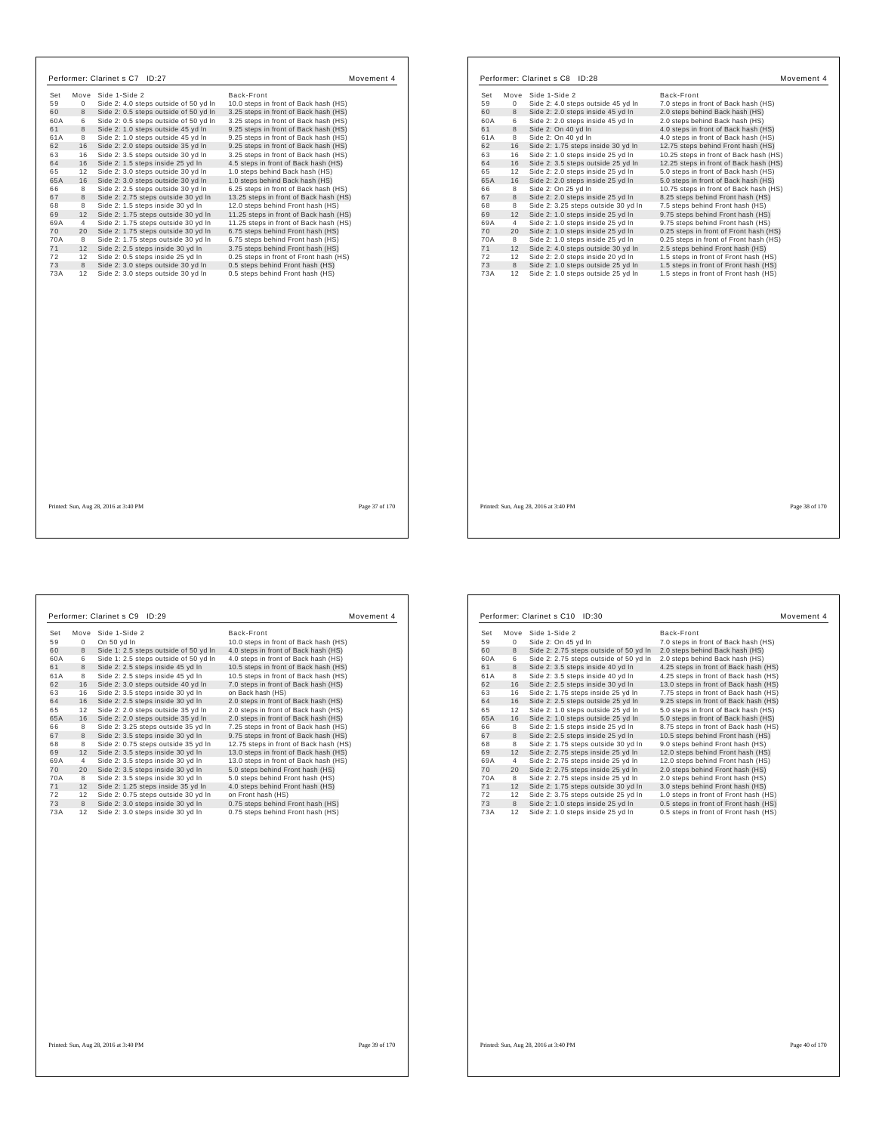| Set | Move           | Side 1-Side 2                                                          | Back-Front                                                                  |
|-----|----------------|------------------------------------------------------------------------|-----------------------------------------------------------------------------|
| 59  | $\mathbf 0$    | Side 2: 4.0 steps outside of 50 yd In                                  | 10.0 steps in front of Back hash (HS)                                       |
| 60  | 8              | Side 2: 0.5 steps outside of 50 yd In                                  | 3.25 steps in front of Back hash (HS)                                       |
| 60A | 6              | Side 2: 0.5 steps outside of 50 yd In                                  | 3.25 steps in front of Back hash (HS)                                       |
| 61  | 8              | Side 2: 1.0 steps outside 45 vd In                                     | 9.25 steps in front of Back hash (HS)                                       |
| 61A | 8              | Side 2: 1.0 steps outside 45 yd In                                     | 9.25 steps in front of Back hash (HS)                                       |
| 62  | 16             | Side 2: 2.0 steps outside 35 yd In                                     | 9.25 steps in front of Back hash (HS)                                       |
| 63  | 16             | Side 2: 3.5 steps outside 30 yd In                                     | 3.25 steps in front of Back hash (HS)                                       |
| 64  | 16             | Side 2: 1.5 steps inside 25 yd In                                      | 4.5 steps in front of Back hash (HS)                                        |
| 65  | 12             | Side 2: 3.0 steps outside 30 yd In                                     | 1.0 steps behind Back hash (HS)                                             |
| 65A | 16             | Side 2: 3.0 steps outside 30 yd In                                     | 1.0 steps behind Back hash (HS)                                             |
| 66  | 8              | Side 2: 2.5 steps outside 30 vd In                                     | 6.25 steps in front of Back hash (HS)                                       |
| 67  | 8              | Side 2: 2.75 steps outside 30 yd In                                    | 13.25 steps in front of Back hash (HS)                                      |
| 68  | 8              | Side 2: 1.5 steps inside 30 yd In                                      | 12.0 steps behind Front hash (HS)                                           |
| 69  | 12             | Side 2: 1.75 steps outside 30 yd In                                    | 11.25 steps in front of Back hash (HS)                                      |
| 69A | $\overline{4}$ | Side 2: 1.75 steps outside 30 yd In                                    | 11.25 steps in front of Back hash (HS)                                      |
| 70  | 20             | Side 2: 1.75 steps outside 30 yd In                                    | 6.75 steps behind Front hash (HS)                                           |
| 70A | 8              | Side 2: 1.75 steps outside 30 yd In                                    | 6.75 steps behind Front hash (HS)                                           |
| 71  | 12             |                                                                        |                                                                             |
| 72  | 12             | Side 2: 2.5 steps inside 30 yd In<br>Side 2: 0.5 steps inside 25 vd In | 3.75 steps behind Front hash (HS)<br>0.25 steps in front of Front hash (HS) |
| 73  | 8              | Side 2: 3.0 steps outside 30 yd In                                     | 0.5 steps behind Front hash (HS)                                            |
| 73A | 12             | Side 2: 3.0 steps outside 30 yd In                                     | 0.5 steps behind Front hash (HS)                                            |
|     |                |                                                                        |                                                                             |
|     |                |                                                                        |                                                                             |

|                       | Performer: Clarinet s C8 ID:28      | Movement 4                             |
|-----------------------|-------------------------------------|----------------------------------------|
| Set<br>Move           | Side 1-Side 2                       | Back-Front                             |
| 59<br>0               | Side 2: 4.0 steps outside 45 yd In  | 7.0 steps in front of Back hash (HS)   |
| 8<br>60               | Side 2: 2.0 steps inside 45 yd In   | 2.0 steps behind Back hash (HS)        |
| 60A<br>6              | Side 2: 2.0 steps inside 45 yd In   | 2.0 steps behind Back hash (HS)        |
| 8<br>61               | Side 2: On 40 vd In                 | 4.0 steps in front of Back hash (HS)   |
| 61A<br>8              | Side 2: On 40 yd In                 | 4.0 steps in front of Back hash (HS)   |
| 16<br>62              | Side 2: 1.75 steps inside 30 yd In  | 12.75 steps behind Front hash (HS)     |
| 16<br>63              | Side 2: 1.0 steps inside 25 yd In   | 10.25 steps in front of Back hash (HS) |
| 64<br>16              | Side 2: 3.5 steps outside 25 yd In  | 12.25 steps in front of Back hash (HS) |
| 65<br>12              | Side 2: 2.0 steps inside 25 yd In   | 5.0 steps in front of Back hash (HS)   |
| 65A<br>16             | Side 2: 2.0 steps inside 25 yd In   | 5.0 steps in front of Back hash (HS)   |
| 8<br>66               | Side 2: On 25 yd In                 | 10.75 steps in front of Back hash (HS) |
| 67<br>8               | Side 2: 2.0 steps inside 25 yd In   | 8.25 steps behind Front hash (HS)      |
| 68<br>8               | Side 2: 3.25 steps outside 30 yd In | 7.5 steps behind Front hash (HS)       |
| 69<br>12              | Side 2: 1.0 steps inside 25 yd In   | 9.75 steps behind Front hash (HS)      |
| 69A<br>$\overline{4}$ | Side 2: 1.0 steps inside 25 yd In   | 9.75 steps behind Front hash (HS)      |
| 70<br>20              | Side 2: 1.0 steps inside 25 yd In   | 0.25 steps in front of Front hash (HS) |
| 70A<br>8              | Side 2: 1.0 steps inside 25 yd In   | 0.25 steps in front of Front hash (HS) |
| 71<br>12              | Side 2: 4.0 steps outside 30 yd In  | 2.5 steps behind Front hash (HS)       |
| 72<br>12              | Side 2: 2.0 steps inside 20 yd In   | 1.5 steps in front of Front hash (HS)  |
| 73<br>8               | Side 2: 1.0 steps outside 25 yd In  | 1.5 steps in front of Front hash (HS)  |
| 73A<br>12             | Side 2: 1.0 steps outside 25 yd In  | 1.5 steps in front of Front hash (HS)  |
|                       |                                     |                                        |
|                       |                                     |                                        |
|                       |                                     |                                        |
|                       |                                     |                                        |
|                       |                                     |                                        |
|                       |                                     |                                        |
|                       |                                     |                                        |
|                       |                                     |                                        |
|                       |                                     |                                        |
|                       |                                     |                                        |

Printed: Sun, Aug 28, 2016 at 3:40 PM Page 38 of 170

| Set | Move         | Side 1-Side 2                         | Back-Front                             |
|-----|--------------|---------------------------------------|----------------------------------------|
| 59  | $\mathbf{0}$ | On 50 yd In                           | 10.0 steps in front of Back hash (HS)  |
| 60  | 8            | Side 1: 2.5 steps outside of 50 yd In | 4.0 steps in front of Back hash (HS)   |
| 60A | 6            | Side 1: 2.5 steps outside of 50 yd In | 4.0 steps in front of Back hash (HS)   |
| 61  | 8            | Side 2: 2.5 steps inside 45 yd In     | 10.5 steps in front of Back hash (HS)  |
| 61A | 8            | Side 2: 2.5 steps inside 45 yd In     | 10.5 steps in front of Back hash (HS)  |
| 62  | 16           | Side 2: 3.0 steps outside 40 yd In    | 7.0 steps in front of Back hash (HS)   |
| 63  | 16           | Side 2: 3.5 steps inside 30 yd In     | on Back hash (HS)                      |
| 64  | 16           | Side 2: 2.5 steps inside 30 yd In     | 2.0 steps in front of Back hash (HS)   |
| 65  | 12           | Side 2: 2.0 steps outside 35 yd In    | 2.0 steps in front of Back hash (HS)   |
| 65A | 16           | Side 2: 2.0 steps outside 35 yd In    | 2.0 steps in front of Back hash (HS)   |
| 66  | 8            | Side 2: 3.25 steps outside 35 yd In   | 7.25 steps in front of Back hash (HS)  |
| 67  | 8            | Side 2: 3.5 steps inside 30 yd In     | 9.75 steps in front of Back hash (HS)  |
| 68  | 8            | Side 2: 0.75 steps outside 35 yd In   | 12.75 steps in front of Back hash (HS) |
| 69  | 12           | Side 2: 3.5 steps inside 30 yd In     | 13.0 steps in front of Back hash (HS)  |
| 69A | 4            | Side 2: 3.5 steps inside 30 yd In     | 13.0 steps in front of Back hash (HS)  |
| 70  | 20           | Side 2: 3.5 steps inside 30 yd In     | 5.0 steps behind Front hash (HS)       |
| 70A | 8            | Side 2: 3.5 steps inside 30 yd In     | 5.0 steps behind Front hash (HS)       |
| 71  | 12           | Side 2: 1.25 steps inside 35 yd In    | 4.0 steps behind Front hash (HS)       |
| 72  | 12           | Side 2: 0.75 steps outside 30 yd In   | on Front hash (HS)                     |
| 73  | 8            | Side 2: 3.0 steps inside 30 yd In     | 0.75 steps behind Front hash (HS)      |
| 73A | 12           | Side 2: 3.0 steps inside 30 yd In     | 0.75 steps behind Front hash (HS)      |
|     |              |                                       |                                        |

| Set | Move | Side 1-Side 2                          | Back-Front                            |  |
|-----|------|----------------------------------------|---------------------------------------|--|
| 59  | 0    | Side 2: On 45 yd In                    | 7.0 steps in front of Back hash (HS)  |  |
| 60  | 8    | Side 2: 2.75 steps outside of 50 yd In | 2.0 steps behind Back hash (HS)       |  |
| 60A | 6    | Side 2: 2.75 steps outside of 50 yd In | 2.0 steps behind Back hash (HS)       |  |
| 61  | 8    | Side 2: 3.5 steps inside 40 yd In      | 4.25 steps in front of Back hash (HS) |  |
| 61A | 8    | Side 2: 3.5 steps inside 40 yd In      | 4.25 steps in front of Back hash (HS) |  |
| 62  | 16   | Side 2: 2.5 steps inside 30 yd In      | 13.0 steps in front of Back hash (HS) |  |
| 63  | 16   | Side 2: 1.75 steps inside 25 yd In     | 7.75 steps in front of Back hash (HS) |  |
| 64  | 16   | Side 2: 2.5 steps outside 25 yd In     | 9.25 steps in front of Back hash (HS) |  |
| 65  | 12   | Side 2: 1.0 steps outside 25 yd In     | 5.0 steps in front of Back hash (HS)  |  |
| 65A | 16   | Side 2: 1.0 steps outside 25 yd In     | 5.0 steps in front of Back hash (HS)  |  |
| 66  | 8    | Side 2: 1.5 steps inside 25 yd In      | 8.75 steps in front of Back hash (HS) |  |
| 67  | 8    | Side 2: 2.5 steps inside 25 yd In      | 10.5 steps behind Front hash (HS)     |  |
| 68  | 8    | Side 2: 1.75 steps outside 30 yd In    | 9.0 steps behind Front hash (HS)      |  |
| 69  | 12   | Side 2: 2.75 steps inside 25 yd In     | 12.0 steps behind Front hash (HS)     |  |
| 69A | 4    | Side 2: 2.75 steps inside 25 yd In     | 12.0 steps behind Front hash (HS)     |  |
| 70  | 20   | Side 2: 2.75 steps inside 25 yd In     | 2.0 steps behind Front hash (HS)      |  |
| 70A | 8    | Side 2: 2.75 steps inside 25 yd In     | 2.0 steps behind Front hash (HS)      |  |
| 71  | 12   | Side 2: 1.75 steps outside 30 yd In    | 3.0 steps behind Front hash (HS)      |  |
| 72  | 12   | Side 2: 3.75 steps outside 25 yd In    | 1.0 steps in front of Front hash (HS) |  |
| 73  | 8    | Side 2: 1.0 steps inside 25 yd In      | 0.5 steps in front of Front hash (HS) |  |
| 73A | 12   | Side 2: 1.0 steps inside 25 yd In      | 0.5 steps in front of Front hash (HS) |  |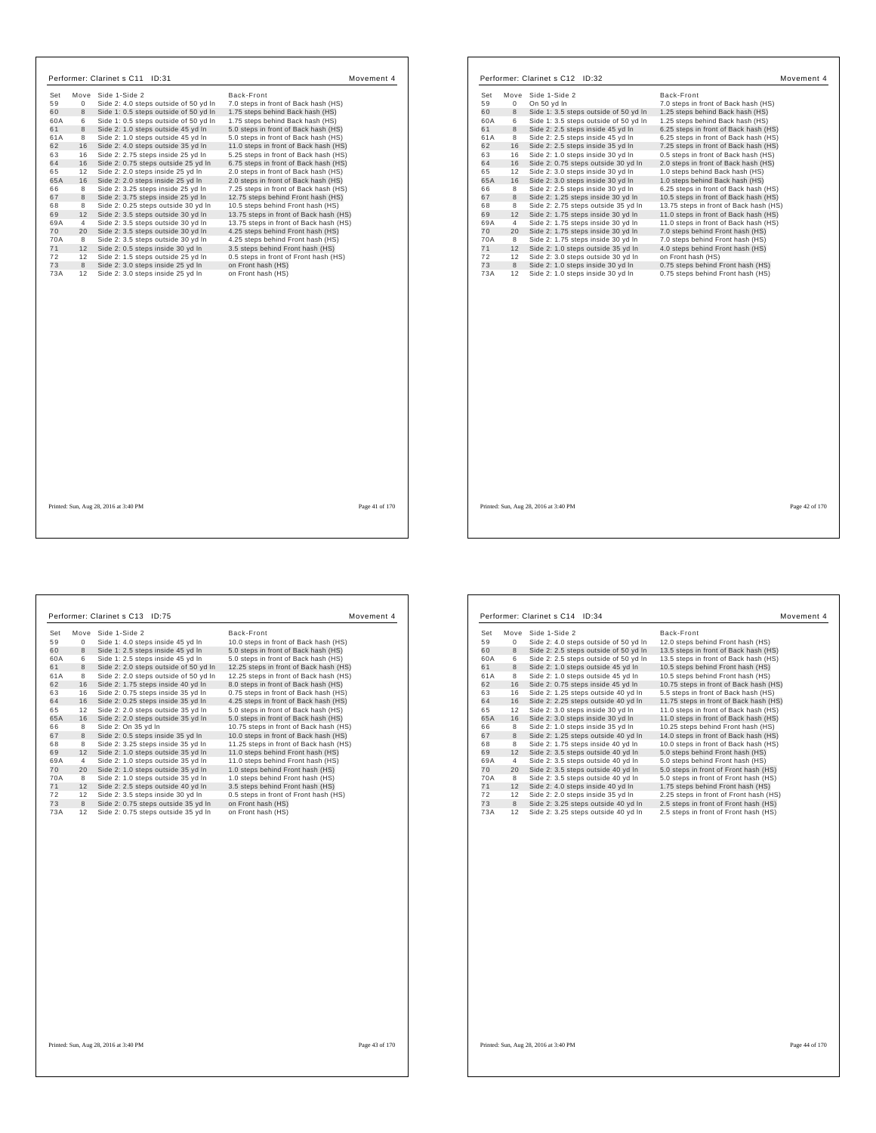|           | Move           | Side 1-Side 2                                                          | Back-Front                               |                | Set       |
|-----------|----------------|------------------------------------------------------------------------|------------------------------------------|----------------|-----------|
| Set<br>59 | $\mathbf 0$    | Side 2: 4.0 steps outside of 50 yd In                                  | 7.0 steps in front of Back hash (HS)     |                | 59        |
| 60        | 8              | Side 1: 0.5 steps outside of 50 yd In                                  | 1.75 steps behind Back hash (HS)         |                | 60        |
| 60A       | 6              | Side 1: 0.5 steps outside of 50 yd In                                  | 1.75 steps behind Back hash (HS)         |                | 60A       |
| 61        | 8              | Side 2: 1.0 steps outside 45 yd In                                     | 5.0 steps in front of Back hash (HS)     |                | 61        |
| 61A       | 8              | Side 2: 1.0 steps outside 45 yd In                                     | 5.0 steps in front of Back hash (HS)     |                | 61A       |
| 62        | 16             | Side 2: 4.0 steps outside 35 yd In                                     | 11.0 steps in front of Back hash (HS)    |                | 62        |
| 63        | 16             | Side 2: 2.75 steps inside 25 yd In                                     | 5.25 steps in front of Back hash (HS)    |                | 63        |
| 64        | 16             | Side 2: 0.75 steps outside 25 yd In                                    | 6.75 steps in front of Back hash (HS)    |                | 64        |
| 65        | 12             | Side 2: 2.0 steps inside 25 yd In                                      | 2.0 steps in front of Back hash (HS)     |                | 65        |
| 65A       | 16             | Side 2: 2.0 steps inside 25 yd In                                      | 2.0 steps in front of Back hash (HS)     |                | 65A       |
| 66        | 8              | Side 2: 3.25 steps inside 25 yd In                                     | 7.25 steps in front of Back hash (HS)    |                | 66        |
| 67        | 8              | Side 2: 3.75 steps inside 25 yd In                                     | 12.75 steps behind Front hash (HS)       |                | 67        |
| 68        | 8              | Side 2: 0.25 steps outside 30 yd In                                    | 10.5 steps behind Front hash (HS)        |                | 68        |
| 69        | 12             | Side 2: 3.5 steps outside 30 yd In                                     | 13.75 steps in front of Back hash (HS)   |                | 69        |
| 69A       | $\overline{4}$ | Side 2: 3.5 steps outside 30 yd In                                     | 13.75 steps in front of Back hash (HS)   |                | 69A       |
| 70        | 20             | Side 2: 3.5 steps outside 30 yd In                                     | 4.25 steps behind Front hash (HS)        |                | 70        |
| 70A       | 8              | Side 2: 3.5 steps outside 30 yd In                                     | 4.25 steps behind Front hash (HS)        |                | 70A       |
| 71        | 12             | Side 2: 0.5 steps inside 30 yd In                                      | 3.5 steps behind Front hash (HS)         |                | 71        |
| 72        | 12             | Side 2: 1.5 steps outside 25 vd In                                     | 0.5 steps in front of Front hash (HS)    |                | 72        |
| 73<br>73A | 8<br>12        | Side 2: 3.0 steps inside 25 yd In<br>Side 2: 3.0 steps inside 25 yd In | on Front hash (HS)<br>on Front hash (HS) |                | 73<br>73A |
|           |                |                                                                        |                                          |                |           |
|           |                |                                                                        |                                          |                |           |
|           |                |                                                                        |                                          |                |           |
|           |                |                                                                        |                                          |                |           |
|           |                |                                                                        |                                          |                |           |
|           |                |                                                                        |                                          |                |           |
|           |                |                                                                        |                                          |                |           |
|           |                |                                                                        |                                          |                |           |
|           |                | Printed: Sun, Aug 28, 2016 at 3:40 PM                                  |                                          | Page 41 of 170 | Printed:  |

| Set       | Move           | Side 1-Side 2                                                          | Back-Front                                                                     |
|-----------|----------------|------------------------------------------------------------------------|--------------------------------------------------------------------------------|
| 59        | 0              | On 50 yd In                                                            | 7.0 steps in front of Back hash (HS)                                           |
| 60        | 8              | Side 1: 3.5 steps outside of 50 yd In                                  | 1.25 steps behind Back hash (HS)                                               |
| 60A       | 6              | Side 1: 3.5 steps outside of 50 yd In                                  | 1.25 steps behind Back hash (HS)                                               |
| 61        | 8              | Side 2: 2.5 steps inside 45 vd In                                      | 6.25 steps in front of Back hash (HS)                                          |
| 61A       | 8              | Side 2: 2.5 steps inside 45 yd In                                      |                                                                                |
| 62        | 16             | Side 2: 2.5 steps inside 35 yd In                                      | 6.25 steps in front of Back hash (HS)<br>7.25 steps in front of Back hash (HS) |
| 63        | 16             | Side 2: 1.0 steps inside 30 yd In                                      |                                                                                |
|           |                |                                                                        | 0.5 steps in front of Back hash (HS)                                           |
| 64        | 16             | Side 2: 0.75 steps outside 30 yd In                                    | 2.0 steps in front of Back hash (HS)                                           |
| 65        | 12             | Side 2: 3.0 steps inside 30 yd In                                      | 1.0 steps behind Back hash (HS)                                                |
| 65A       | 16             | Side 2: 3.0 steps inside 30 yd In                                      | 1.0 steps behind Back hash (HS)                                                |
| 66        | 8              | Side 2: 2.5 steps inside 30 yd In                                      | 6.25 steps in front of Back hash (HS)                                          |
| 67        | 8              | Side 2: 1.25 steps inside 30 yd In                                     | 10.5 steps in front of Back hash (HS)                                          |
| 68        | 8              | Side 2: 2.75 steps outside 35 yd In                                    | 13.75 steps in front of Back hash (HS)                                         |
| 69        | 12             | Side 2: 1.75 steps inside 30 yd In                                     | 11.0 steps in front of Back hash (HS)                                          |
| 69A       | $\overline{4}$ | Side 2: 1.75 steps inside 30 yd In                                     | 11.0 steps in front of Back hash (HS)                                          |
| 70        | 20             | Side 2: 1.75 steps inside 30 yd In                                     | 7.0 steps behind Front hash (HS)                                               |
| 70A       | 8              | Side 2: 1.75 steps inside 30 yd In                                     | 7.0 steps behind Front hash (HS)                                               |
| 71        | 12             | Side 2: 1.0 steps outside 35 yd In                                     | 4.0 steps behind Front hash (HS)                                               |
| 72        | 12             | Side 2: 3.0 steps outside 30 yd In                                     | on Front hash (HS)                                                             |
| 73<br>73A | 8<br>12        | Side 2: 1.0 steps inside 30 yd In<br>Side 2: 1.0 steps inside 30 yd In | 0.75 steps behind Front hash (HS)<br>0.75 steps behind Front hash (HS)         |
|           |                |                                                                        |                                                                                |
|           |                |                                                                        |                                                                                |
|           |                |                                                                        |                                                                                |
|           |                |                                                                        |                                                                                |
|           |                |                                                                        |                                                                                |
|           |                |                                                                        |                                                                                |
|           |                |                                                                        |                                                                                |
|           |                |                                                                        |                                                                                |
|           |                |                                                                        |                                                                                |
|           |                |                                                                        |                                                                                |
|           |                |                                                                        |                                                                                |

|     |                | Performer: Clarinet s C13<br>ID:75    | Movement 4                             |
|-----|----------------|---------------------------------------|----------------------------------------|
| Set | Move           | Side 1-Side 2                         | Back-Front                             |
| 59  | $\mathbf{0}$   | Side 1: 4.0 steps inside 45 yd In     | 10.0 steps in front of Back hash (HS)  |
| 60  | 8              | Side 1: 2.5 steps inside 45 yd In     | 5.0 steps in front of Back hash (HS)   |
| 60A | 6              | Side 1: 2.5 steps inside 45 yd In     | 5.0 steps in front of Back hash (HS)   |
| 61  | 8              | Side 2: 2.0 steps outside of 50 yd In | 12.25 steps in front of Back hash (HS) |
| 61A | 8              | Side 2: 2.0 steps outside of 50 yd In | 12.25 steps in front of Back hash (HS) |
| 62  | 16             | Side 2: 1.75 steps inside 40 yd In    | 8.0 steps in front of Back hash (HS)   |
| 63  | 16             | Side 2: 0.75 steps inside 35 yd In    | 0.75 steps in front of Back hash (HS)  |
| 64  | 16             | Side 2: 0.25 steps inside 35 yd In    | 4.25 steps in front of Back hash (HS)  |
| 65  | 12             | Side 2: 2.0 steps outside 35 yd In    | 5.0 steps in front of Back hash (HS)   |
| 65A | 16             | Side 2: 2.0 steps outside 35 yd In    | 5.0 steps in front of Back hash (HS)   |
| 66  | 8              | Side 2: On 35 yd In                   | 10.75 steps in front of Back hash (HS) |
| 67  | 8              | Side 2: 0.5 steps inside 35 yd In     | 10.0 steps in front of Back hash (HS)  |
| 68  | 8              | Side 2: 3.25 steps inside 35 vd In    | 11.25 steps in front of Back hash (HS) |
| 69  | 12             | Side 2: 1.0 steps outside 35 yd In    | 11.0 steps behind Front hash (HS)      |
| 69A | $\overline{4}$ | Side 2: 1.0 steps outside 35 yd In    | 11.0 steps behind Front hash (HS)      |
| 70  | 20             | Side 2: 1.0 steps outside 35 yd In    | 1.0 steps behind Front hash (HS)       |
| 70A | 8              | Side 2: 1.0 steps outside 35 yd In    | 1.0 steps behind Front hash (HS)       |
| 71  | 12             | Side 2: 2.5 steps outside 40 yd In    | 3.5 steps behind Front hash (HS)       |
| 72  | 12             | Side 2: 3.5 steps inside 30 yd In     | 0.5 steps in front of Front hash (HS)  |
| 73  | 8              | Side 2: 0.75 steps outside 35 yd In   | on Front hash (HS)                     |
| 73A | 12             | Side 2: 0.75 steps outside 35 yd In   | on Front hash (HS)                     |
|     |                |                                       |                                        |

| Set | Move       | Side 1-Side 2                         | Back-Front                             |
|-----|------------|---------------------------------------|----------------------------------------|
| 59  | $^{\circ}$ | Side 2: 4.0 steps outside of 50 yd In | 12.0 steps behind Front hash (HS)      |
| 60  | 8          | Side 2: 2.5 steps outside of 50 yd In | 13.5 steps in front of Back hash (HS)  |
| 60A | 6          | Side 2: 2.5 steps outside of 50 yd In | 13.5 steps in front of Back hash (HS)  |
| 61  | 8          | Side 2: 1.0 steps outside 45 yd In    | 10.5 steps behind Front hash (HS)      |
| 61A | 8          | Side 2: 1.0 steps outside 45 vd In    | 10.5 steps behind Front hash (HS)      |
| 62  | 16         | Side 2: 0.75 steps inside 45 vd In    | 10.75 steps in front of Back hash (HS) |
| 63  | 16         | Side 2: 1.25 steps outside 40 yd In   | 5.5 steps in front of Back hash (HS)   |
| 64  | 16         | Side 2: 2.25 steps outside 40 yd In   | 11.75 steps in front of Back hash (HS) |
| 65  | 12         | Side 2: 3.0 steps inside 30 yd In     | 11.0 steps in front of Back hash (HS)  |
| 65A | 16         | Side 2: 3.0 steps inside 30 yd In     | 11.0 steps in front of Back hash (HS)  |
| 66  | 8          | Side 2: 1.0 steps inside 35 yd In     | 10.25 steps behind Front hash (HS)     |
| 67  | 8          | Side 2: 1.25 steps outside 40 yd In   | 14.0 steps in front of Back hash (HS)  |
| 68  | 8          | Side 2: 1.75 steps inside 40 yd In    | 10.0 steps in front of Back hash (HS)  |
| 69  | 12         | Side 2: 3.5 steps outside 40 yd In    | 5.0 steps behind Front hash (HS)       |
| 69A | 4          | Side 2: 3.5 steps outside 40 yd In    | 5.0 steps behind Front hash (HS)       |
| 70  | 20         | Side 2: 3.5 steps outside 40 yd In    | 5.0 steps in front of Front hash (HS)  |
| 70A | 8          | Side 2: 3.5 steps outside 40 yd In    | 5.0 steps in front of Front hash (HS)  |
| 71  | 12         | Side 2: 4.0 steps inside 40 yd In     | 1.75 steps behind Front hash (HS)      |
| 72  | 12         | Side 2: 2.0 steps inside 35 yd In     | 2.25 steps in front of Front hash (HS) |
| 73  | 8          | Side 2: 3.25 steps outside 40 yd In   | 2.5 steps in front of Front hash (HS)  |
| 73A | 12         | Side 2: 3.25 steps outside 40 yd In   | 2.5 steps in front of Front hash (HS)  |

Printed: Sun, Aug 28, 2016 at 3:40 PM Page 44 of 170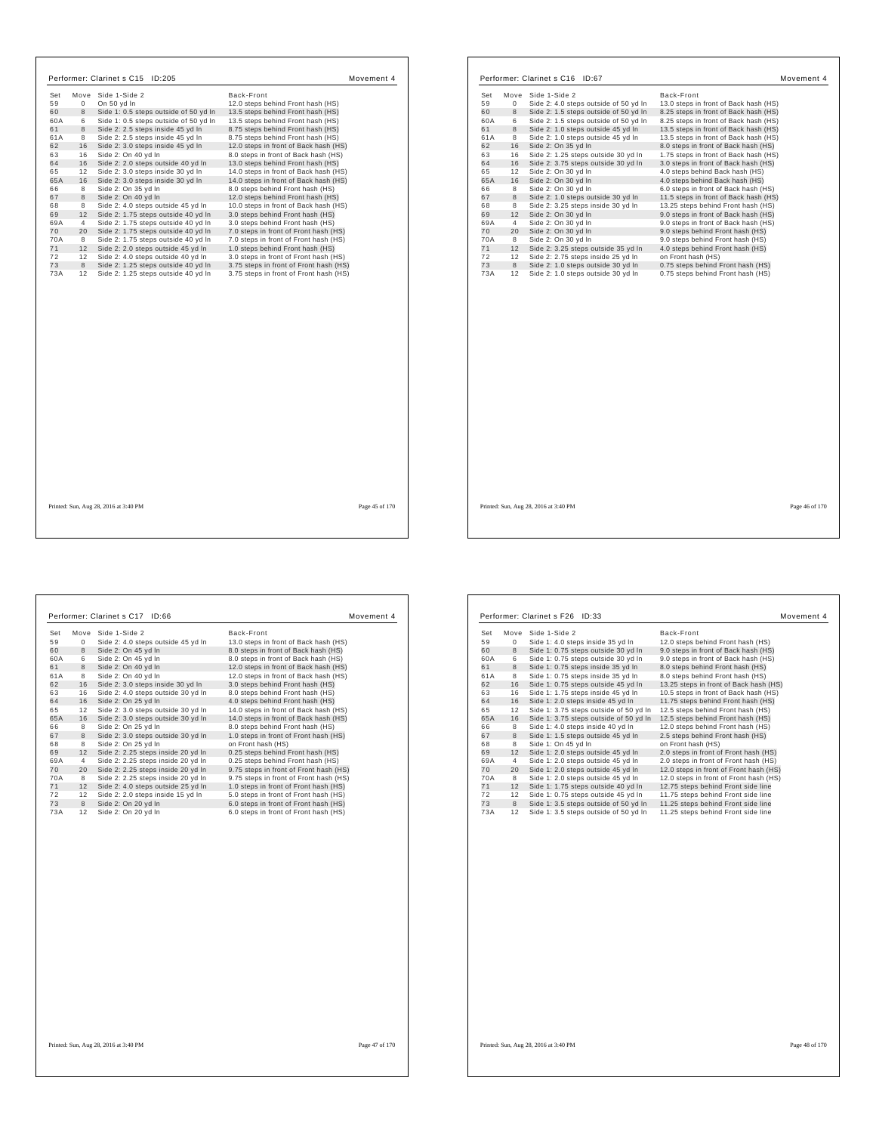|           |                | Move Side 1-Side 2                    | Back-Front                             |
|-----------|----------------|---------------------------------------|----------------------------------------|
| Set<br>59 | $\Omega$       | On 50 yd In                           | 12.0 steps behind Front hash (HS)      |
| 60        | 8              | Side 1: 0.5 steps outside of 50 yd In | 13.5 steps behind Front hash (HS)      |
| 60A       | 6              | Side 1: 0.5 steps outside of 50 yd In | 13.5 steps behind Front hash (HS)      |
| 61        | 8              | Side 2: 2.5 steps inside 45 yd In     | 8.75 steps behind Front hash (HS)      |
| 61A       | 8              | Side 2: 2.5 steps inside 45 yd In     | 8.75 steps behind Front hash (HS)      |
| 62        | 16             | Side 2: 3.0 steps inside 45 yd In     | 12.0 steps in front of Back hash (HS)  |
| 63        | 16             | Side 2: On 40 yd In                   | 8.0 steps in front of Back hash (HS)   |
| 64        | 16             | Side 2: 2.0 steps outside 40 yd In    | 13.0 steps behind Front hash (HS)      |
| 65        | 12             | Side 2: 3.0 steps inside 30 yd In     | 14.0 steps in front of Back hash (HS)  |
| 65A       | 16             | Side 2: 3.0 steps inside 30 yd In     | 14.0 steps in front of Back hash (HS)  |
| 66        | 8              | Side 2: On 35 yd In                   | 8.0 steps behind Front hash (HS)       |
| 67        | 8              | Side 2: On 40 vd In                   | 12.0 steps behind Front hash (HS)      |
| 68        | 8              | Side 2: 4.0 steps outside 45 yd In    | 10.0 steps in front of Back hash (HS)  |
| 69        | 12             | Side 2: 1.75 steps outside 40 yd In   | 3.0 steps behind Front hash (HS)       |
| 69A       | $\overline{4}$ | Side 2: 1.75 steps outside 40 yd In   | 3.0 steps behind Front hash (HS)       |
| 70        | 20             | Side 2: 1.75 steps outside 40 yd In   | 7.0 steps in front of Front hash (HS)  |
| 70A       | 8              | Side 2: 1.75 steps outside 40 yd In   | 7.0 steps in front of Front hash (HS)  |
| 71        | 12             | Side 2: 2.0 steps outside 45 yd In    | 1.0 steps behind Front hash (HS)       |
| 72        | 12             | Side 2: 4.0 steps outside 40 vd In    | 3.0 steps in front of Front hash (HS)  |
| 73        | 8              | Side 2: 1.25 steps outside 40 yd In   | 3.75 steps in front of Front hash (HS) |
| 73A       | 12             | Side 2: 1.25 steps outside 40 yd In   | 3.75 steps in front of Front hash (HS) |
|           |                |                                       |                                        |
|           |                |                                       |                                        |
|           |                |                                       |                                        |

| Set      |         |                                                                          |                                                                        |
|----------|---------|--------------------------------------------------------------------------|------------------------------------------------------------------------|
|          | Move    | Side 1-Side 2                                                            | Back-Front                                                             |
| 59       | 0       | Side 2: 4.0 steps outside of 50 yd In                                    | 13.0 steps in front of Back hash (HS)                                  |
| 60       | 8       | Side 2: 1.5 steps outside of 50 yd In                                    | 8.25 steps in front of Back hash (HS)                                  |
| 60A      | 6       | Side 2: 1.5 steps outside of 50 yd In                                    | 8.25 steps in front of Back hash (HS)                                  |
| 61       | 8       | Side 2: 1.0 steps outside 45 yd In                                       | 13.5 steps in front of Back hash (HS)                                  |
| 61A      | 8       | Side 2: 1.0 steps outside 45 yd In                                       | 13.5 steps in front of Back hash (HS)                                  |
| 62       | 16      | Side 2: On 35 yd In                                                      | 8.0 steps in front of Back hash (HS)                                   |
| 63       | 16      | Side 2: 1.25 steps outside 30 yd In                                      | 1.75 steps in front of Back hash (HS)                                  |
| 64       | 16      | Side 2: 3.75 steps outside 30 yd In                                      | 3.0 steps in front of Back hash (HS)                                   |
| 65       | 12      | Side 2: On 30 yd In                                                      | 4.0 steps behind Back hash (HS)                                        |
| 65A      | 16      | Side 2: On 30 yd In                                                      | 4.0 steps behind Back hash (HS)                                        |
| 66       | 8       | Side 2: On 30 yd In                                                      | 6.0 steps in front of Back hash (HS)                                   |
| 67       | 8       | Side 2: 1.0 steps outside 30 yd In                                       | 11.5 steps in front of Back hash (HS)                                  |
| 68       | 8       | Side 2: 3.25 steps inside 30 yd In                                       | 13.25 steps behind Front hash (HS)                                     |
| 69       | 12      | Side 2: On 30 yd In                                                      | 9.0 steps in front of Back hash (HS)                                   |
| 69A      | 4       | Side 2: On 30 yd In                                                      | 9.0 steps in front of Back hash (HS)                                   |
| 70       | 20      | Side 2: On 30 yd In                                                      | 9.0 steps behind Front hash (HS)                                       |
| 70A      | 8       | Side 2: On 30 yd In                                                      | 9.0 steps behind Front hash (HS)                                       |
| 71       | 12      | Side 2: 3.25 steps outside 35 yd In                                      | 4.0 steps behind Front hash (HS)                                       |
| 72<br>73 | 12<br>8 | Side 2: 2.75 steps inside 25 yd In                                       | on Front hash (HS)                                                     |
| 73A      | 12      | Side 2: 1.0 steps outside 30 yd In<br>Side 2: 1.0 steps outside 30 yd In | 0.75 steps behind Front hash (HS)<br>0.75 steps behind Front hash (HS) |
|          |         |                                                                          |                                                                        |
|          |         |                                                                          |                                                                        |
|          |         |                                                                          |                                                                        |
|          |         |                                                                          |                                                                        |
|          |         |                                                                          |                                                                        |
|          |         |                                                                          |                                                                        |

٦

| 59<br>Side 2: 4.0 steps outside 45 yd In<br>13.0 steps in front of Back hash (HS)<br>$\mathbf{0}$<br>60<br>Side 2: On 45 yd In<br>8<br>8.0 steps in front of Back hash (HS)<br>Side 2: On 45 yd In<br>60A<br>6<br>8.0 steps in front of Back hash (HS)<br>61<br>8<br>Side 2: On 40 yd In<br>12.0 steps in front of Back hash (HS)<br>Side 2: On 40 vd In<br>61A<br>8<br>12.0 steps in front of Back hash (HS)<br>62<br>Side 2: 3.0 steps inside 30 yd In<br>16<br>3.0 steps behind Front hash (HS)<br>63<br>16<br>Side 2: 4.0 steps outside 30 yd In<br>8.0 steps behind Front hash (HS)<br>64<br>16<br>Side 2: On 25 yd In<br>4.0 steps behind Front hash (HS)<br>65<br>Side 2: 3.0 steps outside 30 yd In<br>14.0 steps in front of Back hash (HS)<br>12<br>Side 2: 3.0 steps outside 30 yd In<br>65A<br>14.0 steps in front of Back hash (HS)<br>16<br>66<br>8<br>Side 2: On 25 vd In<br>8.0 steps behind Front hash (HS)<br>67<br>Side 2: 3.0 steps outside 30 yd In<br>1.0 steps in front of Front hash (HS)<br>8<br>68<br>8<br>Side 2: On 25 yd In<br>on Front hash (HS)<br>69<br>Side 2: 2.25 steps inside 20 yd In<br>0.25 steps behind Front hash (HS)<br>12<br>69A<br>0.25 steps behind Front hash (HS)<br>Side 2: 2.25 steps inside 20 yd In<br>4<br>70<br>Side 2: 2.25 steps inside 20 yd In<br>9.75 steps in front of Front hash (HS)<br>20<br>70A<br>8<br>Side 2: 2.25 steps inside 20 yd In<br>9.75 steps in front of Front hash (HS)<br>71<br>Side 2: 4.0 steps outside 25 yd In<br>1.0 steps in front of Front hash (HS)<br>12<br>Side 2: 2.0 steps inside 15 yd In<br>5.0 steps in front of Front hash (HS)<br>72<br>12<br>73<br>6.0 steps in front of Front hash (HS)<br>8<br>Side 2: On 20 yd In | Set | Move | Side 1-Side 2 | Back-Front |
|----------------------------------------------------------------------------------------------------------------------------------------------------------------------------------------------------------------------------------------------------------------------------------------------------------------------------------------------------------------------------------------------------------------------------------------------------------------------------------------------------------------------------------------------------------------------------------------------------------------------------------------------------------------------------------------------------------------------------------------------------------------------------------------------------------------------------------------------------------------------------------------------------------------------------------------------------------------------------------------------------------------------------------------------------------------------------------------------------------------------------------------------------------------------------------------------------------------------------------------------------------------------------------------------------------------------------------------------------------------------------------------------------------------------------------------------------------------------------------------------------------------------------------------------------------------------------------------------------------------------------------------------------------------------------------------------------------------------|-----|------|---------------|------------|
|                                                                                                                                                                                                                                                                                                                                                                                                                                                                                                                                                                                                                                                                                                                                                                                                                                                                                                                                                                                                                                                                                                                                                                                                                                                                                                                                                                                                                                                                                                                                                                                                                                                                                                                      |     |      |               |            |
|                                                                                                                                                                                                                                                                                                                                                                                                                                                                                                                                                                                                                                                                                                                                                                                                                                                                                                                                                                                                                                                                                                                                                                                                                                                                                                                                                                                                                                                                                                                                                                                                                                                                                                                      |     |      |               |            |
|                                                                                                                                                                                                                                                                                                                                                                                                                                                                                                                                                                                                                                                                                                                                                                                                                                                                                                                                                                                                                                                                                                                                                                                                                                                                                                                                                                                                                                                                                                                                                                                                                                                                                                                      |     |      |               |            |
|                                                                                                                                                                                                                                                                                                                                                                                                                                                                                                                                                                                                                                                                                                                                                                                                                                                                                                                                                                                                                                                                                                                                                                                                                                                                                                                                                                                                                                                                                                                                                                                                                                                                                                                      |     |      |               |            |
|                                                                                                                                                                                                                                                                                                                                                                                                                                                                                                                                                                                                                                                                                                                                                                                                                                                                                                                                                                                                                                                                                                                                                                                                                                                                                                                                                                                                                                                                                                                                                                                                                                                                                                                      |     |      |               |            |
|                                                                                                                                                                                                                                                                                                                                                                                                                                                                                                                                                                                                                                                                                                                                                                                                                                                                                                                                                                                                                                                                                                                                                                                                                                                                                                                                                                                                                                                                                                                                                                                                                                                                                                                      |     |      |               |            |
|                                                                                                                                                                                                                                                                                                                                                                                                                                                                                                                                                                                                                                                                                                                                                                                                                                                                                                                                                                                                                                                                                                                                                                                                                                                                                                                                                                                                                                                                                                                                                                                                                                                                                                                      |     |      |               |            |
|                                                                                                                                                                                                                                                                                                                                                                                                                                                                                                                                                                                                                                                                                                                                                                                                                                                                                                                                                                                                                                                                                                                                                                                                                                                                                                                                                                                                                                                                                                                                                                                                                                                                                                                      |     |      |               |            |
|                                                                                                                                                                                                                                                                                                                                                                                                                                                                                                                                                                                                                                                                                                                                                                                                                                                                                                                                                                                                                                                                                                                                                                                                                                                                                                                                                                                                                                                                                                                                                                                                                                                                                                                      |     |      |               |            |
|                                                                                                                                                                                                                                                                                                                                                                                                                                                                                                                                                                                                                                                                                                                                                                                                                                                                                                                                                                                                                                                                                                                                                                                                                                                                                                                                                                                                                                                                                                                                                                                                                                                                                                                      |     |      |               |            |
|                                                                                                                                                                                                                                                                                                                                                                                                                                                                                                                                                                                                                                                                                                                                                                                                                                                                                                                                                                                                                                                                                                                                                                                                                                                                                                                                                                                                                                                                                                                                                                                                                                                                                                                      |     |      |               |            |
|                                                                                                                                                                                                                                                                                                                                                                                                                                                                                                                                                                                                                                                                                                                                                                                                                                                                                                                                                                                                                                                                                                                                                                                                                                                                                                                                                                                                                                                                                                                                                                                                                                                                                                                      |     |      |               |            |
|                                                                                                                                                                                                                                                                                                                                                                                                                                                                                                                                                                                                                                                                                                                                                                                                                                                                                                                                                                                                                                                                                                                                                                                                                                                                                                                                                                                                                                                                                                                                                                                                                                                                                                                      |     |      |               |            |
|                                                                                                                                                                                                                                                                                                                                                                                                                                                                                                                                                                                                                                                                                                                                                                                                                                                                                                                                                                                                                                                                                                                                                                                                                                                                                                                                                                                                                                                                                                                                                                                                                                                                                                                      |     |      |               |            |
|                                                                                                                                                                                                                                                                                                                                                                                                                                                                                                                                                                                                                                                                                                                                                                                                                                                                                                                                                                                                                                                                                                                                                                                                                                                                                                                                                                                                                                                                                                                                                                                                                                                                                                                      |     |      |               |            |
|                                                                                                                                                                                                                                                                                                                                                                                                                                                                                                                                                                                                                                                                                                                                                                                                                                                                                                                                                                                                                                                                                                                                                                                                                                                                                                                                                                                                                                                                                                                                                                                                                                                                                                                      |     |      |               |            |
|                                                                                                                                                                                                                                                                                                                                                                                                                                                                                                                                                                                                                                                                                                                                                                                                                                                                                                                                                                                                                                                                                                                                                                                                                                                                                                                                                                                                                                                                                                                                                                                                                                                                                                                      |     |      |               |            |
|                                                                                                                                                                                                                                                                                                                                                                                                                                                                                                                                                                                                                                                                                                                                                                                                                                                                                                                                                                                                                                                                                                                                                                                                                                                                                                                                                                                                                                                                                                                                                                                                                                                                                                                      |     |      |               |            |
|                                                                                                                                                                                                                                                                                                                                                                                                                                                                                                                                                                                                                                                                                                                                                                                                                                                                                                                                                                                                                                                                                                                                                                                                                                                                                                                                                                                                                                                                                                                                                                                                                                                                                                                      |     |      |               |            |
|                                                                                                                                                                                                                                                                                                                                                                                                                                                                                                                                                                                                                                                                                                                                                                                                                                                                                                                                                                                                                                                                                                                                                                                                                                                                                                                                                                                                                                                                                                                                                                                                                                                                                                                      |     |      |               |            |
| 73A<br>Side 2: On 20 vd In<br>6.0 steps in front of Front hash (HS)<br>12                                                                                                                                                                                                                                                                                                                                                                                                                                                                                                                                                                                                                                                                                                                                                                                                                                                                                                                                                                                                                                                                                                                                                                                                                                                                                                                                                                                                                                                                                                                                                                                                                                            |     |      |               |            |

| Set |    | Move Side 1-Side 2                     | Back-Front                             |
|-----|----|----------------------------------------|----------------------------------------|
| 59  | 0  | Side 1: 4.0 steps inside 35 yd In      | 12.0 steps behind Front hash (HS)      |
| 60  | 8  | Side 1: 0.75 steps outside 30 yd In    | 9.0 steps in front of Back hash (HS)   |
| 60A | 6  | Side 1: 0.75 steps outside 30 yd In    | 9.0 steps in front of Back hash (HS)   |
| 61  | 8  | Side 1: 0.75 steps inside 35 yd In     | 8.0 steps behind Front hash (HS)       |
| 61A | 8  | Side 1: 0.75 steps inside 35 yd In     | 8.0 steps behind Front hash (HS)       |
| 62  | 16 | Side 1: 0.75 steps outside 45 vd In    | 13.25 steps in front of Back hash (HS) |
| 63  | 16 | Side 1: 1.75 steps inside 45 yd In     | 10.5 steps in front of Back hash (HS)  |
| 64  | 16 | Side 1: 2.0 steps inside 45 yd In      | 11.75 steps behind Front hash (HS)     |
| 65  | 12 | Side 1: 3.75 steps outside of 50 yd In | 12.5 steps behind Front hash (HS)      |
| 65A | 16 | Side 1: 3.75 steps outside of 50 yd In | 12.5 steps behind Front hash (HS)      |
| 66  | 8  | Side 1: 4.0 steps inside 40 yd In      | 12.0 steps behind Front hash (HS)      |
| 67  | 8  | Side 1: 1.5 steps outside 45 yd In     | 2.5 steps behind Front hash (HS)       |
| 68  | 8  | Side 1: On 45 yd In                    | on Front hash (HS)                     |
| 69  | 12 | Side 1: 2.0 steps outside 45 yd In     | 2.0 steps in front of Front hash (HS)  |
| 69A | 4  | Side 1: 2.0 steps outside 45 yd In     | 2.0 steps in front of Front hash (HS)  |
| 70  | 20 | Side 1: 2.0 steps outside 45 yd In     | 12.0 steps in front of Front hash (HS) |
| 70A | 8  | Side 1: 2.0 steps outside 45 yd In     | 12.0 steps in front of Front hash (HS) |
| 71  | 12 | Side 1: 1.75 steps outside 40 yd In    | 12.75 steps behind Front side line     |
| 72  | 12 | Side 1: 0.75 steps outside 45 yd In    | 11.75 steps behind Front side line     |
| 73  | 8  | Side 1: 3.5 steps outside of 50 yd In  | 11.25 steps behind Front side line     |
| 73A | 12 | Side 1: 3.5 steps outside of 50 yd In  | 11.25 steps behind Front side line     |

Printed: Sun, Aug 28, 2016 at 3:40 PM Page 48 of 170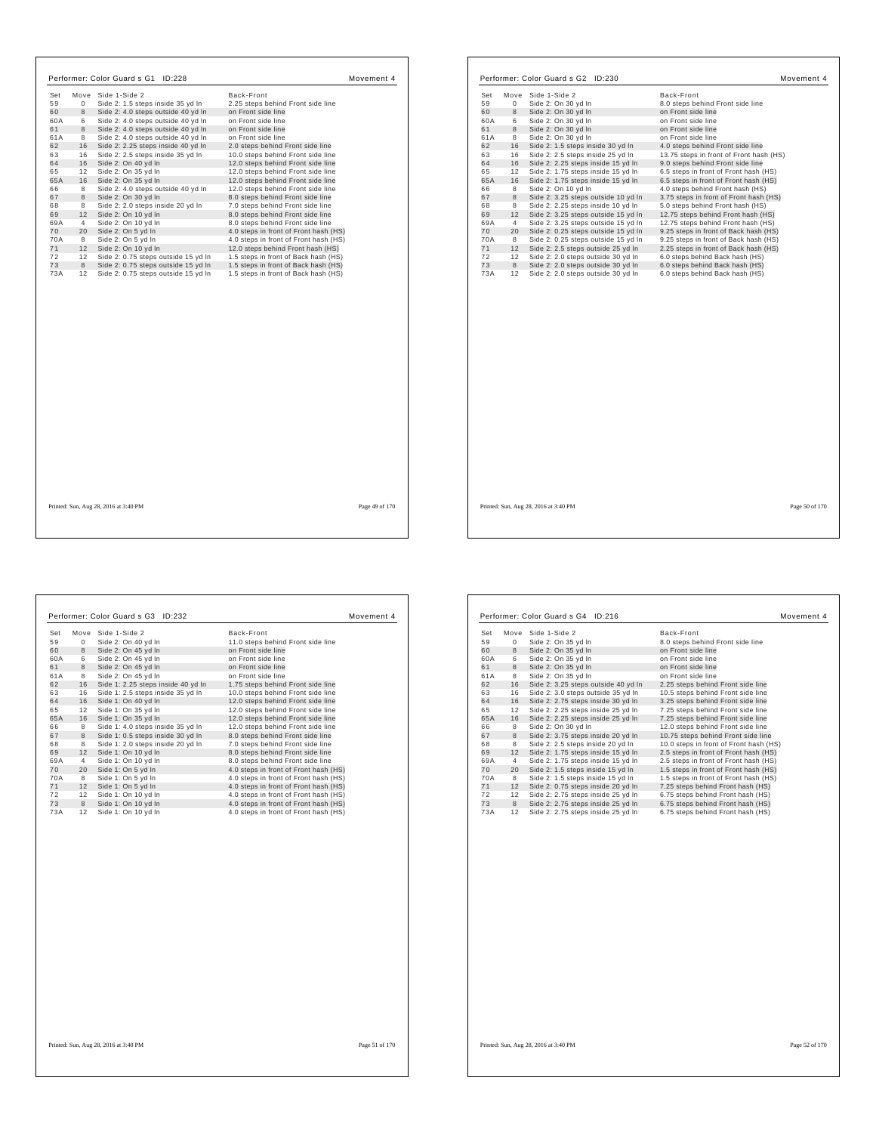| Set       |                | Move Side 1-Side 2                                                         | Back-Front                                                                   |                |
|-----------|----------------|----------------------------------------------------------------------------|------------------------------------------------------------------------------|----------------|
| 59        | $\Omega$       | Side 2: 1.5 steps inside 35 yd In                                          | 2.25 steps behind Front side line                                            |                |
| 60        | 8              | Side 2: 4.0 steps outside 40 yd In                                         | on Front side line                                                           |                |
| 60A       | 6              | Side 2: 4.0 steps outside 40 yd In                                         | on Front side line                                                           |                |
| 61        | 8              | Side 2: 4.0 steps outside 40 yd In                                         | on Front side line                                                           |                |
| 61A       | 8              | Side 2: 4.0 steps outside 40 yd In                                         | on Front side line                                                           |                |
| 62        | 16             | Side 2: 2.25 steps inside 40 yd In                                         | 2.0 steps behind Front side line                                             |                |
| 63        | 16             | Side 2: 2.5 steps inside 35 yd In                                          | 10.0 steps behind Front side line                                            |                |
| 64        | 16             | Side 2: On 40 yd In                                                        | 12.0 steps behind Front side line                                            |                |
| 65        | 12             | Side 2: On 35 yd In                                                        | 12.0 steps behind Front side line                                            |                |
| 65A       | 16             | Side 2: On 35 yd In                                                        | 12.0 steps behind Front side line                                            |                |
| 66        | 8              | Side 2: 4.0 steps outside 40 yd In                                         | 12.0 steps behind Front side line                                            |                |
| 67        | 8              | Side 2: On 30 yd In                                                        | 8.0 steps behind Front side line                                             |                |
| 68        | 8              | Side 2: 2.0 steps inside 20 yd In                                          | 7.0 steps behind Front side line                                             |                |
| 69        | 12             | Side 2: On 10 yd In                                                        | 8.0 steps behind Front side line                                             |                |
| 69A       | $\overline{4}$ | Side 2: On 10 yd In                                                        | 8.0 steps behind Front side line                                             |                |
| 70        | 20             | Side 2: On 5 yd In                                                         | 4.0 steps in front of Front hash (HS)                                        |                |
| 70A       | 8              | Side 2: On 5 yd In                                                         | 4.0 steps in front of Front hash (HS)                                        |                |
| 71        | 12             | Side 2: On 10 yd In                                                        | 12.0 steps behind Front hash (HS)                                            |                |
| 72        | 12             | Side 2: 0.75 steps outside 15 vd In                                        | 1.5 steps in front of Back hash (HS)                                         |                |
| 73<br>73A | 8<br>12        | Side 2: 0.75 steps outside 15 yd In<br>Side 2: 0.75 steps outside 15 yd In | 1.5 steps in front of Back hash (HS)<br>1.5 steps in front of Back hash (HS) |                |
|           |                |                                                                            |                                                                              |                |
|           |                | Printed: Sun, Aug 28, 2016 at 3:40 PM                                      |                                                                              | Page 49 of 170 |

| Set |           |                                      |                                                |
|-----|-----------|--------------------------------------|------------------------------------------------|
| 59  | Move<br>0 | Side 1-Side 2<br>Side 2: On 30 yd In | Back-Front<br>8.0 steps behind Front side line |
| 60  | 8         | Side 2: On 30 yd In                  | on Front side line                             |
| 60A | 6         | Side 2: On 30 yd In                  | on Front side line                             |
| 61  | 8         | Side 2: On 30 yd In                  | on Front side line                             |
| 61A | 8         | Side 2: On 30 yd In                  | on Front side line                             |
| 62  | 16        | Side 2: 1.5 steps inside 30 yd In    | 4.0 steps behind Front side line               |
| 63  | 16        | Side 2: 2.5 steps inside 25 yd In    | 13.75 steps in front of Front hash (HS)        |
| 64  | 16        | Side 2: 2.25 steps inside 15 yd In   | 9.0 steps behind Front side line               |
| 65  | 12        | Side 2: 1.75 steps inside 15 yd In   | 6.5 steps in front of Front hash (HS)          |
| 65A | 16        | Side 2: 1.75 steps inside 15 yd In   | 6.5 steps in front of Front hash (HS)          |
| 66  | 8         | Side 2: On 10 yd In                  | 4.0 steps behind Front hash (HS)               |
| 67  | 8         | Side 2: 3.25 steps outside 10 yd In  | 3.75 steps in front of Front hash (HS)         |
| 68  | 8         | Side 2: 2.25 steps inside 10 yd In   | 5.0 steps behind Front hash (HS)               |
| 69  | 12        | Side 2: 3.25 steps outside 15 yd In  | 12.75 steps behind Front hash (HS)             |
| 69A | 4         | Side 2: 3.25 steps outside 15 yd In  | 12.75 steps behind Front hash (HS)             |
| 70  | 20        | Side 2: 0.25 steps outside 15 yd In  | 9.25 steps in front of Back hash (HS)          |
| 70A | 8         | Side 2: 0.25 steps outside 15 yd In  | 9.25 steps in front of Back hash (HS)          |
| 71  | 12        | Side 2: 2.5 steps outside 25 yd In   | 2.25 steps in front of Back hash (HS)          |
| 72  | 12        | Side 2: 2.0 steps outside 30 yd In   | 6.0 steps behind Back hash (HS)                |
| 73  | 8         | Side 2: 2.0 steps outside 30 yd In   | 6.0 steps behind Back hash (HS)                |
| 73A | 12        | Side 2: 2.0 steps outside 30 yd In   | 6.0 steps behind Back hash (HS)                |
|     |           |                                      |                                                |
|     |           |                                      |                                                |
|     |           |                                      |                                                |
|     |           |                                      |                                                |
|     |           |                                      |                                                |
|     |           |                                      |                                                |
|     |           |                                      |                                                |
|     |           |                                      |                                                |
|     |           |                                      |                                                |

Ш

 $\Gamma$ 

|     |                | Performer: Color Guard s G3 ID:232 |                                       | Movement 4 |
|-----|----------------|------------------------------------|---------------------------------------|------------|
| Set |                | Move Side 1-Side 2                 | Back-Front                            |            |
| 59  | $\mathbf{0}$   | Side 2: On 40 yd In                | 11.0 steps behind Front side line     |            |
| 60  | 8              | Side 2: On 45 yd In                | on Front side line                    |            |
| 60A | 6              | Side 2: On 45 yd In                | on Front side line                    |            |
| 61  | 8              | Side 2: On 45 yd In                | on Front side line                    |            |
| 61A | 8              | Side 2: On 45 yd In                | on Front side line                    |            |
| 62  | 16             | Side 1: 2.25 steps inside 40 yd In | 1.75 steps behind Front side line     |            |
| 63  | 16             | Side 1: 2.5 steps inside 35 yd In  | 10.0 steps behind Front side line     |            |
| 64  | 16             | Side 1: On 40 yd In                | 12.0 steps behind Front side line     |            |
| 65  | 12             | Side 1: On 35 yd In                | 12.0 steps behind Front side line     |            |
| 65A | 16             | Side 1: On 35 yd In                | 12.0 steps behind Front side line     |            |
| 66  | 8              | Side 1: 4.0 steps inside 35 yd In  | 12.0 steps behind Front side line     |            |
| 67  | 8              | Side 1: 0.5 steps inside 30 yd In  | 8.0 steps behind Front side line      |            |
| 68  | 8              | Side 1: 2.0 steps inside 20 yd In  | 7.0 steps behind Front side line      |            |
| 69  | 12             | Side 1: On 10 yd In                | 8.0 steps behind Front side line      |            |
| 69A | $\overline{4}$ | Side 1: On 10 yd In                | 8.0 steps behind Front side line      |            |
| 70  | 20             | Side 1: On 5 yd In                 | 4.0 steps in front of Front hash (HS) |            |
| 70A | 8              | Side 1: On 5 yd In                 | 4.0 steps in front of Front hash (HS) |            |
| 71  | 12             | Side 1: On 5 yd In                 | 4.0 steps in front of Front hash (HS) |            |
| 72  | 12             | Side 1: On 10 yd In                | 4.0 steps in front of Front hash (HS) |            |
| 73  | 8              | Side 1: On 10 yd In                | 4.0 steps in front of Front hash (HS) |            |
| 73A | 12             | Side 1: On 10 yd In                | 4.0 steps in front of Front hash (HS) |            |

|     |                | Performer: Color Guard s G4 ID:216  | Movement 4                             |
|-----|----------------|-------------------------------------|----------------------------------------|
| Set |                | Move Side 1-Side 2                  | Back-Front                             |
| 59  | $\Omega$       | Side 2: On 35 yd In                 | 8.0 steps behind Front side line       |
| 60  | 8              | Side 2: On 35 yd In                 | on Front side line                     |
| 60A | 6              | Side 2: On 35 yd In                 | on Front side line                     |
| 61  | 8              | Side 2: On 35 yd In                 | on Front side line                     |
| 61A | 8              | Side 2: On 35 yd In                 | on Front side line                     |
| 62  | 16             | Side 2: 3.25 steps outside 40 yd In | 2.25 steps behind Front side line      |
| 63  | 16             | Side 2: 3.0 steps outside 35 yd In  | 10.5 steps behind Front side line      |
| 64  | 16             | Side 2: 2.75 steps inside 30 yd In  | 3.25 steps behind Front side line      |
| 65  | 12             | Side 2: 2.25 steps inside 25 yd In  | 7.25 steps behind Front side line      |
| 65A | 16             | Side 2: 2.25 steps inside 25 yd In  | 7.25 steps behind Front side line      |
| 66  | 8              | Side 2: On 30 yd In                 | 12.0 steps behind Front side line      |
| 67  | 8              | Side 2: 3.75 steps inside 20 yd In  | 10.75 steps behind Front side line     |
| 68  | 8              | Side 2: 2.5 steps inside 20 yd In   | 10.0 steps in front of Front hash (HS) |
| 69  | 12             | Side 2: 1.75 steps inside 15 yd In  | 2.5 steps in front of Front hash (HS)  |
| 69A | $\overline{4}$ | Side 2: 1.75 steps inside 15 yd In  | 2.5 steps in front of Front hash (HS)  |
| 70  | 20             | Side 2: 1.5 steps inside 15 yd In   | 1.5 steps in front of Front hash (HS)  |
| 70A | 8              | Side 2: 1.5 steps inside 15 yd In   | 1.5 steps in front of Front hash (HS)  |
| 71  | 12             | Side 2: 0.75 steps inside 20 yd In  | 7.25 steps behind Front hash (HS)      |
| 72  | 12             | Side 2: 2.75 steps inside 25 yd In  | 6.75 steps behind Front hash (HS)      |
| 73  | 8              | Side 2: 2.75 steps inside 25 yd In  | 6.75 steps behind Front hash (HS)      |
| 73A | 12             | Side 2: 2.75 steps inside 25 yd In  | 6.75 steps behind Front hash (HS)      |

Printed: Sun, Aug 28, 2016 at 3:40 PM Page 52 of 170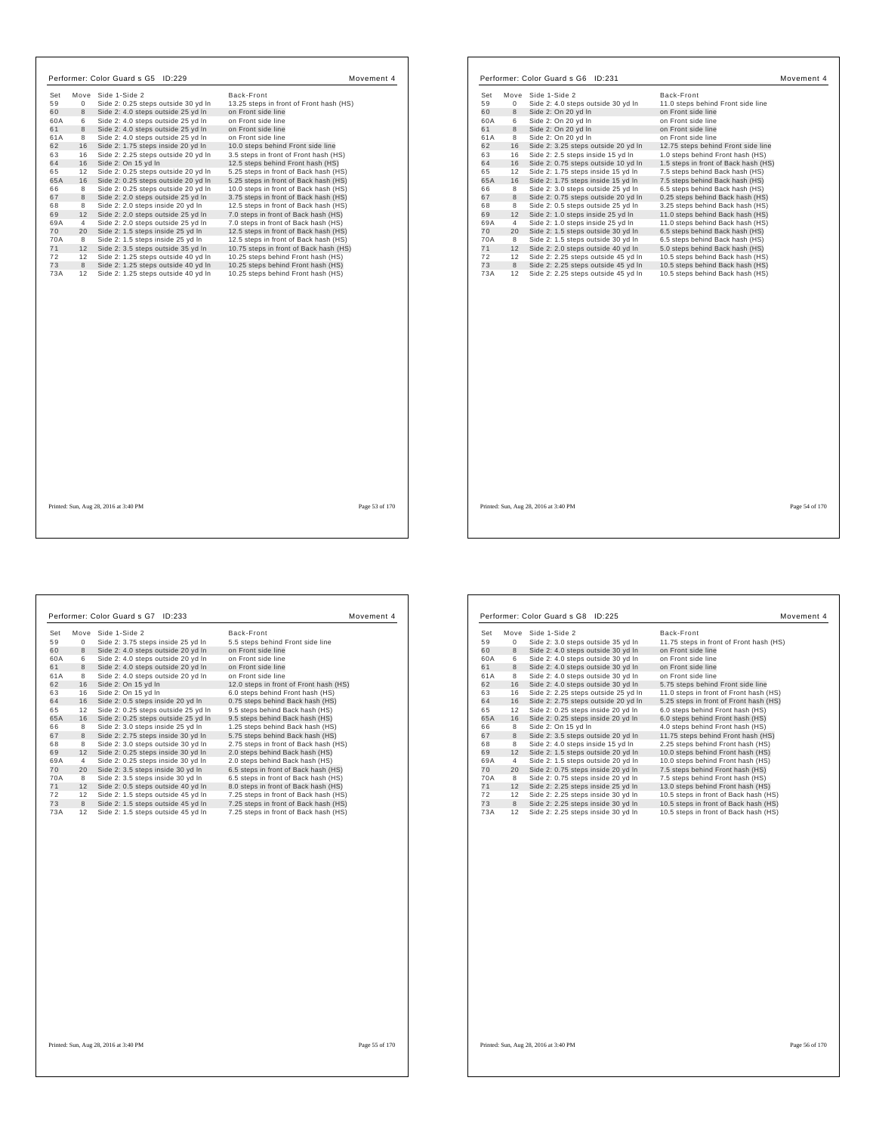|          |             | Performer: Color Guard s G5 ID:229                                        | Movement 4                                                                     |
|----------|-------------|---------------------------------------------------------------------------|--------------------------------------------------------------------------------|
| Set      |             | Move Side 1-Side 2                                                        | Back-Front                                                                     |
| 59       | $\mathbf 0$ | Side 2: 0.25 steps outside 30 yd In                                       | 13.25 steps in front of Front hash (HS)                                        |
| 60       | 8           | Side 2: 4.0 steps outside 25 yd In                                        | on Front side line                                                             |
| 60A      | 6           | Side 2: 4.0 steps outside 25 yd In                                        | on Front side line                                                             |
| 61       | 8           | Side 2: 4.0 steps outside 25 vd In                                        | on Front side line                                                             |
| 61A      | 8           | Side 2: 4.0 steps outside 25 yd In                                        | on Front side line                                                             |
| 62       | 16          | Side 2: 1.75 steps inside 20 yd In                                        | 10.0 steps behind Front side line                                              |
| 63       | 16          | Side 2: 2.25 steps outside 20 yd In                                       | 3.5 steps in front of Front hash (HS)                                          |
| 64       | 16          | Side 2: On 15 yd In                                                       | 12.5 steps behind Front hash (HS)                                              |
| 65       | 12          | Side 2: 0.25 steps outside 20 yd In                                       | 5.25 steps in front of Back hash (HS)                                          |
| 65A      | 16          | Side 2: 0.25 steps outside 20 yd In                                       | 5.25 steps in front of Back hash (HS)                                          |
| 66<br>67 | 8<br>8      | Side 2: 0.25 steps outside 20 yd In<br>Side 2: 2.0 steps outside 25 vd In | 10.0 steps in front of Back hash (HS)<br>3.75 steps in front of Back hash (HS) |
| 68       | 8           | Side 2: 2.0 steps inside 20 yd In                                         | 12.5 steps in front of Back hash (HS)                                          |
| 69       | 12          | Side 2: 2.0 steps outside 25 yd In                                        | 7.0 steps in front of Back hash (HS)                                           |
| 69A      | 4           | Side 2: 2.0 steps outside 25 yd In                                        | 7.0 steps in front of Back hash (HS)                                           |
| 70       | 20          | Side 2: 1.5 steps inside 25 yd In                                         | 12.5 steps in front of Back hash (HS)                                          |
| 70A      | 8           | Side 2: 1.5 steps inside 25 yd In                                         | 12.5 steps in front of Back hash (HS)                                          |
| 71       | 12          | Side 2: 3.5 steps outside 35 yd In                                        | 10.75 steps in front of Back hash (HS)                                         |
| 72       | 12          | Side 2: 1.25 steps outside 40 vd In                                       | 10.25 steps behind Front hash (HS)                                             |
| 73       | 8           | Side 2: 1.25 steps outside 40 yd In                                       | 10.25 steps behind Front hash (HS)                                             |
| 73A      | 12          | Side 2: 1.25 steps outside 40 yd In                                       | 10.25 steps behind Front hash (HS)                                             |
|          |             |                                                                           |                                                                                |
|          |             |                                                                           |                                                                                |
|          |             |                                                                           |                                                                                |
|          |             |                                                                           |                                                                                |
|          |             |                                                                           |                                                                                |
|          |             |                                                                           |                                                                                |
|          |             |                                                                           |                                                                                |

Set Move Side 1-Side 2<br>
Set Move Side 2: 3.75 steps inside 25 yd In<br>
S. 8. steps behind Front side line<br>
60 8 Side 2: 4.0 steps outside 20 yd In on Front side line<br>
61 8 Side 2: 4.0 steps outside 20 yd In on Front side lin

Performer: Color Guard s G7 ID:233 Movement 4

8 Side 2: 3.0 steps inside 25 yd In 1.25 steps behind Back hash (HS)<br>67 8 Side 2: 2.75 steps inside 30 yd In 5.75 steps behind Back hash (HS)<br>68 8 Side 2: 3.0 steps outside 30 yd In 2.75 steps in front of Back hash (HS)<br>69

89A 4 Side 2: 0.25 steps inside 30 yd In 2.0 steps behind Back hash (HS)<br>70 20 Side 2: 3.5 steps inside 30 yd In 6.5 steps in front of Back hash (HS)<br>70A 8 Side 2: 3.5 steps inside 30 yd In 6.5 steps in front of Back hash 11 12 Side 2: 0.5 steps outside 40 yd In 8.0 steps in front of Back hash (HS)<br>12 12 Side 2: 1.5 steps outside 45 yd In 7.25 steps in front of Back hash (HS)<br>13 8 Gide 2: 1.5 steps outside 45 yd In 7.25 steps in front of Ba

|                      | Performer: Color Guard s G6 ID:231                                         |                                                                      | Movement 4 |
|----------------------|----------------------------------------------------------------------------|----------------------------------------------------------------------|------------|
| Set                  | Move Side 1-Side 2                                                         | Back-Front                                                           |            |
| 59<br>0              | Side 2: 4.0 steps outside 30 yd In                                         | 11.0 steps behind Front side line                                    |            |
| 8<br>60              | Side 2: On 20 yd In                                                        | on Front side line                                                   |            |
| 6<br>60A             | Side 2: On 20 vd In                                                        | on Front side line                                                   |            |
| 61<br>8              | Side 2: On 20 yd In                                                        | on Front side line                                                   |            |
| 61A<br>8             | Side 2: On 20 yd In                                                        | on Front side line                                                   |            |
| 16<br>62             | Side 2: 3.25 steps outside 20 yd In                                        | 12.75 steps behind Front side line                                   |            |
| 63<br>16             | Side 2: 2.5 steps inside 15 yd In                                          | 1.0 steps behind Front hash (HS)                                     |            |
| 64<br>16             | Side 2: 0.75 steps outside 10 yd In                                        | 1.5 steps in front of Back hash (HS)                                 |            |
| 65<br>12             | Side 2: 1.75 steps inside 15 yd In                                         | 7.5 steps behind Back hash (HS)                                      |            |
| 65A<br>16            | Side 2: 1.75 steps inside 15 yd In                                         | 7.5 steps behind Back hash (HS)                                      |            |
| 66<br>8              | Side 2: 3.0 steps outside 25 yd In                                         | 6.5 steps behind Back hash (HS)                                      |            |
| 67<br>8              | Side 2: 0.75 steps outside 20 yd In                                        | 0.25 steps behind Back hash (HS)                                     |            |
| 68<br>8              | Side 2: 0.5 steps outside 25 yd In                                         | 3.25 steps behind Back hash (HS)                                     |            |
| 69<br>12             | Side 2: 1.0 steps inside 25 yd In                                          | 11.0 steps behind Back hash (HS)                                     |            |
| 69A<br>4             | Side 2: 1.0 steps inside 25 yd In                                          | 11.0 steps behind Back hash (HS)                                     |            |
| 20<br>70             | Side 2: 1.5 steps outside 30 yd In                                         | 6.5 steps behind Back hash (HS)                                      |            |
| 70A<br>8             | Side 2: 1.5 steps outside 30 yd In                                         | 6.5 steps behind Back hash (HS)                                      |            |
| 71<br>12             | Side 2: 2.0 steps outside 40 yd In                                         | 5.0 steps behind Back hash (HS)                                      |            |
| 72<br>12             | Side 2: 2.25 steps outside 45 yd In                                        | 10.5 steps behind Back hash (HS)                                     |            |
| 73<br>8<br>73A<br>12 | Side 2: 2.25 steps outside 45 yd In<br>Side 2: 2.25 steps outside 45 yd In | 10.5 steps behind Back hash (HS)<br>10.5 steps behind Back hash (HS) |            |
|                      |                                                                            |                                                                      |            |
|                      |                                                                            |                                                                      |            |
|                      |                                                                            |                                                                      |            |
|                      |                                                                            |                                                                      |            |

|     |    | Performer: Color Guard s G8 ID:225  | Movement 4                              |
|-----|----|-------------------------------------|-----------------------------------------|
| Set |    | Move Side 1-Side 2                  | Back-Front                              |
| 59  | 0  | Side 2: 3.0 steps outside 35 yd In  | 11.75 steps in front of Front hash (HS) |
| 60  | 8  | Side 2: 4.0 steps outside 30 yd In  | on Front side line                      |
| 60A | 6  | Side 2: 4.0 steps outside 30 yd In  | on Front side line                      |
| 61  | 8  | Side 2: 4.0 steps outside 30 yd In  | on Front side line                      |
| 61A | 8  | Side 2: 4.0 steps outside 30 yd In  | on Front side line                      |
| 62  | 16 | Side 2: 4.0 steps outside 30 yd In  | 5.75 steps behind Front side line       |
| 63  | 16 | Side 2: 2.25 steps outside 25 yd In | 11.0 steps in front of Front hash (HS)  |
| 64  | 16 | Side 2: 2.75 steps outside 20 yd In | 5.25 steps in front of Front hash (HS)  |
| 65  | 12 | Side 2: 0.25 steps inside 20 yd In  | 6.0 steps behind Front hash (HS)        |
| 65A | 16 | Side 2: 0.25 steps inside 20 yd In  | 6.0 steps behind Front hash (HS)        |
| 66  | 8  | Side 2: On 15 yd In                 | 4.0 steps behind Front hash (HS)        |
| 67  | 8  | Side 2: 3.5 steps outside 20 yd In  | 11.75 steps behind Front hash (HS)      |
| 68  | 8  | Side 2: 4.0 steps inside 15 yd In   | 2.25 steps behind Front hash (HS)       |
| 69  | 12 | Side 2: 1.5 steps outside 20 yd In  | 10.0 steps behind Front hash (HS)       |
| 69A | 4  | Side 2: 1.5 steps outside 20 yd In  | 10.0 steps behind Front hash (HS)       |
| 70  | 20 | Side 2: 0.75 steps inside 20 yd In  | 7.5 steps behind Front hash (HS)        |
| 70A | 8  | Side 2: 0.75 steps inside 20 yd In  | 7.5 steps behind Front hash (HS)        |
| 71  | 12 | Side 2: 2.25 steps inside 25 yd In  | 13.0 steps behind Front hash (HS)       |
| 72  | 12 | Side 2: 2.25 steps inside 30 yd In  | 10.5 steps in front of Back hash (HS)   |
| 73  | 8  | Side 2: 2.25 steps inside 30 yd In  | 10.5 steps in front of Back hash (HS)   |
| 73A | 12 | Side 2: 2.25 steps inside 30 yd In  | 10.5 steps in front of Back hash (HS)   |

Printed: Sun, Aug 28, 2016 at 3:40 PM Page 56 of 170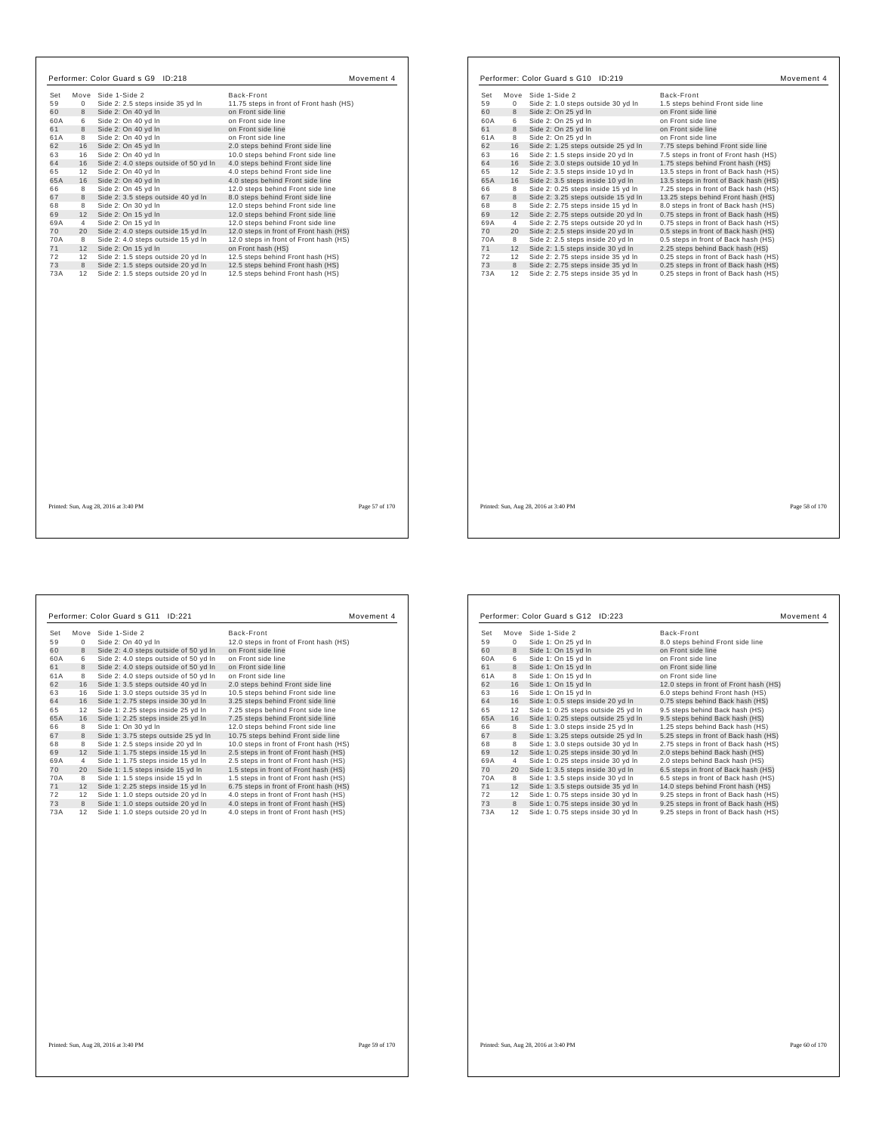| Set |                 |                                                         | Back-Front                              |
|-----|-----------------|---------------------------------------------------------|-----------------------------------------|
| 59  | $\Omega$        | Move Side 1-Side 2<br>Side 2: 2.5 steps inside 35 yd In | 11.75 steps in front of Front hash (HS) |
| 60  | 8               | Side 2: On 40 yd In                                     | on Front side line                      |
| 60A | 6               | Side 2: On 40 yd In                                     | on Front side line                      |
| 61  | 8               | Side 2: On 40 yd In                                     | on Front side line                      |
| 61A | 8               | Side 2: On 40 yd In                                     | on Front side line                      |
| 62  | 16              | Side 2: On 45 yd In                                     | 2.0 steps behind Front side line        |
| 63  | 16              | Side 2: On 40 yd In                                     | 10.0 steps behind Front side line       |
| 64  | 16              | Side 2: 4.0 steps outside of 50 yd In                   | 4.0 steps behind Front side line        |
| 65  | 12              | Side 2: On 40 yd In                                     | 4.0 steps behind Front side line        |
| 65A | 16              | Side 2: On 40 yd In                                     | 4.0 steps behind Front side line        |
| 66  | 8               | Side 2: On 45 yd In                                     | 12.0 steps behind Front side line       |
| 67  | 8               | Side 2: 3.5 steps outside 40 yd In                      | 8.0 steps behind Front side line        |
| 68  | 8               | Side 2: On 30 yd In                                     | 12.0 steps behind Front side line       |
| 69  | 12              | Side 2: On 15 yd In                                     | 12.0 steps behind Front side line       |
| 69A | $\overline{4}$  | Side 2: On 15 yd In                                     | 12.0 steps behind Front side line       |
| 70  | 20              | Side 2: 4.0 steps outside 15 yd In                      | 12.0 steps in front of Front hash (HS)  |
| 70A | 8               | Side 2: 4.0 steps outside 15 yd In                      | 12.0 steps in front of Front hash (HS)  |
| 71  | 12              | Side 2: On 15 yd In                                     | on Front hash (HS)                      |
| 72  | 12 <sup>1</sup> | Side 2: 1.5 steps outside 20 vd In                      | 12.5 steps behind Front hash (HS)       |
| 73  | 8               | Side 2: 1.5 steps outside 20 yd In                      | 12.5 steps behind Front hash (HS)       |
| 73A | 12              | Side 2: 1.5 steps outside 20 yd In                      | 12.5 steps behind Front hash (HS)       |
|     |                 |                                                         |                                         |
|     |                 |                                                         |                                         |
|     |                 |                                                         |                                         |
|     |                 |                                                         |                                         |
|     |                 |                                                         |                                         |
|     |                 |                                                         |                                         |
|     |                 |                                                         |                                         |

| Set<br>59<br>60<br>60A | Move<br>$\mathbf 0$ | Side 1-Side 2                                                            | Back-Front                                                                     |
|------------------------|---------------------|--------------------------------------------------------------------------|--------------------------------------------------------------------------------|
|                        |                     |                                                                          |                                                                                |
|                        |                     | Side 2: 1.0 steps outside 30 yd In                                       | 1.5 steps behind Front side line                                               |
|                        | 8                   | Side 2: On 25 yd In                                                      | on Front side line                                                             |
|                        | 6<br>$\mathbf{g}$   | Side 2: On 25 vd In                                                      | on Front side line<br>on Front side line                                       |
| 61<br>61A              | 8                   | Side 2: On 25 yd In<br>Side 2: On 25 yd In                               | on Front side line                                                             |
| 62                     | 16                  |                                                                          |                                                                                |
|                        |                     | Side 2: 1.25 steps outside 25 yd In                                      | 7.75 steps behind Front side line                                              |
| 63<br>64               | 16<br>16            | Side 2: 1.5 steps inside 20 yd In                                        | 7.5 steps in front of Front hash (HS)                                          |
|                        |                     | Side 2: 3.0 steps outside 10 yd In                                       | 1.75 steps behind Front hash (HS)                                              |
| 65                     | 12                  | Side 2: 3.5 steps inside 10 yd In                                        | 13.5 steps in front of Back hash (HS)                                          |
| 65A                    | 16                  | Side 2: 3.5 steps inside 10 yd In                                        | 13.5 steps in front of Back hash (HS)                                          |
| 66                     | 8                   | Side 2: 0.25 steps inside 15 yd In                                       | 7.25 steps in front of Back hash (HS)                                          |
| 67                     | 8                   | Side 2: 3.25 steps outside 15 yd In                                      | 13.25 steps behind Front hash (HS)                                             |
| 68                     | 8                   | Side 2: 2.75 steps inside 15 yd In                                       | 8.0 steps in front of Back hash (HS)                                           |
| 69                     | 12                  | Side 2: 2.75 steps outside 20 yd In                                      | 0.75 steps in front of Back hash (HS)                                          |
| 69A                    | 4                   | Side 2: 2.75 steps outside 20 yd In                                      | 0.75 steps in front of Back hash (HS)                                          |
| 70                     | 20                  | Side 2: 2.5 steps inside 20 yd In                                        | 0.5 steps in front of Back hash (HS)                                           |
| 70A                    | 8                   | Side 2: 2.5 steps inside 20 yd In                                        | 0.5 steps in front of Back hash (HS)                                           |
| 71                     | 12                  | Side 2: 1.5 steps inside 30 yd In                                        | 2.25 steps behind Back hash (HS)                                               |
| 72                     | 12                  | Side 2: 2.75 steps inside 35 yd In                                       | 0.25 steps in front of Back hash (HS)                                          |
| 73<br>73A              | 8<br>12             | Side 2: 2.75 steps inside 35 yd In<br>Side 2: 2.75 steps inside 35 yd In | 0.25 steps in front of Back hash (HS)<br>0.25 steps in front of Back hash (HS) |
|                        |                     |                                                                          |                                                                                |
|                        |                     |                                                                          |                                                                                |

 $\mathbf{I}$ 

 $\Gamma$ 

| Set |    | Move Side 1-Side 2                    | Back-Front                             |
|-----|----|---------------------------------------|----------------------------------------|
| 59  | 0  | Side 2: On 40 vd In                   | 12.0 steps in front of Front hash (HS) |
| 60  | 8  | Side 2: 4.0 steps outside of 50 yd In | on Front side line                     |
| 60A | 6  | Side 2: 4.0 steps outside of 50 yd In | on Front side line                     |
| 61  | 8  | Side 2: 4.0 steps outside of 50 yd In | on Front side line                     |
| 61A | 8  | Side 2: 4.0 steps outside of 50 yd In | on Front side line                     |
| 62  | 16 | Side 1: 3.5 steps outside 40 yd In    | 2.0 steps behind Front side line       |
| 63  | 16 | Side 1: 3.0 steps outside 35 yd In    | 10.5 steps behind Front side line      |
| 64  | 16 | Side 1: 2.75 steps inside 30 yd In    | 3.25 steps behind Front side line      |
| 65  | 12 | Side 1: 2.25 steps inside 25 yd In    | 7.25 steps behind Front side line      |
| 65A | 16 | Side 1: 2.25 steps inside 25 yd In    | 7.25 steps behind Front side line      |
| 66  | 8  | Side 1: On 30 yd In                   | 12.0 steps behind Front side line      |
| 67  | 8  | Side 1: 3.75 steps outside 25 yd In   | 10.75 steps behind Front side line     |
| 68  | 8  | Side 1: 2.5 steps inside 20 yd In     | 10.0 steps in front of Front hash (HS) |
| 69  | 12 | Side 1: 1.75 steps inside 15 yd In    | 2.5 steps in front of Front hash (HS)  |
| 69A | 4  | Side 1: 1.75 steps inside 15 yd In    | 2.5 steps in front of Front hash (HS)  |
| 70  | 20 | Side 1: 1.5 steps inside 15 yd In     | 1.5 steps in front of Front hash (HS)  |
| 70A | 8  | Side 1: 1.5 steps inside 15 yd In     | 1.5 steps in front of Front hash (HS)  |
| 71  | 12 | Side 1: 2.25 steps inside 15 yd In    | 6.75 steps in front of Front hash (HS) |
| 72  | 12 | Side 1: 1.0 steps outside 20 yd In    | 4.0 steps in front of Front hash (HS)  |
| 73  | 8  | Side 1: 1.0 steps outside 20 yd In    | 4.0 steps in front of Front hash (HS)  |
| 73A | 12 | Side 1: 1.0 steps outside 20 yd In    | 4.0 steps in front of Front hash (HS)  |
|     |    |                                       |                                        |

| Set | Move           | Side 1-Side 2                       | Back-Front                             |
|-----|----------------|-------------------------------------|----------------------------------------|
| 59  | 0              | Side 1: On 25 yd In                 | 8.0 steps behind Front side line       |
| 60  | 8              | Side 1: On 15 yd In                 | on Front side line                     |
| 60A | 6              | Side 1: On 15 yd In                 | on Front side line                     |
| 61  | 8              | Side 1: On 15 yd In                 | on Front side line                     |
| 61A | 8              | Side 1: On 15 yd In                 | on Front side line                     |
| 62  | 16             | Side 1: On 15 yd In                 | 12.0 steps in front of Front hash (HS) |
| 63  | 16             | Side 1: On 15 yd In                 | 6.0 steps behind Front hash (HS)       |
| 64  | 16             | Side 1: 0.5 steps inside 20 yd In   | 0.75 steps behind Back hash (HS)       |
| 65  | 12             | Side 1: 0.25 steps outside 25 yd In | 9.5 steps behind Back hash (HS)        |
| 65A | 16             | Side 1: 0.25 steps outside 25 yd In | 9.5 steps behind Back hash (HS)        |
| 66  | 8              | Side 1: 3.0 steps inside 25 yd In   | 1.25 steps behind Back hash (HS)       |
| 67  | 8              | Side 1: 3.25 steps outside 25 yd In | 5.25 steps in front of Back hash (HS)  |
| 68  | 8              | Side 1: 3.0 steps outside 30 yd In  | 2.75 steps in front of Back hash (HS)  |
| 69  | 12             | Side 1: 0.25 steps inside 30 yd In  | 2.0 steps behind Back hash (HS)        |
| 69A | $\overline{4}$ | Side 1: 0.25 steps inside 30 yd In  | 2.0 steps behind Back hash (HS)        |
| 70  | 20             | Side 1: 3.5 steps inside 30 yd In   | 6.5 steps in front of Back hash (HS)   |
| 70A | 8              | Side 1: 3.5 steps inside 30 yd In   | 6.5 steps in front of Back hash (HS)   |
| 71  | 12             | Side 1: 3.5 steps outside 35 yd In  | 14.0 steps behind Front hash (HS)      |
| 72  | 12             | Side 1: 0.75 steps inside 30 yd In  | 9.25 steps in front of Back hash (HS)  |
| 73  | 8              | Side 1: 0.75 steps inside 30 yd In  | 9.25 steps in front of Back hash (HS)  |
| 73A | 12             | Side 1: 0.75 steps inside 30 yd In  | 9.25 steps in front of Back hash (HS)  |

Printed: Sun, Aug 28, 2016 at 3:40 PM Page 60 of 170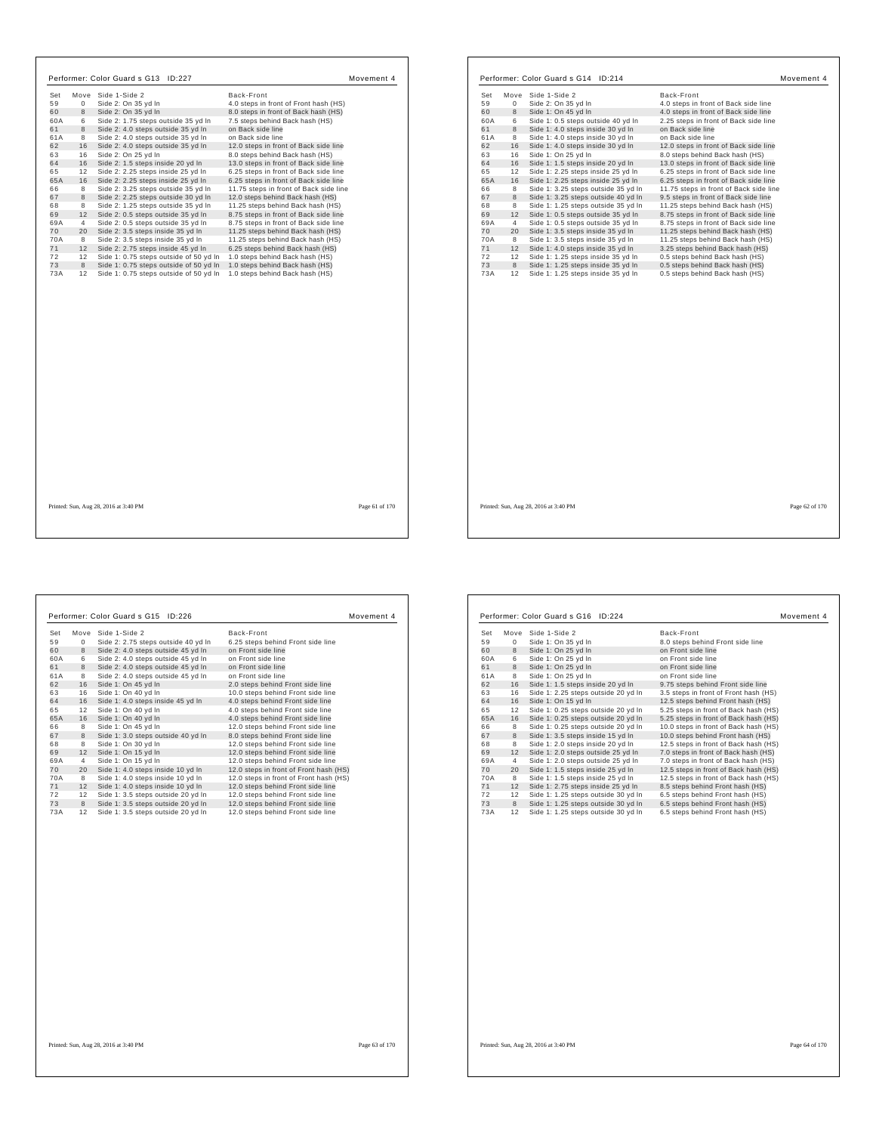|     |      | Performer: Color Guard s G13 ID:227    |                                        | Movement 4 |
|-----|------|----------------------------------------|----------------------------------------|------------|
| Set | Move | Side 1-Side 2                          | Back-Front                             |            |
| 59  | 0    | Side 2: On 35 yd In                    | 4.0 steps in front of Front hash (HS)  |            |
| 60  | 8    | Side 2: On 35 yd In                    | 8.0 steps in front of Back hash (HS)   |            |
| 60A | 6    | Side 2: 1.75 steps outside 35 yd In    | 7.5 steps behind Back hash (HS)        |            |
| 61  | 8    | Side 2: 4.0 steps outside 35 yd In     | on Back side line                      |            |
| 61A | 8    | Side 2: 4.0 steps outside 35 yd In     | on Back side line                      |            |
| 62  | 16   | Side 2: 4.0 steps outside 35 yd In     | 12.0 steps in front of Back side line  |            |
| 63  | 16   | Side 2: On 25 yd In                    | 8.0 steps behind Back hash (HS)        |            |
| 64  | 16   | Side 2: 1.5 steps inside 20 yd In      | 13.0 steps in front of Back side line  |            |
| 65  | 12   | Side 2: 2.25 steps inside 25 yd In     | 6.25 steps in front of Back side line  |            |
| 65A | 16   | Side 2: 2.25 steps inside 25 yd In     | 6.25 steps in front of Back side line  |            |
| 66  | 8    | Side 2: 3.25 steps outside 35 yd In    | 11.75 steps in front of Back side line |            |
| 67  | 8    | Side 2: 2.25 steps outside 30 vd In    | 12.0 steps behind Back hash (HS)       |            |
| 68  | 8    | Side 2: 1.25 steps outside 35 yd In    | 11.25 steps behind Back hash (HS)      |            |
| 69  | 12   | Side 2: 0.5 steps outside 35 yd In     | 8.75 steps in front of Back side line  |            |
| 69A | 4    | Side 2: 0.5 steps outside 35 yd In     | 8.75 steps in front of Back side line  |            |
| 70  | 20   | Side 2: 3.5 steps inside 35 yd In      | 11.25 steps behind Back hash (HS)      |            |
| 70A | 8    | Side 2: 3.5 steps inside 35 yd In      | 11.25 steps behind Back hash (HS)      |            |
| 71  | 12   | Side 2: 2.75 steps inside 45 yd In     | 6.25 steps behind Back hash (HS)       |            |
| 72  | 12   | Side 1: 0.75 steps outside of 50 yd In | 1.0 steps behind Back hash (HS)        |            |
| 73  | 8    | Side 1: 0.75 steps outside of 50 yd In | 1.0 steps behind Back hash (HS)        |            |
| 73A | 12   | Side 1: 0.75 steps outside of 50 yd In | 1.0 steps behind Back hash (HS)        |            |
|     |      |                                        |                                        |            |
|     |      |                                        |                                        |            |
|     |      |                                        |                                        |            |
|     |      |                                        |                                        |            |
|     |      |                                        |                                        |            |
|     |      |                                        |                                        |            |
|     |      |                                        |                                        |            |
|     |      |                                        |                                        |            |
|     |      |                                        |                                        |            |

| Set<br>Move          | Side 1-Side 2                                                            | Back-Front                                                         |  |
|----------------------|--------------------------------------------------------------------------|--------------------------------------------------------------------|--|
| 59<br>0              | Side 2: On 35 yd In                                                      | 4.0 steps in front of Back side line                               |  |
| 60<br>8              | Side 1: On 45 yd In                                                      | 4.0 steps in front of Back side line                               |  |
| 60A<br>6             | Side 1: 0.5 steps outside 40 yd In                                       | 2.25 steps in front of Back side line                              |  |
| 8<br>61              | Side 1: 4.0 steps inside 30 yd In                                        | on Back side line                                                  |  |
| 8<br>61A             | Side 1: 4.0 steps inside 30 yd In                                        | on Back side line                                                  |  |
| 62<br>16             | Side 1: 4.0 steps inside 30 yd In                                        | 12.0 steps in front of Back side line                              |  |
| 16<br>63             | Side 1: On 25 yd In                                                      | 8.0 steps behind Back hash (HS)                                    |  |
| 64<br>16             | Side 1: 1.5 steps inside 20 yd In                                        | 13.0 steps in front of Back side line                              |  |
| 12<br>65             | Side 1: 2.25 steps inside 25 yd In                                       | 6.25 steps in front of Back side line                              |  |
| 65A<br>16            | Side 1: 2.25 steps inside 25 yd In                                       | 6.25 steps in front of Back side line                              |  |
| 8<br>66              | Side 1: 3.25 steps outside 35 yd In                                      | 11.75 steps in front of Back side line                             |  |
| 67<br>8              | Side 1: 3.25 steps outside 40 yd In                                      | 9.5 steps in front of Back side line                               |  |
| 8<br>68              | Side 1: 1.25 steps outside 35 yd In                                      | 11.25 steps behind Back hash (HS)                                  |  |
| 12<br>69             | Side 1: 0.5 steps outside 35 yd In                                       | 8.75 steps in front of Back side line                              |  |
| 69A<br>4             | Side 1: 0.5 steps outside 35 yd In                                       | 8.75 steps in front of Back side line                              |  |
| 70<br>20             | Side 1: 3.5 steps inside 35 yd In                                        | 11.25 steps behind Back hash (HS)                                  |  |
| 70A<br>8             | Side 1: 3.5 steps inside 35 yd In                                        | 11.25 steps behind Back hash (HS)                                  |  |
| 71<br>12             | Side 1: 4.0 steps inside 35 yd In                                        | 3.25 steps behind Back hash (HS)                                   |  |
| 72<br>12             | Side 1: 1.25 steps inside 35 yd In                                       | 0.5 steps behind Back hash (HS)                                    |  |
| 73<br>8<br>12<br>73A | Side 1: 1.25 steps inside 35 yd In<br>Side 1: 1.25 steps inside 35 yd In | 0.5 steps behind Back hash (HS)<br>0.5 steps behind Back hash (HS) |  |
|                      |                                                                          |                                                                    |  |
|                      |                                                                          |                                                                    |  |
|                      |                                                                          |                                                                    |  |

| Set |              | Move Side 1-Side 2                  | Back-Front                             |
|-----|--------------|-------------------------------------|----------------------------------------|
| 59  | $\mathbf{0}$ | Side 2: 2.75 steps outside 40 yd In | 6.25 steps behind Front side line      |
| 60  | 8            | Side 2: 4.0 steps outside 45 yd In  | on Front side line                     |
| 60A | 6            | Side 2: 4.0 steps outside 45 yd In  | on Front side line                     |
| 61  | 8            | Side 2: 4.0 steps outside 45 yd In  | on Front side line                     |
| 61A | 8            | Side 2: 4.0 steps outside 45 vd In  | on Front side line                     |
| 62  | 16           | Side 1: On 45 vd In                 | 2.0 steps behind Front side line       |
| 63  | 16           | Side 1: On 40 yd In                 | 10.0 steps behind Front side line      |
| 64  | 16           | Side 1: 4.0 steps inside 45 yd In   | 4.0 steps behind Front side line       |
| 65  | 12           | Side 1: On 40 yd In                 | 4.0 steps behind Front side line       |
| 65A | 16           | Side 1: On 40 yd In                 | 4.0 steps behind Front side line       |
| 66  | 8            | Side 1: On 45 yd In                 | 12.0 steps behind Front side line      |
| 67  | 8            | Side 1: 3.0 steps outside 40 yd In  | 8.0 steps behind Front side line       |
| 68  | 8            | Side 1: On 30 vd In                 | 12.0 steps behind Front side line      |
| 69  | 12           | Side 1: On 15 yd In                 | 12.0 steps behind Front side line      |
| 69A | 4            | Side 1: On 15 yd In                 | 12.0 steps behind Front side line      |
| 70  | 20           | Side 1: 4.0 steps inside 10 yd In   | 12.0 steps in front of Front hash (HS) |
| 70A | 8            | Side 1: 4.0 steps inside 10 yd In   | 12.0 steps in front of Front hash (HS) |
| 71  | 12           | Side 1: 4.0 steps inside 10 yd In   | 12.0 steps behind Front side line      |
| 72  | 12           | Side 1: 3.5 steps outside 20 yd In  | 12.0 steps behind Front side line      |
| 73  | 8            | Side 1: 3.5 steps outside 20 yd In  | 12.0 steps behind Front side line      |
| 73A | 12           | Side 1: 3.5 steps outside 20 yd In  | 12.0 steps behind Front side line      |

| Set | Move       | Side 1-Side 2                       | Back-Front                            |
|-----|------------|-------------------------------------|---------------------------------------|
| 59  | $^{\circ}$ | Side 1: On 35 yd In                 | 8.0 steps behind Front side line      |
| 60  | 8          | Side 1: On 25 yd In                 | on Front side line                    |
| 60A | 6          | Side 1: On 25 vd In                 | on Front side line                    |
| 61  | 8          | Side 1: On 25 vd In                 | on Front side line                    |
| 61A | 8          | Side 1: On 25 yd In                 | on Front side line                    |
| 62  | 16         | Side 1: 1.5 steps inside 20 yd In   | 9.75 steps behind Front side line     |
| 63  | 16         | Side 1: 2.25 steps outside 20 yd In | 3.5 steps in front of Front hash (HS) |
| 64  | 16         | Side 1: On 15 yd In                 | 12.5 steps behind Front hash (HS)     |
| 65  | 12         | Side 1: 0.25 steps outside 20 yd In | 5.25 steps in front of Back hash (HS) |
| 65A | 16         | Side 1: 0.25 steps outside 20 yd In | 5.25 steps in front of Back hash (HS) |
| 66  | 8          | Side 1: 0.25 steps outside 20 yd In | 10.0 steps in front of Back hash (HS) |
| 67  | 8          | Side 1: 3.5 steps inside 15 yd In   | 10.0 steps behind Front hash (HS)     |
| 68  | 8          | Side 1: 2.0 steps inside 20 yd In   | 12.5 steps in front of Back hash (HS) |
| 69  | 12         | Side 1: 2.0 steps outside 25 yd In  | 7.0 steps in front of Back hash (HS)  |
| 69A | 4          | Side 1: 2.0 steps outside 25 yd In  | 7.0 steps in front of Back hash (HS)  |
| 70  | 20         | Side 1: 1.5 steps inside 25 yd In   | 12.5 steps in front of Back hash (HS) |
| 70A | 8          | Side 1: 1.5 steps inside 25 yd In   | 12.5 steps in front of Back hash (HS) |
| 71  | 12         | Side 1: 2.75 steps inside 25 yd In  | 8.5 steps behind Front hash (HS)      |
| 72  | 12         | Side 1: 1.25 steps outside 30 yd In | 6.5 steps behind Front hash (HS)      |
| 73  | 8          | Side 1: 1.25 steps outside 30 yd In | 6.5 steps behind Front hash (HS)      |
| 73A | 12         | Side 1: 1.25 steps outside 30 yd In | 6.5 steps behind Front hash (HS)      |

 $\sqrt{ }$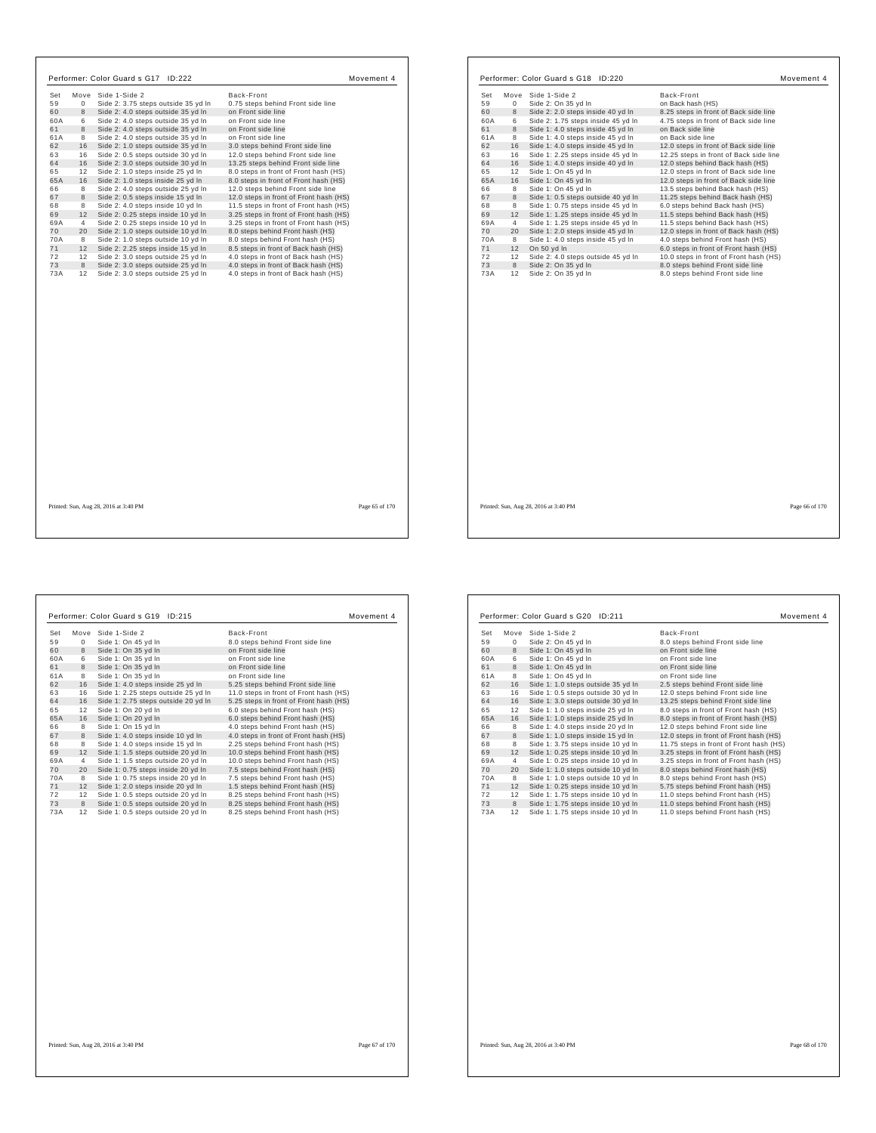| Set       |                |                                                                          |                                          |
|-----------|----------------|--------------------------------------------------------------------------|------------------------------------------|
|           | Move           | Side 1-Side 2                                                            | Back-Front                               |
| 59        | $\Omega$<br>8  | Side 2: 3.75 steps outside 35 yd In                                      | 0.75 steps behind Front side line        |
| 60        |                | Side 2: 4.0 steps outside 35 yd In                                       | on Front side line<br>on Front side line |
| 60A<br>61 | 6<br>8         | Side 2: 4.0 steps outside 35 yd In<br>Side 2: 4.0 steps outside 35 yd In | on Front side line                       |
| 61A       | 8              | Side 2: 4.0 steps outside 35 yd In                                       | on Front side line                       |
| 62        | 16             | Side 2: 1.0 steps outside 35 yd In                                       | 3.0 steps behind Front side line         |
| 63        | 16             | Side 2: 0.5 steps outside 30 yd In                                       | 12.0 steps behind Front side line        |
| 64        | 16             | Side 2: 3.0 steps outside 30 yd In                                       | 13.25 steps behind Front side line       |
| 65        | 12             | Side 2: 1.0 steps inside 25 yd In                                        | 8.0 steps in front of Front hash (HS)    |
| 65A       | 16             | Side 2: 1.0 steps inside 25 yd In                                        | 8.0 steps in front of Front hash (HS)    |
| 66        | 8              | Side 2: 4.0 steps outside 25 yd In                                       | 12.0 steps behind Front side line        |
| 67        | 8              | Side 2: 0.5 steps inside 15 yd In                                        | 12.0 steps in front of Front hash (HS)   |
| 68        | 8              | Side 2: 4.0 steps inside 10 yd In                                        | 11.5 steps in front of Front hash (HS)   |
| 69        | 12             | Side 2: 0.25 steps inside 10 yd In                                       | 3.25 steps in front of Front hash (HS)   |
| 69A       | $\overline{4}$ | Side 2: 0.25 steps inside 10 yd In                                       | 3.25 steps in front of Front hash (HS)   |
| 70        | 20             | Side 2: 1.0 steps outside 10 yd In                                       | 8.0 steps behind Front hash (HS)         |
| 70A       | 8              | Side 2: 1.0 steps outside 10 yd In                                       | 8.0 steps behind Front hash (HS)         |
| 71        | 12             | Side 2: 2.25 steps inside 15 yd In                                       | 8.5 steps in front of Back hash (HS)     |
| 72        | 12             | Side 2: 3.0 steps outside 25 vd In                                       | 4.0 steps in front of Back hash (HS)     |
| 73        | 8              | Side 2: 3.0 steps outside 25 yd In                                       | 4.0 steps in front of Back hash (HS)     |
| 73A       | 12             | Side 2: 3.0 steps outside 25 yd In                                       | 4.0 steps in front of Back hash (HS)     |
|           |                |                                                                          |                                          |
|           |                |                                                                          |                                          |
|           |                |                                                                          |                                          |
|           |                |                                                                          |                                          |
|           |                |                                                                          |                                          |
|           |                |                                                                          |                                          |
|           |                |                                                                          |                                          |

| Set      | Move           | Side 1-Side 2                                     | Back-Front                                                                      |
|----------|----------------|---------------------------------------------------|---------------------------------------------------------------------------------|
| 59       | 0              | Side 2: On 35 yd In                               | on Back hash (HS)                                                               |
| 60       | 8              | Side 2: 2.0 steps inside 40 yd In                 | 8.25 steps in front of Back side line                                           |
| 60A      | 6              | Side 2: 1.75 steps inside 45 yd In                | 4.75 steps in front of Back side line                                           |
| 61       | 8              | Side 1: 4.0 steps inside 45 vd In                 | on Back side line                                                               |
| 61A      | 8              | Side 1: 4.0 steps inside 45 yd In                 | on Back side line                                                               |
| 62       | 16             | Side 1: 4.0 steps inside 45 yd In                 | 12.0 steps in front of Back side line                                           |
| 63       | 16             | Side 1: 2.25 steps inside 45 yd In                | 12.25 steps in front of Back side line                                          |
| 64       | 16             | Side 1: 4.0 steps inside 40 yd In                 | 12.0 steps behind Back hash (HS)                                                |
| 65       | 12             | Side 1: On 45 yd In                               | 12.0 steps in front of Back side line                                           |
| 65A      | 16             | Side 1: On 45 yd In                               | 12.0 steps in front of Back side line                                           |
| 66       | 8              | Side 1: On 45 yd In                               | 13.5 steps behind Back hash (HS)                                                |
| 67       | 8              | Side 1: 0.5 steps outside 40 yd In                | 11.25 steps behind Back hash (HS)                                               |
| 68       | 8              | Side 1: 0.75 steps inside 45 yd In                | 6.0 steps behind Back hash (HS)                                                 |
| 69       | 12             | Side 1: 1.25 steps inside 45 yd In                | 11.5 steps behind Back hash (HS)                                                |
| 69A      | $\overline{4}$ | Side 1: 1.25 steps inside 45 yd In                | 11.5 steps behind Back hash (HS)                                                |
| 70       | 20             | Side 1: 2.0 steps inside 45 yd In                 | 12.0 steps in front of Back hash (HS)                                           |
| 70A      | 8              | Side 1: 4.0 steps inside 45 yd In                 | 4.0 steps behind Front hash (HS)                                                |
| 71<br>72 | 12<br>12       | On 50 vd In<br>Side 2: 4.0 steps outside 45 yd In | 6.0 steps in front of Front hash (HS)<br>10.0 steps in front of Front hash (HS) |
| 73       | 8              | Side 2: On 35 yd In                               | 8.0 steps behind Front side line                                                |
| 73A      | 12             | Side 2: On 35 yd In                               | 8.0 steps behind Front side line                                                |
|          |                |                                                   |                                                                                 |
|          |                |                                                   |                                                                                 |
|          |                |                                                   |                                                                                 |
|          |                |                                                   |                                                                                 |
|          |                |                                                   |                                                                                 |
|          |                |                                                   |                                                                                 |

Printed: Sun, Aug 28, 2016 at 3:40 PM Page 66 of 170

 $\sqrt{ }$ 

 $\mathbf{I}$ 

| Set | Move        | Side 1-Side 2                       | Back-Front                             |
|-----|-------------|-------------------------------------|----------------------------------------|
| 59  | $\mathbf 0$ | Side 1: On 45 yd In                 | 8.0 steps behind Front side line       |
| 60  | 8           | Side 1: On 35 yd In                 | on Front side line                     |
| 60A | 6           | Side 1: On 35 yd In                 | on Front side line                     |
| 61  | 8           | Side 1: On 35 yd In                 | on Front side line                     |
| 61A | 8           | Side 1: On 35 yd In                 | on Front side line                     |
| 62  | 16          | Side 1: 4.0 steps inside 25 yd In   | 5.25 steps behind Front side line      |
| 63  | 16          | Side 1: 2.25 steps outside 25 yd In | 11.0 steps in front of Front hash (HS) |
| 64  | 16          | Side 1: 2.75 steps outside 20 yd In | 5.25 steps in front of Front hash (HS) |
| 65  | 12          | Side 1: On 20 yd In                 | 6.0 steps behind Front hash (HS)       |
| 65A | 16          | Side 1: On 20 yd In                 | 6.0 steps behind Front hash (HS)       |
| 66  | 8           | Side 1: On 15 yd In                 | 4.0 steps behind Front hash (HS)       |
| 67  | 8           | Side 1: 4.0 steps inside 10 yd In   | 4.0 steps in front of Front hash (HS)  |
| 68  | 8           | Side 1: 4.0 steps inside 15 yd In   | 2.25 steps behind Front hash (HS)      |
| 69  | 12          | Side 1: 1.5 steps outside 20 yd In  | 10.0 steps behind Front hash (HS)      |
| 69A | 4           | Side 1: 1.5 steps outside 20 yd In  | 10.0 steps behind Front hash (HS)      |
| 70  | 20          | Side 1: 0.75 steps inside 20 yd In  | 7.5 steps behind Front hash (HS)       |
| 70A | 8           | Side 1: 0.75 steps inside 20 yd In  | 7.5 steps behind Front hash (HS)       |
| 71  | 12          | Side 1: 2.0 steps inside 20 yd In   | 1.5 steps behind Front hash (HS)       |
| 72  | 12          | Side 1: 0.5 steps outside 20 yd In  | 8.25 steps behind Front hash (HS)      |
| 73  | 8           | Side 1: 0.5 steps outside 20 yd In  | 8.25 steps behind Front hash (HS)      |
| 73A | 12          | Side 1: 0.5 steps outside 20 yd In  | 8.25 steps behind Front hash (HS)      |
|     |             |                                     |                                        |

| Set | Move           | Side 1-Side 2                      | Back-Front                              |
|-----|----------------|------------------------------------|-----------------------------------------|
| 59  | $^{\circ}$     | Side 2: On 45 yd In                | 8.0 steps behind Front side line        |
| 60  | 8              | Side 1: On 45 yd In                | on Front side line                      |
| 60A | 6              | Side 1: On 45 yd In                | on Front side line                      |
| 61  | 8              | Side 1: On 45 yd In                | on Front side line                      |
| 61A | 8              | Side 1: On 45 vd In                | on Front side line                      |
| 62  | 16             | Side 1: 1.0 steps outside 35 yd In | 2.5 steps behind Front side line        |
| 63  | 16             | Side 1: 0.5 steps outside 30 yd In | 12.0 steps behind Front side line       |
| 64  | 16             | Side 1: 3.0 steps outside 30 yd In | 13.25 steps behind Front side line      |
| 65  | 12             | Side 1: 1.0 steps inside 25 yd In  | 8.0 steps in front of Front hash (HS)   |
| 65A | 16             | Side 1: 1.0 steps inside 25 yd In  | 8.0 steps in front of Front hash (HS)   |
| 66  | 8              | Side 1: 4.0 steps inside 20 yd In  | 12.0 steps behind Front side line       |
| 67  | 8              | Side 1: 1.0 steps inside 15 yd In  | 12.0 steps in front of Front hash (HS)  |
| 68  | 8              | Side 1: 3.75 steps inside 10 yd In | 11.75 steps in front of Front hash (HS) |
| 69  | 12             | Side 1: 0.25 steps inside 10 yd In | 3.25 steps in front of Front hash (HS)  |
| 69A | $\overline{4}$ | Side 1: 0.25 steps inside 10 yd In | 3.25 steps in front of Front hash (HS)  |
| 70  | 20             | Side 1: 1.0 steps outside 10 yd In | 8.0 steps behind Front hash (HS)        |
| 70A | 8              | Side 1: 1.0 steps outside 10 yd In | 8.0 steps behind Front hash (HS)        |
| 71  | 12             | Side 1: 0.25 steps inside 10 yd In | 5.75 steps behind Front hash (HS)       |
| 72  | 12             | Side 1: 1.75 steps inside 10 yd In | 11.0 steps behind Front hash (HS)       |
| 73  | 8              | Side 1: 1.75 steps inside 10 yd In | 11.0 steps behind Front hash (HS)       |
| 73A | 12             | Side 1: 1.75 steps inside 10 yd In | 11.0 steps behind Front hash (HS)       |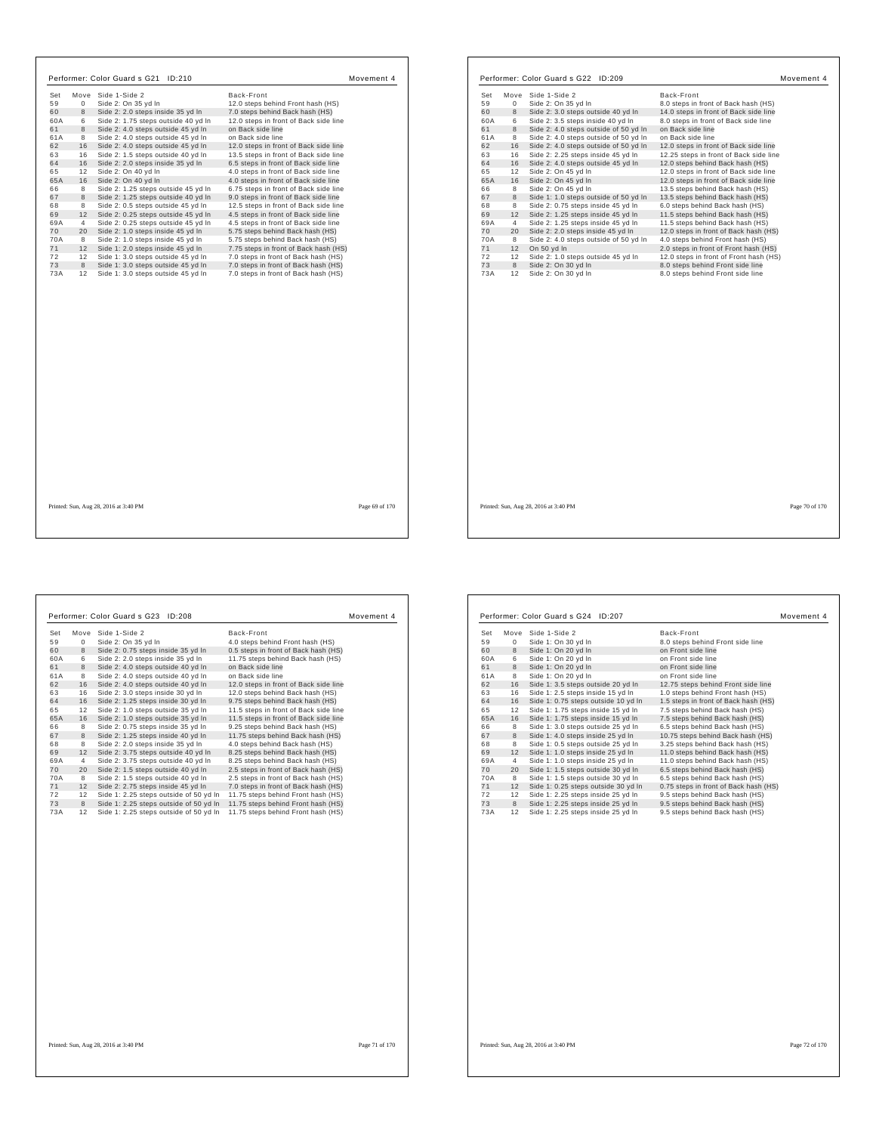|           |                | Performer: Color Guard s G21 ID:210                                         |                                                                              | Movement 4     |            |                | Performer: Color Guard s G22 ID:209        |                                                                      | Movement 4     |
|-----------|----------------|-----------------------------------------------------------------------------|------------------------------------------------------------------------------|----------------|------------|----------------|--------------------------------------------|----------------------------------------------------------------------|----------------|
| Set       |                | Move Side 1-Side 2                                                          | Back-Front                                                                   |                | Set        |                | Move Side 1-Side 2                         | Back-Front                                                           |                |
| 59        | $\mathbf{0}$   | Side 2: On 35 yd In                                                         | 12.0 steps behind Front hash (HS)                                            |                | 59         | $\mathbf 0$    | Side 2: On 35 yd In                        | 8.0 steps in front of Back hash (HS)                                 |                |
| 60        | 8              | Side 2: 2.0 steps inside 35 yd In                                           | 7.0 steps behind Back hash (HS)                                              |                | 60         | 8              | Side 2: 3.0 steps outside 40 yd In         | 14.0 steps in front of Back side line                                |                |
| 60A       | 6              | Side 2: 1.75 steps outside 40 yd In                                         | 12.0 steps in front of Back side line                                        |                | 60A        | 6              | Side 2: 3.5 steps inside 40 yd In          | 8.0 steps in front of Back side line                                 |                |
| 61        | 8              | Side 2: 4.0 steps outside 45 yd In                                          | on Back side line                                                            |                | 61         | 8              | Side 2: 4.0 steps outside of 50 yd In      | on Back side line                                                    |                |
| 61A       | 8              | Side 2: 4.0 steps outside 45 yd In                                          | on Back side line                                                            |                | 61A        | 8              | Side 2: 4.0 steps outside of 50 yd In      | on Back side line                                                    |                |
| 62        | 16             | Side 2: 4.0 steps outside 45 yd In                                          | 12.0 steps in front of Back side line                                        |                | 62         | 16             | Side 2: 4.0 steps outside of 50 yd In      | 12.0 steps in front of Back side line                                |                |
| 63        |                | 16 Side 2: 1.5 steps outside 40 yd In                                       | 13.5 steps in front of Back side line                                        |                | 63         | 16             | Side 2: 2.25 steps inside 45 yd In         | 12.25 steps in front of Back side line                               |                |
| 64        |                | 16 Side 2: 2.0 steps inside 35 yd In                                        | 6.5 steps in front of Back side line                                         |                | 64         | 16             | Side 2: 4.0 steps outside 45 yd In         | 12.0 steps behind Back hash (HS)                                     |                |
| 65        |                | 12 Side 2: On 40 yd In                                                      | 4.0 steps in front of Back side line                                         |                | 65         | 12             | Side 2: On 45 yd In                        | 12.0 steps in front of Back side line                                |                |
| 65A       | 16             | Side 2: On 40 yd In                                                         | 4.0 steps in front of Back side line                                         |                | 65A        | 16             | Side 2: On 45 yd In                        | 12.0 steps in front of Back side line                                |                |
| 66        | 8              | Side 2: 1.25 steps outside 45 yd In                                         | 6.75 steps in front of Back side line                                        |                | 66         | 8              | Side 2: On 45 yd In                        | 13.5 steps behind Back hash (HS)                                     |                |
| 67        | 8              | Side 2: 1.25 steps outside 40 yd In                                         | 9.0 steps in front of Back side line                                         |                | 67         | $\mathbf{8}$   | Side 1: 1.0 steps outside of 50 yd In      | 13.5 steps behind Back hash (HS)                                     |                |
| 68        | 8              | Side 2: 0.5 steps outside 45 yd In                                          | 12.5 steps in front of Back side line                                        |                | 68         | 8              | Side 2: 0.75 steps inside 45 yd In         | 6.0 steps behind Back hash (HS)                                      |                |
| 69        |                | 12 Side 2: 0.25 steps outside 45 yd In                                      | 4.5 steps in front of Back side line                                         |                | 69         | 12             | Side 2: 1.25 steps inside 45 yd In         | 11.5 steps behind Back hash (HS)                                     |                |
| 69A       | $\overline{4}$ | Side 2: 0.25 steps outside 45 yd In                                         | 4.5 steps in front of Back side line                                         |                | 69A        | $\overline{4}$ | Side 2: 1.25 steps inside 45 yd In         | 11.5 steps behind Back hash (HS)                                     |                |
| 70        |                | 20 Side 2: 1.0 steps inside 45 yd In                                        | 5.75 steps behind Back hash (HS)                                             |                | 70         | 20             | Side 2: 2.0 steps inside 45 yd In          | 12.0 steps in front of Back hash (HS)                                |                |
| 70A       | 8              | Side 2: 1.0 steps inside 45 yd In                                           | 5.75 steps behind Back hash (HS)                                             |                | <b>70A</b> | 8              | Side 2: 4.0 steps outside of 50 yd In      | 4.0 steps behind Front hash (HS)                                     |                |
| 71        | 12             | Side 1: 2.0 steps inside 45 yd In                                           | 7.75 steps in front of Back hash (HS)                                        |                | 71         | 12             | On 50 yd In                                | 2.0 steps in front of Front hash (HS)                                |                |
| 72        |                | 12 Side 1: 3.0 steps outside 45 yd In                                       | 7.0 steps in front of Back hash (HS)                                         |                | 72         | 12             | Side 2: 1.0 steps outside 45 yd In         | 12.0 steps in front of Front hash (HS)                               |                |
| 73<br>73A | 8              | Side 1: 3.0 steps outside 45 yd In<br>12 Side 1: 3.0 steps outside 45 yd In | 7.0 steps in front of Back hash (HS)<br>7.0 steps in front of Back hash (HS) |                | 73<br>73A  | 8<br>12        | Side 2: On 30 yd In<br>Side 2: On 30 yd In | 8.0 steps behind Front side line<br>8.0 steps behind Front side line |                |
|           |                |                                                                             |                                                                              |                |            |                |                                            |                                                                      |                |
|           |                | Printed: Sun, Aug 28, 2016 at 3:40 PM                                       |                                                                              | Page 69 of 170 |            |                | Printed: Sun, Aug 28, 2016 at 3:40 PM      |                                                                      | Page 70 of 170 |

| 59        | Move           | Side 1-Side 2                              | Back-Front                                                           |
|-----------|----------------|--------------------------------------------|----------------------------------------------------------------------|
|           | 0              | Side 2: On 35 yd In                        | 8.0 steps in front of Back hash (HS)                                 |
| 60        | 8              | Side 2: 3.0 steps outside 40 yd In         | 14.0 steps in front of Back side line                                |
| 60A       | 6              | Side 2: 3.5 steps inside 40 yd In          | 8.0 steps in front of Back side line                                 |
| 61        | 8              | Side 2: 4.0 steps outside of 50 yd In      | on Back side line                                                    |
| 61A       | 8              | Side 2: 4.0 steps outside of 50 yd In      | on Back side line                                                    |
| 62        | 16             | Side 2: 4.0 steps outside of 50 yd In      | 12.0 steps in front of Back side line                                |
| 63        | 16             | Side 2: 2.25 steps inside 45 yd In         | 12.25 steps in front of Back side line                               |
| 64        | 16             | Side 2: 4.0 steps outside 45 yd In         | 12.0 steps behind Back hash (HS)                                     |
| 65        | 12             | Side 2: On 45 yd In                        | 12.0 steps in front of Back side line                                |
| 65A       | 16             | Side 2: On 45 yd In                        | 12.0 steps in front of Back side line                                |
| 66        | 8              | Side 2: On 45 yd In                        | 13.5 steps behind Back hash (HS)                                     |
| 67        | 8              | Side 1: 1.0 steps outside of 50 yd In      | 13.5 steps behind Back hash (HS)                                     |
| 68        | 8              | Side 2: 0.75 steps inside 45 yd In         | 6.0 steps behind Back hash (HS)                                      |
| 69        | 12             | Side 2: 1.25 steps inside 45 yd In         | 11.5 steps behind Back hash (HS)                                     |
| 69A       | $\overline{4}$ | Side 2: 1.25 steps inside 45 yd In         | 11.5 steps behind Back hash (HS)                                     |
| 70        | 20             | Side 2: 2.0 steps inside 45 yd In          | 12.0 steps in front of Back hash (HS)                                |
| 70A       | 8              | Side 2: 4.0 steps outside of 50 yd In      | 4.0 steps behind Front hash (HS)                                     |
| 71        | 12             | On 50 yd In                                | 2.0 steps in front of Front hash (HS)                                |
| 72        | 12             | Side 2: 1.0 steps outside 45 yd In         | 12.0 steps in front of Front hash (HS)                               |
| 73<br>73A | 8<br>12        | Side 2: On 30 yd In<br>Side 2: On 30 yd In | 8.0 steps behind Front side line<br>8.0 steps behind Front side line |
|           |                |                                            |                                                                      |
|           |                |                                            |                                                                      |
|           |                |                                            |                                                                      |
|           |                |                                            |                                                                      |
|           |                |                                            |                                                                      |
|           |                |                                            |                                                                      |
|           |                |                                            |                                                                      |
|           |                |                                            |                                                                      |
|           |                |                                            |                                                                      |

|     |                | Performer: Color Guard s G23 ID:208    |                                       | Movement 4 |
|-----|----------------|----------------------------------------|---------------------------------------|------------|
| Set | Move           | Side 1-Side 2                          | Back-Front                            |            |
| 59  | 0              | Side 2: On 35 yd In                    | 4.0 steps behind Front hash (HS)      |            |
| 60  | 8              | Side 2: 0.75 steps inside 35 yd In     | 0.5 steps in front of Back hash (HS)  |            |
| 60A | 6              | Side 2: 2.0 steps inside 35 yd In      | 11.75 steps behind Back hash (HS)     |            |
| 61  | 8              | Side 2: 4.0 steps outside 40 yd In     | on Back side line                     |            |
| 61A | 8              | Side 2: 4.0 steps outside 40 yd In     | on Back side line                     |            |
| 62  | 16             | Side 2: 4.0 steps outside 40 yd In     | 12.0 steps in front of Back side line |            |
| 63  | 16             | Side 2: 3.0 steps inside 30 yd In      | 12.0 steps behind Back hash (HS)      |            |
| 64  | 16             | Side 2: 1.25 steps inside 30 yd In     | 9.75 steps behind Back hash (HS)      |            |
| 65  | 12             | Side 2: 1.0 steps outside 35 yd In     | 11.5 steps in front of Back side line |            |
| 65A | 16             | Side 2: 1.0 steps outside 35 yd In     | 11.5 steps in front of Back side line |            |
| 66  | 8              | Side 2: 0.75 steps inside 35 yd In     | 9.25 steps behind Back hash (HS)      |            |
| 67  | 8              | Side 2: 1.25 steps inside 40 yd In     | 11.75 steps behind Back hash (HS)     |            |
| 68  | 8              | Side 2: 2.0 steps inside 35 yd In      | 4.0 steps behind Back hash (HS)       |            |
| 69  | 12             | Side 2: 3.75 steps outside 40 yd In    | 8.25 steps behind Back hash (HS)      |            |
| 69A | $\overline{4}$ | Side 2: 3.75 steps outside 40 yd In    | 8.25 steps behind Back hash (HS)      |            |
| 70  | 20             | Side 2: 1.5 steps outside 40 yd In     | 2.5 steps in front of Back hash (HS)  |            |
| 70A | 8              | Side 2: 1.5 steps outside 40 yd In     | 2.5 steps in front of Back hash (HS)  |            |
| 71  | 12             | Side 2: 2.75 steps inside 45 yd In     | 7.0 steps in front of Back hash (HS)  |            |
| 72  | 12             | Side 1: 2.25 steps outside of 50 yd In | 11.75 steps behind Front hash (HS)    |            |
| 73  | 8              | Side 1: 2.25 steps outside of 50 yd In | 11.75 steps behind Front hash (HS)    |            |
| 73A | 12             | Side 1: 2.25 steps outside of 50 yd In | 11.75 steps behind Front hash (HS)    |            |

|     |      | Performer: Color Guard s G24 ID:207 |                                       | Movement 4 |
|-----|------|-------------------------------------|---------------------------------------|------------|
| Set | Move | Side 1-Side 2                       | Back-Front                            |            |
| 59  | 0    | Side 1: On 30 yd In                 | 8.0 steps behind Front side line      |            |
| 60  | 8    | Side 1: On 20 yd In                 | on Front side line                    |            |
| 60A | 6    | Side 1: On 20 yd In                 | on Front side line                    |            |
| 61  | 8    | Side 1: On 20 yd In                 | on Front side line                    |            |
| 61A | 8    | Side 1: On 20 yd In                 | on Front side line                    |            |
| 62  | 16   | Side 1: 3.5 steps outside 20 yd In  | 12.75 steps behind Front side line    |            |
| 63  | 16   | Side 1: 2.5 steps inside 15 yd In   | 1.0 steps behind Front hash (HS)      |            |
| 64  | 16   | Side 1: 0.75 steps outside 10 yd In | 1.5 steps in front of Back hash (HS)  |            |
| 65  | 12   | Side 1: 1.75 steps inside 15 yd In  | 7.5 steps behind Back hash (HS)       |            |
| 65A | 16   | Side 1: 1.75 steps inside 15 yd In  | 7.5 steps behind Back hash (HS)       |            |
| 66  | 8    | Side 1: 3.0 steps outside 25 yd In  | 6.5 steps behind Back hash (HS)       |            |
| 67  | 8    | Side 1: 4.0 steps inside 25 yd In   | 10.75 steps behind Back hash (HS)     |            |
| 68  | 8    | Side 1: 0.5 steps outside 25 yd In  | 3.25 steps behind Back hash (HS)      |            |
| 69  | 12   | Side 1: 1.0 steps inside 25 yd In   | 11.0 steps behind Back hash (HS)      |            |
| 69A | 4    | Side 1: 1.0 steps inside 25 yd In   | 11.0 steps behind Back hash (HS)      |            |
| 70  | 20   | Side 1: 1.5 steps outside 30 yd In  | 6.5 steps behind Back hash (HS)       |            |
| 70A | 8    | Side 1: 1.5 steps outside 30 yd In  | 6.5 steps behind Back hash (HS)       |            |
| 71  | 12   | Side 1: 0.25 steps outside 30 yd In | 0.75 steps in front of Back hash (HS) |            |
| 72  | 12   | Side 1: 2.25 steps inside 25 yd In  | 9.5 steps behind Back hash (HS)       |            |
| 73  | 8    | Side 1: 2.25 steps inside 25 yd In  | 9.5 steps behind Back hash (HS)       |            |
| 73A | 12   | Side 1: 2.25 steps inside 25 yd In  | 9.5 steps behind Back hash (HS)       |            |

Printed: Sun, Aug 28, 2016 at 3:40 PM Page 72 of 170

 $\overline{\phantom{a}}$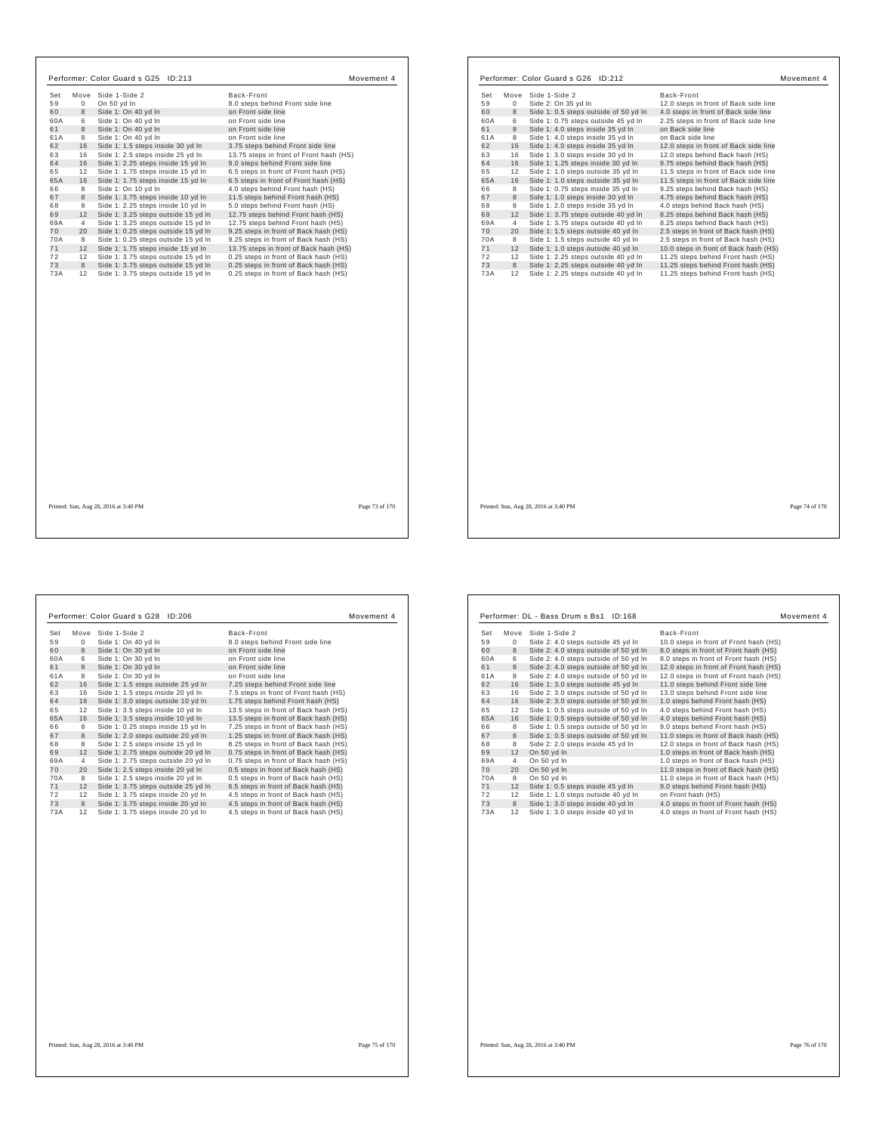| Set<br>59 | $\mathbf 0$    | Move Side 1-Side 2<br>On 50 yd In                                          | Back-Front<br>8.0 steps behind Front side line                                 |                |
|-----------|----------------|----------------------------------------------------------------------------|--------------------------------------------------------------------------------|----------------|
| 60        | 8              |                                                                            | on Front side line                                                             |                |
| 60A       | 6              | Side 1: On 40 yd In<br>Side 1: On 40 yd In                                 | on Front side line                                                             |                |
| 61        | 8              | Side 1: On 40 vd In                                                        | on Front side line                                                             |                |
| 61A       | 8              |                                                                            | on Front side line                                                             |                |
| 62        | 16             | Side 1: On 40 yd In<br>Side 1: 1.5 steps inside 30 yd In                   | 3.75 steps behind Front side line                                              |                |
| 63        |                |                                                                            |                                                                                |                |
| 64        | 16<br>16       | Side 1: 2.5 steps inside 25 yd In                                          | 13.75 steps in front of Front hash (HS)                                        |                |
|           | 12             | Side 1: 2.25 steps inside 15 yd In                                         | 9.0 steps behind Front side line                                               |                |
| 65<br>65A | 16             | Side 1: 1.75 steps inside 15 yd In<br>Side 1: 1.75 steps inside 15 yd In   | 6.5 steps in front of Front hash (HS)<br>6.5 steps in front of Front hash (HS) |                |
|           | 8              |                                                                            |                                                                                |                |
| 66        | 8              | Side 1: On 10 yd In                                                        | 4.0 steps behind Front hash (HS)                                               |                |
| 67<br>68  | 8              | Side 1: 3.75 steps inside 10 yd In                                         | 11.5 steps behind Front hash (HS)                                              |                |
| 69        | 12             | Side 1: 2.25 steps inside 10 yd In                                         | 5.0 steps behind Front hash (HS)                                               |                |
| 69A       | $\overline{4}$ | Side 1: 3.25 steps outside 15 yd In<br>Side 1: 3.25 steps outside 15 yd In | 12.75 steps behind Front hash (HS)<br>12.75 steps behind Front hash (HS)       |                |
|           | 20             |                                                                            |                                                                                |                |
| 70<br>70A | 8              | Side 1: 0.25 steps outside 15 yd In                                        | 9.25 steps in front of Back hash (HS)                                          |                |
| 71        | 12             | Side 1: 0.25 steps outside 15 yd In<br>Side 1: 1.75 steps inside 15 yd In  | 9.25 steps in front of Back hash (HS)                                          |                |
| 72        | 12             | Side 1: 3.75 steps outside 15 yd In                                        | 13.75 steps in front of Back hash (HS)                                         |                |
| 73        | 8              | Side 1: 3.75 steps outside 15 yd In                                        | 0.25 steps in front of Back hash (HS)<br>0.25 steps in front of Back hash (HS) |                |
| 73A       | 12             | Side 1: 3.75 steps outside 15 yd In                                        | 0.25 steps in front of Back hash (HS)                                          |                |
|           |                |                                                                            |                                                                                |                |
|           |                | Printed: Sun, Aug 28, 2016 at 3:40 PM                                      |                                                                                | Page 73 of 170 |

г

| Set<br>Move<br>59<br>0<br>8<br>60<br>60A<br>6<br>8<br>61<br>61A<br>8<br>62<br>16<br>63<br>16<br>16<br>64<br>12<br>65<br>65A<br>16 | Side 1-Side 2<br>Side 2: On 35 yd In<br>Side 1: 0.5 steps outside of 50 yd In<br>Side 1: 0.75 steps outside 45 yd In<br>Side 1: 4.0 steps inside 35 yd In<br>Side 1: 4.0 steps inside 35 yd In<br>Side 1: 4.0 steps inside 35 yd In<br>Side 1: 3.0 steps inside 30 yd In<br>Side 1: 1.25 steps inside 30 yd In<br>Side 1: 1.0 steps outside 35 yd In | Back-Front<br>12.0 steps in front of Back side line<br>4.0 steps in front of Back side line<br>2.25 steps in front of Back side line<br>on Back side line<br>on Back side line<br>12.0 steps in front of Back side line<br>12.0 steps behind Back hash (HS)<br>9.75 steps behind Back hash (HS) |  |
|-----------------------------------------------------------------------------------------------------------------------------------|------------------------------------------------------------------------------------------------------------------------------------------------------------------------------------------------------------------------------------------------------------------------------------------------------------------------------------------------------|-------------------------------------------------------------------------------------------------------------------------------------------------------------------------------------------------------------------------------------------------------------------------------------------------|--|
|                                                                                                                                   |                                                                                                                                                                                                                                                                                                                                                      |                                                                                                                                                                                                                                                                                                 |  |
|                                                                                                                                   |                                                                                                                                                                                                                                                                                                                                                      |                                                                                                                                                                                                                                                                                                 |  |
|                                                                                                                                   |                                                                                                                                                                                                                                                                                                                                                      |                                                                                                                                                                                                                                                                                                 |  |
|                                                                                                                                   |                                                                                                                                                                                                                                                                                                                                                      |                                                                                                                                                                                                                                                                                                 |  |
|                                                                                                                                   |                                                                                                                                                                                                                                                                                                                                                      |                                                                                                                                                                                                                                                                                                 |  |
|                                                                                                                                   |                                                                                                                                                                                                                                                                                                                                                      |                                                                                                                                                                                                                                                                                                 |  |
|                                                                                                                                   |                                                                                                                                                                                                                                                                                                                                                      |                                                                                                                                                                                                                                                                                                 |  |
|                                                                                                                                   |                                                                                                                                                                                                                                                                                                                                                      |                                                                                                                                                                                                                                                                                                 |  |
|                                                                                                                                   |                                                                                                                                                                                                                                                                                                                                                      |                                                                                                                                                                                                                                                                                                 |  |
|                                                                                                                                   |                                                                                                                                                                                                                                                                                                                                                      | 11.5 steps in front of Back side line                                                                                                                                                                                                                                                           |  |
|                                                                                                                                   | Side 1: 1.0 steps outside 35 yd In                                                                                                                                                                                                                                                                                                                   | 11.5 steps in front of Back side line                                                                                                                                                                                                                                                           |  |
| 8<br>66                                                                                                                           | Side 1: 0.75 steps inside 35 yd In                                                                                                                                                                                                                                                                                                                   | 9.25 steps behind Back hash (HS)                                                                                                                                                                                                                                                                |  |
| 8<br>67                                                                                                                           | Side 1: 1.0 steps inside 30 yd In                                                                                                                                                                                                                                                                                                                    | 4.75 steps behind Back hash (HS)                                                                                                                                                                                                                                                                |  |
| 8<br>68                                                                                                                           | Side 1: 2.0 steps inside 35 yd In                                                                                                                                                                                                                                                                                                                    | 4.0 steps behind Back hash (HS)                                                                                                                                                                                                                                                                 |  |
| 12<br>69                                                                                                                          | Side 1: 3.75 steps outside 40 yd In                                                                                                                                                                                                                                                                                                                  | 8.25 steps behind Back hash (HS)                                                                                                                                                                                                                                                                |  |
| 69A<br>4                                                                                                                          | Side 1: 3.75 steps outside 40 yd In                                                                                                                                                                                                                                                                                                                  | 8.25 steps behind Back hash (HS)                                                                                                                                                                                                                                                                |  |
| 70<br>20                                                                                                                          | Side 1: 1.5 steps outside 40 yd In                                                                                                                                                                                                                                                                                                                   | 2.5 steps in front of Back hash (HS)                                                                                                                                                                                                                                                            |  |
| 8<br>70A                                                                                                                          | Side 1: 1.5 steps outside 40 yd In                                                                                                                                                                                                                                                                                                                   | 2.5 steps in front of Back hash (HS)                                                                                                                                                                                                                                                            |  |
| 71<br>12                                                                                                                          | Side 1: 1.0 steps outside 40 yd In                                                                                                                                                                                                                                                                                                                   | 10.0 steps in front of Back hash (HS)                                                                                                                                                                                                                                                           |  |
| 72<br>12                                                                                                                          | Side 1: 2.25 steps outside 40 yd In                                                                                                                                                                                                                                                                                                                  | 11.25 steps behind Front hash (HS)                                                                                                                                                                                                                                                              |  |
| 8<br>73                                                                                                                           | Side 1: 2.25 steps outside 40 yd In                                                                                                                                                                                                                                                                                                                  |                                                                                                                                                                                                                                                                                                 |  |
|                                                                                                                                   |                                                                                                                                                                                                                                                                                                                                                      |                                                                                                                                                                                                                                                                                                 |  |
| 73A<br>12                                                                                                                         | Side 1: 2.25 steps outside 40 yd In                                                                                                                                                                                                                                                                                                                  | 11.25 steps behind Front hash (HS)<br>11.25 steps behind Front hash (HS)                                                                                                                                                                                                                        |  |

Printed: Sun, Aug 28, 2016 at 3:40 PM Page 74 of 170

h

| Set | Move | Side 1-Side 2                       | Back-Front                            |
|-----|------|-------------------------------------|---------------------------------------|
| 59  | 0    | Side 1: On 40 yd In                 | 8.0 steps behind Front side line      |
| 60  | 8    | Side 1: On 30 yd In                 | on Front side line                    |
| 60A | 6    | Side 1: On 30 yd In                 | on Front side line                    |
| 61  | 8    | Side 1: On 30 yd In                 | on Front side line                    |
| 61A | 8    | Side 1: On 30 yd In                 | on Front side line                    |
| 62  | 16   | Side 1: 1.5 steps outside 25 vd In  | 7.25 steps behind Front side line     |
| 63  | 16   | Side 1: 1.5 steps inside 20 yd In   | 7.5 steps in front of Front hash (HS) |
| 64  | 16   | Side 1: 3.0 steps outside 10 yd In  | 1.75 steps behind Front hash (HS)     |
| 65  | 12   | Side 1: 3.5 steps inside 10 yd In   | 13.5 steps in front of Back hash (HS) |
| 65A | 16   | Side 1: 3.5 steps inside 10 yd In   | 13.5 steps in front of Back hash (HS) |
| 66  | 8    | Side 1: 0.25 steps inside 15 yd In  | 7.25 steps in front of Back hash (HS) |
| 67  | 8    | Side 1: 2.0 steps outside 20 yd In  | 1.25 steps in front of Back hash (HS) |
| 68  | 8    | Side 1: 2.5 steps inside 15 yd In   | 8.25 steps in front of Back hash (HS) |
| 69  | 12   | Side 1: 2.75 steps outside 20 yd In | 0.75 steps in front of Back hash (HS) |
| 69A | 4    | Side 1: 2.75 steps outside 20 yd In | 0.75 steps in front of Back hash (HS) |
| 70  | 20   | Side 1: 2.5 steps inside 20 yd In   | 0.5 steps in front of Back hash (HS)  |
| 70A | 8    | Side 1: 2.5 steps inside 20 yd In   | 0.5 steps in front of Back hash (HS)  |
| 71  | 12   | Side 1: 3.75 steps outside 25 yd In | 6.5 steps in front of Back hash (HS)  |
| 72  | 12   | Side 1: 3.75 steps inside 20 yd In  | 4.5 steps in front of Back hash (HS)  |
| 73  | 8    | Side 1: 3.75 steps inside 20 yd In  | 4.5 steps in front of Back hash (HS)  |
| 73A | 12   | Side 1: 3.75 steps inside 20 yd In  | 4.5 steps in front of Back hash (HS)  |
|     |      |                                     |                                       |

| Set | Move | Side 1-Side 2                         | Back-Front                             |
|-----|------|---------------------------------------|----------------------------------------|
| 59  | 0    | Side 2: 4.0 steps outside 45 yd In    | 10.0 steps in front of Front hash (HS) |
| 60  | 8    | Side 2: 4.0 steps outside of 50 yd In | 8.0 steps in front of Front hash (HS)  |
| 60A | 6    | Side 2: 4.0 steps outside of 50 yd In | 8.0 steps in front of Front hash (HS)  |
| 61  | 8    | Side 2: 4.0 steps outside of 50 yd In | 12.0 steps in front of Front hash (HS) |
| 61A | 8    | Side 2: 4.0 steps outside of 50 yd In | 12.0 steps in front of Front hash (HS) |
| 62  | 16   | Side 1: 3.0 steps outside 45 yd In    | 11.0 steps behind Front side line      |
| 63  | 16   | Side 2: 3.0 steps outside of 50 yd In | 13.0 steps behind Front side line      |
| 64  | 16   | Side 2: 3.0 steps outside of 50 yd In | 1.0 steps behind Front hash (HS)       |
| 65  | 12   | Side 1: 0.5 steps outside of 50 yd In | 4.0 steps behind Front hash (HS)       |
| 65A | 16   | Side 1: 0.5 steps outside of 50 yd In | 4.0 steps behind Front hash (HS)       |
| 66  | 8    | Side 1: 0.5 steps outside of 50 yd In | 9.0 steps behind Front hash (HS)       |
| 67  | 8    | Side 1: 0.5 steps outside of 50 yd In | 11.0 steps in front of Back hash (HS)  |
| 68  | 8    | Side 2: 2.0 steps inside 45 yd In     | 12.0 steps in front of Back hash (HS)  |
| 69  | 12   | On 50 yd In                           | 1.0 steps in front of Back hash (HS)   |
| 69A | 4    | On 50 yd In                           | 1.0 steps in front of Back hash (HS)   |
| 70  | 20   | On 50 yd In                           | 11.0 steps in front of Back hash (HS)  |
| 70A | 8    | On 50 yd In                           | 11.0 steps in front of Back hash (HS)  |
| 71  | 12   | Side 1: 0.5 steps inside 45 yd In     | 9.0 steps behind Front hash (HS)       |
| 72  | 12   | Side 1: 1.0 steps outside 40 yd In    | on Front hash (HS)                     |
| 73  | 8    | Side 1: 3.0 steps inside 40 yd In     | 4.0 steps in front of Front hash (HS)  |
| 73A | 12   | Side 1: 3.0 steps inside 40 yd In     | 4.0 steps in front of Front hash (HS)  |

Printed: Sun, Aug 28, 2016 at 3:40 PM Page 76 of 170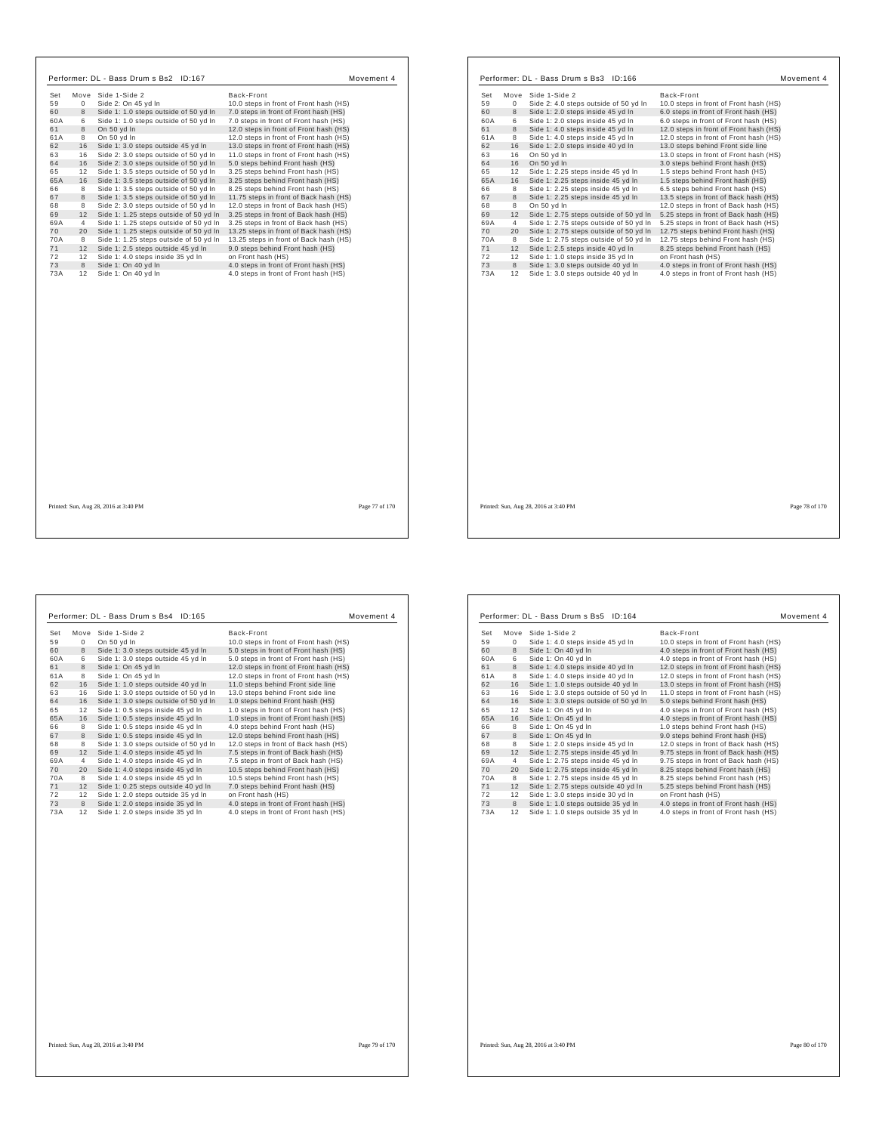| Set       |          | Move Side 1-Side 2                         | Back-Front                                                                     |
|-----------|----------|--------------------------------------------|--------------------------------------------------------------------------------|
| 59        | $\Omega$ | Side 2: On 45 yd In                        | 10.0 steps in front of Front hash (HS)                                         |
| 60        | 8        | Side 1: 1.0 steps outside of 50 yd In      | 7.0 steps in front of Front hash (HS)                                          |
| 60A       | 6        | Side 1: 1.0 steps outside of 50 yd In      | 7.0 steps in front of Front hash (HS)                                          |
| 61        | 8        | On 50 vd In                                | 12.0 steps in front of Front hash (HS)                                         |
| 61A       | 8        | On 50 yd In                                | 12.0 steps in front of Front hash (HS)                                         |
| 62        | 16       | Side 1: 3.0 steps outside 45 yd In         | 13.0 steps in front of Front hash (HS)                                         |
| 63        | 16       | Side 2: 3.0 steps outside of 50 yd In      | 11.0 steps in front of Front hash (HS)                                         |
| 64        | 16       | Side 2: 3.0 steps outside of 50 yd In      | 5.0 steps behind Front hash (HS)                                               |
| 65        | 12       | Side 1: 3.5 steps outside of 50 yd In      | 3.25 steps behind Front hash (HS)                                              |
| 65A       | 16       | Side 1: 3.5 steps outside of 50 yd In      | 3.25 steps behind Front hash (HS)                                              |
| 66        | 8        | Side 1: 3.5 steps outside of 50 yd In      | 8.25 steps behind Front hash (HS)                                              |
| 67        | 8        | Side 1: 3.5 steps outside of 50 yd In      | 11.75 steps in front of Back hash (HS)                                         |
| 68        | 8        | Side 2: 3.0 steps outside of 50 yd In      | 12.0 steps in front of Back hash (HS)                                          |
| 69        | 12       | Side 1: 1.25 steps outside of 50 yd In     | 3.25 steps in front of Back hash (HS)                                          |
| 69A       | 4        | Side 1: 1.25 steps outside of 50 yd In     | 3.25 steps in front of Back hash (HS)                                          |
| 70        | 20       | Side 1: 1.25 steps outside of 50 yd In     | 13.25 steps in front of Back hash (HS)                                         |
| 70A       | 8        | Side 1: 1.25 steps outside of 50 yd In     | 13.25 steps in front of Back hash (HS)                                         |
| 71        | 12       | Side 1: 2.5 steps outside 45 yd In         | 9.0 steps behind Front hash (HS)                                               |
| 72        | 12       | Side 1: 4.0 steps inside 35 yd In          | on Front hash (HS)                                                             |
| 73<br>73A | 8<br>12  | Side 1: On 40 yd In<br>Side 1: On 40 yd In | 4.0 steps in front of Front hash (HS)<br>4.0 steps in front of Front hash (HS) |
|           |          |                                            |                                                                                |
|           |          |                                            |                                                                                |

| Set<br>Move Side 1-Side 2<br>Back-Front<br>59<br>0<br>Side 2: 4.0 steps outside of 50 yd In<br>10.0 steps in front of Front hash (HS)<br>8<br>Side 1: 2.0 steps inside 45 yd In<br>6.0 steps in front of Front hash (HS)<br>60A<br>6<br>Side 1: 2.0 steps inside 45 yd In<br>6.0 steps in front of Front hash (HS)<br>8<br>Side 1: 4.0 steps inside 45 yd In<br>12.0 steps in front of Front hash (HS)<br>8<br>Side 1: 4.0 steps inside 45 yd In<br>12.0 steps in front of Front hash (HS)<br>16<br>Side 1: 2.0 steps inside 40 yd In<br>13.0 steps behind Front side line<br>16<br>On 50 yd In<br>13.0 steps in front of Front hash (HS)<br>16<br>On 50 yd In<br>3.0 steps behind Front hash (HS)<br>12<br>Side 1: 2.25 steps inside 45 yd In<br>1.5 steps behind Front hash (HS)<br>16<br>Side 1: 2.25 steps inside 45 yd In<br>1.5 steps behind Front hash (HS)<br>8<br>6.5 steps behind Front hash (HS)<br>Side 1: 2.25 steps inside 45 yd In<br>8<br>13.5 steps in front of Back hash (HS)<br>Side 1: 2.25 steps inside 45 yd In<br>8<br>On 50 yd In<br>12.0 steps in front of Back hash (HS)<br>12<br>Side 1: 2.75 steps outside of 50 yd In<br>5.25 steps in front of Back hash (HS)<br>4<br>Side 1: 2.75 steps outside of 50 yd In<br>5.25 steps in front of Back hash (HS)<br>20<br>Side 1: 2.75 steps outside of 50 yd In<br>12.75 steps behind Front hash (HS)<br>8<br>Side 1: 2.75 steps outside of 50 yd In<br>12.75 steps behind Front hash (HS)<br>12<br>Side 1: 2.5 steps inside 40 yd In<br>8.25 steps behind Front hash (HS)<br>12<br>Side 1: 1.0 steps inside 35 yd In<br>on Front hash (HS)<br>8<br>4.0 steps in front of Front hash (HS)<br>Side 1: 3.0 steps outside 40 yd In<br>12<br>Side 1: 3.0 steps outside 40 yd In<br>4.0 steps in front of Front hash (HS) |    |  |  |
|------------------------------------------------------------------------------------------------------------------------------------------------------------------------------------------------------------------------------------------------------------------------------------------------------------------------------------------------------------------------------------------------------------------------------------------------------------------------------------------------------------------------------------------------------------------------------------------------------------------------------------------------------------------------------------------------------------------------------------------------------------------------------------------------------------------------------------------------------------------------------------------------------------------------------------------------------------------------------------------------------------------------------------------------------------------------------------------------------------------------------------------------------------------------------------------------------------------------------------------------------------------------------------------------------------------------------------------------------------------------------------------------------------------------------------------------------------------------------------------------------------------------------------------------------------------------------------------------------------------------------------------------------------------------------------------------------------------------------------------------------------------------------------------|----|--|--|
|                                                                                                                                                                                                                                                                                                                                                                                                                                                                                                                                                                                                                                                                                                                                                                                                                                                                                                                                                                                                                                                                                                                                                                                                                                                                                                                                                                                                                                                                                                                                                                                                                                                                                                                                                                                          |    |  |  |
|                                                                                                                                                                                                                                                                                                                                                                                                                                                                                                                                                                                                                                                                                                                                                                                                                                                                                                                                                                                                                                                                                                                                                                                                                                                                                                                                                                                                                                                                                                                                                                                                                                                                                                                                                                                          |    |  |  |
| 61<br>61A<br>62<br>63<br>64<br>65<br>65A<br>66<br>67<br>68<br>69<br>69A<br>70<br>70A<br>71<br>72<br>73<br>73A                                                                                                                                                                                                                                                                                                                                                                                                                                                                                                                                                                                                                                                                                                                                                                                                                                                                                                                                                                                                                                                                                                                                                                                                                                                                                                                                                                                                                                                                                                                                                                                                                                                                            | 60 |  |  |
|                                                                                                                                                                                                                                                                                                                                                                                                                                                                                                                                                                                                                                                                                                                                                                                                                                                                                                                                                                                                                                                                                                                                                                                                                                                                                                                                                                                                                                                                                                                                                                                                                                                                                                                                                                                          |    |  |  |
|                                                                                                                                                                                                                                                                                                                                                                                                                                                                                                                                                                                                                                                                                                                                                                                                                                                                                                                                                                                                                                                                                                                                                                                                                                                                                                                                                                                                                                                                                                                                                                                                                                                                                                                                                                                          |    |  |  |
|                                                                                                                                                                                                                                                                                                                                                                                                                                                                                                                                                                                                                                                                                                                                                                                                                                                                                                                                                                                                                                                                                                                                                                                                                                                                                                                                                                                                                                                                                                                                                                                                                                                                                                                                                                                          |    |  |  |
|                                                                                                                                                                                                                                                                                                                                                                                                                                                                                                                                                                                                                                                                                                                                                                                                                                                                                                                                                                                                                                                                                                                                                                                                                                                                                                                                                                                                                                                                                                                                                                                                                                                                                                                                                                                          |    |  |  |
|                                                                                                                                                                                                                                                                                                                                                                                                                                                                                                                                                                                                                                                                                                                                                                                                                                                                                                                                                                                                                                                                                                                                                                                                                                                                                                                                                                                                                                                                                                                                                                                                                                                                                                                                                                                          |    |  |  |
|                                                                                                                                                                                                                                                                                                                                                                                                                                                                                                                                                                                                                                                                                                                                                                                                                                                                                                                                                                                                                                                                                                                                                                                                                                                                                                                                                                                                                                                                                                                                                                                                                                                                                                                                                                                          |    |  |  |
|                                                                                                                                                                                                                                                                                                                                                                                                                                                                                                                                                                                                                                                                                                                                                                                                                                                                                                                                                                                                                                                                                                                                                                                                                                                                                                                                                                                                                                                                                                                                                                                                                                                                                                                                                                                          |    |  |  |
|                                                                                                                                                                                                                                                                                                                                                                                                                                                                                                                                                                                                                                                                                                                                                                                                                                                                                                                                                                                                                                                                                                                                                                                                                                                                                                                                                                                                                                                                                                                                                                                                                                                                                                                                                                                          |    |  |  |
|                                                                                                                                                                                                                                                                                                                                                                                                                                                                                                                                                                                                                                                                                                                                                                                                                                                                                                                                                                                                                                                                                                                                                                                                                                                                                                                                                                                                                                                                                                                                                                                                                                                                                                                                                                                          |    |  |  |
|                                                                                                                                                                                                                                                                                                                                                                                                                                                                                                                                                                                                                                                                                                                                                                                                                                                                                                                                                                                                                                                                                                                                                                                                                                                                                                                                                                                                                                                                                                                                                                                                                                                                                                                                                                                          |    |  |  |
|                                                                                                                                                                                                                                                                                                                                                                                                                                                                                                                                                                                                                                                                                                                                                                                                                                                                                                                                                                                                                                                                                                                                                                                                                                                                                                                                                                                                                                                                                                                                                                                                                                                                                                                                                                                          |    |  |  |
|                                                                                                                                                                                                                                                                                                                                                                                                                                                                                                                                                                                                                                                                                                                                                                                                                                                                                                                                                                                                                                                                                                                                                                                                                                                                                                                                                                                                                                                                                                                                                                                                                                                                                                                                                                                          |    |  |  |
|                                                                                                                                                                                                                                                                                                                                                                                                                                                                                                                                                                                                                                                                                                                                                                                                                                                                                                                                                                                                                                                                                                                                                                                                                                                                                                                                                                                                                                                                                                                                                                                                                                                                                                                                                                                          |    |  |  |
|                                                                                                                                                                                                                                                                                                                                                                                                                                                                                                                                                                                                                                                                                                                                                                                                                                                                                                                                                                                                                                                                                                                                                                                                                                                                                                                                                                                                                                                                                                                                                                                                                                                                                                                                                                                          |    |  |  |
|                                                                                                                                                                                                                                                                                                                                                                                                                                                                                                                                                                                                                                                                                                                                                                                                                                                                                                                                                                                                                                                                                                                                                                                                                                                                                                                                                                                                                                                                                                                                                                                                                                                                                                                                                                                          |    |  |  |
|                                                                                                                                                                                                                                                                                                                                                                                                                                                                                                                                                                                                                                                                                                                                                                                                                                                                                                                                                                                                                                                                                                                                                                                                                                                                                                                                                                                                                                                                                                                                                                                                                                                                                                                                                                                          |    |  |  |
|                                                                                                                                                                                                                                                                                                                                                                                                                                                                                                                                                                                                                                                                                                                                                                                                                                                                                                                                                                                                                                                                                                                                                                                                                                                                                                                                                                                                                                                                                                                                                                                                                                                                                                                                                                                          |    |  |  |
|                                                                                                                                                                                                                                                                                                                                                                                                                                                                                                                                                                                                                                                                                                                                                                                                                                                                                                                                                                                                                                                                                                                                                                                                                                                                                                                                                                                                                                                                                                                                                                                                                                                                                                                                                                                          |    |  |  |
|                                                                                                                                                                                                                                                                                                                                                                                                                                                                                                                                                                                                                                                                                                                                                                                                                                                                                                                                                                                                                                                                                                                                                                                                                                                                                                                                                                                                                                                                                                                                                                                                                                                                                                                                                                                          |    |  |  |
|                                                                                                                                                                                                                                                                                                                                                                                                                                                                                                                                                                                                                                                                                                                                                                                                                                                                                                                                                                                                                                                                                                                                                                                                                                                                                                                                                                                                                                                                                                                                                                                                                                                                                                                                                                                          |    |  |  |

Printed: Sun, Aug 28, 2016 at 3:40 PM Page 78 of 170

| Set | Move        | Side 1-Side 2                         | Back-Front                             |
|-----|-------------|---------------------------------------|----------------------------------------|
| 59  | $\mathbf 0$ | On 50 yd In                           | 10.0 steps in front of Front hash (HS) |
| 60  | 8           | Side 1: 3.0 steps outside 45 yd In    | 5.0 steps in front of Front hash (HS)  |
| 60A | 6           | Side 1: 3.0 steps outside 45 yd In    | 5.0 steps in front of Front hash (HS)  |
| 61  | 8           | Side 1: On 45 yd In                   | 12.0 steps in front of Front hash (HS) |
| 61A | 8           | Side 1: On 45 vd In                   | 12.0 steps in front of Front hash (HS) |
| 62  | 16          | Side 1: 1.0 steps outside 40 yd In    | 11.0 steps behind Front side line      |
| 63  | 16          | Side 1: 3.0 steps outside of 50 yd In | 13.0 steps behind Front side line      |
| 64  | 16          | Side 1: 3.0 steps outside of 50 yd In | 1.0 steps behind Front hash (HS)       |
| 65  | 12          | Side 1: 0.5 steps inside 45 yd In     | 1.0 steps in front of Front hash (HS)  |
| 65A | 16          | Side 1: 0.5 steps inside 45 yd In     | 1.0 steps in front of Front hash (HS)  |
| 66  | 8           | Side 1: 0.5 steps inside 45 yd In     | 4.0 steps behind Front hash (HS)       |
| 67  | 8           | Side 1: 0.5 steps inside 45 yd In     | 12.0 steps behind Front hash (HS)      |
| 68  | 8           | Side 1: 3.0 steps outside of 50 yd In | 12.0 steps in front of Back hash (HS)  |
| 69  | 12          | Side 1: 4.0 steps inside 45 yd In     | 7.5 steps in front of Back hash (HS)   |
| 69A | 4           | Side 1: 4.0 steps inside 45 yd In     | 7.5 steps in front of Back hash (HS)   |
| 70  | 20          | Side 1: 4.0 steps inside 45 yd In     | 10.5 steps behind Front hash (HS)      |
| 70A | 8           | Side 1: 4.0 steps inside 45 yd In     | 10.5 steps behind Front hash (HS)      |
| 71  | 12          | Side 1: 0.25 steps outside 40 yd In   | 7.0 steps behind Front hash (HS)       |
| 72  | 12          | Side 1: 2.0 steps outside 35 yd In    | on Front hash (HS)                     |
| 73  | 8           | Side 1: 2.0 steps inside 35 yd In     | 4.0 steps in front of Front hash (HS)  |
| 73A | 12          | Side 1: 2.0 steps inside 35 yd In     | 4.0 steps in front of Front hash (HS)  |
|     |             |                                       |                                        |

| Set | Move | Side 1-Side 2                         | Back-Front                             |
|-----|------|---------------------------------------|----------------------------------------|
| 59  | 0    | Side 1: 4.0 steps inside 45 yd In     | 10.0 steps in front of Front hash (HS) |
| 60  | 8    | Side 1: On 40 yd In                   | 4.0 steps in front of Front hash (HS)  |
| 60A | 6    | Side 1: On 40 vd In                   | 4.0 steps in front of Front hash (HS)  |
| 61  | 8    | Side 1: 4.0 steps inside 40 yd In     | 12.0 steps in front of Front hash (HS) |
| 61A | 8    | Side 1: 4.0 steps inside 40 yd In     | 12.0 steps in front of Front hash (HS) |
| 62  | 16   | Side 1: 1.0 steps outside 40 yd In    | 13.0 steps in front of Front hash (HS) |
| 63  | 16   | Side 1: 3.0 steps outside of 50 yd In | 11.0 steps in front of Front hash (HS) |
| 64  | 16   | Side 1: 3.0 steps outside of 50 yd In | 5.0 steps behind Front hash (HS)       |
| 65  | 12   | Side 1: On 45 yd In                   | 4.0 steps in front of Front hash (HS)  |
| 65A | 16   | Side 1: On 45 yd In                   | 4.0 steps in front of Front hash (HS)  |
| 66  | 8    | Side 1: On 45 vd In                   | 1.0 steps behind Front hash (HS)       |
| 67  | 8    | Side 1: On 45 vd In                   | 9.0 steps behind Front hash (HS)       |
| 68  | 8    | Side 1: 2.0 steps inside 45 vd In     | 12.0 steps in front of Back hash (HS)  |
| 69  | 12   | Side 1: 2.75 steps inside 45 yd In    | 9.75 steps in front of Back hash (HS)  |
| 69A | 4    | Side 1: 2.75 steps inside 45 yd In    | 9.75 steps in front of Back hash (HS)  |
| 70  | 20   | Side 1: 2.75 steps inside 45 yd In    | 8.25 steps behind Front hash (HS)      |
| 70A | 8    | Side 1: 2.75 steps inside 45 yd In    | 8.25 steps behind Front hash (HS)      |
| 71  | 12   | Side 1: 2.75 steps outside 40 yd In   | 5.25 steps behind Front hash (HS)      |
| 72  | 12   | Side 1: 3.0 steps inside 30 yd In     | on Front hash (HS)                     |
| 73  | 8    | Side 1: 1.0 steps outside 35 yd In    | 4.0 steps in front of Front hash (HS)  |
| 73A | 12   | Side 1: 1.0 steps outside 35 yd In    | 4.0 steps in front of Front hash (HS)  |
|     |      |                                       |                                        |
|     |      |                                       |                                        |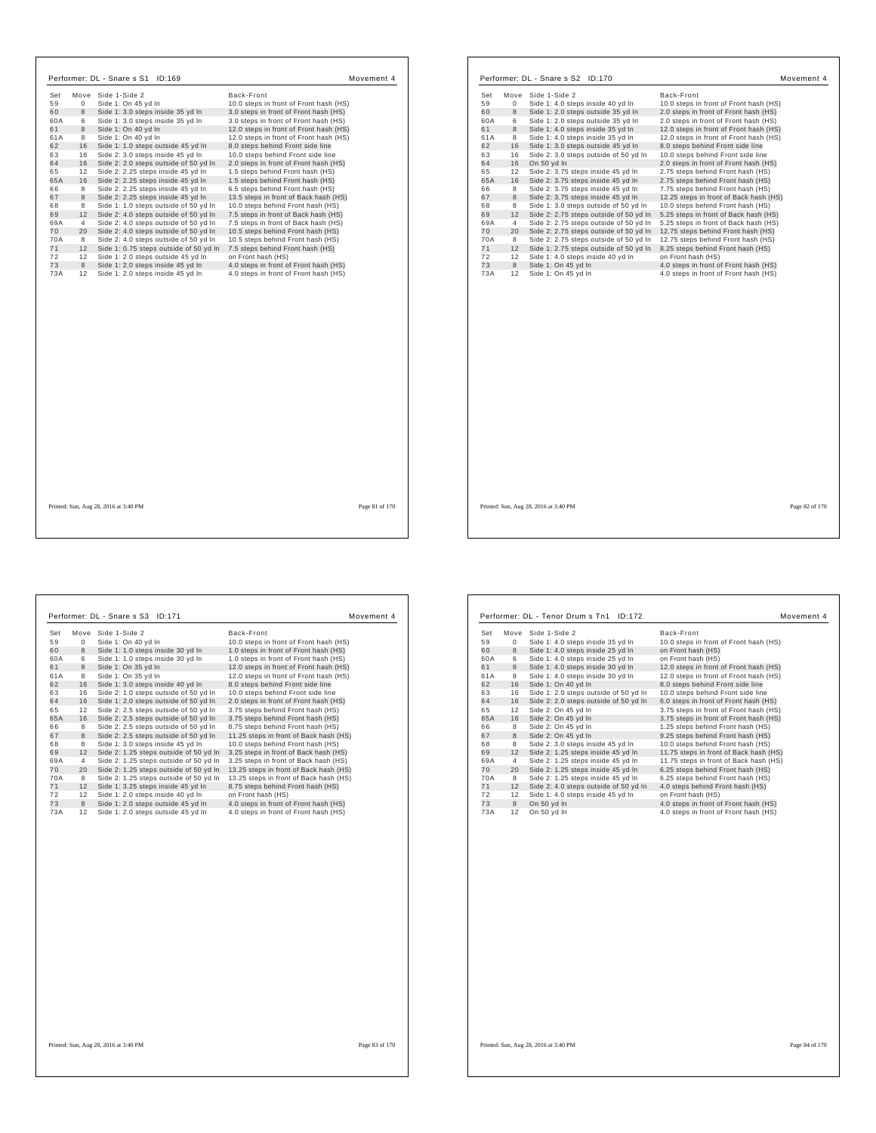|     |                | Move Side 1-Side 2                     | Back-Front                             |  |
|-----|----------------|----------------------------------------|----------------------------------------|--|
| 59  | $\Omega$       | Side 1: On 45 yd In                    | 10.0 steps in front of Front hash (HS) |  |
| 60  | 8              | Side 1: 3.0 steps inside 35 yd In      | 3.0 steps in front of Front hash (HS)  |  |
| 60A | 6              | Side 1: 3.0 steps inside 35 yd In      | 3.0 steps in front of Front hash (HS)  |  |
| 61  | 8              | Side 1: On 40 yd In                    | 12.0 steps in front of Front hash (HS) |  |
| 61A | 8              | Side 1: On 40 yd In                    | 12.0 steps in front of Front hash (HS) |  |
| 62  | 16             | Side 1: 1.0 steps outside 45 yd In     | 8.0 steps behind Front side line       |  |
| 63  | 16             | Side 2: 3.0 steps inside 45 yd In      | 10.0 steps behind Front side line      |  |
| 64  | 16             | Side 2: 2.0 steps outside of 50 yd In  | 2.0 steps in front of Front hash (HS)  |  |
| 65  | 12             | Side 2: 2.25 steps inside 45 yd In     | 1.5 steps behind Front hash (HS)       |  |
| 65A | 16             | Side 2: 2.25 steps inside 45 yd In     | 1.5 steps behind Front hash (HS)       |  |
| 66  | 8              | Side 2: 2.25 steps inside 45 yd In     | 6.5 steps behind Front hash (HS)       |  |
| 67  | 8              | Side 2: 2.25 steps inside 45 yd In     | 13.5 steps in front of Back hash (HS)  |  |
| 68  | 8              | Side 1: 1.0 steps outside of 50 yd In  | 10.0 steps behind Front hash (HS)      |  |
| 69  | 12             | Side 2: 4.0 steps outside of 50 yd In  | 7.5 steps in front of Back hash (HS)   |  |
| 69A | $\overline{4}$ | Side 2: 4.0 steps outside of 50 yd In  | 7.5 steps in front of Back hash (HS)   |  |
| 70  | 20             | Side 2: 4.0 steps outside of 50 yd In  | 10.5 steps behind Front hash (HS)      |  |
| 70A | 8              | Side 2: 4.0 steps outside of 50 yd In  | 10.5 steps behind Front hash (HS)      |  |
| 71  | 12             | Side 1: 0.75 steps outside of 50 yd In | 7.5 steps behind Front hash (HS)       |  |
| 72  | 12             | Side 1: 2.0 steps outside 45 vd In     | on Front hash (HS)                     |  |
| 73  | 8              | Side 1: 2.0 steps inside 45 yd In      | 4.0 steps in front of Front hash (HS)  |  |
| 73A | 12             | Side 1: 2.0 steps inside 45 yd In      | 4.0 steps in front of Front hash (HS)  |  |
|     |                |                                        |                                        |  |
|     |                |                                        |                                        |  |

| 59<br>0<br>Side 1: 4.0 steps inside 40 yd In<br>8<br>60<br>Side 1: 2.0 steps outside 35 yd In<br>60A<br>6<br>Side 1: 2.0 steps outside 35 yd In<br>61<br>8<br>Side 1: 4.0 steps inside 35 yd In<br>61 A<br>8<br>Side 1: 4.0 steps inside 35 yd In<br>62<br>16<br>Side 1: 3.0 steps outside 45 yd In<br>63<br>16<br>Side 2: 3.0 steps outside of 50 yd In<br>16<br>64<br>On 50 yd In<br>12<br>65<br>Side 2: 3.75 steps inside 45 yd In<br>65A<br>16<br>Side 2: 3.75 steps inside 45 yd In<br>66<br>8<br>Side 2: 3.75 steps inside 45 yd In<br>8<br>67<br>Side 2: 3.75 steps inside 45 yd In<br>68<br>8<br>Side 1: 3.0 steps outside of 50 yd In<br>69<br>12<br>Side 2: 2.75 steps outside of 50 yd In<br>69A<br>4<br>Side 2: 2.75 steps outside of 50 yd In<br>70<br>20<br>Side 2: 2.75 steps outside of 50 yd In<br>70A<br>8<br>Side 2: 2.75 steps outside of 50 yd In<br>71<br>12<br>Side 1: 2.75 steps outside of 50 yd In<br>72<br>12<br>Side 1: 4.0 steps inside 40 yd In<br>on Front hash (HS)<br>73<br>8<br>Side 1: On 45 yd In<br>73A<br>12<br>4.0 steps in front of Front hash (HS)<br>Side 1: On 45 yd In | 10.0 steps in front of Front hash (HS)<br>2.0 steps in front of Front hash (HS)<br>2.0 steps in front of Front hash (HS)<br>12.0 steps in front of Front hash (HS)<br>12.0 steps in front of Front hash (HS)<br>8.0 steps behind Front side line<br>10.0 steps behind Front side line<br>2.0 steps in front of Front hash (HS)<br>2.75 steps behind Front hash (HS)<br>2.75 steps behind Front hash (HS)<br>7.75 steps behind Front hash (HS)<br>12.25 steps in front of Back hash (HS)<br>10.0 steps behind Front hash (HS)<br>5.25 steps in front of Back hash (HS)<br>5.25 steps in front of Back hash (HS)<br>12.75 steps behind Front hash (HS)<br>12.75 steps behind Front hash (HS) |
|--------------------------------------------------------------------------------------------------------------------------------------------------------------------------------------------------------------------------------------------------------------------------------------------------------------------------------------------------------------------------------------------------------------------------------------------------------------------------------------------------------------------------------------------------------------------------------------------------------------------------------------------------------------------------------------------------------------------------------------------------------------------------------------------------------------------------------------------------------------------------------------------------------------------------------------------------------------------------------------------------------------------------------------------------------------------------------------------------------------------|--------------------------------------------------------------------------------------------------------------------------------------------------------------------------------------------------------------------------------------------------------------------------------------------------------------------------------------------------------------------------------------------------------------------------------------------------------------------------------------------------------------------------------------------------------------------------------------------------------------------------------------------------------------------------------------------|
|                                                                                                                                                                                                                                                                                                                                                                                                                                                                                                                                                                                                                                                                                                                                                                                                                                                                                                                                                                                                                                                                                                                    |                                                                                                                                                                                                                                                                                                                                                                                                                                                                                                                                                                                                                                                                                            |
|                                                                                                                                                                                                                                                                                                                                                                                                                                                                                                                                                                                                                                                                                                                                                                                                                                                                                                                                                                                                                                                                                                                    |                                                                                                                                                                                                                                                                                                                                                                                                                                                                                                                                                                                                                                                                                            |
|                                                                                                                                                                                                                                                                                                                                                                                                                                                                                                                                                                                                                                                                                                                                                                                                                                                                                                                                                                                                                                                                                                                    |                                                                                                                                                                                                                                                                                                                                                                                                                                                                                                                                                                                                                                                                                            |
|                                                                                                                                                                                                                                                                                                                                                                                                                                                                                                                                                                                                                                                                                                                                                                                                                                                                                                                                                                                                                                                                                                                    |                                                                                                                                                                                                                                                                                                                                                                                                                                                                                                                                                                                                                                                                                            |
|                                                                                                                                                                                                                                                                                                                                                                                                                                                                                                                                                                                                                                                                                                                                                                                                                                                                                                                                                                                                                                                                                                                    |                                                                                                                                                                                                                                                                                                                                                                                                                                                                                                                                                                                                                                                                                            |
|                                                                                                                                                                                                                                                                                                                                                                                                                                                                                                                                                                                                                                                                                                                                                                                                                                                                                                                                                                                                                                                                                                                    |                                                                                                                                                                                                                                                                                                                                                                                                                                                                                                                                                                                                                                                                                            |
|                                                                                                                                                                                                                                                                                                                                                                                                                                                                                                                                                                                                                                                                                                                                                                                                                                                                                                                                                                                                                                                                                                                    |                                                                                                                                                                                                                                                                                                                                                                                                                                                                                                                                                                                                                                                                                            |
|                                                                                                                                                                                                                                                                                                                                                                                                                                                                                                                                                                                                                                                                                                                                                                                                                                                                                                                                                                                                                                                                                                                    |                                                                                                                                                                                                                                                                                                                                                                                                                                                                                                                                                                                                                                                                                            |
|                                                                                                                                                                                                                                                                                                                                                                                                                                                                                                                                                                                                                                                                                                                                                                                                                                                                                                                                                                                                                                                                                                                    |                                                                                                                                                                                                                                                                                                                                                                                                                                                                                                                                                                                                                                                                                            |
|                                                                                                                                                                                                                                                                                                                                                                                                                                                                                                                                                                                                                                                                                                                                                                                                                                                                                                                                                                                                                                                                                                                    |                                                                                                                                                                                                                                                                                                                                                                                                                                                                                                                                                                                                                                                                                            |
|                                                                                                                                                                                                                                                                                                                                                                                                                                                                                                                                                                                                                                                                                                                                                                                                                                                                                                                                                                                                                                                                                                                    |                                                                                                                                                                                                                                                                                                                                                                                                                                                                                                                                                                                                                                                                                            |
|                                                                                                                                                                                                                                                                                                                                                                                                                                                                                                                                                                                                                                                                                                                                                                                                                                                                                                                                                                                                                                                                                                                    |                                                                                                                                                                                                                                                                                                                                                                                                                                                                                                                                                                                                                                                                                            |
|                                                                                                                                                                                                                                                                                                                                                                                                                                                                                                                                                                                                                                                                                                                                                                                                                                                                                                                                                                                                                                                                                                                    |                                                                                                                                                                                                                                                                                                                                                                                                                                                                                                                                                                                                                                                                                            |
|                                                                                                                                                                                                                                                                                                                                                                                                                                                                                                                                                                                                                                                                                                                                                                                                                                                                                                                                                                                                                                                                                                                    |                                                                                                                                                                                                                                                                                                                                                                                                                                                                                                                                                                                                                                                                                            |
|                                                                                                                                                                                                                                                                                                                                                                                                                                                                                                                                                                                                                                                                                                                                                                                                                                                                                                                                                                                                                                                                                                                    |                                                                                                                                                                                                                                                                                                                                                                                                                                                                                                                                                                                                                                                                                            |
|                                                                                                                                                                                                                                                                                                                                                                                                                                                                                                                                                                                                                                                                                                                                                                                                                                                                                                                                                                                                                                                                                                                    |                                                                                                                                                                                                                                                                                                                                                                                                                                                                                                                                                                                                                                                                                            |
|                                                                                                                                                                                                                                                                                                                                                                                                                                                                                                                                                                                                                                                                                                                                                                                                                                                                                                                                                                                                                                                                                                                    |                                                                                                                                                                                                                                                                                                                                                                                                                                                                                                                                                                                                                                                                                            |
|                                                                                                                                                                                                                                                                                                                                                                                                                                                                                                                                                                                                                                                                                                                                                                                                                                                                                                                                                                                                                                                                                                                    | 8.25 steps behind Front hash (HS)                                                                                                                                                                                                                                                                                                                                                                                                                                                                                                                                                                                                                                                          |
|                                                                                                                                                                                                                                                                                                                                                                                                                                                                                                                                                                                                                                                                                                                                                                                                                                                                                                                                                                                                                                                                                                                    |                                                                                                                                                                                                                                                                                                                                                                                                                                                                                                                                                                                                                                                                                            |
|                                                                                                                                                                                                                                                                                                                                                                                                                                                                                                                                                                                                                                                                                                                                                                                                                                                                                                                                                                                                                                                                                                                    | 4.0 steps in front of Front hash (HS)                                                                                                                                                                                                                                                                                                                                                                                                                                                                                                                                                                                                                                                      |
|                                                                                                                                                                                                                                                                                                                                                                                                                                                                                                                                                                                                                                                                                                                                                                                                                                                                                                                                                                                                                                                                                                                    |                                                                                                                                                                                                                                                                                                                                                                                                                                                                                                                                                                                                                                                                                            |

Printed: Sun, Aug 28, 2016 at 3:40 PM Page 82 of 170

 $\overline{\phantom{a}}$ 

| Set | Move        | Side 1-Side 2                          | Back-Front                             |
|-----|-------------|----------------------------------------|----------------------------------------|
| 59  | $\mathbf 0$ | Side 1: On 40 yd In                    | 10.0 steps in front of Front hash (HS) |
| 60  | 8           | Side 1: 1.0 steps inside 30 yd In      | 1.0 steps in front of Front hash (HS)  |
| 60A | 6           | Side 1: 1.0 steps inside 30 yd In      | 1.0 steps in front of Front hash (HS)  |
| 61  | 8           | Side 1: On 35 vd In                    | 12.0 steps in front of Front hash (HS) |
| 61A | 8           | Side 1: On 35 yd In                    | 12.0 steps in front of Front hash (HS) |
| 62  | 16          | Side 1: 3.0 steps inside 40 yd In      | 8.0 steps behind Front side line       |
| 63  | 16          | Side 2: 1.0 steps outside of 50 yd In  | 10.0 steps behind Front side line      |
| 64  | 16          | Side 1: 2.0 steps outside of 50 yd In  | 2.0 steps in front of Front hash (HS)  |
| 65  | 12          | Side 2: 2.5 steps outside of 50 yd In  | 3.75 steps behind Front hash (HS)      |
| 65A | 16          | Side 2: 2.5 steps outside of 50 yd In  | 3.75 steps behind Front hash (HS)      |
| 66  | 8           | Side 2: 2.5 steps outside of 50 yd In  | 8.75 steps behind Front hash (HS)      |
| 67  | 8           | Side 2: 2.5 steps outside of 50 yd In  | 11.25 steps in front of Back hash (HS) |
| 68  | 8           | Side 1: 3.0 steps inside 45 vd In      | 10.0 steps behind Front hash (HS)      |
| 69  | 12          | Side 2: 1.25 steps outside of 50 yd In | 3.25 steps in front of Back hash (HS)  |
| 69A | 4           | Side 2: 1.25 steps outside of 50 yd In | 3.25 steps in front of Back hash (HS)  |
| 70  | 20          | Side 2: 1.25 steps outside of 50 yd In | 13.25 steps in front of Back hash (HS) |
| 70A | 8           | Side 2: 1.25 steps outside of 50 yd In | 13.25 steps in front of Back hash (HS) |
| 71  | 12          | Side 1: 3.25 steps inside 45 yd In     | 8.75 steps behind Front hash (HS)      |
| 72  | 12          | Side 1: 2.0 steps inside 40 vd In      | on Front hash (HS)                     |
| 73  | 8           | Side 1: 2.0 steps outside 45 yd In     | 4.0 steps in front of Front hash (HS)  |
| 73A | 12          | Side 1: 2.0 steps outside 45 yd In     | 4.0 steps in front of Front hash (HS)  |

|     |    | Performer: DL - Tenor Drum s Tn1 ID:172 | Movement 4                             |
|-----|----|-----------------------------------------|----------------------------------------|
| Set |    | Move Side 1-Side 2                      | Back-Front                             |
| 59  | 0  | Side 1: 4.0 steps inside 35 yd In       | 10.0 steps in front of Front hash (HS) |
| 60  | 8  | Side 1: 4.0 steps inside 25 yd In       | on Front hash (HS)                     |
| 60A | 6  | Side 1: 4.0 steps inside 25 yd In       | on Front hash (HS)                     |
| 61  | 8  | Side 1: 4.0 steps inside 30 yd In       | 12.0 steps in front of Front hash (HS) |
| 61A | 8  | Side 1: 4.0 steps inside 30 yd In       | 12.0 steps in front of Front hash (HS) |
| 62  | 16 | Side 1: On 40 yd In                     | 8.0 steps behind Front side line       |
| 63  | 16 | Side 1: 2.0 steps outside of 50 yd In   | 10.0 steps behind Front side line      |
| 64  | 16 | Side 2: 2.0 steps outside of 50 yd In   | 6.0 steps in front of Front hash (HS)  |
| 65  | 12 | Side 2: On 45 yd In                     | 3.75 steps in front of Front hash (HS) |
| 65A | 16 | Side 2: On 45 yd In                     | 3.75 steps in front of Front hash (HS) |
| 66  | 8  | Side 2: On 45 yd In                     | 1.25 steps behind Front hash (HS)      |
| 67  | 8  | Side 2: On 45 yd In                     | 9.25 steps behind Front hash (HS)      |
| 68  | 8  | Side 2: 3.0 steps inside 45 yd In       | 10.0 steps behind Front hash (HS)      |
| 69  | 12 | Side 2: 1.25 steps inside 45 yd In      | 11.75 steps in front of Back hash (HS) |
| 69A | 4  | Side 2: 1.25 steps inside 45 yd In      | 11.75 steps in front of Back hash (HS) |
| 70  | 20 | Side 2: 1.25 steps inside 45 yd In      | 6.25 steps behind Front hash (HS)      |
| 70A | 8  | Side 2: 1.25 steps inside 45 yd In      | 6.25 steps behind Front hash (HS)      |
| 71  | 12 | Side 2: 4.0 steps outside of 50 yd In   | 4.0 steps behind Front hash (HS)       |
| 72  | 12 | Side 1: 4.0 steps inside 45 yd In       | on Front hash (HS)                     |
| 73  | 8  | On 50 yd In                             | 4.0 steps in front of Front hash (HS)  |
| 73A | 12 | On 50 yd In                             | 4.0 steps in front of Front hash (HS)  |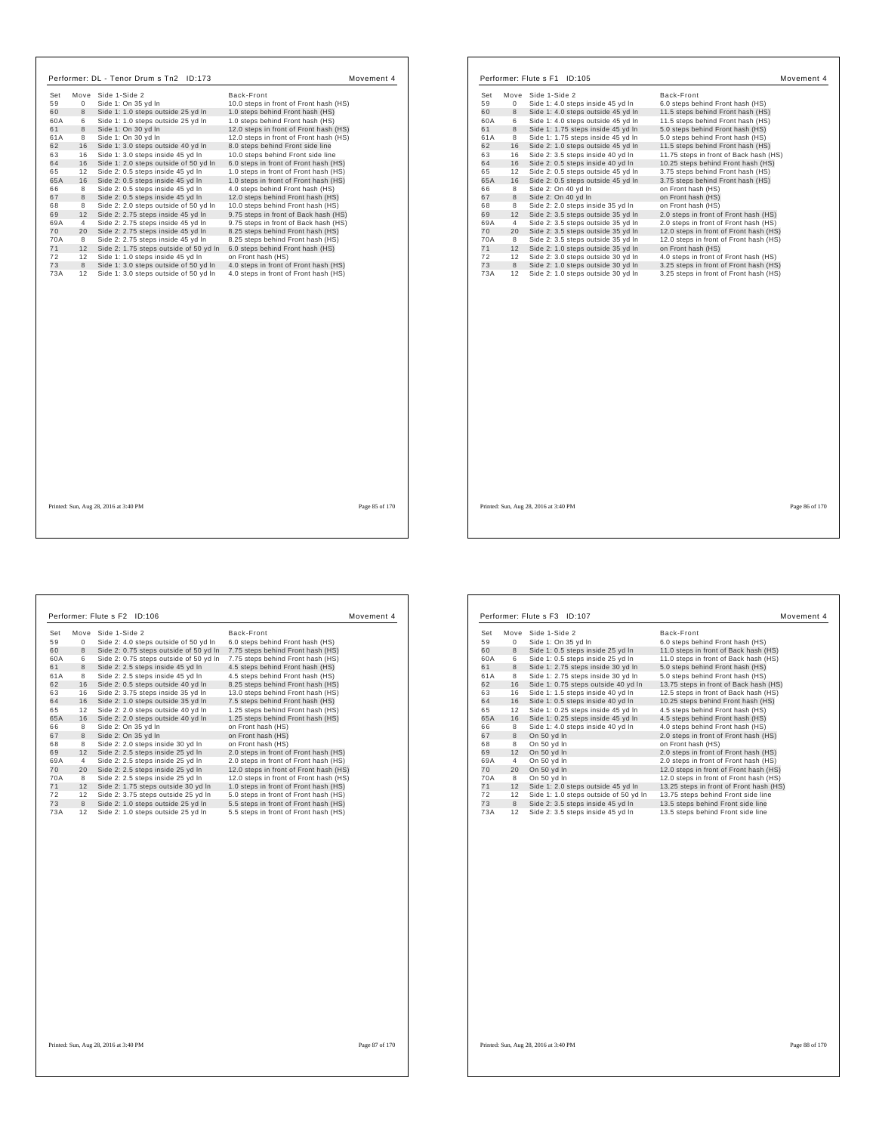| Set       |                | Move Side 1-Side 2                                                             | Back-Front                                                                     |  |
|-----------|----------------|--------------------------------------------------------------------------------|--------------------------------------------------------------------------------|--|
| 59        | $\Omega$       | Side 1: On 35 yd In                                                            | 10.0 steps in front of Front hash (HS)                                         |  |
| 60        | 8              | Side 1: 1.0 steps outside 25 yd In                                             | 1.0 steps behind Front hash (HS)                                               |  |
| 60A       | 6              | Side 1: 1.0 steps outside 25 yd In                                             | 1.0 steps behind Front hash (HS)                                               |  |
| 61        | 8              | Side 1: On 30 vd In                                                            | 12.0 steps in front of Front hash (HS)                                         |  |
| 61A       | 8              | Side 1: On 30 yd In                                                            | 12.0 steps in front of Front hash (HS)                                         |  |
| 62        | 16             | Side 1: 3.0 steps outside 40 yd In                                             | 8.0 steps behind Front side line                                               |  |
| 63        | 16             | Side 1: 3.0 steps inside 45 yd In                                              | 10.0 steps behind Front side line                                              |  |
| 64        | 16             | Side 1: 2.0 steps outside of 50 yd In                                          | 6.0 steps in front of Front hash (HS)                                          |  |
| 65        | 12             | Side 2: 0.5 steps inside 45 yd In                                              | 1.0 steps in front of Front hash (HS)                                          |  |
| 65A       | 16             | Side 2: 0.5 steps inside 45 yd In                                              | 1.0 steps in front of Front hash (HS)                                          |  |
| 66        | 8              | Side 2: 0.5 steps inside 45 yd In                                              | 4.0 steps behind Front hash (HS)                                               |  |
| 67        | 8              |                                                                                | 12.0 steps behind Front hash (HS)                                              |  |
|           | 8              | Side 2: 0.5 steps inside 45 yd In<br>Side 2: 2.0 steps outside of 50 yd In     | 10.0 steps behind Front hash (HS)                                              |  |
| 68<br>69  | 12             |                                                                                |                                                                                |  |
|           | $\overline{4}$ | Side 2: 2.75 steps inside 45 yd In<br>Side 2: 2.75 steps inside 45 yd In       | 9.75 steps in front of Back hash (HS)<br>9.75 steps in front of Back hash (HS) |  |
| 69A<br>70 | 20             | Side 2: 2.75 steps inside 45 yd In                                             | 8.25 steps behind Front hash (HS)                                              |  |
|           |                |                                                                                |                                                                                |  |
| 70A<br>71 | 8              | Side 2: 2.75 steps inside 45 yd In                                             | 8.25 steps behind Front hash (HS)                                              |  |
|           | 12             | Side 2: 1.75 steps outside of 50 yd In                                         | 6.0 steps behind Front hash (HS)                                               |  |
| 72<br>73  | 12<br>8        | Side 1: 1.0 steps inside 45 yd In                                              | on Front hash (HS)                                                             |  |
| 73A       | 12             | Side 1: 3.0 steps outside of 50 yd In<br>Side 1: 3.0 steps outside of 50 yd In | 4.0 steps in front of Front hash (HS)<br>4.0 steps in front of Front hash (HS) |  |
|           |                |                                                                                |                                                                                |  |
|           |                |                                                                                |                                                                                |  |

| Set       | Move    | Side 1-Side 2       |                                                                          | Back-Front                                                                       |
|-----------|---------|---------------------|--------------------------------------------------------------------------|----------------------------------------------------------------------------------|
| 59        | 0       |                     | Side 1: 4.0 steps inside 45 yd In                                        | 6.0 steps behind Front hash (HS)                                                 |
| 60        | 8       |                     | Side 1: 4.0 steps outside 45 yd In                                       | 11.5 steps behind Front hash (HS)                                                |
| 60A       | 6       |                     | Side 1: 4.0 steps outside 45 yd In                                       | 11.5 steps behind Front hash (HS)                                                |
| 61        | 8       |                     | Side 1: 1.75 steps inside 45 yd In                                       | 5.0 steps behind Front hash (HS)                                                 |
| 61A       | 8       |                     | Side 1: 1.75 steps inside 45 yd In                                       | 5.0 steps behind Front hash (HS)                                                 |
| 62        | 16      |                     | Side 2: 1.0 steps outside 45 yd In                                       | 11.5 steps behind Front hash (HS)                                                |
| 63        | 16      |                     | Side 2: 3.5 steps inside 40 yd In                                        | 11.75 steps in front of Back hash (HS)                                           |
| 64        | 16      |                     | Side 2: 0.5 steps inside 40 yd In                                        | 10.25 steps behind Front hash (HS)                                               |
| 65        | 12      |                     | Side 2: 0.5 steps outside 45 yd In                                       | 3.75 steps behind Front hash (HS)                                                |
| 65A       | 16      |                     | Side 2: 0.5 steps outside 45 yd In                                       | 3.75 steps behind Front hash (HS)                                                |
| 66        | 8       | Side 2: On 40 yd In |                                                                          | on Front hash (HS)                                                               |
| 67        | 8       | Side 2: On 40 yd In |                                                                          | on Front hash (HS)                                                               |
| 68        | 8       |                     | Side 2: 2.0 steps inside 35 yd In                                        | on Front hash (HS)                                                               |
| 69        | 12      |                     | Side 2: 3.5 steps outside 35 yd In                                       | 2.0 steps in front of Front hash (HS)                                            |
| 69A       | 4       |                     | Side 2: 3.5 steps outside 35 yd In                                       | 2.0 steps in front of Front hash (HS)                                            |
| 70        | 20      |                     | Side 2: 3.5 steps outside 35 yd In                                       | 12.0 steps in front of Front hash (HS)                                           |
| 70A       | 8       |                     | Side 2: 3.5 steps outside 35 yd In                                       | 12.0 steps in front of Front hash (HS)                                           |
| 71        | 12      |                     | Side 2: 1.0 steps outside 35 yd In                                       | on Front hash (HS)                                                               |
| 72        | 12      |                     | Side 2: 3.0 steps outside 30 yd In                                       | 4.0 steps in front of Front hash (HS)                                            |
| 73<br>73A | 8<br>12 |                     | Side 2: 1.0 steps outside 30 yd In<br>Side 2: 1.0 steps outside 30 yd In | 3.25 steps in front of Front hash (HS)<br>3.25 steps in front of Front hash (HS) |
|           |         |                     |                                                                          |                                                                                  |
|           |         |                     |                                                                          |                                                                                  |

|     |              | Performer: Flute s F2 ID:106           | Movement 4                             |  |
|-----|--------------|----------------------------------------|----------------------------------------|--|
| Set | Move         | Side 1-Side 2                          | Back-Front                             |  |
| 59  | $\mathbf{0}$ | Side 2: 4.0 steps outside of 50 vd In  | 6.0 steps behind Front hash (HS)       |  |
| 60  | 8            | Side 2: 0.75 steps outside of 50 yd In | 7.75 steps behind Front hash (HS)      |  |
| 60A | 6            | Side 2: 0.75 steps outside of 50 yd In | 7.75 steps behind Front hash (HS)      |  |
| 61  | 8            | Side 2: 2.5 steps inside 45 yd In      | 4.5 steps behind Front hash (HS)       |  |
| 61A | 8            | Side 2: 2.5 steps inside 45 yd In      | 4.5 steps behind Front hash (HS)       |  |
| 62  | 16           | Side 2: 0.5 steps outside 40 yd In     | 8.25 steps behind Front hash (HS)      |  |
| 63  | 16           | Side 2: 3.75 steps inside 35 yd In     | 13.0 steps behind Front hash (HS)      |  |
| 64  | 16           | Side 2: 1.0 steps outside 35 yd In     | 7.5 steps behind Front hash (HS)       |  |
| 65  | 12           | Side 2: 2.0 steps outside 40 yd In     | 1.25 steps behind Front hash (HS)      |  |
| 65A | 16           | Side 2: 2.0 steps outside 40 yd In     | 1.25 steps behind Front hash (HS)      |  |
| 66  | 8            | Side 2: On 35 yd In                    | on Front hash (HS)                     |  |
| 67  | 8            | Side 2: On 35 yd In                    | on Front hash (HS)                     |  |
| 68  | 8            | Side 2: 2.0 steps inside 30 yd In      | on Front hash (HS)                     |  |
| 69  | 12           | Side 2: 2.5 steps inside 25 yd In      | 2.0 steps in front of Front hash (HS)  |  |
| 69A | 4            | Side 2: 2.5 steps inside 25 yd In      | 2.0 steps in front of Front hash (HS)  |  |
| 70  | 20           | Side 2: 2.5 steps inside 25 yd In      | 12.0 steps in front of Front hash (HS) |  |
| 70A | 8            | Side 2: 2.5 steps inside 25 yd In      | 12.0 steps in front of Front hash (HS) |  |
| 71  | 12           | Side 2: 1.75 steps outside 30 yd In    | 1.0 steps in front of Front hash (HS)  |  |
| 72  | 12           | Side 2: 3.75 steps outside 25 yd In    | 5.0 steps in front of Front hash (HS)  |  |
| 73  | 8            | Side 2: 1.0 steps outside 25 yd In     | 5.5 steps in front of Front hash (HS)  |  |
| 73A | 12           | Side 2: 1.0 steps outside 25 yd In     | 5.5 steps in front of Front hash (HS)  |  |
|     |              |                                        |                                        |  |
|     |              |                                        |                                        |  |
|     |              |                                        |                                        |  |

|     |      | Performer: Flute s F3 ID:107          | Movement 4                              |
|-----|------|---------------------------------------|-----------------------------------------|
| Set | Move | Side 1-Side 2                         | Back-Front                              |
| 59  | 0    | Side 1: On 35 vd In                   | 6.0 steps behind Front hash (HS)        |
| 60  | 8    | Side 1: 0.5 steps inside 25 yd In     | 11.0 steps in front of Back hash (HS)   |
| 60A | 6    | Side 1: 0.5 steps inside 25 yd In     | 11.0 steps in front of Back hash (HS)   |
| 61  | 8    | Side 1: 2.75 steps inside 30 yd In    | 5.0 steps behind Front hash (HS)        |
| 61A | 8    | Side 1: 2.75 steps inside 30 yd In    | 5.0 steps behind Front hash (HS)        |
| 62  | 16   | Side 1: 0.75 steps outside 40 yd In   | 13.75 steps in front of Back hash (HS)  |
| 63  | 16   | Side 1: 1.5 steps inside 40 yd In     | 12.5 steps in front of Back hash (HS)   |
| 64  | 16   | Side 1: 0.5 steps inside 40 yd In     | 10.25 steps behind Front hash (HS)      |
| 65  | 12   | Side 1: 0.25 steps inside 45 yd In    | 4.5 steps behind Front hash (HS)        |
| 65A | 16   | Side 1: 0.25 steps inside 45 yd In    | 4.5 steps behind Front hash (HS)        |
| 66  | 8    | Side 1: 4.0 steps inside 40 yd In     | 4.0 steps behind Front hash (HS)        |
| 67  | 8    | On 50 yd In                           | 2.0 steps in front of Front hash (HS)   |
| 68  | 8    | On 50 yd In                           | on Front hash (HS)                      |
| 69  | 12   | On 50 yd In                           | 2.0 steps in front of Front hash (HS)   |
| 69A | 4    | On 50 yd In                           | 2.0 steps in front of Front hash (HS)   |
| 70  | 20   | On 50 yd In                           | 12.0 steps in front of Front hash (HS)  |
| 70A | 8    | On 50 yd In                           | 12.0 steps in front of Front hash (HS)  |
| 71  | 12   | Side 1: 2.0 steps outside 45 yd In    | 13.25 steps in front of Front hash (HS) |
| 72  | 12   | Side 1: 1.0 steps outside of 50 yd In | 13.75 steps behind Front side line      |
| 73  | 8    | Side 2: 3.5 steps inside 45 yd In     | 13.5 steps behind Front side line       |
| 73A | 12   | Side 2: 3.5 steps inside 45 yd In     | 13.5 steps behind Front side line       |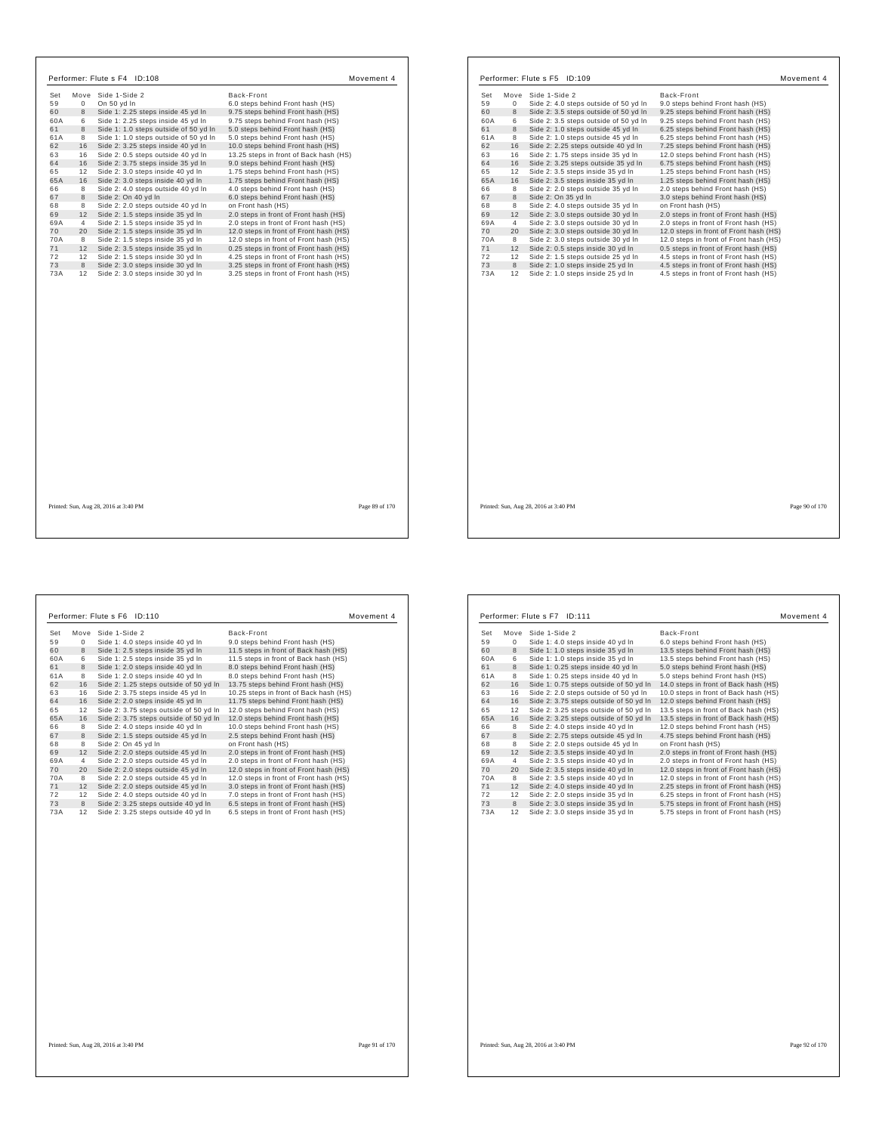| Set | Move        | Side 1-Side 2                         | Back-Front                             |
|-----|-------------|---------------------------------------|----------------------------------------|
| 59  | $\mathbf 0$ | On 50 yd In                           | 6.0 steps behind Front hash (HS)       |
| 60  | 8           | Side 1: 2.25 steps inside 45 yd In    | 9.75 steps behind Front hash (HS)      |
| 60A | 6           | Side 1: 2.25 steps inside 45 yd In    | 9.75 steps behind Front hash (HS)      |
| 61  | 8           | Side 1: 1.0 steps outside of 50 yd In | 5.0 steps behind Front hash (HS)       |
| 61A | 8           | Side 1: 1.0 steps outside of 50 yd In | 5.0 steps behind Front hash (HS)       |
| 62  | 16          | Side 2: 3.25 steps inside 40 yd In    | 10.0 steps behind Front hash (HS)      |
| 63  | 16          | Side 2: 0.5 steps outside 40 yd In    | 13.25 steps in front of Back hash (HS) |
| 64  | 16          | Side 2: 3.75 steps inside 35 yd In    | 9.0 steps behind Front hash (HS)       |
| 65  | 12          | Side 2: 3.0 steps inside 40 yd In     | 1.75 steps behind Front hash (HS)      |
| 65A | 16          | Side 2: 3.0 steps inside 40 yd In     | 1.75 steps behind Front hash (HS)      |
| 66  | 8           | Side 2: 4.0 steps outside 40 yd In    | 4.0 steps behind Front hash (HS)       |
| 67  | 8           | Side 2: On 40 vd In                   | 6.0 steps behind Front hash (HS)       |
| 68  | 8           | Side 2: 2.0 steps outside 40 yd In    | on Front hash (HS)                     |
| 69  | 12          | Side 2: 1.5 steps inside 35 yd In     | 2.0 steps in front of Front hash (HS)  |
| 69A | 4           | Side 2: 1.5 steps inside 35 yd In     | 2.0 steps in front of Front hash (HS)  |
| 70  | 20          | Side 2: 1.5 steps inside 35 yd In     | 12.0 steps in front of Front hash (HS) |
| 70A | 8           | Side 2: 1.5 steps inside 35 yd In     | 12.0 steps in front of Front hash (HS) |
| 71  | 12          | Side 2: 3.5 steps inside 35 yd In     | 0.25 steps in front of Front hash (HS) |
| 72  | 12          | Side 2: 1.5 steps inside 30 yd In     | 4.25 steps in front of Front hash (HS) |
| 73  | 8           | Side 2: 3.0 steps inside 30 yd In     | 3.25 steps in front of Front hash (HS) |
| 73A | 12          | Side 2: 3.0 steps inside 30 yd In     | 3.25 steps in front of Front hash (HS) |
|     |             |                                       |                                        |
|     |             |                                       |                                        |

| Set | Move        | Side 1-Side 2                         | Back-Front                             |  |
|-----|-------------|---------------------------------------|----------------------------------------|--|
| 59  | $\mathbf 0$ | Side 2: 4.0 steps outside of 50 yd In | 9.0 steps behind Front hash (HS)       |  |
| 60  | 8           | Side 2: 3.5 steps outside of 50 yd In | 9.25 steps behind Front hash (HS)      |  |
| 60A | 6           | Side 2: 3.5 steps outside of 50 yd In | 9.25 steps behind Front hash (HS)      |  |
| 61  | 8           | Side 2: 1.0 steps outside 45 yd In    | 6.25 steps behind Front hash (HS)      |  |
| 61A | 8           | Side 2: 1.0 steps outside 45 yd In    | 6.25 steps behind Front hash (HS)      |  |
| 62  | 16          | Side 2: 2.25 steps outside 40 yd In   | 7.25 steps behind Front hash (HS)      |  |
| 63  | 16          | Side 2: 1.75 steps inside 35 yd In    | 12.0 steps behind Front hash (HS)      |  |
| 64  | 16          | Side 2: 3.25 steps outside 35 yd In   | 6.75 steps behind Front hash (HS)      |  |
| 65  | 12          | Side 2: 3.5 steps inside 35 yd In     | 1.25 steps behind Front hash (HS)      |  |
| 65A | 16          | Side 2: 3.5 steps inside 35 yd In     | 1.25 steps behind Front hash (HS)      |  |
| 66  | 8           | Side 2: 2.0 steps outside 35 yd In    | 2.0 steps behind Front hash (HS)       |  |
| 67  | 8           | Side 2: On 35 vd In                   | 3.0 steps behind Front hash (HS)       |  |
| 68  | 8           | Side 2: 4.0 steps outside 35 yd In    | on Front hash (HS)                     |  |
| 69  | 12          | Side 2: 3.0 steps outside 30 yd In    | 2.0 steps in front of Front hash (HS)  |  |
| 69A | 4           | Side 2: 3.0 steps outside 30 yd In    | 2.0 steps in front of Front hash (HS)  |  |
| 70  | 20          | Side 2: 3.0 steps outside 30 yd In    | 12.0 steps in front of Front hash (HS) |  |
| 70A | 8           | Side 2: 3.0 steps outside 30 yd In    | 12.0 steps in front of Front hash (HS) |  |
| 71  | 12          | Side 2: 0.5 steps inside 30 yd In     | 0.5 steps in front of Front hash (HS)  |  |
| 72  | 12          | Side 2: 1.5 steps outside 25 yd In    | 4.5 steps in front of Front hash (HS)  |  |
| 73  | 8           | Side 2: 1.0 steps inside 25 yd In     | 4.5 steps in front of Front hash (HS)  |  |
| 73A | 12          | Side 2: 1.0 steps inside 25 yd In     | 4.5 steps in front of Front hash (HS)  |  |
|     |             |                                       |                                        |  |
|     |             |                                       |                                        |  |
|     |             |                                       |                                        |  |
|     |             |                                       |                                        |  |
|     |             |                                       |                                        |  |
|     |             |                                       |                                        |  |
|     |             |                                       |                                        |  |

Printed: Sun, Aug 28, 2016 at 3:40 PM Page 89 of 170 of 170 of 170 of 170 of 170 of 170 of 170 of 170 of 170 of 170 of 170 of 170 of 170 of 170 of 170 of 170 of 170 of 170 of 170 of 170 of 170 of 170 of 170 of 170 of 170 o

|  |  |  | Page 89 of 170 |  |
|--|--|--|----------------|--|
|--|--|--|----------------|--|

Printed: Sun, Aug 28, 2016 at 3:40 PM Page 90 of 170

 $\Gamma$ 

| Move<br>0<br>8<br>6<br>8<br>8<br>16<br>16 | Side 1-Side 2<br>Side 1: 4.0 steps inside 40 yd In<br>Side 1: 2.5 steps inside 35 yd In<br>Side 1: 2.5 steps inside 35 yd In<br>Side 1: 2.0 steps inside 40 yd In<br>Side 1: 2.0 steps inside 40 yd In<br>Side 2: 1.25 steps outside of 50 yd In | Back-Front<br>9.0 steps behind Front hash (HS)<br>11.5 steps in front of Back hash (HS)<br>11.5 steps in front of Back hash (HS)<br>8.0 steps behind Front hash (HS)<br>8.0 steps behind Front hash (HS)<br>13.75 steps behind Front hash (HS)                                                                                                                                                                                                             |
|-------------------------------------------|--------------------------------------------------------------------------------------------------------------------------------------------------------------------------------------------------------------------------------------------------|------------------------------------------------------------------------------------------------------------------------------------------------------------------------------------------------------------------------------------------------------------------------------------------------------------------------------------------------------------------------------------------------------------------------------------------------------------|
|                                           |                                                                                                                                                                                                                                                  |                                                                                                                                                                                                                                                                                                                                                                                                                                                            |
|                                           |                                                                                                                                                                                                                                                  |                                                                                                                                                                                                                                                                                                                                                                                                                                                            |
|                                           |                                                                                                                                                                                                                                                  |                                                                                                                                                                                                                                                                                                                                                                                                                                                            |
|                                           |                                                                                                                                                                                                                                                  |                                                                                                                                                                                                                                                                                                                                                                                                                                                            |
|                                           |                                                                                                                                                                                                                                                  |                                                                                                                                                                                                                                                                                                                                                                                                                                                            |
|                                           |                                                                                                                                                                                                                                                  |                                                                                                                                                                                                                                                                                                                                                                                                                                                            |
|                                           | Side 2: 3.75 steps inside 45 yd In                                                                                                                                                                                                               | 10.25 steps in front of Back hash (HS)                                                                                                                                                                                                                                                                                                                                                                                                                     |
| 16                                        | Side 2: 2.0 steps inside 45 yd In                                                                                                                                                                                                                | 11.75 steps behind Front hash (HS)                                                                                                                                                                                                                                                                                                                                                                                                                         |
| 12                                        | Side 2: 3.75 steps outside of 50 yd In                                                                                                                                                                                                           | 12.0 steps behind Front hash (HS)                                                                                                                                                                                                                                                                                                                                                                                                                          |
| 16                                        |                                                                                                                                                                                                                                                  | 12.0 steps behind Front hash (HS)                                                                                                                                                                                                                                                                                                                                                                                                                          |
| 8                                         |                                                                                                                                                                                                                                                  | 10.0 steps behind Front hash (HS)                                                                                                                                                                                                                                                                                                                                                                                                                          |
| 8                                         |                                                                                                                                                                                                                                                  | 2.5 steps behind Front hash (HS)                                                                                                                                                                                                                                                                                                                                                                                                                           |
| 8                                         |                                                                                                                                                                                                                                                  | on Front hash (HS)                                                                                                                                                                                                                                                                                                                                                                                                                                         |
| 12                                        |                                                                                                                                                                                                                                                  | 2.0 steps in front of Front hash (HS)                                                                                                                                                                                                                                                                                                                                                                                                                      |
| $\overline{4}$                            |                                                                                                                                                                                                                                                  | 2.0 steps in front of Front hash (HS)                                                                                                                                                                                                                                                                                                                                                                                                                      |
| 20                                        |                                                                                                                                                                                                                                                  | 12.0 steps in front of Front hash (HS)                                                                                                                                                                                                                                                                                                                                                                                                                     |
| 8                                         |                                                                                                                                                                                                                                                  | 12.0 steps in front of Front hash (HS)                                                                                                                                                                                                                                                                                                                                                                                                                     |
| 12                                        |                                                                                                                                                                                                                                                  | 3.0 steps in front of Front hash (HS)                                                                                                                                                                                                                                                                                                                                                                                                                      |
| 12                                        |                                                                                                                                                                                                                                                  | 7.0 steps in front of Front hash (HS)                                                                                                                                                                                                                                                                                                                                                                                                                      |
| 8                                         |                                                                                                                                                                                                                                                  | 6.5 steps in front of Front hash (HS)                                                                                                                                                                                                                                                                                                                                                                                                                      |
| 12                                        |                                                                                                                                                                                                                                                  | 6.5 steps in front of Front hash (HS)                                                                                                                                                                                                                                                                                                                                                                                                                      |
|                                           |                                                                                                                                                                                                                                                  | Side 2: 3.75 steps outside of 50 yd In<br>Side 2: 4.0 steps inside 40 yd In<br>Side 2: 1.5 steps outside 45 yd In<br>Side 2: On 45 vd In<br>Side 2: 2.0 steps outside 45 yd In<br>Side 2: 2.0 steps outside 45 yd In<br>Side 2: 2.0 steps outside 45 yd In<br>Side 2: 2.0 steps outside 45 yd In<br>Side 2: 2.0 steps outside 45 yd In<br>Side 2: 4.0 steps outside 40 yd In<br>Side 2: 3.25 steps outside 40 yd In<br>Side 2: 3.25 steps outside 40 yd In |

|     |      | Performer: Flute s F7 ID:111           | Movement 4                             |
|-----|------|----------------------------------------|----------------------------------------|
| Set | Move | Side 1-Side 2                          | Back-Front                             |
| 59  | 0    | Side 1: 4.0 steps inside 40 yd In      | 6.0 steps behind Front hash (HS)       |
| 60  | 8    | Side 1: 1.0 steps inside 35 yd In      | 13.5 steps behind Front hash (HS)      |
| 60A | 6    | Side 1: 1.0 steps inside 35 yd In      | 13.5 steps behind Front hash (HS)      |
| 61  | 8    | Side 1: 0.25 steps inside 40 yd In     | 5.0 steps behind Front hash (HS)       |
| 61A | 8    | Side 1: 0.25 steps inside 40 yd In     | 5.0 steps behind Front hash (HS)       |
| 62  | 16   | Side 1: 0.75 steps outside of 50 yd In | 14.0 steps in front of Back hash (HS)  |
| 63  | 16   | Side 2: 2.0 steps outside of 50 yd In  | 10.0 steps in front of Back hash (HS)  |
| 64  | 16   | Side 2: 3.75 steps outside of 50 yd In | 12.0 steps behind Front hash (HS)      |
| 65  | 12   | Side 2: 3.25 steps outside of 50 yd In | 13.5 steps in front of Back hash (HS)  |
| 65A | 16   | Side 2: 3.25 steps outside of 50 yd In | 13.5 steps in front of Back hash (HS)  |
| 66  | 8    | Side 2: 4.0 steps inside 40 yd In      | 12.0 steps behind Front hash (HS)      |
| 67  | 8    | Side 2: 2.75 steps outside 45 yd In    | 4.75 steps behind Front hash (HS)      |
| 68  | 8    | Side 2: 2.0 steps outside 45 yd In     | on Front hash (HS)                     |
| 69  | 12   | Side 2: 3.5 steps inside 40 yd In      | 2.0 steps in front of Front hash (HS)  |
| 69A | 4    | Side 2: 3.5 steps inside 40 yd In      | 2.0 steps in front of Front hash (HS)  |
| 70  | 20   | Side 2: 3.5 steps inside 40 yd In      | 12.0 steps in front of Front hash (HS) |
| 70A | 8    | Side 2: 3.5 steps inside 40 yd In      | 12.0 steps in front of Front hash (HS) |
| 71  | 12   | Side 2: 4.0 steps inside 40 yd In      | 2.25 steps in front of Front hash (HS) |
| 72  | 12   | Side 2: 2.0 steps inside 35 yd In      | 6.25 steps in front of Front hash (HS) |
| 73  | 8    | Side 2: 3.0 steps inside 35 yd In      | 5.75 steps in front of Front hash (HS) |
| 73A | 12   | Side 2: 3.0 steps inside 35 yd In      | 5.75 steps in front of Front hash (HS) |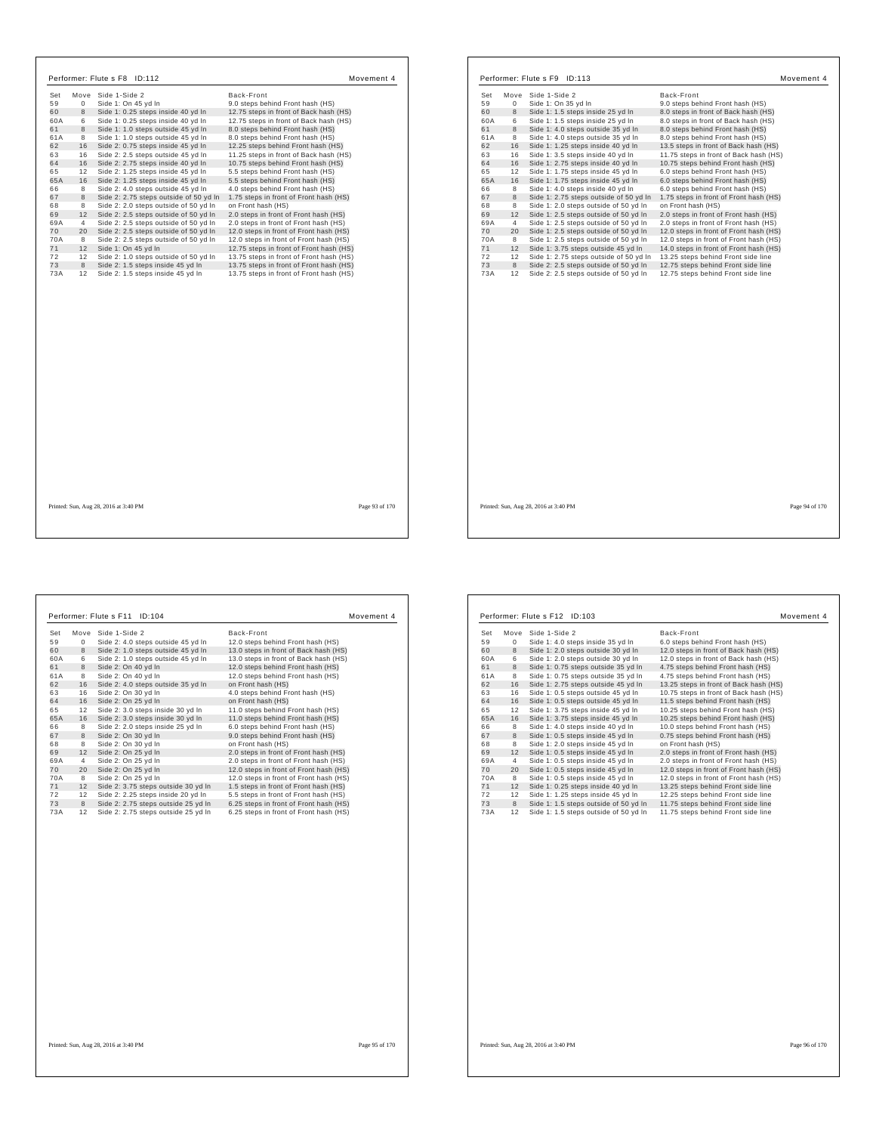|     |                | Performer: Flute s F8 ID:112           |                                         | Movement 4     |     |                | Performer: Flute s F9 ID:113                                              |                                        |
|-----|----------------|----------------------------------------|-----------------------------------------|----------------|-----|----------------|---------------------------------------------------------------------------|----------------------------------------|
| Set |                | Move Side 1-Side 2                     | Back-Front                              |                | Set |                | Move Side 1-Side 2                                                        | Back-Front                             |
| 59  | $\mathbf{0}$   | Side 1: On 45 yd In                    | 9.0 steps behind Front hash (HS)        |                | 59  | $\circ$        | Side 1: On 35 yd In                                                       | 9.0 steps behind Front hash (HS)       |
|     | 8              | Side 1: 0.25 steps inside 40 yd In     | 12.75 steps in front of Back hash (HS)  |                | 60  | 8              | Side 1: 1.5 steps inside 25 yd In                                         | 8.0 steps in front of Back hash (HS)   |
|     | 6              | Side 1: 0.25 steps inside 40 yd In     | 12.75 steps in front of Back hash (HS)  |                | 60A | 6              | Side 1: 1.5 steps inside 25 yd In                                         | 8.0 steps in front of Back hash (HS)   |
| 8   |                | Side 1: 1.0 steps outside 45 yd In     | 8.0 steps behind Front hash (HS)        |                | 61  | 8              | Side 1: 4.0 steps outside 35 yd In                                        | 8.0 steps behind Front hash (HS)       |
| 8   |                | Side 1: 1.0 steps outside 45 yd In     | 8.0 steps behind Front hash (HS)        |                | 61A | 8              | Side 1: 4.0 steps outside 35 yd In                                        | 8.0 steps behind Front hash (HS)       |
| 16  |                | Side 2: 0.75 steps inside 45 yd In     | 12.25 steps behind Front hash (HS)      |                | 62  | 16             | Side 1: 1.25 steps inside 40 yd In                                        | 13.5 steps in front of Back hash (HS)  |
| 16  |                | Side 2: 2.5 steps outside 45 yd In     | 11.25 steps in front of Back hash (HS)  |                | 63  | 16             | Side 1: 3.5 steps inside 40 yd In                                         | 11.75 steps in front of Back hash (HS) |
| 16  |                | Side 2: 2.75 steps inside 40 yd In     | 10.75 steps behind Front hash (HS)      |                | 64  | 16             | Side 1: 2.75 steps inside 40 yd In                                        | 10.75 steps behind Front hash (HS)     |
| 12  |                | Side 2: 1.25 steps inside 45 yd In     | 5.5 steps behind Front hash (HS)        |                | 65  | 12             | Side 1: 1.75 steps inside 45 yd In                                        | 6.0 steps behind Front hash (HS)       |
| 16  |                | Side 2: 1.25 steps inside 45 yd In     | 5.5 steps behind Front hash (HS)        |                | 65A | 16             | Side 1: 1.75 steps inside 45 yd In                                        | 6.0 steps behind Front hash (HS)       |
| 8   |                | Side 2: 4.0 steps outside 45 yd In     | 4.0 steps behind Front hash (HS)        |                | 66  | 8              | Side 1: 4.0 steps inside 40 yd In                                         | 6.0 steps behind Front hash (HS)       |
| 8   |                | Side 2: 2.75 steps outside of 50 yd In | 1.75 steps in front of Front hash (HS)  |                | 67  | 8              | Side 1: 2.75 steps outside of 50 yd In                                    | 1.75 steps in front of Front hash (HS) |
|     | 8              | Side 2: 2.0 steps outside of 50 yd In  | on Front hash (HS)                      |                | 68  | 8              | Side 1: 2.0 steps outside of 50 yd In                                     | on Front hash (HS)                     |
|     | 12             | Side 2: 2.5 steps outside of 50 yd In  | 2.0 steps in front of Front hash (HS)   |                | 69  | 12             | Side 1: 2.5 steps outside of 50 yd In                                     | 2.0 steps in front of Front hash (HS)  |
|     | $\overline{4}$ | Side 2: 2.5 steps outside of 50 yd In  | 2.0 steps in front of Front hash (HS)   |                | 69A | $\overline{4}$ | Side 1: 2.5 steps outside of 50 yd In                                     | 2.0 steps in front of Front hash (HS)  |
|     | 20             | Side 2: 2.5 steps outside of 50 yd In  | 12.0 steps in front of Front hash (HS)  |                | 70  | 20             | Side 1: 2.5 steps outside of 50 yd In                                     | 12.0 steps in front of Front hash (HS) |
|     | 8              | Side 2: 2.5 steps outside of 50 yd In  | 12.0 steps in front of Front hash (HS)  |                | 70A | 8              | Side 1: 2.5 steps outside of 50 yd In                                     | 12.0 steps in front of Front hash (HS) |
|     | 12             | Side 1: On 45 yd In                    | 12.75 steps in front of Front hash (HS) |                | 71  | 12             | Side 1: 3.75 steps outside 45 yd In                                       | 14.0 steps in front of Front hash (HS) |
|     | 12             | Side 2: 1.0 steps outside of 50 yd In  | 13.75 steps in front of Front hash (HS) |                | 72  | 12             | Side 1: 2.75 steps outside of 50 yd In 13.25 steps behind Front side line |                                        |
|     | 8              | Side 2: 1.5 steps inside 45 yd In      | 13.75 steps in front of Front hash (HS) |                | 73  | 8              | Side 2: 2.5 steps outside of 50 yd In                                     | 12.75 steps behind Front side line     |
|     |                |                                        |                                         |                |     |                |                                                                           |                                        |
|     |                | Printed: Sun, Aug 28, 2016 at 3:40 PM  |                                         | Page 93 of 170 |     |                | Printed: Sun, Aug 28, 2016 at 3:40 PM                                     |                                        |

|     |                 | Performer: Flute s F11<br>ID:104    | Movement 4                             |
|-----|-----------------|-------------------------------------|----------------------------------------|
| Set | Move            | Side 1-Side 2                       | Back-Front                             |
| 59  | $\mathbf{0}$    | Side 2: 4.0 steps outside 45 yd In  | 12.0 steps behind Front hash (HS)      |
| 60  | 8               | Side 2: 1.0 steps outside 45 yd In  | 13.0 steps in front of Back hash (HS)  |
| 60A | 6               | Side 2: 1.0 steps outside 45 yd In  | 13.0 steps in front of Back hash (HS)  |
| 61  | 8               | Side 2: On 40 yd In                 | 12.0 steps behind Front hash (HS)      |
| 61A | 8               | Side 2: On 40 yd In                 | 12.0 steps behind Front hash (HS)      |
| 62  | 16              | Side 2: 4.0 steps outside 35 yd In  | on Front hash (HS)                     |
| 63  | 16              | Side 2: On 30 yd In                 | 4.0 steps behind Front hash (HS)       |
| 64  | 16              | Side 2: On 25 yd In                 | on Front hash (HS)                     |
| 65  | 12              | Side 2: 3.0 steps inside 30 yd In   | 11.0 steps behind Front hash (HS)      |
| 65A | 16              | Side 2: 3.0 steps inside 30 yd In   | 11.0 steps behind Front hash (HS)      |
| 66  | 8               | Side 2: 2.0 steps inside 25 yd In   | 6.0 steps behind Front hash (HS)       |
| 67  | 8               | Side 2: On 30 yd In                 | 9.0 steps behind Front hash (HS)       |
| 68  | 8               | Side 2: On 30 yd In                 | on Front hash (HS)                     |
| 69  | 12              | Side 2: On 25 yd In                 | 2.0 steps in front of Front hash (HS)  |
| 69A | 4               | Side 2: On 25 yd In                 | 2.0 steps in front of Front hash (HS)  |
| 70  | 20              | Side 2: On 25 yd In                 | 12.0 steps in front of Front hash (HS) |
| 70A | 8               | Side 2: On 25 yd In                 | 12.0 steps in front of Front hash (HS) |
| 71  | 12              | Side 2: 3.75 steps outside 30 yd In | 1.5 steps in front of Front hash (HS)  |
| 72  | 12 <sup>2</sup> | Side 2: 2.25 steps inside 20 yd In  | 5.5 steps in front of Front hash (HS)  |
| 73  | 8               | Side 2: 2.75 steps outside 25 yd In | 6.25 steps in front of Front hash (HS) |
| 73A | 12              | Side 2: 2.75 steps outside 25 yd In | 6.25 steps in front of Front hash (HS) |

| Set | Move | Side 1-Side 2                         | Back-Front                             |
|-----|------|---------------------------------------|----------------------------------------|
| 59  | 0    | Side 1: 4.0 steps inside 35 yd In     | 6.0 steps behind Front hash (HS)       |
| 60  | 8    | Side 1: 2.0 steps outside 30 yd In    | 12.0 steps in front of Back hash (HS)  |
| 60A | 6    | Side 1: 2.0 steps outside 30 yd In    | 12.0 steps in front of Back hash (HS)  |
| 61  | 8    | Side 1: 0.75 steps outside 35 yd In   | 4.75 steps behind Front hash (HS)      |
| 61A | 8    | Side 1: 0.75 steps outside 35 yd In   | 4.75 steps behind Front hash (HS)      |
| 62  | 16   | Side 1: 2.75 steps outside 45 vd In   | 13.25 steps in front of Back hash (HS) |
| 63  | 16   | Side 1: 0.5 steps outside 45 yd In    | 10.75 steps in front of Back hash (HS) |
| 64  | 16   | Side 1: 0.5 steps outside 45 yd In    | 11.5 steps behind Front hash (HS)      |
| 65  | 12   | Side 1: 3.75 steps inside 45 yd In    | 10.25 steps behind Front hash (HS)     |
| 65A | 16   | Side 1: 3.75 steps inside 45 yd In    | 10.25 steps behind Front hash (HS)     |
| 66  | 8    | Side 1: 4.0 steps inside 40 yd In     | 10.0 steps behind Front hash (HS)      |
| 67  | 8    | Side 1: 0.5 steps inside 45 vd In     | 0.75 steps behind Front hash (HS)      |
| 68  | 8    | Side 1: 2.0 steps inside 45 vd In     | on Front hash (HS)                     |
| 69  | 12   | Side 1: 0.5 steps inside 45 yd In     | 2.0 steps in front of Front hash (HS)  |
| 69A | 4    | Side 1: 0.5 steps inside 45 yd In     | 2.0 steps in front of Front hash (HS)  |
| 70  | 20   | Side 1: 0.5 steps inside 45 yd In     | 12.0 steps in front of Front hash (HS) |
| 70A | 8    | Side 1: 0.5 steps inside 45 yd In     | 12.0 steps in front of Front hash (HS) |
| 71  | 12   | Side 1: 0.25 steps inside 40 yd In    | 13.25 steps behind Front side line     |
| 72  | 12   | Side 1: 1.25 steps inside 45 yd In    | 12.25 steps behind Front side line     |
| 73  | 8    | Side 1: 1.5 steps outside of 50 yd In | 11.75 steps behind Front side line     |
| 73A | 12   | Side 1: 1.5 steps outside of 50 yd In | 11.75 steps behind Front side line     |

Movement 4

Page 94 of 170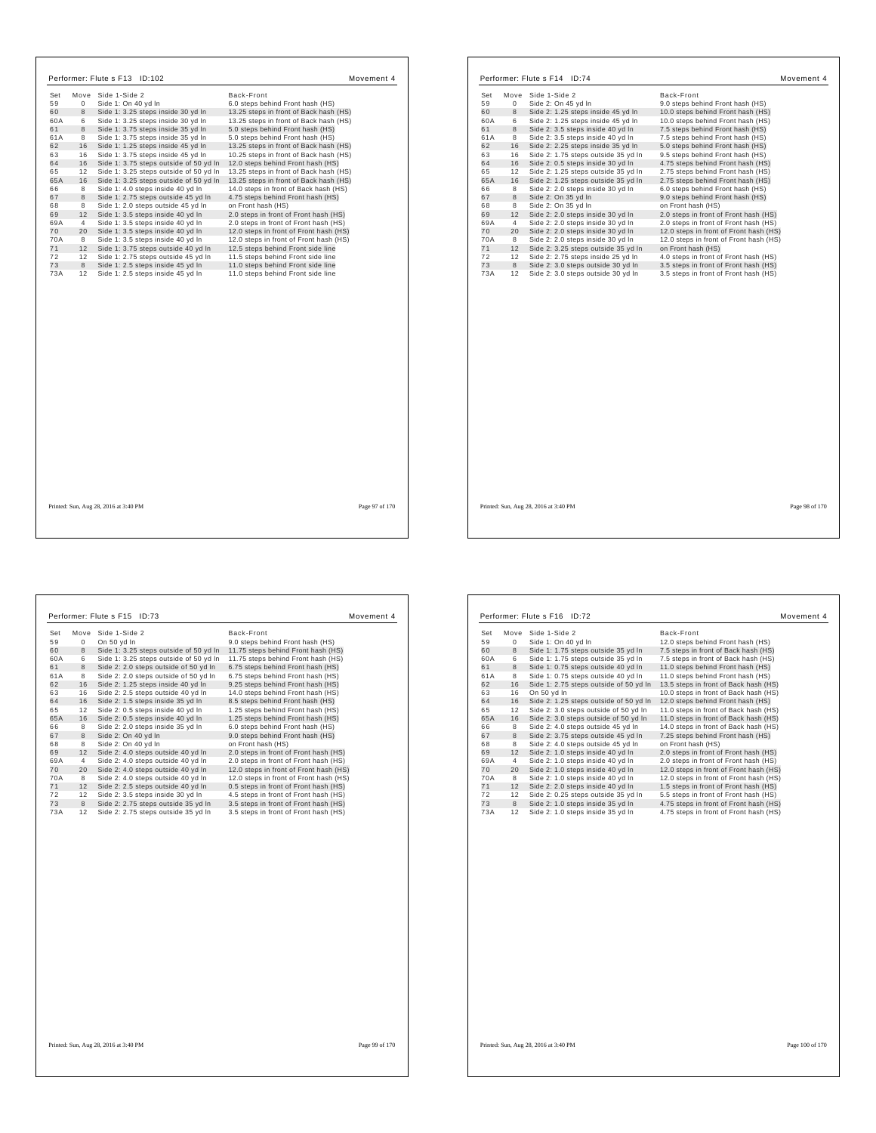| Set | Move     | Side 1-Side 2                          | Back-Front                             |
|-----|----------|----------------------------------------|----------------------------------------|
| 59  | $\Omega$ | Side 1: On 40 yd In                    | 6.0 steps behind Front hash (HS)       |
| 60  | 8        | Side 1: 3.25 steps inside 30 yd In     | 13.25 steps in front of Back hash (HS) |
| 60A | 6        | Side 1: 3.25 steps inside 30 yd In     | 13.25 steps in front of Back hash (HS) |
| 61  | 8        | Side 1: 3.75 steps inside 35 yd In     | 5.0 steps behind Front hash (HS)       |
| 61A | 8        | Side 1: 3.75 steps inside 35 yd In     | 5.0 steps behind Front hash (HS)       |
| 62  | 16       | Side 1: 1.25 steps inside 45 yd In     | 13.25 steps in front of Back hash (HS) |
| 63  | 16       | Side 1: 3.75 steps inside 45 yd In     | 10.25 steps in front of Back hash (HS) |
| 64  | 16       | Side 1: 3.75 steps outside of 50 yd In | 12.0 steps behind Front hash (HS)      |
| 65  | 12       | Side 1: 3.25 steps outside of 50 yd In | 13.25 steps in front of Back hash (HS) |
| 65A | 16       | Side 1: 3.25 steps outside of 50 yd In | 13.25 steps in front of Back hash (HS) |
| 66  | 8        | Side 1: 4.0 steps inside 40 yd In      | 14.0 steps in front of Back hash (HS)  |
| 67  | 8        | Side 1: 2.75 steps outside 45 yd In    | 4.75 steps behind Front hash (HS)      |
| 68  | 8        | Side 1: 2.0 steps outside 45 yd In     | on Front hash (HS)                     |
| 69  | 12       | Side 1: 3.5 steps inside 40 yd In      | 2.0 steps in front of Front hash (HS)  |
| 69A | 4        | Side 1: 3.5 steps inside 40 yd In      | 2.0 steps in front of Front hash (HS)  |
| 70  | 20       | Side 1: 3.5 steps inside 40 yd In      | 12.0 steps in front of Front hash (HS) |
| 70A | 8        | Side 1: 3.5 steps inside 40 yd In      | 12.0 steps in front of Front hash (HS) |
| 71  | 12       | Side 1: 3.75 steps outside 40 yd In    | 12.5 steps behind Front side line      |
| 72  | 12       | Side 1: 2.75 steps outside 45 yd In    | 11.5 steps behind Front side line      |
| 73  | 8        | Side 1: 2.5 steps inside 45 yd In      | 11.0 steps behind Front side line      |
| 73A | 12       | Side 1: 2.5 steps inside 45 yd In      | 11.0 steps behind Front side line      |
|     |          |                                        |                                        |
|     |          |                                        |                                        |

|           | Move           | Side 1-Side 2                       | Back-Front                             |
|-----------|----------------|-------------------------------------|----------------------------------------|
| Set<br>59 | 0              | Side 2: On 45 yd In                 | 9.0 steps behind Front hash (HS)       |
| 60        | 8              | Side 2: 1.25 steps inside 45 yd In  | 10.0 steps behind Front hash (HS)      |
| 60A       | 6              | Side 2: 1.25 steps inside 45 yd In  | 10.0 steps behind Front hash (HS)      |
| 61        | 8              | Side 2: 3.5 steps inside 40 yd In   | 7.5 steps behind Front hash (HS)       |
| 61A       | 8              | Side 2: 3.5 steps inside 40 yd In   | 7.5 steps behind Front hash (HS)       |
| 62        | 16             | Side 2: 2.25 steps inside 35 yd In  | 5.0 steps behind Front hash (HS)       |
| 63        | 16             | Side 2: 1.75 steps outside 35 yd In | 9.5 steps behind Front hash (HS)       |
| 64        | 16             | Side 2: 0.5 steps inside 30 yd In   | 4.75 steps behind Front hash (HS)      |
| 65        | 12             | Side 2: 1.25 steps outside 35 yd In | 2.75 steps behind Front hash (HS)      |
| 65A       | 16             | Side 2: 1.25 steps outside 35 yd In | 2.75 steps behind Front hash (HS)      |
| 66        | 8              | Side 2: 2.0 steps inside 30 yd In   | 6.0 steps behind Front hash (HS)       |
| 67        | 8              | Side 2: On 35 vd In                 | 9.0 steps behind Front hash (HS)       |
| 68        | 8              | Side 2: On 35 yd In                 | on Front hash (HS)                     |
| 69        | 12             | Side 2: 2.0 steps inside 30 yd In   | 2.0 steps in front of Front hash (HS)  |
| 69A       | $\overline{4}$ | Side 2: 2.0 steps inside 30 yd In   | 2.0 steps in front of Front hash (HS)  |
| 70        | 20             | Side 2: 2.0 steps inside 30 yd In   | 12.0 steps in front of Front hash (HS) |
| 70A       | 8              | Side 2: 2.0 steps inside 30 yd In   | 12.0 steps in front of Front hash (HS) |
| 71        | 12             | Side 2: 3.25 steps outside 35 yd In | on Front hash (HS)                     |
| 72        | 12             | Side 2: 2.75 steps inside 25 vd In  | 4.0 steps in front of Front hash (HS)  |
| 73        | 8              | Side 2: 3.0 steps outside 30 yd In  | 3.5 steps in front of Front hash (HS)  |
| 73A       | 12             | Side 2: 3.0 steps outside 30 yd In  | 3.5 steps in front of Front hash (HS)  |
|           |                |                                     |                                        |
|           |                |                                     |                                        |
|           |                |                                     |                                        |
|           |                |                                     |                                        |
|           |                |                                     |                                        |
|           |                |                                     |                                        |
|           |                |                                     |                                        |
|           |                |                                     |                                        |

Printed: Sun, Aug 28, 2016 at 3:40 PM Page 98 of 170

| Set | Move         | Side 1-Side 2                          | Back-Front                             |  |
|-----|--------------|----------------------------------------|----------------------------------------|--|
| 59  | $\mathbf{0}$ | On 50 yd In                            | 9.0 steps behind Front hash (HS)       |  |
| 60  | 8            | Side 1: 3.25 steps outside of 50 yd In | 11.75 steps behind Front hash (HS)     |  |
| 60A | 6            | Side 1: 3.25 steps outside of 50 yd In | 11.75 steps behind Front hash (HS)     |  |
| 61  | 8            | Side 2: 2.0 steps outside of 50 yd In  | 6.75 steps behind Front hash (HS)      |  |
| 61A | 8            | Side 2: 2.0 steps outside of 50 yd In  | 6.75 steps behind Front hash (HS)      |  |
| 62  | 16           | Side 2: 1.25 steps inside 40 yd In     | 9.25 steps behind Front hash (HS)      |  |
| 63  | 16           | Side 2: 2.5 steps outside 40 yd In     | 14.0 steps behind Front hash (HS)      |  |
| 64  | 16           | Side 2: 1.5 steps inside 35 yd In      | 8.5 steps behind Front hash (HS)       |  |
| 65  | 12           | Side 2: 0.5 steps inside 40 yd In      | 1.25 steps behind Front hash (HS)      |  |
| 65A | 16           | Side 2: 0.5 steps inside 40 yd In      | 1.25 steps behind Front hash (HS)      |  |
| 66  | 8            | Side 2: 2.0 steps inside 35 yd In      | 6.0 steps behind Front hash (HS)       |  |
| 67  | 8            | Side 2: On 40 yd In                    | 9.0 steps behind Front hash (HS)       |  |
| 68  | 8            | Side 2: On 40 yd In                    | on Front hash (HS)                     |  |
| 69  | 12           | Side 2: 4.0 steps outside 40 yd In     | 2.0 steps in front of Front hash (HS)  |  |
| 69A | 4            | Side 2: 4.0 steps outside 40 yd In     | 2.0 steps in front of Front hash (HS)  |  |
| 70  | 20           | Side 2: 4.0 steps outside 40 yd In     | 12.0 steps in front of Front hash (HS) |  |
| 70A | 8            | Side 2: 4.0 steps outside 40 yd In     | 12.0 steps in front of Front hash (HS) |  |
| 71  | 12           | Side 2: 2.5 steps outside 40 yd In     | 0.5 steps in front of Front hash (HS)  |  |
| 72  | 12           | Side 2: 3.5 steps inside 30 yd In      | 4.5 steps in front of Front hash (HS)  |  |
| 73  | 8            | Side 2: 2.75 steps outside 35 yd In    | 3.5 steps in front of Front hash (HS)  |  |
| 73A | 12           | Side 2: 2.75 steps outside 35 yd In    | 3.5 steps in front of Front hash (HS)  |  |
|     |              |                                        |                                        |  |

| Set | Move | Side 1-Side 2                          | Back-Front                             |
|-----|------|----------------------------------------|----------------------------------------|
| 59  | 0    | Side 1: On 40 vd In                    | 12.0 steps behind Front hash (HS)      |
| 60  | 8    | Side 1: 1.75 steps outside 35 yd In    | 7.5 steps in front of Back hash (HS)   |
| 60A | 6    | Side 1: 1.75 steps outside 35 yd In    | 7.5 steps in front of Back hash (HS)   |
| 61  | 8    | Side 1: 0.75 steps outside 40 yd In    | 11.0 steps behind Front hash (HS)      |
| 61A | 8    | Side 1: 0.75 steps outside 40 yd In    | 11.0 steps behind Front hash (HS)      |
| 62  | 16   | Side 1: 2.75 steps outside of 50 yd In | 13.5 steps in front of Back hash (HS)  |
| 63  | 16   | On 50 yd In                            | 10.0 steps in front of Back hash (HS)  |
| 64  | 16   | Side 2: 1.25 steps outside of 50 yd In | 12.0 steps behind Front hash (HS)      |
| 65  | 12   | Side 2: 3.0 steps outside of 50 yd In  | 11.0 steps in front of Back hash (HS)  |
| 65A | 16   | Side 2: 3.0 steps outside of 50 yd In  | 11.0 steps in front of Back hash (HS)  |
| 66  | 8    | Side 2: 4.0 steps outside 45 yd In     | 14.0 steps in front of Back hash (HS)  |
| 67  | 8    | Side 2: 3.75 steps outside 45 yd In    | 7.25 steps behind Front hash (HS)      |
| 68  | 8    | Side 2: 4.0 steps outside 45 vd In     | on Front hash (HS)                     |
| 69  | 12   | Side 2: 1.0 steps inside 40 yd In      | 2.0 steps in front of Front hash (HS)  |
| 69A | 4    | Side 2: 1.0 steps inside 40 yd In      | 2.0 steps in front of Front hash (HS)  |
| 70  | 20   | Side 2: 1.0 steps inside 40 yd In      | 12.0 steps in front of Front hash (HS) |
| 70A | 8    | Side 2: 1.0 steps inside 40 yd In      | 12.0 steps in front of Front hash (HS) |
| 71  | 12   | Side 2: 2.0 steps inside 40 yd In      | 1.5 steps in front of Front hash (HS)  |
| 72  | 12   | Side 2: 0.25 steps outside 35 yd In    | 5.5 steps in front of Front hash (HS)  |
| 73  | 8    | Side 2: 1.0 steps inside 35 yd In      | 4.75 steps in front of Front hash (HS) |
| 73A | 12   | Side 2: 1.0 steps inside 35 yd In      | 4.75 steps in front of Front hash (HS) |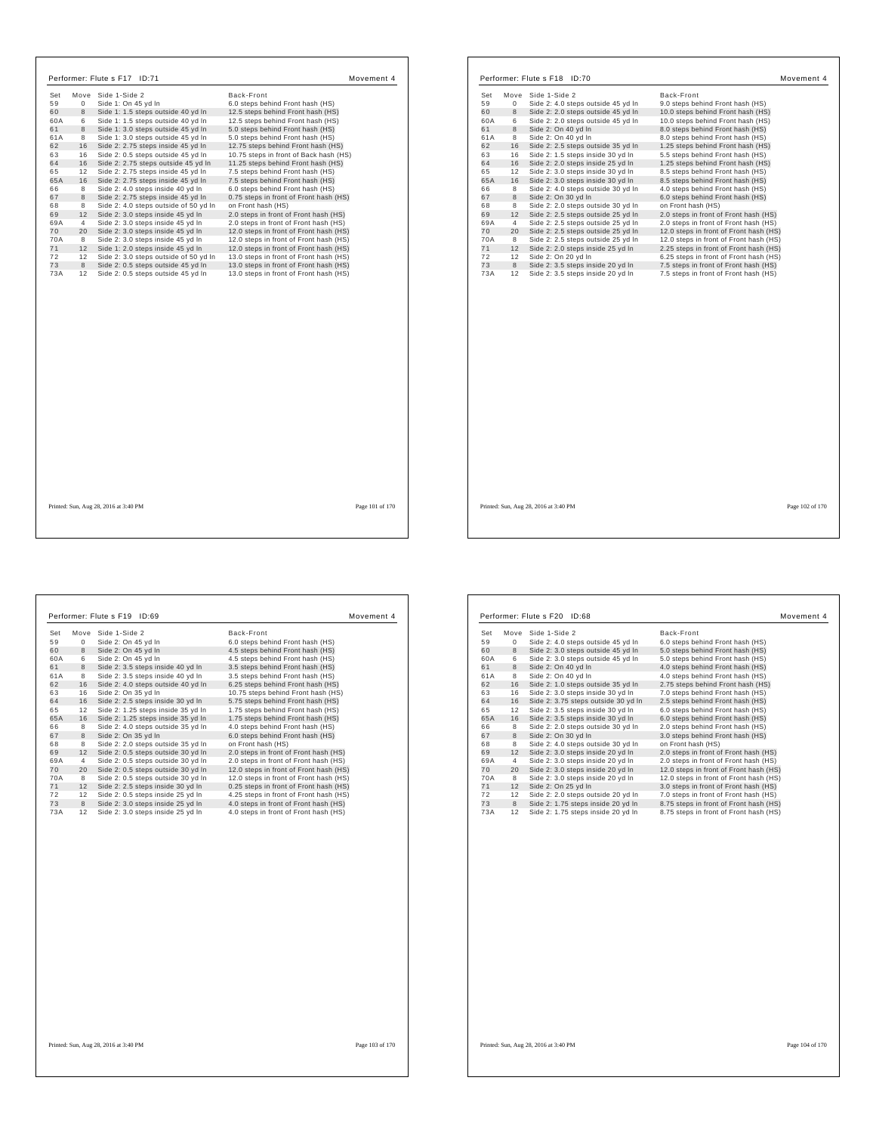| Set | Move     | Side 1-Side 2                         | Back-Front                             |
|-----|----------|---------------------------------------|----------------------------------------|
| 59  | $\Omega$ | Side 1: On 45 yd In                   | 6.0 steps behind Front hash (HS)       |
| 60  | 8        | Side 1: 1.5 steps outside 40 yd In    | 12.5 steps behind Front hash (HS)      |
| 60A | 6        | Side 1: 1.5 steps outside 40 yd In    | 12.5 steps behind Front hash (HS)      |
| 61  | 8        | Side 1: 3.0 steps outside 45 vd In    | 5.0 steps behind Front hash (HS)       |
| 61A | 8        | Side 1: 3.0 steps outside 45 yd In    | 5.0 steps behind Front hash (HS)       |
| 62  | 16       | Side 2: 2.75 steps inside 45 yd In    | 12.75 steps behind Front hash (HS)     |
| 63  | 16       | Side 2: 0.5 steps outside 45 yd In    | 10.75 steps in front of Back hash (HS) |
| 64  | 16       | Side 2: 2.75 steps outside 45 yd In   | 11.25 steps behind Front hash (HS)     |
| 65  | 12       | Side 2: 2.75 steps inside 45 yd In    | 7.5 steps behind Front hash (HS)       |
| 65A | 16       | Side 2: 2.75 steps inside 45 yd In    | 7.5 steps behind Front hash (HS)       |
| 66  | 8        | Side 2: 4.0 steps inside 40 yd In     | 6.0 steps behind Front hash (HS)       |
| 67  | 8        | Side 2: 2.75 steps inside 45 yd In    | 0.75 steps in front of Front hash (HS) |
| 68  | 8        | Side 2: 4.0 steps outside of 50 yd In | on Front hash (HS)                     |
| 69  | 12       | Side 2: 3.0 steps inside 45 yd In     | 2.0 steps in front of Front hash (HS)  |
| 69A | 4        | Side 2: 3.0 steps inside 45 yd In     | 2.0 steps in front of Front hash (HS)  |
| 70  | 20       | Side 2: 3.0 steps inside 45 yd In     | 12.0 steps in front of Front hash (HS) |
| 70A | 8        | Side 2: 3.0 steps inside 45 yd In     | 12.0 steps in front of Front hash (HS) |
| 71  | 12       | Side 1: 2.0 steps inside 45 yd In     | 12.0 steps in front of Front hash (HS) |
| 72  | 12       | Side 2: 3.0 steps outside of 50 yd In | 13.0 steps in front of Front hash (HS) |
| 73  | 8        | Side 2: 0.5 steps outside 45 yd In    | 13.0 steps in front of Front hash (HS) |
| 73A | 12       | Side 2: 0.5 steps outside 45 yd In    | 13.0 steps in front of Front hash (HS) |
|     |          |                                       |                                        |
|     |          |                                       |                                        |
|     |          |                                       |                                        |
|     |          |                                       |                                        |
|     |          |                                       |                                        |
|     |          | Printed: Sun, Aug 28, 2016 at 3:40 PM | Page 101 of 170                        |

| Set |                | Move Side 1-Side 2                 | Back-Front                             |
|-----|----------------|------------------------------------|----------------------------------------|
| 59  | $\mathbf 0$    | Side 2: 4.0 steps outside 45 yd In | 9.0 steps behind Front hash (HS)       |
| 60  | 8              | Side 2: 2.0 steps outside 45 yd In | 10.0 steps behind Front hash (HS)      |
| 60A | 6              | Side 2: 2.0 steps outside 45 yd In | 10.0 steps behind Front hash (HS)      |
| 61  | 8              | Side 2: On 40 vd In                | 8.0 steps behind Front hash (HS)       |
| 61A | 8              | Side 2: On 40 yd In                | 8.0 steps behind Front hash (HS)       |
| 62  | 16             | Side 2: 2.5 steps outside 35 yd In | 1.25 steps behind Front hash (HS)      |
| 63  | 16             | Side 2: 1.5 steps inside 30 yd In  | 5.5 steps behind Front hash (HS)       |
| 64  | 16             | Side 2: 2.0 steps inside 25 yd In  | 1.25 steps behind Front hash (HS)      |
| 65  | 12             | Side 2: 3.0 steps inside 30 yd In  | 8.5 steps behind Front hash (HS)       |
| 65A | 16             | Side 2: 3.0 steps inside 30 yd In  | 8.5 steps behind Front hash (HS)       |
| 66  | 8              | Side 2: 4.0 steps outside 30 yd In | 4.0 steps behind Front hash (HS)       |
| 67  | 8              | Side 2: On 30 vd In                | 6.0 steps behind Front hash (HS)       |
| 68  | 8              | Side 2: 2.0 steps outside 30 yd In | on Front hash (HS)                     |
| 69  | 12             | Side 2: 2.5 steps outside 25 yd In | 2.0 steps in front of Front hash (HS)  |
| 69A | $\overline{4}$ | Side 2: 2.5 steps outside 25 yd In | 2.0 steps in front of Front hash (HS)  |
| 70  | 20             | Side 2: 2.5 steps outside 25 yd In | 12.0 steps in front of Front hash (HS) |
| 70A | 8              | Side 2: 2.5 steps outside 25 yd In | 12.0 steps in front of Front hash (HS) |
| 71  | 12             | Side 2: 2.0 steps inside 25 yd In  | 2.25 steps in front of Front hash (HS) |
| 72  | 12             | Side 2: On 20 yd In                | 6.25 steps in front of Front hash (HS) |
| 73  | 8              | Side 2: 3.5 steps inside 20 yd In  | 7.5 steps in front of Front hash (HS)  |
| 73A | 12             | Side 2: 3.5 steps inside 20 yd In  | 7.5 steps in front of Front hash (HS)  |
|     |                |                                    |                                        |
|     |                |                                    |                                        |
|     |                |                                    |                                        |
|     |                |                                    |                                        |

Printed: Sun, Aug 28, 2016 at 3:40 PM Page 102 of 170

 $\overline{\phantom{a}}$ 

| 6.0 steps behind Front hash (HS)<br>4.5 steps behind Front hash (HS)<br>4.5 steps behind Front hash (HS)<br>3.5 steps behind Front hash (HS)<br>3.5 steps behind Front hash (HS)<br>6.25 steps behind Front hash (HS) |
|-----------------------------------------------------------------------------------------------------------------------------------------------------------------------------------------------------------------------|
|                                                                                                                                                                                                                       |
|                                                                                                                                                                                                                       |
|                                                                                                                                                                                                                       |
|                                                                                                                                                                                                                       |
|                                                                                                                                                                                                                       |
|                                                                                                                                                                                                                       |
| 10.75 steps behind Front hash (HS)                                                                                                                                                                                    |
| 5.75 steps behind Front hash (HS)                                                                                                                                                                                     |
| 1.75 steps behind Front hash (HS)                                                                                                                                                                                     |
| 1.75 steps behind Front hash (HS)                                                                                                                                                                                     |
| 4.0 steps behind Front hash (HS)                                                                                                                                                                                      |
| 6.0 steps behind Front hash (HS)                                                                                                                                                                                      |
|                                                                                                                                                                                                                       |
| 2.0 steps in front of Front hash (HS)                                                                                                                                                                                 |
| 2.0 steps in front of Front hash (HS)                                                                                                                                                                                 |
| 12.0 steps in front of Front hash (HS)                                                                                                                                                                                |
| 12.0 steps in front of Front hash (HS)                                                                                                                                                                                |
| 0.25 steps in front of Front hash (HS)                                                                                                                                                                                |
| 4.25 steps in front of Front hash (HS)                                                                                                                                                                                |
| 4.0 steps in front of Front hash (HS)                                                                                                                                                                                 |
| 4.0 steps in front of Front hash (HS)                                                                                                                                                                                 |
|                                                                                                                                                                                                                       |

| Set |                | Move Side 1-Side 2                  | Back-Front                             |
|-----|----------------|-------------------------------------|----------------------------------------|
| 59  | 0              | Side 2: 4.0 steps outside 45 yd In  | 6.0 steps behind Front hash (HS)       |
| 60  | 8              | Side 2: 3.0 steps outside 45 yd In  | 5.0 steps behind Front hash (HS)       |
| 60A | 6              | Side 2: 3.0 steps outside 45 yd In  | 5.0 steps behind Front hash (HS)       |
| 61  | 8              | Side 2: On 40 yd In                 | 4.0 steps behind Front hash (HS)       |
| 61A | 8              | Side 2: On 40 yd In                 | 4.0 steps behind Front hash (HS)       |
| 62  | 16             | Side 2: 1.0 steps outside 35 yd In  | 2.75 steps behind Front hash (HS)      |
| 63  | 16             | Side 2: 3.0 steps inside 30 yd In   | 7.0 steps behind Front hash (HS)       |
| 64  | 16             | Side 2: 3.75 steps outside 30 yd In | 2.5 steps behind Front hash (HS)       |
| 65  | 12             | Side 2: 3.5 steps inside 30 yd In   | 6.0 steps behind Front hash (HS)       |
| 65A | 16             | Side 2: 3.5 steps inside 30 yd In   | 6.0 steps behind Front hash (HS)       |
| 66  | 8              | Side 2: 2.0 steps outside 30 yd In  | 2.0 steps behind Front hash (HS)       |
| 67  | 8              | Side 2: On 30 yd In                 | 3.0 steps behind Front hash (HS)       |
| 68  | 8              | Side 2: 4.0 steps outside 30 yd In  | on Front hash (HS)                     |
| 69  | 12             | Side 2: 3.0 steps inside 20 yd In   | 2.0 steps in front of Front hash (HS)  |
| 69A | $\overline{4}$ | Side 2: 3.0 steps inside 20 yd In   | 2.0 steps in front of Front hash (HS)  |
| 70  | 20             | Side 2: 3.0 steps inside 20 yd In   | 12.0 steps in front of Front hash (HS) |
| 70A | 8              | Side 2: 3.0 steps inside 20 yd In   | 12.0 steps in front of Front hash (HS) |
| 71  | 12             | Side 2: On 25 yd In                 | 3.0 steps in front of Front hash (HS)  |
| 72  | 12             | Side 2: 2.0 steps outside 20 yd In  | 7.0 steps in front of Front hash (HS)  |
| 73  | 8              | Side 2: 1.75 steps inside 20 yd In  | 8.75 steps in front of Front hash (HS) |
| 73A | 12             | Side 2: 1.75 steps inside 20 yd In  | 8.75 steps in front of Front hash (HS) |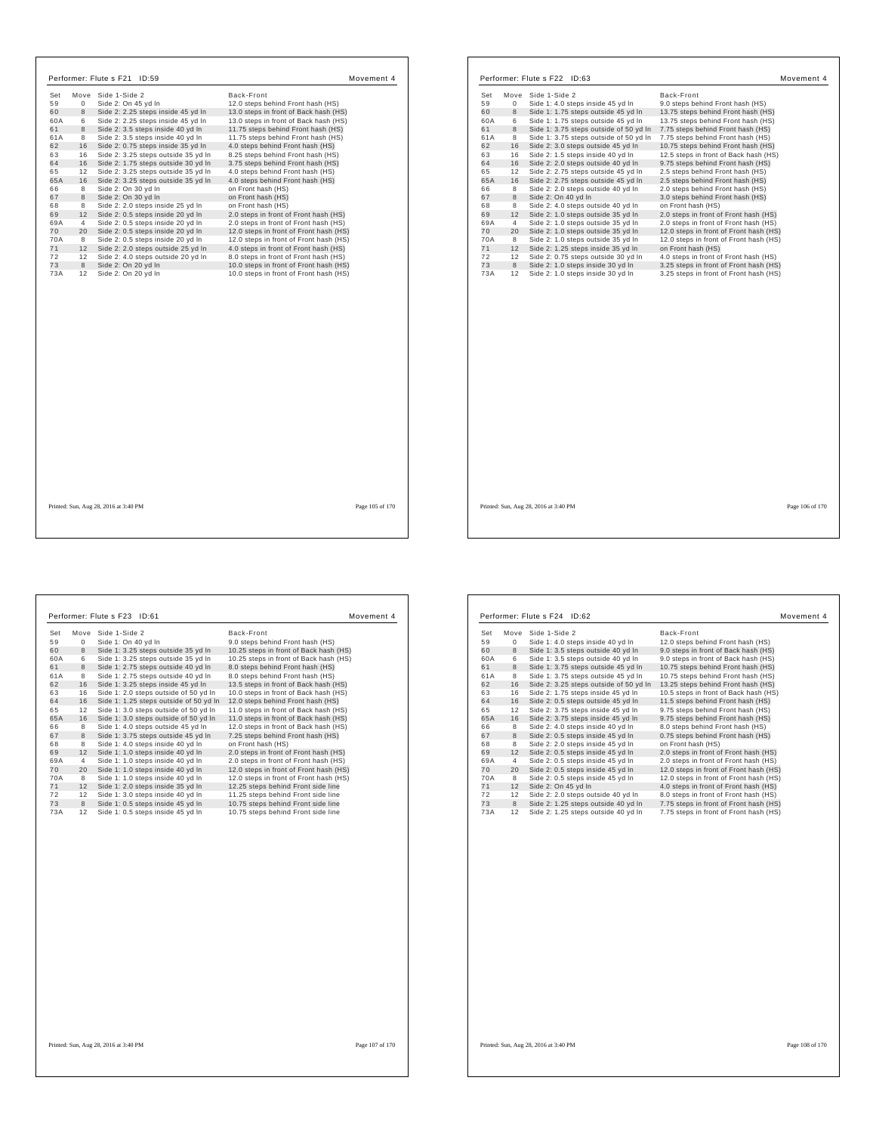| Set       |                | Move Side 1-Side 2                                                     | Back-Front                                                                       |                 | Set      |                | Move Side 1-Side 2                                                        | Back-Front                                                                      |
|-----------|----------------|------------------------------------------------------------------------|----------------------------------------------------------------------------------|-----------------|----------|----------------|---------------------------------------------------------------------------|---------------------------------------------------------------------------------|
| 59        | $\mathbf{0}$   | Side 2: On 45 yd In                                                    | 12.0 steps behind Front hash (HS)                                                |                 | 59       | $\Omega$       | Side 1: 4.0 steps inside 45 yd In                                         | 9.0 steps behind Front hash (HS)                                                |
| 60        | 8              | Side 2: 2.25 steps inside 45 yd In                                     | 13.0 steps in front of Back hash (HS)                                            |                 | 60       | 8              | Side 1: 1.75 steps outside 45 yd In                                       | 13.75 steps behind Front hash (HS)                                              |
| 60A       | 6              | Side 2: 2.25 steps inside 45 yd In                                     | 13.0 steps in front of Back hash (HS)                                            |                 | 60A      | 6              | Side 1: 1.75 steps outside 45 yd In                                       | 13.75 steps behind Front hash (HS)                                              |
|           | 8              | Side 2: 3.5 steps inside 40 yd In                                      | 11.75 steps behind Front hash (HS)                                               |                 | 61       | 8              | Side 1: 3.75 steps outside of 50 yd In                                    | 7.75 steps behind Front hash (HS)                                               |
| 61A       | 8              | Side 2: 3.5 steps inside 40 yd In                                      | 11.75 steps behind Front hash (HS)                                               |                 | 61A      | 8              | Side 1: 3.75 steps outside of 50 yd In                                    | 7.75 steps behind Front hash (HS)                                               |
|           | 16             | Side 2: 0.75 steps inside 35 yd In                                     | 4.0 steps behind Front hash (HS)                                                 |                 | 62       | 16             | Side 2: 3.0 steps outside 45 yd In                                        | 10.75 steps behind Front hash (HS)                                              |
|           | 16             | Side 2: 3.25 steps outside 35 yd In                                    | 8.25 steps behind Front hash (HS)                                                |                 | 63       | 16             | Side 2: 1.5 steps inside 40 yd In                                         | 12.5 steps in front of Back hash (HS)                                           |
|           | 16             | Side 2: 1.75 steps outside 30 yd In                                    | 3.75 steps behind Front hash (HS)                                                |                 | 64       | 16             | Side 2: 2.0 steps outside 40 yd In                                        | 9.75 steps behind Front hash (HS)                                               |
| 64<br>65  | 12             | Side 2: 3.25 steps outside 35 yd In                                    | 4.0 steps behind Front hash (HS)                                                 |                 | 65       | 12             | Side 2: 2.75 steps outside 45 yd In                                       | 2.5 steps behind Front hash (HS)                                                |
| 65A       | 16             | Side 2: 3.25 steps outside 35 yd In                                    | 4.0 steps behind Front hash (HS)                                                 |                 | 65A      | 16             | Side 2: 2.75 steps outside 45 yd In                                       | 2.5 steps behind Front hash (HS)                                                |
|           | 8              | Side 2: On 30 yd In                                                    | on Front hash (HS)                                                               |                 | 66       | 8              | Side 2: 2.0 steps outside 40 yd In                                        | 2.0 steps behind Front hash (HS)                                                |
|           | 8              | Side 2: On 30 yd In                                                    | on Front hash (HS)                                                               |                 | 67       | 8              | Side 2: On 40 vd In                                                       | 3.0 steps behind Front hash (HS)                                                |
|           | 8              |                                                                        |                                                                                  |                 | 68       | 8              |                                                                           | on Front hash (HS)                                                              |
|           | 12             | Side 2: 2.0 steps inside 25 yd In<br>Side 2: 0.5 steps inside 20 yd In | on Front hash (HS)<br>2.0 steps in front of Front hash (HS)                      |                 | 69       | 12             | Side 2: 4.0 steps outside 40 yd In<br>Side 2: 1.0 steps outside 35 yd In  | 2.0 steps in front of Front hash (HS)                                           |
| 69<br>69A | $\overline{4}$ | Side 2: 0.5 steps inside 20 yd In                                      | 2.0 steps in front of Front hash (HS)                                            |                 | 69A      | $\overline{4}$ | Side 2: 1.0 steps outside 35 yd In                                        | 2.0 steps in front of Front hash (HS)                                           |
| 70        |                |                                                                        |                                                                                  |                 |          |                |                                                                           | 12.0 steps in front of Front hash (HS)                                          |
|           | 20             | Side 2: 0.5 steps inside 20 yd In                                      | 12.0 steps in front of Front hash (HS)                                           |                 | 70       | 20             | Side 2: 1.0 steps outside 35 yd In                                        |                                                                                 |
| 70A<br>71 | 8              | Side 2: 0.5 steps inside 20 yd In                                      | 12.0 steps in front of Front hash (HS)                                           |                 | 70A      | 8              | Side 2: 1.0 steps outside 35 yd In                                        | 12.0 steps in front of Front hash (HS)                                          |
|           | 12             | Side 2: 2.0 steps outside 25 yd In                                     | 4.0 steps in front of Front hash (HS)                                            |                 | 71<br>72 | 12             | Side 2: 1.25 steps inside 35 yd In                                        | on Front hash (HS)                                                              |
| 72<br>73  | 12<br>8        | Side 2: 4.0 steps outside 20 yd In<br>Side 2: On 20 yd In              | 8.0 steps in front of Front hash (HS)                                            |                 | 73       | 12             | Side 2: 0.75 steps outside 30 yd In                                       | 4.0 steps in front of Front hash (HS)<br>3.25 steps in front of Front hash (HS) |
| 73A       | 12             | Side 2: On 20 yd In                                                    | 10.0 steps in front of Front hash (HS)<br>10.0 steps in front of Front hash (HS) |                 | 73A      | 8              | Side 2: 1.0 steps inside 30 yd In<br>12 Side 2: 1.0 steps inside 30 yd In | 3.25 steps in front of Front hash (HS)                                          |
|           |                |                                                                        |                                                                                  |                 |          |                |                                                                           |                                                                                 |
|           |                | Printed: Sun, Aug 28, 2016 at 3:40 PM                                  |                                                                                  | Page 105 of 170 |          |                | Printed: Sun, Aug 28, 2016 at 3:40 PM                                     |                                                                                 |

 $\overline{\phantom{a}}$ 

 $\mathsf{r}$ 

 $\sqrt{ }$ 

|   |                                                                                                       | Movement 4                                                                                                                                                                                                                                                                                                                                                                                                                                                                                                                                                                                                                                                                                                                                                                                     |
|---|-------------------------------------------------------------------------------------------------------|------------------------------------------------------------------------------------------------------------------------------------------------------------------------------------------------------------------------------------------------------------------------------------------------------------------------------------------------------------------------------------------------------------------------------------------------------------------------------------------------------------------------------------------------------------------------------------------------------------------------------------------------------------------------------------------------------------------------------------------------------------------------------------------------|
|   | Side 1-Side 2                                                                                         | Back-Front                                                                                                                                                                                                                                                                                                                                                                                                                                                                                                                                                                                                                                                                                                                                                                                     |
| 0 | Side 1: On 40 yd In                                                                                   | 9.0 steps behind Front hash (HS)                                                                                                                                                                                                                                                                                                                                                                                                                                                                                                                                                                                                                                                                                                                                                               |
|   | Side 1: 3.25 steps outside 35 yd In                                                                   | 10.25 steps in front of Back hash (HS)                                                                                                                                                                                                                                                                                                                                                                                                                                                                                                                                                                                                                                                                                                                                                         |
| 6 |                                                                                                       | 10.25 steps in front of Back hash (HS)                                                                                                                                                                                                                                                                                                                                                                                                                                                                                                                                                                                                                                                                                                                                                         |
|   |                                                                                                       | 8.0 steps behind Front hash (HS)                                                                                                                                                                                                                                                                                                                                                                                                                                                                                                                                                                                                                                                                                                                                                               |
|   |                                                                                                       | 8.0 steps behind Front hash (HS)                                                                                                                                                                                                                                                                                                                                                                                                                                                                                                                                                                                                                                                                                                                                                               |
|   |                                                                                                       | 13.5 steps in front of Back hash (HS)                                                                                                                                                                                                                                                                                                                                                                                                                                                                                                                                                                                                                                                                                                                                                          |
|   |                                                                                                       | 10.0 steps in front of Back hash (HS)                                                                                                                                                                                                                                                                                                                                                                                                                                                                                                                                                                                                                                                                                                                                                          |
|   |                                                                                                       | 12.0 steps behind Front hash (HS)                                                                                                                                                                                                                                                                                                                                                                                                                                                                                                                                                                                                                                                                                                                                                              |
|   |                                                                                                       | 11.0 steps in front of Back hash (HS)                                                                                                                                                                                                                                                                                                                                                                                                                                                                                                                                                                                                                                                                                                                                                          |
|   |                                                                                                       | 11.0 steps in front of Back hash (HS)                                                                                                                                                                                                                                                                                                                                                                                                                                                                                                                                                                                                                                                                                                                                                          |
|   |                                                                                                       | 12.0 steps in front of Back hash (HS)                                                                                                                                                                                                                                                                                                                                                                                                                                                                                                                                                                                                                                                                                                                                                          |
|   |                                                                                                       | 7.25 steps behind Front hash (HS)                                                                                                                                                                                                                                                                                                                                                                                                                                                                                                                                                                                                                                                                                                                                                              |
|   |                                                                                                       | on Front hash (HS)                                                                                                                                                                                                                                                                                                                                                                                                                                                                                                                                                                                                                                                                                                                                                                             |
|   |                                                                                                       | 2.0 steps in front of Front hash (HS)                                                                                                                                                                                                                                                                                                                                                                                                                                                                                                                                                                                                                                                                                                                                                          |
|   |                                                                                                       | 2.0 steps in front of Front hash (HS)                                                                                                                                                                                                                                                                                                                                                                                                                                                                                                                                                                                                                                                                                                                                                          |
|   |                                                                                                       | 12.0 steps in front of Front hash (HS)                                                                                                                                                                                                                                                                                                                                                                                                                                                                                                                                                                                                                                                                                                                                                         |
|   |                                                                                                       | 12.0 steps in front of Front hash (HS)<br>12.25 steps behind Front side line                                                                                                                                                                                                                                                                                                                                                                                                                                                                                                                                                                                                                                                                                                                   |
|   |                                                                                                       | 11.25 steps behind Front side line                                                                                                                                                                                                                                                                                                                                                                                                                                                                                                                                                                                                                                                                                                                                                             |
|   |                                                                                                       | 10.75 steps behind Front side line                                                                                                                                                                                                                                                                                                                                                                                                                                                                                                                                                                                                                                                                                                                                                             |
|   |                                                                                                       | 10.75 steps behind Front side line                                                                                                                                                                                                                                                                                                                                                                                                                                                                                                                                                                                                                                                                                                                                                             |
|   |                                                                                                       |                                                                                                                                                                                                                                                                                                                                                                                                                                                                                                                                                                                                                                                                                                                                                                                                |
|   |                                                                                                       |                                                                                                                                                                                                                                                                                                                                                                                                                                                                                                                                                                                                                                                                                                                                                                                                |
|   |                                                                                                       |                                                                                                                                                                                                                                                                                                                                                                                                                                                                                                                                                                                                                                                                                                                                                                                                |
|   |                                                                                                       |                                                                                                                                                                                                                                                                                                                                                                                                                                                                                                                                                                                                                                                                                                                                                                                                |
|   | 8<br>8<br>8<br>16<br>16<br>16<br>12<br>16<br>8<br>8<br>8<br>12<br>4<br>20<br>8<br>12<br>12<br>8<br>12 | Performer: Flute s F23 ID:61<br>Move<br>Side 1: 3.25 steps outside 35 yd In<br>Side 1: 2.75 steps outside 40 yd In<br>Side 1: 2.75 steps outside 40 yd In<br>Side 1: 3.25 steps inside 45 vd In<br>Side 1: 2.0 steps outside of 50 yd In<br>Side 1: 1.25 steps outside of 50 yd In<br>Side 1: 3.0 steps outside of 50 yd In<br>Side 1: 3.0 steps outside of 50 yd In<br>Side 1: 4.0 steps outside 45 yd In<br>Side 1: 3.75 steps outside 45 yd In<br>Side 1: 4.0 steps inside 40 yd In<br>Side 1: 1.0 steps inside 40 yd In<br>Side 1: 1.0 steps inside 40 yd In<br>Side 1: 1.0 steps inside 40 yd In<br>Side 1: 1.0 steps inside 40 yd In<br>Side 1: 2.0 steps inside 35 yd In<br>Side 1: 3.0 steps inside 40 yd In<br>Side 1: 0.5 steps inside 45 yd In<br>Side 1: 0.5 steps inside 45 yd In |

|     |                | Performer: Flute s F24 ID:62           | Movement 4                             |
|-----|----------------|----------------------------------------|----------------------------------------|
| Set | Move           | Side 1-Side 2                          | Back-Front                             |
| 59  | 0              | Side 1: 4.0 steps inside 40 yd In      | 12.0 steps behind Front hash (HS)      |
| 60  | 8              | Side 1: 3.5 steps outside 40 yd In     | 9.0 steps in front of Back hash (HS)   |
| 60A | 6              | Side 1: 3.5 steps outside 40 yd In     | 9.0 steps in front of Back hash (HS)   |
| 61  | 8              | Side 1: 3.75 steps outside 45 yd In    | 10.75 steps behind Front hash (HS)     |
| 61A | 8              | Side 1: 3.75 steps outside 45 vd In    | 10.75 steps behind Front hash (HS)     |
| 62  | 16             | Side 2: 3.25 steps outside of 50 yd In | 13.25 steps behind Front hash (HS)     |
| 63  | 16             | Side 2: 1.75 steps inside 45 yd In     | 10.5 steps in front of Back hash (HS)  |
| 64  | 16             | Side 2: 0.5 steps outside 45 yd In     | 11.5 steps behind Front hash (HS)      |
| 65  | 12             | Side 2: 3.75 steps inside 45 yd In     | 9.75 steps behind Front hash (HS)      |
| 65A | 16             | Side 2: 3.75 steps inside 45 yd In     | 9.75 steps behind Front hash (HS)      |
| 66  | 8              | Side 2: 4.0 steps inside 40 yd In      | 8.0 steps behind Front hash (HS)       |
| 67  | 8              | Side 2: 0.5 steps inside 45 yd In      | 0.75 steps behind Front hash (HS)      |
| 68  | 8              | Side 2: 2.0 steps inside 45 vd In      | on Front hash (HS)                     |
| 69  | 12             | Side 2: 0.5 steps inside 45 yd In      | 2.0 steps in front of Front hash (HS)  |
| 69A | $\overline{4}$ | Side 2: 0.5 steps inside 45 yd In      | 2.0 steps in front of Front hash (HS)  |
| 70  | 20             | Side 2: 0.5 steps inside 45 yd In      | 12.0 steps in front of Front hash (HS) |
| 70A | 8              | Side 2: 0.5 steps inside 45 yd In      | 12.0 steps in front of Front hash (HS) |
| 71  | 12             | Side 2: On 45 yd In                    | 4.0 steps in front of Front hash (HS)  |
| 72  | 12             | Side 2: 2.0 steps outside 40 yd In     | 8.0 steps in front of Front hash (HS)  |
| 73  | 8              | Side 2: 1.25 steps outside 40 yd In    | 7.75 steps in front of Front hash (HS) |
| 73A | 12             | Side 2: 1.25 steps outside 40 vd In    | 7.75 steps in front of Front hash (HS) |

Г

Movement 4

Page 106 of 170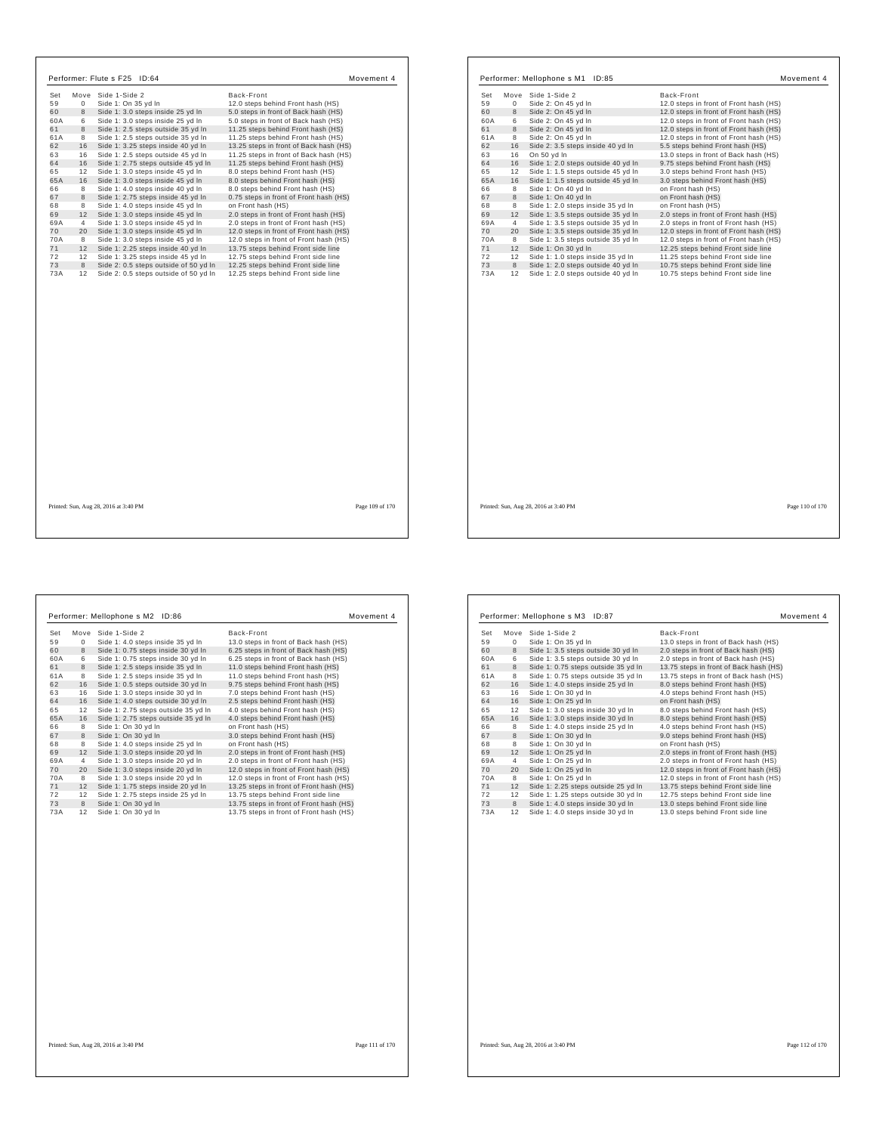|           | Move           | Side 1-Side 2                                                               | Back-Front                                                               |
|-----------|----------------|-----------------------------------------------------------------------------|--------------------------------------------------------------------------|
| 59        | $\mathbf 0$    | Side 1: On 35 yd In                                                         | 12.0 steps behind Front hash (HS)                                        |
| 60        | 8              | Side 1: 3.0 steps inside 25 yd In                                           | 5.0 steps in front of Back hash (HS)                                     |
| 60A       | 6              | Side 1: 3.0 steps inside 25 yd In                                           | 5.0 steps in front of Back hash (HS)                                     |
| 61        | 8              | Side 1: 2.5 steps outside 35 yd In                                          | 11.25 steps behind Front hash (HS)                                       |
| 61A       | 8              | Side 1: 2.5 steps outside 35 yd In                                          | 11.25 steps behind Front hash (HS)                                       |
| 62        | 16             | Side 1: 3.25 steps inside 40 yd In                                          | 13.25 steps in front of Back hash (HS)                                   |
| 63        | 16             | Side 1: 2.5 steps outside 45 yd In                                          | 11.25 steps in front of Back hash (HS)                                   |
| 64        | 16             | Side 1: 2.75 steps outside 45 yd In                                         | 11.25 steps behind Front hash (HS)                                       |
| 65        | 12             | Side 1: 3.0 steps inside 45 yd In                                           | 8.0 steps behind Front hash (HS)                                         |
| 65A       | 16             | Side 1: 3.0 steps inside 45 yd In                                           | 8.0 steps behind Front hash (HS)                                         |
| 66        | 8              | Side 1: 4.0 steps inside 40 yd In                                           | 8.0 steps behind Front hash (HS)                                         |
| 67        | 8              | Side 1: 2.75 steps inside 45 vd In                                          | 0.75 steps in front of Front hash (HS)                                   |
| 68        | 8              | Side 1: 4.0 steps inside 45 yd In                                           | on Front hash (HS)                                                       |
| 69        | 12             | Side 1: 3.0 steps inside 45 yd In                                           | 2.0 steps in front of Front hash (HS)                                    |
| 69A       | $\overline{4}$ | Side 1: 3.0 steps inside 45 yd In                                           | 2.0 steps in front of Front hash (HS)                                    |
| 70        | 20             | Side 1: 3.0 steps inside 45 yd In                                           | 12.0 steps in front of Front hash (HS)                                   |
| 70A<br>71 | 8              | Side 1: 3.0 steps inside 45 yd In                                           | 12.0 steps in front of Front hash (HS)                                   |
| 72        | 12<br>12       | Side 1: 2.25 steps inside 40 yd In                                          | 13.75 steps behind Front side line<br>12.75 steps behind Front side line |
| 73        | 8              | Side 1: 3.25 steps inside 45 yd In<br>Side 2: 0.5 steps outside of 50 yd In | 12.25 steps behind Front side line                                       |
| 73A       | 12             | Side 2: 0.5 steps outside of 50 yd In                                       | 12.25 steps behind Front side line                                       |
|           |                |                                                                             |                                                                          |
|           |                |                                                                             |                                                                          |
|           |                |                                                                             |                                                                          |
|           |                |                                                                             |                                                                          |
|           |                |                                                                             |                                                                          |
|           |                |                                                                             |                                                                          |

| Side 1-Side 2<br>Back-Front<br>Set<br>Move<br>59<br>Side 2: On 45 yd In<br>12.0 steps in front of Front hash (HS)<br>0<br>8<br>60<br>Side 2: On 45 yd In<br>12.0 steps in front of Front hash (HS)<br>60A<br>6<br>Side 2: On 45 yd In<br>12.0 steps in front of Front hash (HS)<br>8<br>61<br>Side 2: On 45 yd In<br>12.0 steps in front of Front hash (HS)<br>61A<br>8<br>Side 2: On 45 yd In<br>12.0 steps in front of Front hash (HS)<br>16<br>62<br>Side 2: 3.5 steps inside 40 yd In<br>5.5 steps behind Front hash (HS)<br>16<br>63<br>On 50 yd In<br>13.0 steps in front of Back hash (HS)<br>16<br>64<br>Side 1: 2.0 steps outside 40 yd In<br>9.75 steps behind Front hash (HS)<br>12<br>65<br>Side 1: 1.5 steps outside 45 yd In<br>3.0 steps behind Front hash (HS)<br>16<br>65A<br>Side 1: 1.5 steps outside 45 yd In<br>3.0 steps behind Front hash (HS)<br>8<br>66<br>Side 1: On 40 yd In<br>on Front hash (HS)<br>8<br>67<br>Side 1: On 40 vd In<br>on Front hash (HS)<br>8<br>68<br>Side 1: 2.0 steps inside 35 yd In<br>on Front hash (HS)<br>12<br>69<br>Side 1: 3.5 steps outside 35 yd In<br>2.0 steps in front of Front hash (HS)<br>69A<br>$\overline{4}$<br>Side 1: 3.5 steps outside 35 yd In<br>2.0 steps in front of Front hash (HS)<br>70<br>20<br>Side 1: 3.5 steps outside 35 yd In<br>12.0 steps in front of Front hash (HS)<br>70A<br>8<br>Side 1: 3.5 steps outside 35 yd In<br>12.0 steps in front of Front hash (HS)<br>12<br>71<br>Side 1: On 30 yd In<br>12.25 steps behind Front side line<br>12<br>Side 1: 1.0 steps inside 35 yd In<br>72<br>11.25 steps behind Front side line<br>8<br>73<br>Side 1: 2.0 steps outside 40 yd In<br>10.75 steps behind Front side line<br>73A<br>12<br>Side 1: 2.0 steps outside 40 yd In<br>10.75 steps behind Front side line |  |
|--------------------------------------------------------------------------------------------------------------------------------------------------------------------------------------------------------------------------------------------------------------------------------------------------------------------------------------------------------------------------------------------------------------------------------------------------------------------------------------------------------------------------------------------------------------------------------------------------------------------------------------------------------------------------------------------------------------------------------------------------------------------------------------------------------------------------------------------------------------------------------------------------------------------------------------------------------------------------------------------------------------------------------------------------------------------------------------------------------------------------------------------------------------------------------------------------------------------------------------------------------------------------------------------------------------------------------------------------------------------------------------------------------------------------------------------------------------------------------------------------------------------------------------------------------------------------------------------------------------------------------------------------------------------------------------------------------------------------------------------------------------------------------------------------------|--|
|                                                                                                                                                                                                                                                                                                                                                                                                                                                                                                                                                                                                                                                                                                                                                                                                                                                                                                                                                                                                                                                                                                                                                                                                                                                                                                                                                                                                                                                                                                                                                                                                                                                                                                                                                                                                        |  |
|                                                                                                                                                                                                                                                                                                                                                                                                                                                                                                                                                                                                                                                                                                                                                                                                                                                                                                                                                                                                                                                                                                                                                                                                                                                                                                                                                                                                                                                                                                                                                                                                                                                                                                                                                                                                        |  |
|                                                                                                                                                                                                                                                                                                                                                                                                                                                                                                                                                                                                                                                                                                                                                                                                                                                                                                                                                                                                                                                                                                                                                                                                                                                                                                                                                                                                                                                                                                                                                                                                                                                                                                                                                                                                        |  |
|                                                                                                                                                                                                                                                                                                                                                                                                                                                                                                                                                                                                                                                                                                                                                                                                                                                                                                                                                                                                                                                                                                                                                                                                                                                                                                                                                                                                                                                                                                                                                                                                                                                                                                                                                                                                        |  |
|                                                                                                                                                                                                                                                                                                                                                                                                                                                                                                                                                                                                                                                                                                                                                                                                                                                                                                                                                                                                                                                                                                                                                                                                                                                                                                                                                                                                                                                                                                                                                                                                                                                                                                                                                                                                        |  |
|                                                                                                                                                                                                                                                                                                                                                                                                                                                                                                                                                                                                                                                                                                                                                                                                                                                                                                                                                                                                                                                                                                                                                                                                                                                                                                                                                                                                                                                                                                                                                                                                                                                                                                                                                                                                        |  |
|                                                                                                                                                                                                                                                                                                                                                                                                                                                                                                                                                                                                                                                                                                                                                                                                                                                                                                                                                                                                                                                                                                                                                                                                                                                                                                                                                                                                                                                                                                                                                                                                                                                                                                                                                                                                        |  |
|                                                                                                                                                                                                                                                                                                                                                                                                                                                                                                                                                                                                                                                                                                                                                                                                                                                                                                                                                                                                                                                                                                                                                                                                                                                                                                                                                                                                                                                                                                                                                                                                                                                                                                                                                                                                        |  |
|                                                                                                                                                                                                                                                                                                                                                                                                                                                                                                                                                                                                                                                                                                                                                                                                                                                                                                                                                                                                                                                                                                                                                                                                                                                                                                                                                                                                                                                                                                                                                                                                                                                                                                                                                                                                        |  |
|                                                                                                                                                                                                                                                                                                                                                                                                                                                                                                                                                                                                                                                                                                                                                                                                                                                                                                                                                                                                                                                                                                                                                                                                                                                                                                                                                                                                                                                                                                                                                                                                                                                                                                                                                                                                        |  |
|                                                                                                                                                                                                                                                                                                                                                                                                                                                                                                                                                                                                                                                                                                                                                                                                                                                                                                                                                                                                                                                                                                                                                                                                                                                                                                                                                                                                                                                                                                                                                                                                                                                                                                                                                                                                        |  |
|                                                                                                                                                                                                                                                                                                                                                                                                                                                                                                                                                                                                                                                                                                                                                                                                                                                                                                                                                                                                                                                                                                                                                                                                                                                                                                                                                                                                                                                                                                                                                                                                                                                                                                                                                                                                        |  |
|                                                                                                                                                                                                                                                                                                                                                                                                                                                                                                                                                                                                                                                                                                                                                                                                                                                                                                                                                                                                                                                                                                                                                                                                                                                                                                                                                                                                                                                                                                                                                                                                                                                                                                                                                                                                        |  |
|                                                                                                                                                                                                                                                                                                                                                                                                                                                                                                                                                                                                                                                                                                                                                                                                                                                                                                                                                                                                                                                                                                                                                                                                                                                                                                                                                                                                                                                                                                                                                                                                                                                                                                                                                                                                        |  |
|                                                                                                                                                                                                                                                                                                                                                                                                                                                                                                                                                                                                                                                                                                                                                                                                                                                                                                                                                                                                                                                                                                                                                                                                                                                                                                                                                                                                                                                                                                                                                                                                                                                                                                                                                                                                        |  |
|                                                                                                                                                                                                                                                                                                                                                                                                                                                                                                                                                                                                                                                                                                                                                                                                                                                                                                                                                                                                                                                                                                                                                                                                                                                                                                                                                                                                                                                                                                                                                                                                                                                                                                                                                                                                        |  |
|                                                                                                                                                                                                                                                                                                                                                                                                                                                                                                                                                                                                                                                                                                                                                                                                                                                                                                                                                                                                                                                                                                                                                                                                                                                                                                                                                                                                                                                                                                                                                                                                                                                                                                                                                                                                        |  |
|                                                                                                                                                                                                                                                                                                                                                                                                                                                                                                                                                                                                                                                                                                                                                                                                                                                                                                                                                                                                                                                                                                                                                                                                                                                                                                                                                                                                                                                                                                                                                                                                                                                                                                                                                                                                        |  |
|                                                                                                                                                                                                                                                                                                                                                                                                                                                                                                                                                                                                                                                                                                                                                                                                                                                                                                                                                                                                                                                                                                                                                                                                                                                                                                                                                                                                                                                                                                                                                                                                                                                                                                                                                                                                        |  |
|                                                                                                                                                                                                                                                                                                                                                                                                                                                                                                                                                                                                                                                                                                                                                                                                                                                                                                                                                                                                                                                                                                                                                                                                                                                                                                                                                                                                                                                                                                                                                                                                                                                                                                                                                                                                        |  |
|                                                                                                                                                                                                                                                                                                                                                                                                                                                                                                                                                                                                                                                                                                                                                                                                                                                                                                                                                                                                                                                                                                                                                                                                                                                                                                                                                                                                                                                                                                                                                                                                                                                                                                                                                                                                        |  |
|                                                                                                                                                                                                                                                                                                                                                                                                                                                                                                                                                                                                                                                                                                                                                                                                                                                                                                                                                                                                                                                                                                                                                                                                                                                                                                                                                                                                                                                                                                                                                                                                                                                                                                                                                                                                        |  |
|                                                                                                                                                                                                                                                                                                                                                                                                                                                                                                                                                                                                                                                                                                                                                                                                                                                                                                                                                                                                                                                                                                                                                                                                                                                                                                                                                                                                                                                                                                                                                                                                                                                                                                                                                                                                        |  |
|                                                                                                                                                                                                                                                                                                                                                                                                                                                                                                                                                                                                                                                                                                                                                                                                                                                                                                                                                                                                                                                                                                                                                                                                                                                                                                                                                                                                                                                                                                                                                                                                                                                                                                                                                                                                        |  |
|                                                                                                                                                                                                                                                                                                                                                                                                                                                                                                                                                                                                                                                                                                                                                                                                                                                                                                                                                                                                                                                                                                                                                                                                                                                                                                                                                                                                                                                                                                                                                                                                                                                                                                                                                                                                        |  |
|                                                                                                                                                                                                                                                                                                                                                                                                                                                                                                                                                                                                                                                                                                                                                                                                                                                                                                                                                                                                                                                                                                                                                                                                                                                                                                                                                                                                                                                                                                                                                                                                                                                                                                                                                                                                        |  |
|                                                                                                                                                                                                                                                                                                                                                                                                                                                                                                                                                                                                                                                                                                                                                                                                                                                                                                                                                                                                                                                                                                                                                                                                                                                                                                                                                                                                                                                                                                                                                                                                                                                                                                                                                                                                        |  |
|                                                                                                                                                                                                                                                                                                                                                                                                                                                                                                                                                                                                                                                                                                                                                                                                                                                                                                                                                                                                                                                                                                                                                                                                                                                                                                                                                                                                                                                                                                                                                                                                                                                                                                                                                                                                        |  |
|                                                                                                                                                                                                                                                                                                                                                                                                                                                                                                                                                                                                                                                                                                                                                                                                                                                                                                                                                                                                                                                                                                                                                                                                                                                                                                                                                                                                                                                                                                                                                                                                                                                                                                                                                                                                        |  |
|                                                                                                                                                                                                                                                                                                                                                                                                                                                                                                                                                                                                                                                                                                                                                                                                                                                                                                                                                                                                                                                                                                                                                                                                                                                                                                                                                                                                                                                                                                                                                                                                                                                                                                                                                                                                        |  |

Printed: Sun, Aug 28, 2016 at 3:40 PM Page 110 of 170

 $\sqrt{ }$ 

 $\mathbf{I}$ 

| Set |              | Move Side 1-Side 2                  | Back-Front                              |
|-----|--------------|-------------------------------------|-----------------------------------------|
| 59  | $\mathbf{0}$ | Side 1: 4.0 steps inside 35 yd In   | 13.0 steps in front of Back hash (HS)   |
| 60  | 8            | Side 1: 0.75 steps inside 30 yd In  | 6.25 steps in front of Back hash (HS)   |
| 60A | 6            | Side 1: 0.75 steps inside 30 yd In  | 6.25 steps in front of Back hash (HS)   |
| 61  | 8            | Side 1: 2.5 steps inside 35 yd In   | 11.0 steps behind Front hash (HS)       |
| 61A | 8            | Side 1: 2.5 steps inside 35 yd In   | 11.0 steps behind Front hash (HS)       |
| 62  | 16           | Side 1: 0.5 steps outside 30 yd In  | 9.75 steps behind Front hash (HS)       |
| 63  | 16           | Side 1: 3.0 steps inside 30 yd In   | 7.0 steps behind Front hash (HS)        |
| 64  | 16           | Side 1: 4.0 steps outside 30 yd In  | 2.5 steps behind Front hash (HS)        |
| 65  | 12           | Side 1: 2.75 steps outside 35 yd In | 4.0 steps behind Front hash (HS)        |
| 65A | 16           | Side 1: 2.75 steps outside 35 yd In | 4.0 steps behind Front hash (HS)        |
| 66  | 8            | Side 1: On 30 yd In                 | on Front hash (HS)                      |
| 67  | 8            | Side 1: On 30 yd In                 | 3.0 steps behind Front hash (HS)        |
| 68  | 8            | Side 1: 4.0 steps inside 25 yd In   | on Front hash (HS)                      |
| 69  | 12           | Side 1: 3.0 steps inside 20 yd In   | 2.0 steps in front of Front hash (HS)   |
| 69A | 4            | Side 1: 3.0 steps inside 20 yd In   | 2.0 steps in front of Front hash (HS)   |
| 70  | 20           | Side 1: 3.0 steps inside 20 yd In   | 12.0 steps in front of Front hash (HS)  |
| 70A | 8            | Side 1: 3.0 steps inside 20 yd In   | 12.0 steps in front of Front hash (HS)  |
| 71  | 12           | Side 1: 1.75 steps inside 20 yd In  | 13.25 steps in front of Front hash (HS) |
| 72  | 12           | Side 1: 2.75 steps inside 25 yd In  | 13.75 steps behind Front side line      |
| 73  | 8            | Side 1: On 30 yd In                 | 13.75 steps in front of Front hash (HS) |
| 73A | 12           | Side 1: On 30 yd In                 | 13.75 steps in front of Front hash (HS) |

| Move<br>0<br>8<br>6<br>8<br>8<br>16<br>16<br>16<br>12 | Side 1-Side 2<br>Side 1: On 35 yd In<br>Side 1: 3.5 steps outside 30 yd In<br>Side 1: 3.5 steps outside 30 yd In<br>Side 1: 0.75 steps outside 35 yd In<br>Side 1: 0.75 steps outside 35 yd In<br>Side 1: 4.0 steps inside 25 yd In<br>Side 1: On 30 yd In<br>Side 1: On 25 yd In | Back-Front<br>13.0 steps in front of Back hash (HS)<br>2.0 steps in front of Back hash (HS)<br>2.0 steps in front of Back hash (HS)<br>13.75 steps in front of Back hash (HS)<br>13.75 steps in front of Back hash (HS)<br>8.0 steps behind Front hash (HS)<br>4.0 steps behind Front hash (HS)<br>on Front hash (HS) |
|-------------------------------------------------------|-----------------------------------------------------------------------------------------------------------------------------------------------------------------------------------------------------------------------------------------------------------------------------------|-----------------------------------------------------------------------------------------------------------------------------------------------------------------------------------------------------------------------------------------------------------------------------------------------------------------------|
|                                                       |                                                                                                                                                                                                                                                                                   |                                                                                                                                                                                                                                                                                                                       |
|                                                       |                                                                                                                                                                                                                                                                                   |                                                                                                                                                                                                                                                                                                                       |
|                                                       |                                                                                                                                                                                                                                                                                   |                                                                                                                                                                                                                                                                                                                       |
|                                                       |                                                                                                                                                                                                                                                                                   |                                                                                                                                                                                                                                                                                                                       |
|                                                       |                                                                                                                                                                                                                                                                                   |                                                                                                                                                                                                                                                                                                                       |
|                                                       |                                                                                                                                                                                                                                                                                   |                                                                                                                                                                                                                                                                                                                       |
|                                                       |                                                                                                                                                                                                                                                                                   |                                                                                                                                                                                                                                                                                                                       |
|                                                       |                                                                                                                                                                                                                                                                                   |                                                                                                                                                                                                                                                                                                                       |
|                                                       |                                                                                                                                                                                                                                                                                   |                                                                                                                                                                                                                                                                                                                       |
|                                                       | Side 1: 3.0 steps inside 30 yd In                                                                                                                                                                                                                                                 | 8.0 steps behind Front hash (HS)                                                                                                                                                                                                                                                                                      |
| 16                                                    | Side 1: 3.0 steps inside 30 yd In                                                                                                                                                                                                                                                 | 8.0 steps behind Front hash (HS)                                                                                                                                                                                                                                                                                      |
| 8                                                     | Side 1: 4.0 steps inside 25 yd In                                                                                                                                                                                                                                                 | 4.0 steps behind Front hash (HS)                                                                                                                                                                                                                                                                                      |
| 8                                                     | Side 1: On 30 yd In                                                                                                                                                                                                                                                               | 9.0 steps behind Front hash (HS)                                                                                                                                                                                                                                                                                      |
| 8                                                     | Side 1: On 30 vd In                                                                                                                                                                                                                                                               | on Front hash (HS)                                                                                                                                                                                                                                                                                                    |
| 12                                                    | Side 1: On 25 yd In                                                                                                                                                                                                                                                               | 2.0 steps in front of Front hash (HS)                                                                                                                                                                                                                                                                                 |
| 4                                                     | Side 1: On 25 yd In                                                                                                                                                                                                                                                               | 2.0 steps in front of Front hash (HS)                                                                                                                                                                                                                                                                                 |
| 20                                                    | Side 1: On 25 yd In                                                                                                                                                                                                                                                               | 12.0 steps in front of Front hash (HS)                                                                                                                                                                                                                                                                                |
| 8                                                     | Side 1: On 25 yd In                                                                                                                                                                                                                                                               | 12.0 steps in front of Front hash (HS)                                                                                                                                                                                                                                                                                |
| 12                                                    | Side 1: 2.25 steps outside 25 yd In                                                                                                                                                                                                                                               | 13.75 steps behind Front side line                                                                                                                                                                                                                                                                                    |
| 12                                                    | Side 1: 1.25 steps outside 30 yd In                                                                                                                                                                                                                                               | 12.75 steps behind Front side line                                                                                                                                                                                                                                                                                    |
| 8                                                     | Side 1: 4.0 steps inside 30 yd In                                                                                                                                                                                                                                                 | 13.0 steps behind Front side line                                                                                                                                                                                                                                                                                     |
| 12                                                    | Side 1: 4.0 steps inside 30 yd In                                                                                                                                                                                                                                                 | 13.0 steps behind Front side line                                                                                                                                                                                                                                                                                     |
|                                                       |                                                                                                                                                                                                                                                                                   |                                                                                                                                                                                                                                                                                                                       |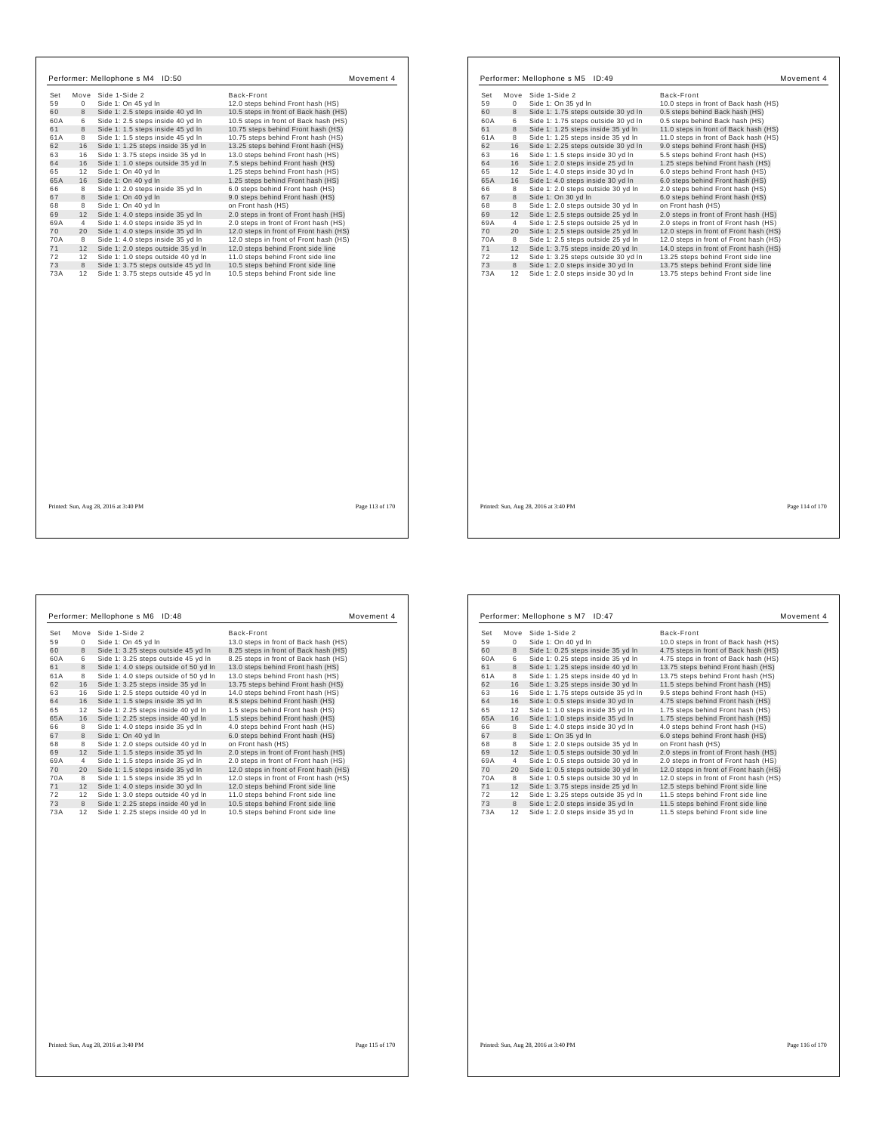|     |                | Performer: Mellophone s M4 ID:50       | Movement 4                             |     |                | Performer: Mellophone s M5 ID:49      | Movement 4                             |                 |
|-----|----------------|----------------------------------------|----------------------------------------|-----|----------------|---------------------------------------|----------------------------------------|-----------------|
| Set |                | Move Side 1-Side 2                     | Back-Front                             | Set |                | Move Side 1-Side 2                    | Back-Front                             |                 |
| 59  | $\mathbf{0}$   | Side 1: On 45 yd In                    | 12.0 steps behind Front hash (HS)      | 59  | $\mathbf 0$    | Side 1: On 35 yd In                   | 10.0 steps in front of Back hash (HS)  |                 |
| 60  | 8              | Side 1: 2.5 steps inside 40 yd In      | 10.5 steps in front of Back hash (HS)  | 60  | 8              | Side 1: 1.75 steps outside 30 yd In   | 0.5 steps behind Back hash (HS)        |                 |
| 60A | 6              | Side 1: 2.5 steps inside 40 yd In      | 10.5 steps in front of Back hash (HS)  | 60A | 6              | Side 1: 1.75 steps outside 30 yd In   | 0.5 steps behind Back hash (HS)        |                 |
| 61  | 8              | Side 1: 1.5 steps inside 45 yd In      | 10.75 steps behind Front hash (HS)     | 61  | 8              | Side 1: 1.25 steps inside 35 yd In    | 11.0 steps in front of Back hash (HS)  |                 |
| 61A | 8              | Side 1: 1.5 steps inside 45 yd In      | 10.75 steps behind Front hash (HS)     | 61A | 8              | Side 1: 1.25 steps inside 35 yd In    | 11.0 steps in front of Back hash (HS)  |                 |
| 62  | 16             | Side 1: 1.25 steps inside 35 yd In     | 13.25 steps behind Front hash (HS)     | 62  | 16             | Side 1: 2.25 steps outside 30 yd In   | 9.0 steps behind Front hash (HS)       |                 |
| 63  | 16             | Side 1: 3.75 steps inside 35 yd In     | 13.0 steps behind Front hash (HS)      | 63  | 16             | Side 1: 1.5 steps inside 30 yd In     | 5.5 steps behind Front hash (HS)       |                 |
| 64  | 16             | Side 1: 1.0 steps outside 35 yd In     | 7.5 steps behind Front hash (HS)       | 64  | 16             | Side 1: 2.0 steps inside 25 yd In     | 1.25 steps behind Front hash (HS)      |                 |
| 65  | 12             | Side 1: On 40 yd In                    | 1.25 steps behind Front hash (HS)      | 65  | 12             | Side 1: 4.0 steps inside 30 yd In     | 6.0 steps behind Front hash (HS)       |                 |
| 65A | 16             | Side 1: On 40 yd In                    | 1.25 steps behind Front hash (HS)      | 65A | 16             | Side 1: 4.0 steps inside 30 yd In     | 6.0 steps behind Front hash (HS)       |                 |
| 66  | 8              | Side 1: 2.0 steps inside 35 yd In      | 6.0 steps behind Front hash (HS)       | 66  | 8              | Side 1: 2.0 steps outside 30 yd In    | 2.0 steps behind Front hash (HS)       |                 |
| 67  | 8              | Side 1: On 40 yd In                    | 9.0 steps behind Front hash (HS)       | 67  | 8              | Side 1: On 30 yd In                   | 6.0 steps behind Front hash (HS)       |                 |
| 68  | 8              | Side 1: On 40 yd In                    | on Front hash (HS)                     | 68  | 8              | Side 1: 2.0 steps outside 30 yd In    | on Front hash (HS)                     |                 |
| 69  | 12             | Side 1: 4.0 steps inside 35 yd In      | 2.0 steps in front of Front hash (HS)  | 69  | 12             | Side 1: 2.5 steps outside 25 yd In    | 2.0 steps in front of Front hash (HS)  |                 |
| 69A | $\overline{4}$ | Side 1: 4.0 steps inside 35 yd In      | 2.0 steps in front of Front hash (HS)  | 69A | $\overline{4}$ | Side 1: 2.5 steps outside 25 yd In    | 2.0 steps in front of Front hash (HS)  |                 |
| 70  | 20             | Side 1: 4.0 steps inside 35 yd In      | 12.0 steps in front of Front hash (HS) | 70  | 20             | Side 1: 2.5 steps outside 25 yd In    | 12.0 steps in front of Front hash (HS) |                 |
| 70A | 8              | Side 1: 4.0 steps inside 35 yd In      | 12.0 steps in front of Front hash (HS) | 70A | 8              | Side 1: 2.5 steps outside 25 yd In    | 12.0 steps in front of Front hash (HS) |                 |
| 71  | 12             | Side 1: 2.0 steps outside 35 yd In     | 12.0 steps behind Front side line      | 71  | 12             | Side 1: 3.75 steps inside 20 yd In    | 14.0 steps in front of Front hash (HS) |                 |
| 72  | 12             | Side 1: 1.0 steps outside 40 yd In     | 11.0 steps behind Front side line      | 72  | 12             | Side 1: 3.25 steps outside 30 yd In   | 13.25 steps behind Front side line     |                 |
| 73  | 8              | Side 1: 3.75 steps outside 45 yd In    | 10.5 steps behind Front side line      | 73  | 8              | Side 1: 2.0 steps inside 30 yd In     | 13.75 steps behind Front side line     |                 |
| 73A |                | 12 Side 1: 3.75 steps outside 45 yd In | 10.5 steps behind Front side line      | 73A | 12             | Side 1: 2.0 steps inside 30 yd In     | 13.75 steps behind Front side line     |                 |
|     |                |                                        |                                        |     |                |                                       |                                        |                 |
|     |                | Printed: Sun, Aug 28, 2016 at 3:40 PM  | Page 113 of 170                        |     |                | Printed: Sun, Aug 28, 2016 at 3:40 PM |                                        | Page 114 of 170 |

 $\sqrt{ }$ 

|             | ID:48                                 | Movement 4                             |
|-------------|---------------------------------------|----------------------------------------|
|             | Side 1-Side 2                         | Back-Front                             |
| $\mathbf 0$ | Side 1: On 45 yd In                   | 13.0 steps in front of Back hash (HS)  |
| 8           | Side 1: 3.25 steps outside 45 yd In   | 8.25 steps in front of Back hash (HS)  |
| 6           | Side 1: 3.25 steps outside 45 yd In   | 8.25 steps in front of Back hash (HS)  |
| 8           | Side 1: 4.0 steps outside of 50 yd In | 13.0 steps behind Front hash (HS)      |
| 8           | Side 1: 4.0 steps outside of 50 yd In | 13.0 steps behind Front hash (HS)      |
| 16          | Side 1: 3.25 steps inside 35 yd In    | 13.75 steps behind Front hash (HS)     |
| 16          | Side 1: 2.5 steps outside 40 yd In    | 14.0 steps behind Front hash (HS)      |
| 16          | Side 1: 1.5 steps inside 35 yd In     | 8.5 steps behind Front hash (HS)       |
| 12          | Side 1: 2.25 steps inside 40 yd In    | 1.5 steps behind Front hash (HS)       |
| 16          | Side 1: 2.25 steps inside 40 yd In    | 1.5 steps behind Front hash (HS)       |
| 8           | Side 1: 4.0 steps inside 35 yd In     | 4.0 steps behind Front hash (HS)       |
| 8           | Side 1: On 40 yd In                   | 6.0 steps behind Front hash (HS)       |
| 8           | Side 1: 2.0 steps outside 40 yd In    | on Front hash (HS)                     |
| 12          | Side 1: 1.5 steps inside 35 yd In     | 2.0 steps in front of Front hash (HS)  |
| 4           | Side 1: 1.5 steps inside 35 yd In     | 2.0 steps in front of Front hash (HS)  |
| 20          | Side 1: 1.5 steps inside 35 yd In     | 12.0 steps in front of Front hash (HS) |
| 8           | Side 1: 1.5 steps inside 35 yd In     | 12.0 steps in front of Front hash (HS) |
| 12          | Side 1: 4.0 steps inside 30 yd In     | 12.0 steps behind Front side line      |
| 12          | Side 1: 3.0 steps outside 40 yd In    | 11.0 steps behind Front side line      |
| 8           | Side 1: 2.25 steps inside 40 yd In    | 10.5 steps behind Front side line      |
| 12          | Side 1: 2.25 steps inside 40 yd In    | 10.5 steps behind Front side line      |
|             |                                       |                                        |
|             |                                       | Performer: Mellophone s M6<br>Move     |

| Set |    | Move Side 1-Side 2                  | Back-Front                             |
|-----|----|-------------------------------------|----------------------------------------|
| 59  | 0  | Side 1: On 40 vd In                 | 10.0 steps in front of Back hash (HS)  |
| 60  | 8  | Side 1: 0.25 steps inside 35 yd In  | 4.75 steps in front of Back hash (HS)  |
| 60A | 6  | Side 1: 0.25 steps inside 35 yd In  | 4.75 steps in front of Back hash (HS)  |
| 61  | 8  | Side 1: 1.25 steps inside 40 yd In  | 13.75 steps behind Front hash (HS)     |
| 61A | 8  | Side 1: 1.25 steps inside 40 yd In  | 13.75 steps behind Front hash (HS)     |
| 62  | 16 | Side 1: 3.25 steps inside 30 yd In  | 11.5 steps behind Front hash (HS)      |
| 63  | 16 | Side 1: 1.75 steps outside 35 yd In | 9.5 steps behind Front hash (HS)       |
| 64  | 16 | Side 1: 0.5 steps inside 30 yd In   | 4.75 steps behind Front hash (HS)      |
| 65  | 12 | Side 1: 1.0 steps inside 35 yd In   | 1.75 steps behind Front hash (HS)      |
| 65A | 16 | Side 1: 1.0 steps inside 35 yd In   | 1.75 steps behind Front hash (HS)      |
| 66  | 8  | Side 1: 4.0 steps inside 30 yd In   | 4.0 steps behind Front hash (HS)       |
| 67  | 8  | Side 1: On 35 vd In                 | 6.0 steps behind Front hash (HS)       |
| 68  | 8  | Side 1: 2.0 steps outside 35 yd In  | on Front hash (HS)                     |
| 69  | 12 | Side 1: 0.5 steps outside 30 yd In  | 2.0 steps in front of Front hash (HS)  |
| 69A | 4  | Side 1: 0.5 steps outside 30 yd In  | 2.0 steps in front of Front hash (HS)  |
| 70  | 20 | Side 1: 0.5 steps outside 30 yd In  | 12.0 steps in front of Front hash (HS) |
| 70A | 8  | Side 1: 0.5 steps outside 30 yd In  | 12.0 steps in front of Front hash (HS) |
| 71  | 12 | Side 1: 3.75 steps inside 25 yd In  | 12.5 steps behind Front side line      |
| 72  | 12 | Side 1: 3.25 steps outside 35 yd In | 11.5 steps behind Front side line      |
| 73  | 8  | Side 1: 2.0 steps inside 35 yd In   | 11.5 steps behind Front side line      |
| 73A | 12 | Side 1: 2.0 steps inside 35 yd In   | 11.5 steps behind Front side line      |

 $\overline{\phantom{a}}$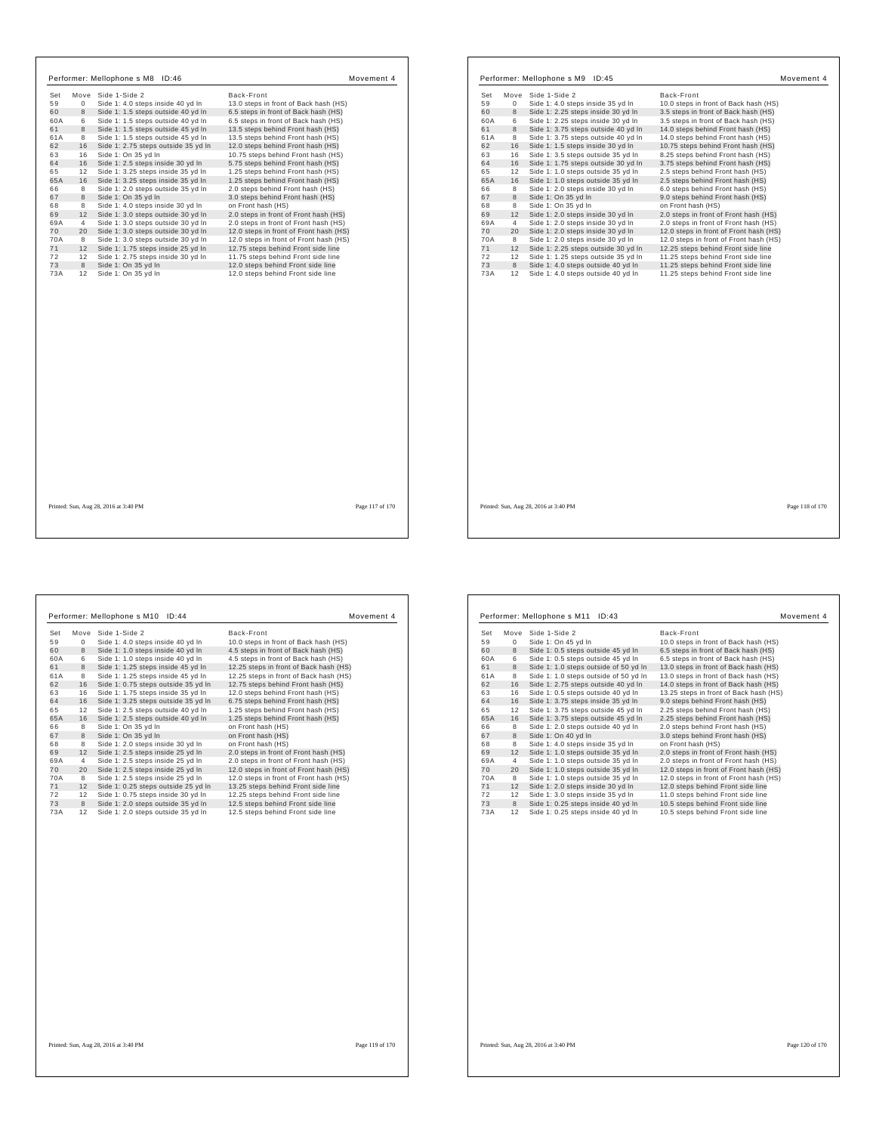|     |                | Performer: Mellophone s M8 ID:46      |                                        | Movement 4      |            |                | Performer: Mellophone s M9 ID:45      |                                     |                                        | Movement 4      |
|-----|----------------|---------------------------------------|----------------------------------------|-----------------|------------|----------------|---------------------------------------|-------------------------------------|----------------------------------------|-----------------|
| Set |                | Move Side 1-Side 2                    | Back-Front                             |                 | Set        |                | Move Side 1-Side 2                    |                                     | Back-Front                             |                 |
| 59  | $\circ$        | Side 1: 4.0 steps inside 40 yd In     | 13.0 steps in front of Back hash (HS)  |                 | 59         | $\mathbf{0}$   |                                       | Side 1: 4.0 steps inside 35 yd In   | 10.0 steps in front of Back hash (HS)  |                 |
| 60  | 8              | Side 1: 1.5 steps outside 40 yd In    | 6.5 steps in front of Back hash (HS)   |                 | 60         | 8              |                                       | Side 1: 2.25 steps inside 30 yd In  | 3.5 steps in front of Back hash (HS)   |                 |
| 60A | 6              | Side 1: 1.5 steps outside 40 yd In    | 6.5 steps in front of Back hash (HS)   |                 | 60A        | 6              |                                       | Side 1: 2.25 steps inside 30 yd In  | 3.5 steps in front of Back hash (HS)   |                 |
| 61  | 8              | Side 1: 1.5 steps outside 45 yd In    | 13.5 steps behind Front hash (HS)      |                 | 61         | 8              |                                       | Side 1: 3.75 steps outside 40 yd In | 14.0 steps behind Front hash (HS)      |                 |
| 61A | 8              | Side 1: 1.5 steps outside 45 yd In    | 13.5 steps behind Front hash (HS)      |                 | 61A        | 8              |                                       | Side 1: 3.75 steps outside 40 yd In | 14.0 steps behind Front hash (HS)      |                 |
| 62  | 16             | Side 1: 2.75 steps outside 35 yd In   | 12.0 steps behind Front hash (HS)      |                 | 62         | 16             |                                       | Side 1: 1.5 steps inside 30 yd In   | 10.75 steps behind Front hash (HS)     |                 |
| 63  | 16             | Side 1: On 35 yd In                   | 10.75 steps behind Front hash (HS)     |                 | 63         | 16             |                                       | Side 1: 3.5 steps outside 35 yd In  | 8.25 steps behind Front hash (HS)      |                 |
| 64  | 16             | Side 1: 2.5 steps inside 30 yd In     | 5.75 steps behind Front hash (HS)      |                 | 64         | 16             |                                       | Side 1: 1.75 steps outside 30 yd In | 3.75 steps behind Front hash (HS)      |                 |
| 65  | 12             | Side 1: 3.25 steps inside 35 yd In    | 1.25 steps behind Front hash (HS)      |                 | 65         | 12             |                                       | Side 1: 1.0 steps outside 35 yd In  | 2.5 steps behind Front hash (HS)       |                 |
| 65A | 16             | Side 1: 3.25 steps inside 35 yd In    | 1.25 steps behind Front hash (HS)      |                 | 65A        | 16             |                                       | Side 1: 1.0 steps outside 35 yd In  | 2.5 steps behind Front hash (HS)       |                 |
| 66  | 8              | Side 1: 2.0 steps outside 35 yd In    | 2.0 steps behind Front hash (HS)       |                 | 66         | 8              |                                       | Side 1: 2.0 steps inside 30 vd In   | 6.0 steps behind Front hash (HS)       |                 |
| 67  | 8              | Side 1: On 35 yd In                   | 3.0 steps behind Front hash (HS)       |                 | 67         | 8              | Side 1: On 35 yd In                   |                                     | 9.0 steps behind Front hash (HS)       |                 |
| 68  | 8              | Side 1: 4.0 steps inside 30 yd In     | on Front hash (HS)                     |                 | 68         | 8              | Side 1: On 35 yd In                   |                                     | on Front hash (HS)                     |                 |
| 69  |                | 12 Side 1: 3.0 steps outside 30 yd In | 2.0 steps in front of Front hash (HS)  |                 | 69         | 12             |                                       | Side 1: 2.0 steps inside 30 yd In   | 2.0 steps in front of Front hash (HS)  |                 |
| 69A | $\overline{4}$ | Side 1: 3.0 steps outside 30 yd In    | 2.0 steps in front of Front hash (HS)  |                 | 69A        | $\overline{4}$ |                                       | Side 1: 2.0 steps inside 30 yd In   | 2.0 steps in front of Front hash (HS)  |                 |
| 70  | 20             | Side 1: 3.0 steps outside 30 yd In    | 12.0 steps in front of Front hash (HS) |                 | 70         | 20             |                                       | Side 1: 2.0 steps inside 30 yd In   | 12.0 steps in front of Front hash (HS) |                 |
| 70A | 8              | Side 1: 3.0 steps outside 30 yd In    | 12.0 steps in front of Front hash (HS) |                 | <b>70A</b> | 8              |                                       | Side 1: 2.0 steps inside 30 yd In   | 12.0 steps in front of Front hash (HS) |                 |
| 71  |                | 12 Side 1: 1.75 steps inside 25 yd In | 12.75 steps behind Front side line     |                 | 71         | 12             |                                       | Side 1: 2.25 steps outside 30 yd In | 12.25 steps behind Front side line     |                 |
| 72  | 12             | Side 1: 2.75 steps inside 30 yd In    | 11.75 steps behind Front side line     |                 | 72         | 12             |                                       | Side 1: 1.25 steps outside 35 yd In | 11.25 steps behind Front side line     |                 |
| 73  | 8              | Side 1: On 35 yd In                   | 12.0 steps behind Front side line      |                 | 73         | 8              |                                       | Side 1: 4.0 steps outside 40 yd In  | 11.25 steps behind Front side line     |                 |
| 73A | 12             | Side 1: On 35 yd In                   | 12.0 steps behind Front side line      |                 | 73A        | 12             |                                       | Side 1: 4.0 steps outside 40 yd In  | 11.25 steps behind Front side line     |                 |
|     |                |                                       |                                        |                 |            |                |                                       |                                     |                                        |                 |
|     |                | Printed: Sun, Aug 28, 2016 at 3:40 PM |                                        | Page 117 of 170 |            |                | Printed: Sun, Aug 28, 2016 at 3:40 PM |                                     |                                        | Page 118 of 170 |

٦

 $\mathsf{r}$ 

|                                     | Movement 4                                   |
|-------------------------------------|----------------------------------------------|
| Side 1-Side 2                       | Back-Front                                   |
| Side 1: 4.0 steps inside 40 yd In   | 10.0 steps in front of Back hash (HS)        |
| Side 1: 1.0 steps inside 40 yd In   | 4.5 steps in front of Back hash (HS)         |
| Side 1: 1.0 steps inside 40 yd In   | 4.5 steps in front of Back hash (HS)         |
| Side 1: 1.25 steps inside 45 yd In  | 12.25 steps in front of Back hash (HS)       |
| Side 1: 1.25 steps inside 45 yd In  | 12.25 steps in front of Back hash (HS)       |
| Side 1: 0.75 steps outside 35 yd In | 12.75 steps behind Front hash (HS)           |
| Side 1: 1.75 steps inside 35 yd In  | 12.0 steps behind Front hash (HS)            |
| Side 1: 3.25 steps outside 35 yd In | 6.75 steps behind Front hash (HS)            |
| Side 1: 2.5 steps outside 40 yd In  | 1.25 steps behind Front hash (HS)            |
| Side 1: 2.5 steps outside 40 yd In  | 1.25 steps behind Front hash (HS)            |
| Side 1: On 35 yd In                 | on Front hash (HS)                           |
| Side 1: On 35 yd In                 | on Front hash (HS)                           |
| Side 1: 2.0 steps inside 30 yd In   | on Front hash (HS)                           |
| Side 1: 2.5 steps inside 25 yd In   | 2.0 steps in front of Front hash (HS)        |
| Side 1: 2.5 steps inside 25 yd In   | 2.0 steps in front of Front hash (HS)        |
| Side 1: 2.5 steps inside 25 yd In   | 12.0 steps in front of Front hash (HS)       |
| Side 1: 2.5 steps inside 25 yd In   | 12.0 steps in front of Front hash (HS)       |
| Side 1: 0.25 steps outside 25 yd In | 13.25 steps behind Front side line           |
| Side 1: 0.75 steps inside 30 yd In  | 12.25 steps behind Front side line           |
| Side 1: 2.0 steps outside 35 yd In  | 12.5 steps behind Front side line            |
| Side 1: 2.0 steps outside 35 yd In  | 12.5 steps behind Front side line            |
|                                     |                                              |
|                                     | Performer: Mellophone s M10<br>ID:44<br>Move |

| Set | Move           | Side 1-Side 2                         | Back-Front                             |
|-----|----------------|---------------------------------------|----------------------------------------|
| 59  | $^{\circ}$     | Side 1: On 45 yd In                   | 10.0 steps in front of Back hash (HS)  |
| 60  | 8              | Side 1: 0.5 steps outside 45 yd In    | 6.5 steps in front of Back hash (HS)   |
| 60A | 6              | Side 1: 0.5 steps outside 45 yd In    | 6.5 steps in front of Back hash (HS)   |
| 61  | 8              | Side 1: 1.0 steps outside of 50 yd In | 13.0 steps in front of Back hash (HS)  |
| 61A | 8              | Side 1: 1.0 steps outside of 50 yd In | 13.0 steps in front of Back hash (HS)  |
| 62  | 16             | Side 1: 2.75 steps outside 40 yd In   | 14.0 steps in front of Back hash (HS)  |
| 63  | 16             | Side 1: 0.5 steps outside 40 yd In    | 13.25 steps in front of Back hash (HS) |
| 64  | 16             | Side 1: 3.75 steps inside 35 yd In    | 9.0 steps behind Front hash (HS)       |
| 65  | 12             | Side 1: 3.75 steps outside 45 yd In   | 2.25 steps behind Front hash (HS)      |
| 65A | 16             | Side 1: 3.75 steps outside 45 yd In   | 2.25 steps behind Front hash (HS)      |
| 66  | 8              | Side 1: 2.0 steps outside 40 yd In    | 2.0 steps behind Front hash (HS)       |
| 67  | 8              | Side 1: On 40 vd In                   | 3.0 steps behind Front hash (HS)       |
| 68  | 8              | Side 1: 4.0 steps inside 35 yd In     | on Front hash (HS)                     |
| 69  | 12             | Side 1: 1.0 steps outside 35 yd In    | 2.0 steps in front of Front hash (HS)  |
| 69A | $\overline{4}$ | Side 1: 1.0 steps outside 35 yd In    | 2.0 steps in front of Front hash (HS)  |
| 70  | 20             | Side 1: 1.0 steps outside 35 yd In    | 12.0 steps in front of Front hash (HS) |
| 70A | 8              | Side 1: 1.0 steps outside 35 yd In    | 12.0 steps in front of Front hash (HS) |
| 71  | 12             | Side 1: 2.0 steps inside 30 yd In     | 12.0 steps behind Front side line      |
| 72  | 12             | Side 1: 3.0 steps inside 35 yd In     | 11.0 steps behind Front side line      |
| 73  | 8              | Side 1: 0.25 steps inside 40 yd In    | 10.5 steps behind Front side line      |
|     | 12             | Side 1: 0.25 steps inside 40 yd In    | 10.5 steps behind Front side line      |

r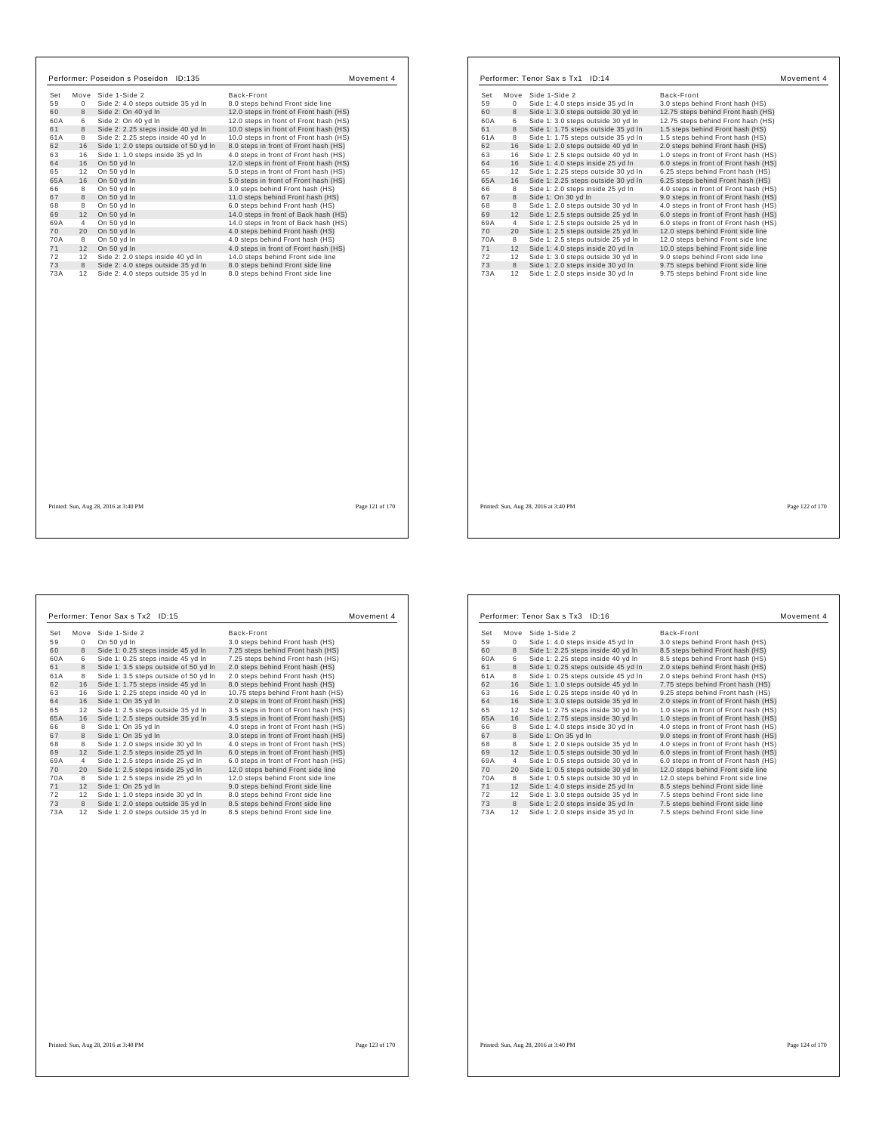| Performer: Poseidon s Poseidon ID:135                                                                                                                                                                                                                                                                                                                                                                                                                                                                                                                                                                                                                                                                                                                                                                                         | Movement 4                                                                                                                                                                                                                                                                                                                                                                                                                                                                                                                                                                                                                                                                                                                                                                                                                                                        | Performer: Tenor Sax s Tx1 ID:14                                                                                                                                                                                                                                                                                                                                                                                                                                                                                                                                                                                                                                                                                                                                                                                                                                                                                                                                                                                                                                                                                      | Movement 4                                                                                                                                                                                                                                                                                                                                                                                                                                                                                                                                                                                                                                                                                                                                                                                                                                   |
|-------------------------------------------------------------------------------------------------------------------------------------------------------------------------------------------------------------------------------------------------------------------------------------------------------------------------------------------------------------------------------------------------------------------------------------------------------------------------------------------------------------------------------------------------------------------------------------------------------------------------------------------------------------------------------------------------------------------------------------------------------------------------------------------------------------------------------|-------------------------------------------------------------------------------------------------------------------------------------------------------------------------------------------------------------------------------------------------------------------------------------------------------------------------------------------------------------------------------------------------------------------------------------------------------------------------------------------------------------------------------------------------------------------------------------------------------------------------------------------------------------------------------------------------------------------------------------------------------------------------------------------------------------------------------------------------------------------|-----------------------------------------------------------------------------------------------------------------------------------------------------------------------------------------------------------------------------------------------------------------------------------------------------------------------------------------------------------------------------------------------------------------------------------------------------------------------------------------------------------------------------------------------------------------------------------------------------------------------------------------------------------------------------------------------------------------------------------------------------------------------------------------------------------------------------------------------------------------------------------------------------------------------------------------------------------------------------------------------------------------------------------------------------------------------------------------------------------------------|----------------------------------------------------------------------------------------------------------------------------------------------------------------------------------------------------------------------------------------------------------------------------------------------------------------------------------------------------------------------------------------------------------------------------------------------------------------------------------------------------------------------------------------------------------------------------------------------------------------------------------------------------------------------------------------------------------------------------------------------------------------------------------------------------------------------------------------------|
| Move Side 1-Side 2<br>Set<br>Side 2: 4.0 steps outside 35 yd In<br>59<br>$\mathbf{0}$<br>60<br>8<br>Side 2: On 40 yd In<br>Side 2: On 40 yd In<br>60A<br>6<br>Side 2: 2.25 steps inside 40 yd In<br>61<br>8<br>61A<br>Side 2: 2.25 steps inside 40 yd In<br>8<br>62<br>Side 1: 2.0 steps outside of 50 yd In<br>16<br>Side 1: 1.0 steps inside 35 yd In<br>63<br>16<br>64<br>16<br>On 50 yd In<br>On 50 yd In<br>65<br>12<br>65A<br>16 On 50 yd In<br>66<br>On 50 yd In<br>8<br>On 50 vd In<br>67<br>8<br>68<br>On 50 yd In<br>8<br>69<br>12 On 50 yd In<br>On 50 yd In<br>69A<br>$\overline{4}$<br>On 50 yd In<br>70<br>20<br>On 50 yd In<br>70A<br>8<br>71<br>12 On 50 yd In<br>12 Side 2: 2.0 steps inside 40 yd In<br>72<br>73<br>8<br>Side 2: 4.0 steps outside 35 yd In<br>73A<br>12 Side 2: 4.0 steps outside 35 yd In | Back-Front<br>8.0 steps behind Front side line<br>12.0 steps in front of Front hash (HS)<br>12.0 steps in front of Front hash (HS)<br>10.0 steps in front of Front hash (HS)<br>10.0 steps in front of Front hash (HS)<br>8.0 steps in front of Front hash (HS)<br>4.0 steps in front of Front hash (HS)<br>12.0 steps in front of Front hash (HS)<br>5.0 steps in front of Front hash (HS)<br>5.0 steps in front of Front hash (HS)<br>3.0 steps behind Front hash (HS)<br>11.0 steps behind Front hash (HS)<br>6.0 steps behind Front hash (HS)<br>14.0 steps in front of Back hash (HS)<br>14.0 steps in front of Back hash (HS)<br>4.0 steps behind Front hash (HS)<br>4.0 steps behind Front hash (HS)<br>4.0 steps in front of Front hash (HS)<br>14.0 steps behind Front side line<br>8.0 steps behind Front side line<br>8.0 steps behind Front side line | Move Side 1-Side 2<br>Set<br>Side 1: 4.0 steps inside 35 yd In<br>59<br>$\mathbf{0}$<br>60<br>8<br>Side 1: 3.0 steps outside 30 yd In<br>Side 1: 3.0 steps outside 30 yd In<br>60A<br>6<br>61<br>8<br>Side 1: 1.75 steps outside 35 yd In<br>61A<br>Side 1: 1.75 steps outside 35 yd In<br>8<br>62<br>Side 1: 2.0 steps outside 40 yd In<br>16<br>63<br>16<br>Side 1: 2.5 steps outside 40 yd In<br>64<br>16<br>Side 1: 4.0 steps inside 25 yd In<br>Side 1: 2.25 steps outside 30 yd In<br>65<br>12<br>65A<br>16<br>Side 1: 2.25 steps outside 30 yd In<br>Side 1: 2.0 steps inside 25 yd In<br>66<br>8<br>67<br>Side 1: On 30 yd In<br>8<br>68<br>Side 1: 2.0 steps outside 30 yd In<br>8<br>69<br>12<br>Side 1: 2.5 steps outside 25 yd In<br>Side 1: 2.5 steps outside 25 yd In<br>69A<br>$\overline{4}$<br>70<br>20<br>Side 1: 2.5 steps outside 25 yd In<br>70A<br>Side 1: 2.5 steps outside 25 yd In<br>8<br>71<br>12<br>Side 1: 4.0 steps inside 20 yd In<br>72<br>Side 1: 3.0 steps outside 30 yd In<br>12<br>73<br>8<br>Side 1: 2.0 steps inside 30 yd In<br>73A<br>Side 1: 2.0 steps inside 30 yd In<br>12 | Back-Front<br>3.0 steps behind Front hash (HS)<br>12.75 steps behind Front hash (HS)<br>12.75 steps behind Front hash (HS)<br>1.5 steps behind Front hash (HS)<br>1.5 steps behind Front hash (HS)<br>2.0 steps behind Front hash (HS)<br>1.0 steps in front of Front hash (HS)<br>6.0 steps in front of Front hash (HS)<br>6.25 steps behind Front hash (HS)<br>6.25 steps behind Front hash (HS)<br>4.0 steps in front of Front hash (HS)<br>9.0 steps in front of Front hash (HS)<br>4.0 steps in front of Front hash (HS)<br>6.0 steps in front of Front hash (HS)<br>6.0 steps in front of Front hash (HS)<br>12.0 steps behind Front side line<br>12.0 steps behind Front side line<br>10.0 steps behind Front side line<br>9.0 steps behind Front side line<br>9.75 steps behind Front side line<br>9.75 steps behind Front side line |
| Printed: Sun, Aug 28, 2016 at 3:40 PM                                                                                                                                                                                                                                                                                                                                                                                                                                                                                                                                                                                                                                                                                                                                                                                         | Page 121 of 170                                                                                                                                                                                                                                                                                                                                                                                                                                                                                                                                                                                                                                                                                                                                                                                                                                                   | Printed: Sun, Aug 28, 2016 at 3:40 PM                                                                                                                                                                                                                                                                                                                                                                                                                                                                                                                                                                                                                                                                                                                                                                                                                                                                                                                                                                                                                                                                                 | Page 122 of 170                                                                                                                                                                                                                                                                                                                                                                                                                                                                                                                                                                                                                                                                                                                                                                                                                              |
|                                                                                                                                                                                                                                                                                                                                                                                                                                                                                                                                                                                                                                                                                                                                                                                                                               |                                                                                                                                                                                                                                                                                                                                                                                                                                                                                                                                                                                                                                                                                                                                                                                                                                                                   |                                                                                                                                                                                                                                                                                                                                                                                                                                                                                                                                                                                                                                                                                                                                                                                                                                                                                                                                                                                                                                                                                                                       |                                                                                                                                                                                                                                                                                                                                                                                                                                                                                                                                                                                                                                                                                                                                                                                                                                              |

| Side 1-Side 2<br>On 50 yd In<br>Side 1: 0.25 steps inside 45 yd In<br>Side 1: 0.25 steps inside 45 yd In<br>Side 1: 3.5 steps outside of 50 yd In<br>Side 1: 3.5 steps outside of 50 yd In<br>Side 1: 1.75 steps inside 45 yd In | Back-Front<br>3.0 steps behind Front hash (HS)<br>7.25 steps behind Front hash (HS)<br>7.25 steps behind Front hash (HS)<br>2.0 steps behind Front hash (HS)                                                                                                                                                                                                                 |
|----------------------------------------------------------------------------------------------------------------------------------------------------------------------------------------------------------------------------------|------------------------------------------------------------------------------------------------------------------------------------------------------------------------------------------------------------------------------------------------------------------------------------------------------------------------------------------------------------------------------|
|                                                                                                                                                                                                                                  |                                                                                                                                                                                                                                                                                                                                                                              |
|                                                                                                                                                                                                                                  |                                                                                                                                                                                                                                                                                                                                                                              |
|                                                                                                                                                                                                                                  |                                                                                                                                                                                                                                                                                                                                                                              |
|                                                                                                                                                                                                                                  |                                                                                                                                                                                                                                                                                                                                                                              |
|                                                                                                                                                                                                                                  |                                                                                                                                                                                                                                                                                                                                                                              |
|                                                                                                                                                                                                                                  | 2.0 steps behind Front hash (HS)                                                                                                                                                                                                                                                                                                                                             |
|                                                                                                                                                                                                                                  | 8.0 steps behind Front hash (HS)                                                                                                                                                                                                                                                                                                                                             |
| Side 1: 2.25 steps inside 40 yd In                                                                                                                                                                                               | 10.75 steps behind Front hash (HS)                                                                                                                                                                                                                                                                                                                                           |
| Side 1: On 35 yd In                                                                                                                                                                                                              | 2.0 steps in front of Front hash (HS)                                                                                                                                                                                                                                                                                                                                        |
| Side 1: 2.5 steps outside 35 yd In                                                                                                                                                                                               | 3.5 steps in front of Front hash (HS)                                                                                                                                                                                                                                                                                                                                        |
|                                                                                                                                                                                                                                  | 3.5 steps in front of Front hash (HS)                                                                                                                                                                                                                                                                                                                                        |
|                                                                                                                                                                                                                                  | 4.0 steps in front of Front hash (HS)                                                                                                                                                                                                                                                                                                                                        |
|                                                                                                                                                                                                                                  | 3.0 steps in front of Front hash (HS)                                                                                                                                                                                                                                                                                                                                        |
|                                                                                                                                                                                                                                  | 4.0 steps in front of Front hash (HS)                                                                                                                                                                                                                                                                                                                                        |
| Side 1: 2.5 steps inside 25 yd In                                                                                                                                                                                                | 6.0 steps in front of Front hash (HS)                                                                                                                                                                                                                                                                                                                                        |
|                                                                                                                                                                                                                                  | 6.0 steps in front of Front hash (HS)                                                                                                                                                                                                                                                                                                                                        |
|                                                                                                                                                                                                                                  | 12.0 steps behind Front side line                                                                                                                                                                                                                                                                                                                                            |
|                                                                                                                                                                                                                                  | 12.0 steps behind Front side line                                                                                                                                                                                                                                                                                                                                            |
|                                                                                                                                                                                                                                  | 9.0 steps behind Front side line                                                                                                                                                                                                                                                                                                                                             |
|                                                                                                                                                                                                                                  | 8.0 steps behind Front side line                                                                                                                                                                                                                                                                                                                                             |
|                                                                                                                                                                                                                                  | 8.5 steps behind Front side line                                                                                                                                                                                                                                                                                                                                             |
|                                                                                                                                                                                                                                  | 8.5 steps behind Front side line                                                                                                                                                                                                                                                                                                                                             |
|                                                                                                                                                                                                                                  |                                                                                                                                                                                                                                                                                                                                                                              |
|                                                                                                                                                                                                                                  | Side 1: 2.5 steps outside 35 yd In<br>Side 1: On 35 yd In<br>Side 1: On 35 yd In<br>Side 1: 2.0 steps inside 30 yd In<br>Side 1: 2.5 steps inside 25 yd In<br>Side 1: 2.5 steps inside 25 yd In<br>Side 1: 2.5 steps inside 25 yd In<br>Side 1: On 25 yd In<br>Side 1: 1.0 steps inside 30 yd In<br>Side 1: 2.0 steps outside 35 yd In<br>Side 1: 2.0 steps outside 35 yd In |

|     |    | Performer: Tenor Sax s Tx3 ID:16    |                                       | Movement 4 |
|-----|----|-------------------------------------|---------------------------------------|------------|
| Set |    | Move Side 1-Side 2                  | Back-Front                            |            |
| 59  | 0  | Side 1: 4.0 steps inside 45 yd In   | 3.0 steps behind Front hash (HS)      |            |
| 60  | 8  | Side 1: 2.25 steps inside 40 yd In  | 8.5 steps behind Front hash (HS)      |            |
| 60A | 6  | Side 1: 2.25 steps inside 40 yd In  | 8.5 steps behind Front hash (HS)      |            |
| 61  | 8  | Side 1: 0.25 steps outside 45 yd In | 2.0 steps behind Front hash (HS)      |            |
| 61A | 8  | Side 1: 0.25 steps outside 45 vd In | 2.0 steps behind Front hash (HS)      |            |
| 62  | 16 | Side 1: 1.0 steps outside 45 yd In  | 7.75 steps behind Front hash (HS)     |            |
| 63  | 16 | Side 1: 0.25 steps inside 40 yd In  | 9.25 steps behind Front hash (HS)     |            |
| 64  | 16 | Side 1: 3.0 steps outside 35 yd In  | 2.0 steps in front of Front hash (HS) |            |
| 65  | 12 | Side 1: 2.75 steps inside 30 yd In  | 1.0 steps in front of Front hash (HS) |            |
| 65A | 16 | Side 1: 2.75 steps inside 30 yd In  | 1.0 steps in front of Front hash (HS) |            |
| 66  | 8  | Side 1: 4.0 steps inside 30 yd In   | 4.0 steps in front of Front hash (HS) |            |
| 67  | 8  | Side 1: On 35 yd In                 | 9.0 steps in front of Front hash (HS) |            |
| 68  | 8  | Side 1: 2.0 steps outside 35 vd In  | 4.0 steps in front of Front hash (HS) |            |
| 69  | 12 | Side 1: 0.5 steps outside 30 yd In  | 6.0 steps in front of Front hash (HS) |            |
| 69A | 4  | Side 1: 0.5 steps outside 30 yd In  | 6.0 steps in front of Front hash (HS) |            |
| 70  | 20 | Side 1: 0.5 steps outside 30 yd In  | 12.0 steps behind Front side line     |            |
| 70A | 8  | Side 1: 0.5 steps outside 30 yd In  | 12.0 steps behind Front side line     |            |
| 71  | 12 | Side 1: 4.0 steps inside 25 yd In   | 8.5 steps behind Front side line      |            |
| 72  | 12 | Side 1: 3.0 steps outside 35 yd In  | 7.5 steps behind Front side line      |            |
| 73  | 8  | Side 1: 2.0 steps inside 35 yd In   | 7.5 steps behind Front side line      |            |
| 73A | 12 | Side 1: 2.0 steps inside 35 yd In   | 7.5 steps behind Front side line      |            |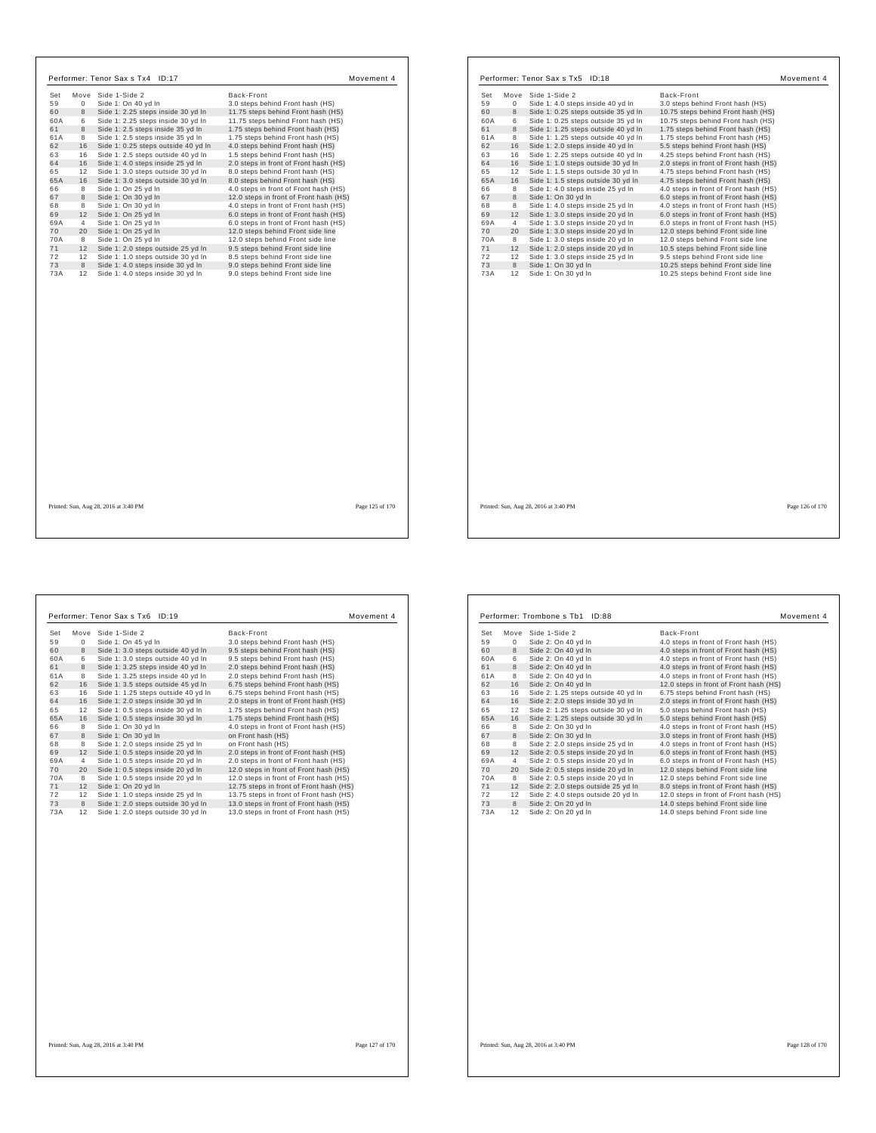| Set       | Move           | Side 1-Side 2                                                          | Back-Front                                                           |  |
|-----------|----------------|------------------------------------------------------------------------|----------------------------------------------------------------------|--|
| 59        | $\Omega$       | Side 1: On 40 yd In                                                    | 3.0 steps behind Front hash (HS)                                     |  |
| 60        | 8              | Side 1: 2.25 steps inside 30 yd In                                     | 11.75 steps behind Front hash (HS)                                   |  |
| 60A       | 6              | Side 1: 2.25 steps inside 30 yd In                                     | 11.75 steps behind Front hash (HS)                                   |  |
| 61        | 8              | Side 1: 2.5 steps inside 35 yd In                                      | 1.75 steps behind Front hash (HS)                                    |  |
| 61A       | 8              | Side 1: 2.5 steps inside 35 yd In                                      | 1.75 steps behind Front hash (HS)                                    |  |
| 62        | 16             | Side 1: 0.25 steps outside 40 yd In                                    | 4.0 steps behind Front hash (HS)                                     |  |
| 63        | 16             | Side 1: 2.5 steps outside 40 yd In                                     | 1.5 steps behind Front hash (HS)                                     |  |
| 64        | 16             | Side 1: 4.0 steps inside 25 yd In                                      | 2.0 steps in front of Front hash (HS)                                |  |
| 65        | 12             | Side 1: 3.0 steps outside 30 yd In                                     | 8.0 steps behind Front hash (HS)                                     |  |
| 65A       | 16             | Side 1: 3.0 steps outside 30 yd In                                     | 8.0 steps behind Front hash (HS)                                     |  |
| 66        | 8              | Side 1: On 25 yd In                                                    | 4.0 steps in front of Front hash (HS)                                |  |
| 67        | 8              | Side 1: On 30 vd In                                                    | 12.0 steps in front of Front hash (HS)                               |  |
| 68        | 8              | Side 1: On 30 yd In                                                    | 4.0 steps in front of Front hash (HS)                                |  |
| 69        | 12             | Side 1: On 25 yd In                                                    | 6.0 steps in front of Front hash (HS)                                |  |
| 69A       | $\overline{4}$ | Side 1: On 25 yd In                                                    | 6.0 steps in front of Front hash (HS)                                |  |
| 70        | 20             | Side 1: On 25 yd In                                                    | 12.0 steps behind Front side line                                    |  |
| 70A       | 8              | Side 1: On 25 yd In                                                    | 12.0 steps behind Front side line                                    |  |
| 71        | 12             | Side 1: 2.0 steps outside 25 yd In                                     | 9.5 steps behind Front side line                                     |  |
| 72        | 12             | Side 1: 1.0 steps outside 30 vd In                                     | 8.5 steps behind Front side line                                     |  |
| 73<br>73A | 8<br>12        | Side 1: 4.0 steps inside 30 yd In<br>Side 1: 4.0 steps inside 30 yd In | 9.0 steps behind Front side line<br>9.0 steps behind Front side line |  |
|           |                |                                                                        |                                                                      |  |
|           |                | Printed: Sun, Aug 28, 2016 at 3:40 PM                                  | Page 125 of 170                                                      |  |

|             | Performer: Tenor Sax s Tx5 ID:18    | Movement 4                            |  |
|-------------|-------------------------------------|---------------------------------------|--|
| Set<br>Move | Side 1-Side 2                       | Back-Front                            |  |
| 59<br>0     | Side 1: 4.0 steps inside 40 yd In   | 3.0 steps behind Front hash (HS)      |  |
| 8<br>60     | Side 1: 0.25 steps outside 35 yd In | 10.75 steps behind Front hash (HS)    |  |
| 60A<br>6    | Side 1: 0.25 steps outside 35 yd In | 10.75 steps behind Front hash (HS)    |  |
| 61<br>8     | Side 1: 1.25 steps outside 40 yd In | 1.75 steps behind Front hash (HS)     |  |
| 61A<br>8    | Side 1: 1.25 steps outside 40 yd In | 1.75 steps behind Front hash (HS)     |  |
| 62<br>16    | Side 1: 2.0 steps inside 40 yd In   | 5.5 steps behind Front hash (HS)      |  |
| 63<br>16    | Side 1: 2.25 steps outside 40 yd In | 4.25 steps behind Front hash (HS)     |  |
| 64<br>16    | Side 1: 1.0 steps outside 30 yd In  | 2.0 steps in front of Front hash (HS) |  |
| 65<br>12    | Side 1: 1.5 steps outside 30 yd In  | 4.75 steps behind Front hash (HS)     |  |
| 65A<br>16   | Side 1: 1.5 steps outside 30 yd In  | 4.75 steps behind Front hash (HS)     |  |
| 8<br>66     | Side 1: 4.0 steps inside 25 yd In   | 4.0 steps in front of Front hash (HS) |  |
| 8<br>67     | Side 1: On 30 vd In                 | 6.0 steps in front of Front hash (HS) |  |
| 8<br>68     | Side 1: 4.0 steps inside 25 yd In   | 4.0 steps in front of Front hash (HS) |  |
| 12<br>69    | Side 1: 3.0 steps inside 20 yd In   | 6.0 steps in front of Front hash (HS) |  |
| 69A<br>4    | Side 1: 3.0 steps inside 20 yd In   | 6.0 steps in front of Front hash (HS) |  |
| 70<br>20    | Side 1: 3.0 steps inside 20 yd In   | 12.0 steps behind Front side line     |  |
| 70A<br>8    | Side 1: 3.0 steps inside 20 yd In   | 12.0 steps behind Front side line     |  |
| 71<br>12    | Side 1: 2.0 steps inside 20 yd In   | 10.5 steps behind Front side line     |  |
| 72<br>12    | Side 1: 3.0 steps inside 25 yd In   | 9.5 steps behind Front side line      |  |
| 73<br>8     | Side 1: On 30 yd In                 | 10.25 steps behind Front side line    |  |
|             |                                     |                                       |  |

Printed: Sun, Aug 28, 2016 at 3:40 PM Page 126 of 170

| Set | Move        | Side 1-Side 2                       | Back-Front                              |
|-----|-------------|-------------------------------------|-----------------------------------------|
| 59  | $\mathbf 0$ | Side 1: On 45 yd In                 | 3.0 steps behind Front hash (HS)        |
| 60  | 8           | Side 1: 3.0 steps outside 40 yd In  | 9.5 steps behind Front hash (HS)        |
| 60A | 6           | Side 1: 3.0 steps outside 40 yd In  | 9.5 steps behind Front hash (HS)        |
| 61  | 8           | Side 1: 3.25 steps inside 40 yd In  | 2.0 steps behind Front hash (HS)        |
| 61A | 8           | Side 1: 3.25 steps inside 40 yd In  | 2.0 steps behind Front hash (HS)        |
| 62  | 16          | Side 1: 3.5 steps outside 45 vd In  | 6.75 steps behind Front hash (HS)       |
| 63  | 16          | Side 1: 1.25 steps outside 40 yd In | 6.75 steps behind Front hash (HS)       |
| 64  | 16          | Side 1: 2.0 steps inside 30 yd In   | 2.0 steps in front of Front hash (HS)   |
| 65  | 12          | Side 1: 0.5 steps inside 30 yd In   | 1.75 steps behind Front hash (HS)       |
| 65A | 16          | Side 1: 0.5 steps inside 30 yd In   | 1.75 steps behind Front hash (HS)       |
| 66  | 8           | Side 1: On 30 yd In                 | 4.0 steps in front of Front hash (HS)   |
| 67  | 8           | Side 1: On 30 vd In                 | on Front hash (HS)                      |
| 68  | 8           | Side 1: 2.0 steps inside 25 vd In   | on Front hash (HS)                      |
| 69  | 12          | Side 1: 0.5 steps inside 20 yd In   | 2.0 steps in front of Front hash (HS)   |
| 69A | 4           | Side 1: 0.5 steps inside 20 yd In   | 2.0 steps in front of Front hash (HS)   |
| 70  | 20          | Side 1: 0.5 steps inside 20 yd In   | 12.0 steps in front of Front hash (HS)  |
| 70A | 8           | Side 1: 0.5 steps inside 20 yd In   | 12.0 steps in front of Front hash (HS)  |
| 71  | 12          | Side 1: On 20 vd In                 | 12.75 steps in front of Front hash (HS) |
| 72  | 12          | Side 1: 1.0 steps inside 25 yd In   | 13.75 steps in front of Front hash (HS) |
| 73  | 8           | Side 1: 2.0 steps outside 30 vd In  | 13.0 steps in front of Front hash (HS)  |
| 73A | 12          | Side 1: 2.0 steps outside 30 yd In  | 13.0 steps in front of Front hash (HS)  |

|     |    | Performer: Trombone s Tb1<br>ID:88  | Movement 4                             |
|-----|----|-------------------------------------|----------------------------------------|
| Set |    | Move Side 1-Side 2                  | Back-Front                             |
| 59  | 0  | Side 2: On 40 yd In                 | 4.0 steps in front of Front hash (HS)  |
| 60  | 8  | Side 2: On 40 yd In                 | 4.0 steps in front of Front hash (HS)  |
| 60A | 6  | Side 2: On 40 yd In                 | 4.0 steps in front of Front hash (HS)  |
| 61  | 8  | Side 2: On 40 vd In                 | 4.0 steps in front of Front hash (HS)  |
| 61A | 8  | Side 2: On 40 vd In                 | 4.0 steps in front of Front hash (HS)  |
| 62  | 16 | Side 2: On 40 yd In                 | 12.0 steps in front of Front hash (HS) |
| 63  | 16 | Side 2: 1.25 steps outside 40 yd In | 6.75 steps behind Front hash (HS)      |
| 64  | 16 | Side 2: 2.0 steps inside 30 yd In   | 2.0 steps in front of Front hash (HS)  |
| 65  | 12 | Side 2: 1.25 steps outside 30 yd In | 5.0 steps behind Front hash (HS)       |
| 65A | 16 | Side 2: 1.25 steps outside 30 yd In | 5.0 steps behind Front hash (HS)       |
| 66  | 8  | Side 2: On 30 vd In                 | 4.0 steps in front of Front hash (HS)  |
| 67  | 8  | Side 2: On 30 vd In                 | 3.0 steps in front of Front hash (HS)  |
| 68  | 8  | Side 2: 2.0 steps inside 25 vd In   | 4.0 steps in front of Front hash (HS)  |
| 69  | 12 | Side 2: 0.5 steps inside 20 yd In   | 6.0 steps in front of Front hash (HS)  |
| 69A | 4  | Side 2: 0.5 steps inside 20 yd In   | 6.0 steps in front of Front hash (HS)  |
| 70  | 20 | Side 2: 0.5 steps inside 20 yd In   | 12.0 steps behind Front side line      |
| 70A | 8  | Side 2: 0.5 steps inside 20 yd In   | 12.0 steps behind Front side line      |
| 71  | 12 | Side 2: 2.0 steps outside 25 yd In  | 8.0 steps in front of Front hash (HS)  |
| 72  | 12 | Side 2: 4.0 steps outside 20 yd In  | 12.0 steps in front of Front hash (HS) |
| 73  | 8  | Side 2: On 20 yd In                 | 14.0 steps behind Front side line      |
| 73A | 12 | Side 2: On 20 vd In                 | 14.0 steps behind Front side line      |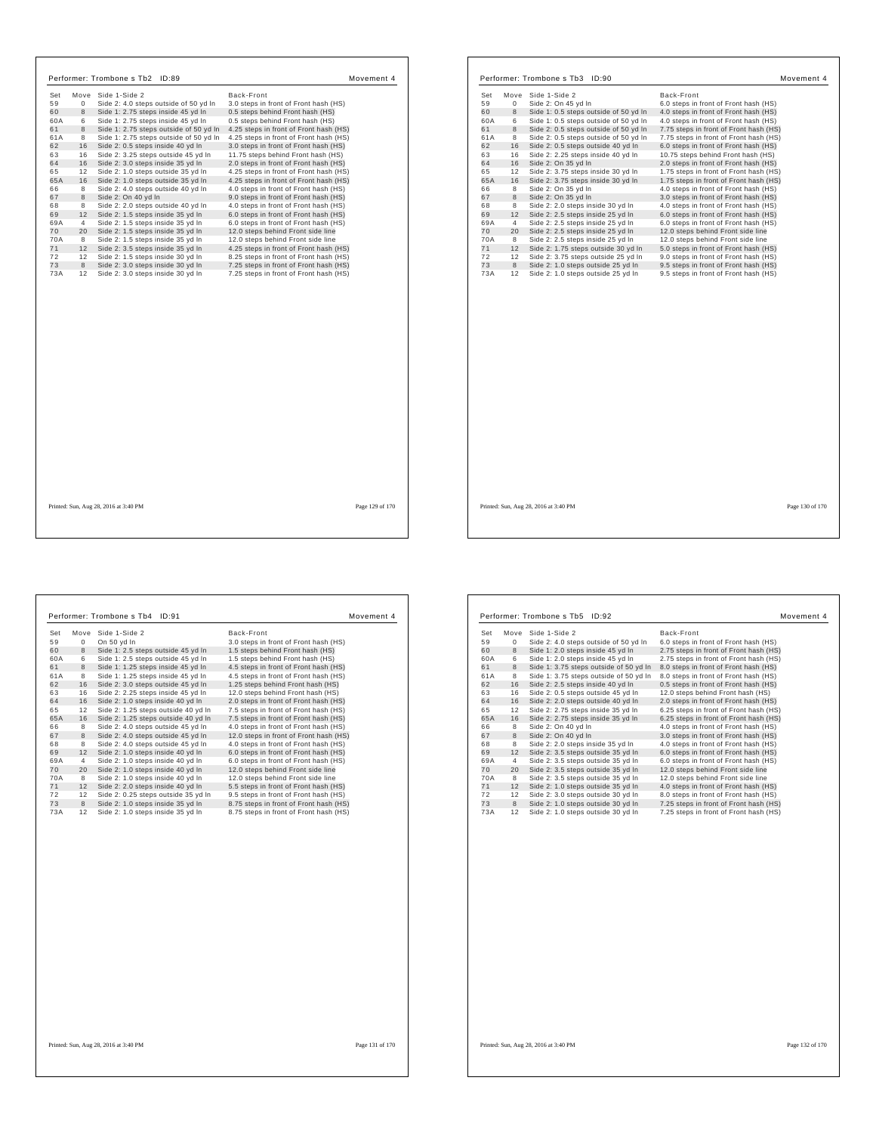| Set | Move           | Side 1-Side 2                          | Back-Front                             |
|-----|----------------|----------------------------------------|----------------------------------------|
| 59  | $\mathbf 0$    | Side 2: 4.0 steps outside of 50 yd In  | 3.0 steps in front of Front hash (HS)  |
| 60  | 8              | Side 1: 2.75 steps inside 45 yd In     | 0.5 steps behind Front hash (HS)       |
| 60A | 6              | Side 1: 2.75 steps inside 45 yd In     | 0.5 steps behind Front hash (HS)       |
| 61  | 8              | Side 1: 2.75 steps outside of 50 yd In | 4.25 steps in front of Front hash (HS) |
| 61A | 8              | Side 1: 2.75 steps outside of 50 yd In | 4.25 steps in front of Front hash (HS) |
| 62  | 16             | Side 2: 0.5 steps inside 40 yd In      | 3.0 steps in front of Front hash (HS)  |
| 63  | 16             | Side 2: 3.25 steps outside 45 yd In    | 11.75 steps behind Front hash (HS)     |
| 64  | 16             | Side 2: 3.0 steps inside 35 yd In      | 2.0 steps in front of Front hash (HS)  |
| 65  | 12             | Side 2: 1.0 steps outside 35 yd In     | 4.25 steps in front of Front hash (HS) |
| 65A | 16             | Side 2: 1.0 steps outside 35 yd In     | 4.25 steps in front of Front hash (HS) |
| 66  | 8              | Side 2: 4.0 steps outside 40 yd In     | 4.0 steps in front of Front hash (HS)  |
| 67  | 8              | Side 2: On 40 yd In                    | 9.0 steps in front of Front hash (HS)  |
| 68  | 8              | Side 2: 2.0 steps outside 40 yd In     | 4.0 steps in front of Front hash (HS)  |
| 69  | 12             | Side 2: 1.5 steps inside 35 yd In      | 6.0 steps in front of Front hash (HS)  |
| 69A | $\overline{4}$ | Side 2: 1.5 steps inside 35 yd In      | 6.0 steps in front of Front hash (HS)  |
| 70  | 20             | Side 2: 1.5 steps inside 35 yd In      | 12.0 steps behind Front side line      |
| 70A | 8              | Side 2: 1.5 steps inside 35 yd In      | 12.0 steps behind Front side line      |
| 71  | 12             | Side 2: 3.5 steps inside 35 yd In      | 4.25 steps in front of Front hash (HS) |
| 72  | 12             | Side 2: 1.5 steps inside 30 vd In      | 8.25 steps in front of Front hash (HS) |
| 73  | 8              | Side 2: 3.0 steps inside 30 yd In      | 7.25 steps in front of Front hash (HS) |
| 73A | 12             | Side 2: 3.0 steps inside 30 yd In      | 7.25 steps in front of Front hash (HS) |
|     |                |                                        |                                        |
|     |                |                                        |                                        |

| Set       |         |                                                                          |                                                                                |
|-----------|---------|--------------------------------------------------------------------------|--------------------------------------------------------------------------------|
|           | Move    | Side 1-Side 2                                                            | Back-Front                                                                     |
| 59        | 0       | Side 2: On 45 yd In                                                      | 6.0 steps in front of Front hash (HS)                                          |
| 60        | 8       | Side 1: 0.5 steps outside of 50 yd In                                    | 4.0 steps in front of Front hash (HS)                                          |
| 60A       | 6       | Side 1: 0.5 steps outside of 50 yd In                                    | 4.0 steps in front of Front hash (HS)                                          |
| 61        | 8       | Side 2: 0.5 steps outside of 50 yd In                                    | 7.75 steps in front of Front hash (HS)                                         |
| 61A       | 8       | Side 2: 0.5 steps outside of 50 yd In                                    | 7.75 steps in front of Front hash (HS)                                         |
| 62        | 16      | Side 2: 0.5 steps outside 40 yd In                                       | 6.0 steps in front of Front hash (HS)                                          |
| 63        | 16      | Side 2: 2.25 steps inside 40 yd In                                       | 10.75 steps behind Front hash (HS)                                             |
| 64        | 16      | Side 2: On 35 yd In                                                      | 2.0 steps in front of Front hash (HS)                                          |
| 65        | 12      | Side 2: 3.75 steps inside 30 yd In                                       | 1.75 steps in front of Front hash (HS)                                         |
| 65A       | 16      | Side 2: 3.75 steps inside 30 yd In                                       | 1.75 steps in front of Front hash (HS)                                         |
| 66        | 8       | Side 2: On 35 yd In                                                      | 4.0 steps in front of Front hash (HS)                                          |
| 67        | 8       | Side 2: On 35 yd In                                                      | 3.0 steps in front of Front hash (HS)                                          |
| 68        | 8       | Side 2: 2.0 steps inside 30 yd In                                        | 4.0 steps in front of Front hash (HS)                                          |
| 69        | 12      | Side 2: 2.5 steps inside 25 yd In                                        | 6.0 steps in front of Front hash (HS)                                          |
| 69A       | 4       | Side 2: 2.5 steps inside 25 yd In                                        | 6.0 steps in front of Front hash (HS)                                          |
| 70        | 20      | Side 2: 2.5 steps inside 25 yd In                                        | 12.0 steps behind Front side line                                              |
| 70A       | 8       | Side 2: 2.5 steps inside 25 yd In                                        | 12.0 steps behind Front side line                                              |
| 71        | 12      | Side 2: 1.75 steps outside 30 yd In                                      | 5.0 steps in front of Front hash (HS)                                          |
| 72        | 12      | Side 2: 3.75 steps outside 25 yd In                                      | 9.0 steps in front of Front hash (HS)                                          |
| 73<br>73A | 8<br>12 | Side 2: 1.0 steps outside 25 yd In<br>Side 2: 1.0 steps outside 25 yd In | 9.5 steps in front of Front hash (HS)<br>9.5 steps in front of Front hash (HS) |
|           |         |                                                                          |                                                                                |
|           |         |                                                                          |                                                                                |

| Set       | Move     | Side 1-Side 2                       | Back-Front                             |
|-----------|----------|-------------------------------------|----------------------------------------|
| 59        | $\Omega$ | On 50 yd In                         | 3.0 steps in front of Front hash (HS)  |
| 60        | 8        | Side 1: 2.5 steps outside 45 yd In  | 1.5 steps behind Front hash (HS)       |
| 60A       | 6        | Side 1: 2.5 steps outside 45 yd In  | 1.5 steps behind Front hash (HS)       |
| 61        | 8        | Side 1: 1.25 steps inside 45 yd In  | 4.5 steps in front of Front hash (HS)  |
| 61A       | 8        | Side 1: 1.25 steps inside 45 vd In  | 4.5 steps in front of Front hash (HS)  |
| 62        | 16       | Side 2: 3.0 steps outside 45 yd In  | 1.25 steps behind Front hash (HS)      |
| 63        | 16       | Side 2: 2.25 steps inside 45 yd In  | 12.0 steps behind Front hash (HS)      |
| 64        | 16       | Side 2: 1.0 steps inside 40 yd In   | 2.0 steps in front of Front hash (HS)  |
| 65        | 12       | Side 2: 1.25 steps outside 40 yd In | 7.5 steps in front of Front hash (HS)  |
| 65A       | 16       | Side 2: 1.25 steps outside 40 yd In | 7.5 steps in front of Front hash (HS)  |
| 66        | 8        | Side 2: 4.0 steps outside 45 yd In  | 4.0 steps in front of Front hash (HS)  |
| 67        | 8        | Side 2: 4.0 steps outside 45 yd In  | 12.0 steps in front of Front hash (HS) |
| 68        | 8        | Side 2: 4.0 steps outside 45 vd In  | 4.0 steps in front of Front hash (HS)  |
| 69        | 12       | Side 2: 1.0 steps inside 40 yd In   | 6.0 steps in front of Front hash (HS)  |
| 69A       | 4        | Side 2: 1.0 steps inside 40 yd In   | 6.0 steps in front of Front hash (HS)  |
| 70        | 20       | Side 2: 1.0 steps inside 40 yd In   | 12.0 steps behind Front side line      |
| 70A       | 8        | Side 2: 1.0 steps inside 40 vd In   | 12.0 steps behind Front side line      |
| 71        | 12       | Side 2: 2.0 steps inside 40 yd In   | 5.5 steps in front of Front hash (HS)  |
| 72        | 12       | Side 2: 0.25 steps outside 35 yd In | 9.5 steps in front of Front hash (HS)  |
|           | 8        | Side 2: 1.0 steps inside 35 yd In   | 8.75 steps in front of Front hash (HS) |
|           | 12       | Side 2: 1.0 steps inside 35 yd In   | 8.75 steps in front of Front hash (HS) |
| 73<br>73A |          |                                     |                                        |

| Set | Move | Side 1-Side 2                          | Back-Front                             |
|-----|------|----------------------------------------|----------------------------------------|
| 59  | 0    | Side 2: 4.0 steps outside of 50 yd In  | 6.0 steps in front of Front hash (HS)  |
| 60  | 8    | Side 1: 2.0 steps inside 45 yd In      | 2.75 steps in front of Front hash (HS) |
| 60A | 6    | Side 1: 2.0 steps inside 45 yd In      | 2.75 steps in front of Front hash (HS) |
| 61  | 8    | Side 1: 3.75 steps outside of 50 yd In | 8.0 steps in front of Front hash (HS)  |
| 61A | 8    | Side 1: 3.75 steps outside of 50 yd In | 8.0 steps in front of Front hash (HS)  |
| 62  | 16   | Side 2: 2.5 steps inside 40 yd In      | 0.5 steps in front of Front hash (HS)  |
| 63  | 16   | Side 2: 0.5 steps outside 45 yd In     | 12.0 steps behind Front hash (HS)      |
| 64  | 16   | Side 2: 2.0 steps outside 40 yd In     | 2.0 steps in front of Front hash (HS)  |
| 65  | 12   | Side 2: 2.75 steps inside 35 yd In     | 6.25 steps in front of Front hash (HS) |
| 65A | 16   | Side 2: 2.75 steps inside 35 yd In     | 6.25 steps in front of Front hash (HS) |
| 66  | 8    | Side 2: On 40 vd In                    | 4.0 steps in front of Front hash (HS)  |
| 67  | 8    | Side 2: On 40 vd In                    | 3.0 steps in front of Front hash (HS)  |
| 68  | 8    | Side 2: 2.0 steps inside 35 yd In      | 4.0 steps in front of Front hash (HS)  |
| 69  | 12   | Side 2: 3.5 steps outside 35 yd In     | 6.0 steps in front of Front hash (HS)  |
| 69A | 4    | Side 2: 3.5 steps outside 35 yd In     | 6.0 steps in front of Front hash (HS)  |
| 70  | 20   | Side 2: 3.5 steps outside 35 yd In     | 12.0 steps behind Front side line      |
| 70A | 8    | Side 2: 3.5 steps outside 35 yd In     | 12.0 steps behind Front side line      |
| 71  | 12   | Side 2: 1.0 steps outside 35 yd In     | 4.0 steps in front of Front hash (HS)  |
| 72  | 12   | Side 2: 3.0 steps outside 30 yd In     | 8.0 steps in front of Front hash (HS)  |
| 73  | 8    | Side 2: 1.0 steps outside 30 yd In     | 7.25 steps in front of Front hash (HS) |
| 73A | 12   | Side 2: 1.0 steps outside 30 yd In     | 7.25 steps in front of Front hash (HS) |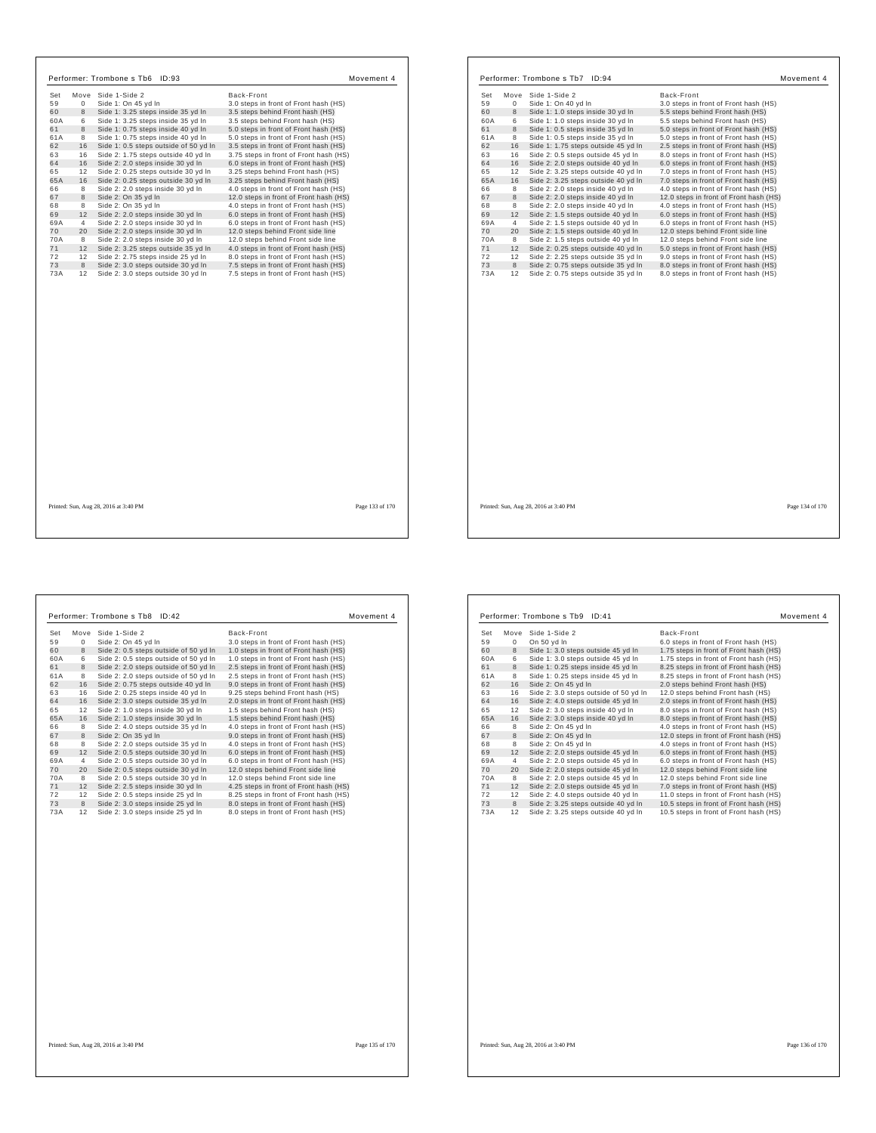| Set       |                |                                                                             |                                                                                |
|-----------|----------------|-----------------------------------------------------------------------------|--------------------------------------------------------------------------------|
|           | Move           | Side 1-Side 2                                                               | Back-Front                                                                     |
| 59        | $\mathbf 0$    | Side 1: On 45 yd In                                                         | 3.0 steps in front of Front hash (HS)                                          |
| 60        | 8              | Side 1: 3.25 steps inside 35 yd In                                          | 3.5 steps behind Front hash (HS)                                               |
| 60A       | 6              | Side 1: 3.25 steps inside 35 yd In                                          | 3.5 steps behind Front hash (HS)                                               |
| 61<br>61A | 8<br>8         | Side 1: 0.75 steps inside 40 yd In                                          | 5.0 steps in front of Front hash (HS)                                          |
| 62        | 16             | Side 1: 0.75 steps inside 40 yd In<br>Side 1: 0.5 steps outside of 50 yd In | 5.0 steps in front of Front hash (HS)<br>3.5 steps in front of Front hash (HS) |
| 63        | 16             | Side 2: 1.75 steps outside 40 yd In                                         | 3.75 steps in front of Front hash (HS)                                         |
| 64        | 16             | Side 2: 2.0 steps inside 30 yd In                                           | 6.0 steps in front of Front hash (HS)                                          |
| 65        | 12             | Side 2: 0.25 steps outside 30 yd In                                         | 3.25 steps behind Front hash (HS)                                              |
| 65A       | 16             | Side 2: 0.25 steps outside 30 yd In                                         | 3.25 steps behind Front hash (HS)                                              |
| 66        | 8              | Side 2: 2.0 steps inside 30 yd In                                           | 4.0 steps in front of Front hash (HS)                                          |
| 67        | 8              | Side 2: On 35 yd In                                                         | 12.0 steps in front of Front hash (HS)                                         |
| 68        | 8              | Side 2: On 35 yd In                                                         | 4.0 steps in front of Front hash (HS)                                          |
| 69        | 12             | Side 2: 2.0 steps inside 30 yd In                                           | 6.0 steps in front of Front hash (HS)                                          |
| 69A       | $\overline{4}$ | Side 2: 2.0 steps inside 30 yd In                                           | 6.0 steps in front of Front hash (HS)                                          |
| 70        | 20             | Side 2: 2.0 steps inside 30 yd In                                           | 12.0 steps behind Front side line                                              |
| 70A       | 8              | Side 2: 2.0 steps inside 30 vd In                                           | 12.0 steps behind Front side line                                              |
| 71        | 12             | Side 2: 3.25 steps outside 35 yd In                                         | 4.0 steps in front of Front hash (HS)                                          |
| 72        | 12             | Side 2: 2.75 steps inside 25 vd In                                          | 8.0 steps in front of Front hash (HS)                                          |
| 73        | 8              | Side 2: 3.0 steps outside 30 yd In                                          | 7.5 steps in front of Front hash (HS)                                          |
| 73A       | 12             | Side 2: 3.0 steps outside 30 yd In                                          | 7.5 steps in front of Front hash (HS)                                          |
|           |                |                                                                             |                                                                                |
|           |                |                                                                             |                                                                                |
|           |                |                                                                             |                                                                                |
|           |                |                                                                             |                                                                                |
|           |                |                                                                             |                                                                                |
|           |                |                                                                             |                                                                                |
|           |                |                                                                             |                                                                                |
|           |                |                                                                             |                                                                                |

| Set<br>Move | Side 1-Side 2                       | Back-Front                             |
|-------------|-------------------------------------|----------------------------------------|
| 59<br>0     | Side 1: On 40 yd In                 | 3.0 steps in front of Front hash (HS)  |
| 60<br>8     | Side 1: 1.0 steps inside 30 yd In   | 5.5 steps behind Front hash (HS)       |
| 6<br>60A    | Side 1: 1.0 steps inside 30 yd In   | 5.5 steps behind Front hash (HS)       |
| 61<br>8     | Side 1: 0.5 steps inside 35 yd In   | 5.0 steps in front of Front hash (HS)  |
| 61A<br>8    | Side 1: 0.5 steps inside 35 yd In   | 5.0 steps in front of Front hash (HS)  |
| 16<br>62    | Side 1: 1.75 steps outside 45 yd In | 2.5 steps in front of Front hash (HS)  |
| 63<br>16    | Side 2: 0.5 steps outside 45 yd In  | 8.0 steps in front of Front hash (HS)  |
| 16<br>64    | Side 2: 2.0 steps outside 40 yd In  | 6.0 steps in front of Front hash (HS)  |
| 65<br>12    | Side 2: 3.25 steps outside 40 yd In | 7.0 steps in front of Front hash (HS)  |
| 65A<br>16   | Side 2: 3.25 steps outside 40 yd In | 7.0 steps in front of Front hash (HS)  |
| 8<br>66     | Side 2: 2.0 steps inside 40 yd In   | 4.0 steps in front of Front hash (HS)  |
| 67<br>8     | Side 2: 2.0 steps inside 40 yd In   | 12.0 steps in front of Front hash (HS) |
| 68<br>8     | Side 2: 2.0 steps inside 40 yd In   | 4.0 steps in front of Front hash (HS)  |
| 12<br>69    | Side 2: 1.5 steps outside 40 yd In  | 6.0 steps in front of Front hash (HS)  |
| 69A<br>4    | Side 2: 1.5 steps outside 40 yd In  | 6.0 steps in front of Front hash (HS)  |
| 70<br>20    | Side 2: 1.5 steps outside 40 yd In  | 12.0 steps behind Front side line      |
| 8<br>70A    | Side 2: 1.5 steps outside 40 yd In  | 12.0 steps behind Front side line      |
| 71<br>12    | Side 2: 0.25 steps outside 40 yd In | 5.0 steps in front of Front hash (HS)  |
| 72<br>12    | Side 2: 2.25 steps outside 35 yd In | 9.0 steps in front of Front hash (HS)  |
| 73<br>8     | Side 2: 0.75 steps outside 35 yd In | 8.0 steps in front of Front hash (HS)  |
| 73A<br>12   | Side 2: 0.75 steps outside 35 yd In | 8.0 steps in front of Front hash (HS)  |
|             |                                     |                                        |

Printed: Sun, Aug 28, 2016 at 3:40 PM Page 134 of 170

 $\mathbf{I}$ 

| Move Side 1-Side 2<br>Side 2: On 45 yd In<br>Side 2: 0.5 steps outside of 50 yd In<br>Side 2: 0.5 steps outside of 50 yd In<br>Side 2: 2.0 steps outside of 50 yd In<br>Side 2: 2.0 steps outside of 50 vd In<br>Side 2: 0.75 steps outside 40 yd In<br>Side 2: 0.25 steps inside 40 yd In<br>Side 2: 3.0 steps outside 35 yd In<br>Side 2: 1.0 steps inside 30 yd In<br>Side 2: 1.0 steps inside 30 yd In<br>Side 2: 4.0 steps outside 35 yd In<br>Side 2: On 35 yd In | Back-Front<br>3.0 steps in front of Front hash (HS)<br>1.0 steps in front of Front hash (HS)<br>1.0 steps in front of Front hash (HS)<br>2.5 steps in front of Front hash (HS)<br>2.5 steps in front of Front hash (HS)<br>9.0 steps in front of Front hash (HS)<br>9.25 steps behind Front hash (HS)<br>2.0 steps in front of Front hash (HS)<br>1.5 steps behind Front hash (HS)<br>1.5 steps behind Front hash (HS)<br>4.0 steps in front of Front hash (HS) |
|-------------------------------------------------------------------------------------------------------------------------------------------------------------------------------------------------------------------------------------------------------------------------------------------------------------------------------------------------------------------------------------------------------------------------------------------------------------------------|-----------------------------------------------------------------------------------------------------------------------------------------------------------------------------------------------------------------------------------------------------------------------------------------------------------------------------------------------------------------------------------------------------------------------------------------------------------------|
|                                                                                                                                                                                                                                                                                                                                                                                                                                                                         |                                                                                                                                                                                                                                                                                                                                                                                                                                                                 |
|                                                                                                                                                                                                                                                                                                                                                                                                                                                                         |                                                                                                                                                                                                                                                                                                                                                                                                                                                                 |
|                                                                                                                                                                                                                                                                                                                                                                                                                                                                         |                                                                                                                                                                                                                                                                                                                                                                                                                                                                 |
|                                                                                                                                                                                                                                                                                                                                                                                                                                                                         |                                                                                                                                                                                                                                                                                                                                                                                                                                                                 |
|                                                                                                                                                                                                                                                                                                                                                                                                                                                                         |                                                                                                                                                                                                                                                                                                                                                                                                                                                                 |
|                                                                                                                                                                                                                                                                                                                                                                                                                                                                         |                                                                                                                                                                                                                                                                                                                                                                                                                                                                 |
|                                                                                                                                                                                                                                                                                                                                                                                                                                                                         |                                                                                                                                                                                                                                                                                                                                                                                                                                                                 |
|                                                                                                                                                                                                                                                                                                                                                                                                                                                                         |                                                                                                                                                                                                                                                                                                                                                                                                                                                                 |
|                                                                                                                                                                                                                                                                                                                                                                                                                                                                         |                                                                                                                                                                                                                                                                                                                                                                                                                                                                 |
|                                                                                                                                                                                                                                                                                                                                                                                                                                                                         |                                                                                                                                                                                                                                                                                                                                                                                                                                                                 |
|                                                                                                                                                                                                                                                                                                                                                                                                                                                                         |                                                                                                                                                                                                                                                                                                                                                                                                                                                                 |
|                                                                                                                                                                                                                                                                                                                                                                                                                                                                         | 9.0 steps in front of Front hash (HS)                                                                                                                                                                                                                                                                                                                                                                                                                           |
| Side 2: 2.0 steps outside 35 yd In                                                                                                                                                                                                                                                                                                                                                                                                                                      | 4.0 steps in front of Front hash (HS)                                                                                                                                                                                                                                                                                                                                                                                                                           |
| Side 2: 0.5 steps outside 30 yd In                                                                                                                                                                                                                                                                                                                                                                                                                                      | 6.0 steps in front of Front hash (HS)                                                                                                                                                                                                                                                                                                                                                                                                                           |
| Side 2: 0.5 steps outside 30 yd In                                                                                                                                                                                                                                                                                                                                                                                                                                      | 6.0 steps in front of Front hash (HS)                                                                                                                                                                                                                                                                                                                                                                                                                           |
| Side 2: 0.5 steps outside 30 yd In                                                                                                                                                                                                                                                                                                                                                                                                                                      | 12.0 steps behind Front side line                                                                                                                                                                                                                                                                                                                                                                                                                               |
| Side 2: 0.5 steps outside 30 yd In                                                                                                                                                                                                                                                                                                                                                                                                                                      | 12.0 steps behind Front side line                                                                                                                                                                                                                                                                                                                                                                                                                               |
| Side 2: 2.5 steps inside 30 yd In                                                                                                                                                                                                                                                                                                                                                                                                                                       | 4.25 steps in front of Front hash (HS)                                                                                                                                                                                                                                                                                                                                                                                                                          |
| Side 2: 0.5 steps inside 25 yd In                                                                                                                                                                                                                                                                                                                                                                                                                                       | 8.25 steps in front of Front hash (HS)                                                                                                                                                                                                                                                                                                                                                                                                                          |
| Side 2: 3.0 steps inside 25 yd In                                                                                                                                                                                                                                                                                                                                                                                                                                       | 8.0 steps in front of Front hash (HS)                                                                                                                                                                                                                                                                                                                                                                                                                           |
| Side 2: 3.0 steps inside 25 yd In                                                                                                                                                                                                                                                                                                                                                                                                                                       | 8.0 steps in front of Front hash (HS)                                                                                                                                                                                                                                                                                                                                                                                                                           |
|                                                                                                                                                                                                                                                                                                                                                                                                                                                                         |                                                                                                                                                                                                                                                                                                                                                                                                                                                                 |

|     |      | Performer: Trombone s Tb9 ID:41       | Movement 4                             |
|-----|------|---------------------------------------|----------------------------------------|
| Set | Move | Side 1-Side 2                         | Back-Front                             |
| 59  | 0    | On 50 yd In                           | 6.0 steps in front of Front hash (HS)  |
| 60  | 8    | Side 1: 3.0 steps outside 45 yd In    | 1.75 steps in front of Front hash (HS) |
| 60A | 6    | Side 1: 3.0 steps outside 45 yd In    | 1.75 steps in front of Front hash (HS) |
| 61  | 8    | Side 1: 0.25 steps inside 45 yd In    | 8.25 steps in front of Front hash (HS) |
| 61A | 8    | Side 1: 0.25 steps inside 45 yd In    | 8.25 steps in front of Front hash (HS) |
| 62  | 16   | Side 2: On 45 vd In                   | 2.0 steps behind Front hash (HS)       |
| 63  | 16   | Side 2: 3.0 steps outside of 50 yd In | 12.0 steps behind Front hash (HS)      |
| 64  | 16   | Side 2: 4.0 steps outside 45 yd In    | 2.0 steps in front of Front hash (HS)  |
| 65  | 12   | Side 2: 3.0 steps inside 40 yd In     | 8.0 steps in front of Front hash (HS)  |
| 65A | 16   | Side 2: 3.0 steps inside 40 yd In     | 8.0 steps in front of Front hash (HS)  |
| 66  | 8    | Side 2: On 45 yd In                   | 4.0 steps in front of Front hash (HS)  |
| 67  | 8    | Side 2: On 45 yd In                   | 12.0 steps in front of Front hash (HS) |
| 68  | 8    | Side 2: On 45 yd In                   | 4.0 steps in front of Front hash (HS)  |
| 69  | 12   | Side 2: 2.0 steps outside 45 yd In    | 6.0 steps in front of Front hash (HS)  |
| 69A | 4    | Side 2: 2.0 steps outside 45 yd In    | 6.0 steps in front of Front hash (HS)  |
| 70  | 20   | Side 2: 2.0 steps outside 45 yd In    | 12.0 steps behind Front side line      |
| 70A | 8    | Side 2: 2.0 steps outside 45 yd In    | 12.0 steps behind Front side line      |
| 71  | 12   | Side 2: 2.0 steps outside 45 yd In    | 7.0 steps in front of Front hash (HS)  |
| 72  | 12   | Side 2: 4.0 steps outside 40 yd In    | 11.0 steps in front of Front hash (HS) |
| 73  | 8    | Side 2: 3.25 steps outside 40 yd In   | 10.5 steps in front of Front hash (HS) |
| 73A | 12   | Side 2: 3.25 steps outside 40 yd In   | 10.5 steps in front of Front hash (HS) |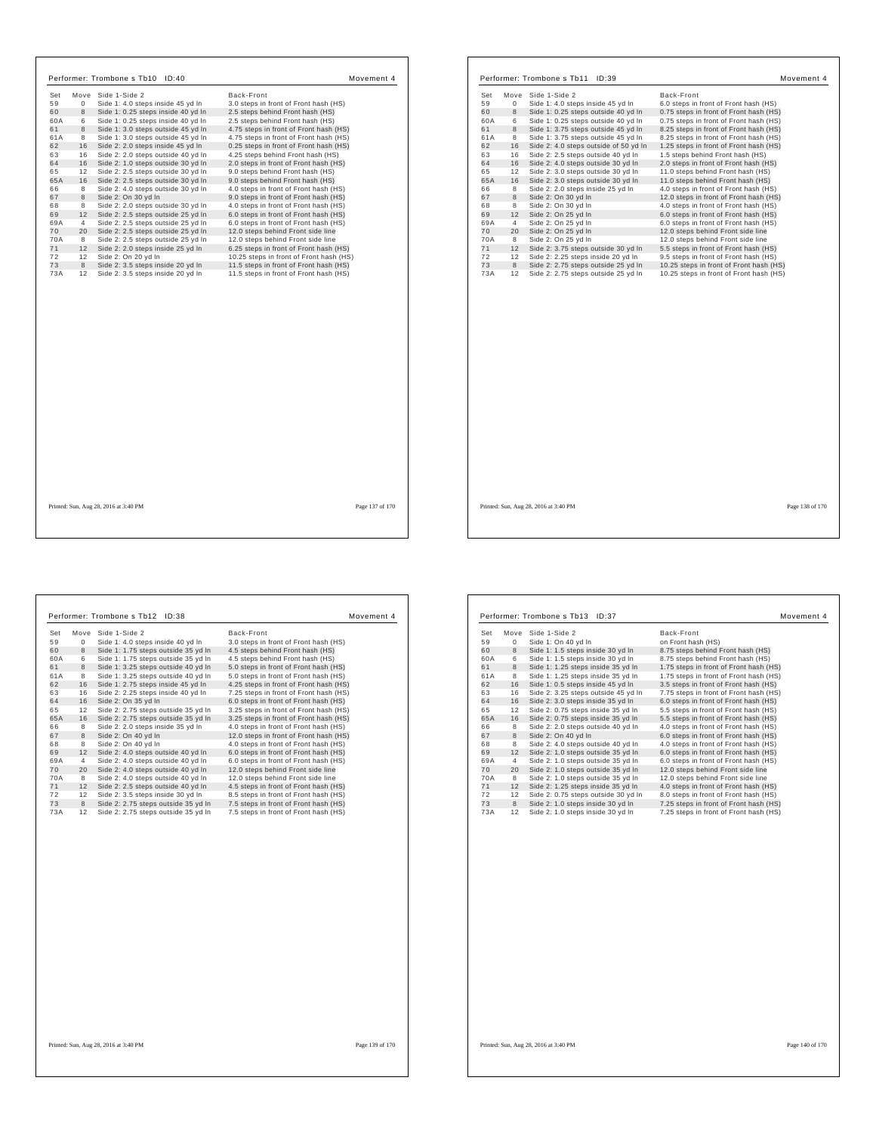|           |                 | Performer: Trombone s Tb10 ID:40                                       |                                                                                  | Movement 4      |
|-----------|-----------------|------------------------------------------------------------------------|----------------------------------------------------------------------------------|-----------------|
| Set       |                 | Move Side 1-Side 2                                                     | Back-Front                                                                       |                 |
| 59        | $\mathbf 0$     | Side 1: 4.0 steps inside 45 yd In                                      | 3.0 steps in front of Front hash (HS)                                            |                 |
| 60        | 8               | Side 1: 0.25 steps inside 40 yd In                                     | 2.5 steps behind Front hash (HS)                                                 |                 |
| 60A       | 6               | Side 1: 0.25 steps inside 40 yd In                                     | 2.5 steps behind Front hash (HS)                                                 |                 |
| 61        | 8               | Side 1: 3.0 steps outside 45 yd In                                     | 4.75 steps in front of Front hash (HS)                                           |                 |
| 61A       | 8               | Side 1: 3.0 steps outside 45 yd In                                     | 4.75 steps in front of Front hash (HS)                                           |                 |
| 62        | 16              | Side 2: 2.0 steps inside 45 yd In                                      | 0.25 steps in front of Front hash (HS)                                           |                 |
| 63        | 16              | Side 2: 2.0 steps outside 40 yd In                                     | 4.25 steps behind Front hash (HS)                                                |                 |
| 64        | 16              | Side 2: 1.0 steps outside 30 yd In                                     | 2.0 steps in front of Front hash (HS)                                            |                 |
| 65        | 12              | Side 2: 2.5 steps outside 30 yd In                                     | 9.0 steps behind Front hash (HS)                                                 |                 |
| 65A       | 16              | Side 2: 2.5 steps outside 30 yd In                                     | 9.0 steps behind Front hash (HS)                                                 |                 |
| 66        | 8               | Side 2: 4.0 steps outside 30 yd In                                     | 4.0 steps in front of Front hash (HS)                                            |                 |
| 67        | 8               | Side 2: On 30 vd In                                                    | 9.0 steps in front of Front hash (HS)                                            |                 |
| 68        | 8               | Side 2: 2.0 steps outside 30 yd In                                     | 4.0 steps in front of Front hash (HS)                                            |                 |
| 69        | 12              | Side 2: 2.5 steps outside 25 yd In                                     | 6.0 steps in front of Front hash (HS)                                            |                 |
| 69A       | $\overline{4}$  | Side 2: 2.5 steps outside 25 yd In                                     | 6.0 steps in front of Front hash (HS)                                            |                 |
| 70        | 20              | Side 2: 2.5 steps outside 25 yd In                                     | 12.0 steps behind Front side line                                                |                 |
| 70A       | 8               | Side 2: 2.5 steps outside 25 yd In                                     | 12.0 steps behind Front side line                                                |                 |
| 71        | 12 <sup>1</sup> | Side 2: 2.0 steps inside 25 yd In                                      | 6.25 steps in front of Front hash (HS)                                           |                 |
| 72        | 12              | Side 2: On 20 yd In                                                    | 10.25 steps in front of Front hash (HS)                                          |                 |
| 73<br>73A | 8<br>12         | Side 2: 3.5 steps inside 20 yd In<br>Side 2: 3.5 steps inside 20 yd In | 11.5 steps in front of Front hash (HS)<br>11.5 steps in front of Front hash (HS) |                 |
|           |                 |                                                                        |                                                                                  |                 |
|           |                 | Printed: Sun, Aug 28, 2016 at 3:40 PM                                  |                                                                                  | Page 137 of 170 |

| Set<br>Move<br>Side 1-Side 2<br>Back-Front<br>59<br>0<br>Side 1: 4.0 steps inside 45 yd In<br>6.0 steps in front of Front hash (HS)<br>8<br>60<br>0.75 steps in front of Front hash (HS)<br>Side 1: 0.25 steps outside 40 yd In<br>60A<br>6<br>Side 1: 0.25 steps outside 40 yd In<br>0.75 steps in front of Front hash (HS)<br>8<br>61<br>Side 1: 3.75 steps outside 45 yd In<br>8.25 steps in front of Front hash (HS)<br>61A<br>8<br>Side 1: 3.75 steps outside 45 yd In<br>8.25 steps in front of Front hash (HS)<br>16<br>62<br>Side 2: 4.0 steps outside of 50 yd In<br>1.25 steps in front of Front hash (HS)<br>63<br>16<br>Side 2: 2.5 steps outside 40 yd In<br>1.5 steps behind Front hash (HS)<br>16<br>64<br>Side 2: 4.0 steps outside 30 yd In<br>2.0 steps in front of Front hash (HS)<br>65<br>12<br>Side 2: 3.0 steps outside 30 yd In<br>11.0 steps behind Front hash (HS)<br>65A<br>16<br>Side 2: 3.0 steps outside 30 yd In<br>11.0 steps behind Front hash (HS)<br>8<br>Side 2: 2.0 steps inside 25 yd In<br>66<br>4.0 steps in front of Front hash (HS)<br>67<br>8<br>Side 2: On 30 yd In<br>12.0 steps in front of Front hash (HS)<br>8<br>68<br>Side 2: On 30 yd In<br>4.0 steps in front of Front hash (HS)<br>69<br>12<br>Side 2: On 25 yd In<br>6.0 steps in front of Front hash (HS)<br>69A<br>4<br>Side 2: On 25 yd In<br>6.0 steps in front of Front hash (HS)<br>70<br>20<br>Side 2: On 25 yd In<br>12.0 steps behind Front side line<br>70A<br>8<br>Side 2: On 25 yd In<br>12.0 steps behind Front side line<br>71<br>12<br>Side 2: 3.75 steps outside 30 yd In<br>5.5 steps in front of Front hash (HS)<br>72<br>12<br>Side 2: 2.25 steps inside 20 yd In<br>9.5 steps in front of Front hash (HS)<br>73<br>8<br>Side 2: 2.75 steps outside 25 yd In<br>10.25 steps in front of Front hash (HS)<br>73A<br>12<br>Side 2: 2.75 steps outside 25 yd In<br>10.25 steps in front of Front hash (HS) |  |  |
|---------------------------------------------------------------------------------------------------------------------------------------------------------------------------------------------------------------------------------------------------------------------------------------------------------------------------------------------------------------------------------------------------------------------------------------------------------------------------------------------------------------------------------------------------------------------------------------------------------------------------------------------------------------------------------------------------------------------------------------------------------------------------------------------------------------------------------------------------------------------------------------------------------------------------------------------------------------------------------------------------------------------------------------------------------------------------------------------------------------------------------------------------------------------------------------------------------------------------------------------------------------------------------------------------------------------------------------------------------------------------------------------------------------------------------------------------------------------------------------------------------------------------------------------------------------------------------------------------------------------------------------------------------------------------------------------------------------------------------------------------------------------------------------------------------------------------------------------------------------------------------------------------------------------------------|--|--|
|                                                                                                                                                                                                                                                                                                                                                                                                                                                                                                                                                                                                                                                                                                                                                                                                                                                                                                                                                                                                                                                                                                                                                                                                                                                                                                                                                                                                                                                                                                                                                                                                                                                                                                                                                                                                                                                                                                                                 |  |  |
|                                                                                                                                                                                                                                                                                                                                                                                                                                                                                                                                                                                                                                                                                                                                                                                                                                                                                                                                                                                                                                                                                                                                                                                                                                                                                                                                                                                                                                                                                                                                                                                                                                                                                                                                                                                                                                                                                                                                 |  |  |
|                                                                                                                                                                                                                                                                                                                                                                                                                                                                                                                                                                                                                                                                                                                                                                                                                                                                                                                                                                                                                                                                                                                                                                                                                                                                                                                                                                                                                                                                                                                                                                                                                                                                                                                                                                                                                                                                                                                                 |  |  |
|                                                                                                                                                                                                                                                                                                                                                                                                                                                                                                                                                                                                                                                                                                                                                                                                                                                                                                                                                                                                                                                                                                                                                                                                                                                                                                                                                                                                                                                                                                                                                                                                                                                                                                                                                                                                                                                                                                                                 |  |  |
|                                                                                                                                                                                                                                                                                                                                                                                                                                                                                                                                                                                                                                                                                                                                                                                                                                                                                                                                                                                                                                                                                                                                                                                                                                                                                                                                                                                                                                                                                                                                                                                                                                                                                                                                                                                                                                                                                                                                 |  |  |
|                                                                                                                                                                                                                                                                                                                                                                                                                                                                                                                                                                                                                                                                                                                                                                                                                                                                                                                                                                                                                                                                                                                                                                                                                                                                                                                                                                                                                                                                                                                                                                                                                                                                                                                                                                                                                                                                                                                                 |  |  |
|                                                                                                                                                                                                                                                                                                                                                                                                                                                                                                                                                                                                                                                                                                                                                                                                                                                                                                                                                                                                                                                                                                                                                                                                                                                                                                                                                                                                                                                                                                                                                                                                                                                                                                                                                                                                                                                                                                                                 |  |  |
|                                                                                                                                                                                                                                                                                                                                                                                                                                                                                                                                                                                                                                                                                                                                                                                                                                                                                                                                                                                                                                                                                                                                                                                                                                                                                                                                                                                                                                                                                                                                                                                                                                                                                                                                                                                                                                                                                                                                 |  |  |
|                                                                                                                                                                                                                                                                                                                                                                                                                                                                                                                                                                                                                                                                                                                                                                                                                                                                                                                                                                                                                                                                                                                                                                                                                                                                                                                                                                                                                                                                                                                                                                                                                                                                                                                                                                                                                                                                                                                                 |  |  |
|                                                                                                                                                                                                                                                                                                                                                                                                                                                                                                                                                                                                                                                                                                                                                                                                                                                                                                                                                                                                                                                                                                                                                                                                                                                                                                                                                                                                                                                                                                                                                                                                                                                                                                                                                                                                                                                                                                                                 |  |  |
|                                                                                                                                                                                                                                                                                                                                                                                                                                                                                                                                                                                                                                                                                                                                                                                                                                                                                                                                                                                                                                                                                                                                                                                                                                                                                                                                                                                                                                                                                                                                                                                                                                                                                                                                                                                                                                                                                                                                 |  |  |
|                                                                                                                                                                                                                                                                                                                                                                                                                                                                                                                                                                                                                                                                                                                                                                                                                                                                                                                                                                                                                                                                                                                                                                                                                                                                                                                                                                                                                                                                                                                                                                                                                                                                                                                                                                                                                                                                                                                                 |  |  |
|                                                                                                                                                                                                                                                                                                                                                                                                                                                                                                                                                                                                                                                                                                                                                                                                                                                                                                                                                                                                                                                                                                                                                                                                                                                                                                                                                                                                                                                                                                                                                                                                                                                                                                                                                                                                                                                                                                                                 |  |  |
|                                                                                                                                                                                                                                                                                                                                                                                                                                                                                                                                                                                                                                                                                                                                                                                                                                                                                                                                                                                                                                                                                                                                                                                                                                                                                                                                                                                                                                                                                                                                                                                                                                                                                                                                                                                                                                                                                                                                 |  |  |
|                                                                                                                                                                                                                                                                                                                                                                                                                                                                                                                                                                                                                                                                                                                                                                                                                                                                                                                                                                                                                                                                                                                                                                                                                                                                                                                                                                                                                                                                                                                                                                                                                                                                                                                                                                                                                                                                                                                                 |  |  |
|                                                                                                                                                                                                                                                                                                                                                                                                                                                                                                                                                                                                                                                                                                                                                                                                                                                                                                                                                                                                                                                                                                                                                                                                                                                                                                                                                                                                                                                                                                                                                                                                                                                                                                                                                                                                                                                                                                                                 |  |  |
|                                                                                                                                                                                                                                                                                                                                                                                                                                                                                                                                                                                                                                                                                                                                                                                                                                                                                                                                                                                                                                                                                                                                                                                                                                                                                                                                                                                                                                                                                                                                                                                                                                                                                                                                                                                                                                                                                                                                 |  |  |
|                                                                                                                                                                                                                                                                                                                                                                                                                                                                                                                                                                                                                                                                                                                                                                                                                                                                                                                                                                                                                                                                                                                                                                                                                                                                                                                                                                                                                                                                                                                                                                                                                                                                                                                                                                                                                                                                                                                                 |  |  |
|                                                                                                                                                                                                                                                                                                                                                                                                                                                                                                                                                                                                                                                                                                                                                                                                                                                                                                                                                                                                                                                                                                                                                                                                                                                                                                                                                                                                                                                                                                                                                                                                                                                                                                                                                                                                                                                                                                                                 |  |  |
|                                                                                                                                                                                                                                                                                                                                                                                                                                                                                                                                                                                                                                                                                                                                                                                                                                                                                                                                                                                                                                                                                                                                                                                                                                                                                                                                                                                                                                                                                                                                                                                                                                                                                                                                                                                                                                                                                                                                 |  |  |
|                                                                                                                                                                                                                                                                                                                                                                                                                                                                                                                                                                                                                                                                                                                                                                                                                                                                                                                                                                                                                                                                                                                                                                                                                                                                                                                                                                                                                                                                                                                                                                                                                                                                                                                                                                                                                                                                                                                                 |  |  |
|                                                                                                                                                                                                                                                                                                                                                                                                                                                                                                                                                                                                                                                                                                                                                                                                                                                                                                                                                                                                                                                                                                                                                                                                                                                                                                                                                                                                                                                                                                                                                                                                                                                                                                                                                                                                                                                                                                                                 |  |  |

Printed: Sun, Aug 28, 2016 at 3:40 PM Page 138 of 170

 $\sqrt{ }$ 

|     |             | Performer: Trombone s Tb12 ID:38    | Movement 4                             |
|-----|-------------|-------------------------------------|----------------------------------------|
| Set | Move        | Side 1-Side 2                       | Back-Front                             |
| 59  | $\mathbf 0$ | Side 1: 4.0 steps inside 40 yd In   | 3.0 steps in front of Front hash (HS)  |
| 60  | 8           | Side 1: 1.75 steps outside 35 yd In | 4.5 steps behind Front hash (HS)       |
| 60A | 6           | Side 1: 1.75 steps outside 35 yd In | 4.5 steps behind Front hash (HS)       |
| 61  | 8           | Side 1: 3.25 steps outside 40 yd In | 5.0 steps in front of Front hash (HS)  |
| 61A | 8           | Side 1: 3.25 steps outside 40 yd In | 5.0 steps in front of Front hash (HS)  |
| 62  | 16          | Side 1: 2.75 steps inside 45 yd In  | 4.25 steps in front of Front hash (HS) |
| 63  | 16          | Side 2: 2.25 steps inside 40 yd In  | 7.25 steps in front of Front hash (HS) |
| 64  | 16          | Side 2: On 35 yd In                 | 6.0 steps in front of Front hash (HS)  |
| 65  | 12          | Side 2: 2.75 steps outside 35 yd In | 3.25 steps in front of Front hash (HS) |
| 65A | 16          | Side 2: 2.75 steps outside 35 yd In | 3.25 steps in front of Front hash (HS) |
| 66  | 8           | Side 2: 2.0 steps inside 35 yd In   | 4.0 steps in front of Front hash (HS)  |
| 67  | 8           | Side 2: On 40 yd In                 | 12.0 steps in front of Front hash (HS) |
| 68  | 8           | Side 2: On 40 vd In                 | 4.0 steps in front of Front hash (HS)  |
| 69  | 12          | Side 2: 4.0 steps outside 40 yd In  | 6.0 steps in front of Front hash (HS)  |
| 69A | 4           | Side 2: 4.0 steps outside 40 yd In  | 6.0 steps in front of Front hash (HS)  |
| 70  | 20          | Side 2: 4.0 steps outside 40 yd In  | 12.0 steps behind Front side line      |
| 70A | 8           | Side 2: 4.0 steps outside 40 yd In  | 12.0 steps behind Front side line      |
| 71  | 12          | Side 2: 2.5 steps outside 40 yd In  | 4.5 steps in front of Front hash (HS)  |
| 72  | 12          | Side 2: 3.5 steps inside 30 yd In   | 8.5 steps in front of Front hash (HS)  |
| 73  | 8           | Side 2: 2.75 steps outside 35 yd In | 7.5 steps in front of Front hash (HS)  |
| 73A | 12          | Side 2: 2.75 steps outside 35 yd In | 7.5 steps in front of Front hash (HS)  |
|     |             |                                     |                                        |

| Set | Move | Side 1-Side 2                       | Back-Front                             |
|-----|------|-------------------------------------|----------------------------------------|
| 59  | 0    | Side 1: On 40 yd In                 | on Front hash (HS)                     |
| 60  | 8    | Side 1: 1.5 steps inside 30 yd In   | 8.75 steps behind Front hash (HS)      |
| 60A | 6    | Side 1: 1.5 steps inside 30 yd In   | 8.75 steps behind Front hash (HS)      |
| 61  | 8    | Side 1: 1.25 steps inside 35 yd In  | 1.75 steps in front of Front hash (HS) |
| 61A | 8    | Side 1: 1.25 steps inside 35 yd In  | 1.75 steps in front of Front hash (HS) |
| 62  | 16   | Side 1: 0.5 steps inside 45 yd In   | 3.5 steps in front of Front hash (HS)  |
| 63  | 16   | Side 2: 3.25 steps outside 45 yd In | 7.75 steps in front of Front hash (HS) |
| 64  | 16   | Side 2: 3.0 steps inside 35 yd In   | 6.0 steps in front of Front hash (HS)  |
| 65  | 12   | Side 2: 0.75 steps inside 35 yd In  | 5.5 steps in front of Front hash (HS)  |
| 65A | 16   | Side 2: 0.75 steps inside 35 yd In  | 5.5 steps in front of Front hash (HS)  |
| 66  | 8    | Side 2: 2.0 steps outside 40 yd In  | 4.0 steps in front of Front hash (HS)  |
| 67  | 8    | Side 2: On 40 yd In                 | 6.0 steps in front of Front hash (HS)  |
| 68  | 8    | Side 2: 4.0 steps outside 40 yd In  | 4.0 steps in front of Front hash (HS)  |
| 69  | 12   | Side 2: 1.0 steps outside 35 yd In  | 6.0 steps in front of Front hash (HS)  |
| 69A | 4    | Side 2: 1.0 steps outside 35 yd In  | 6.0 steps in front of Front hash (HS)  |
| 70  | 20   | Side 2: 1.0 steps outside 35 yd In  | 12.0 steps behind Front side line      |
| 70A | 8    | Side 2: 1.0 steps outside 35 yd In  | 12.0 steps behind Front side line      |
| 71  | 12   | Side 2: 1.25 steps inside 35 yd In  | 4.0 steps in front of Front hash (HS)  |
| 72  | 12   | Side 2: 0.75 steps outside 30 yd In | 8.0 steps in front of Front hash (HS)  |
| 73  | 8    | Side 2: 1.0 steps inside 30 yd In   | 7.25 steps in front of Front hash (HS) |
| 73A | 12   | Side 2: 1.0 steps inside 30 yd In   | 7.25 steps in front of Front hash (HS) |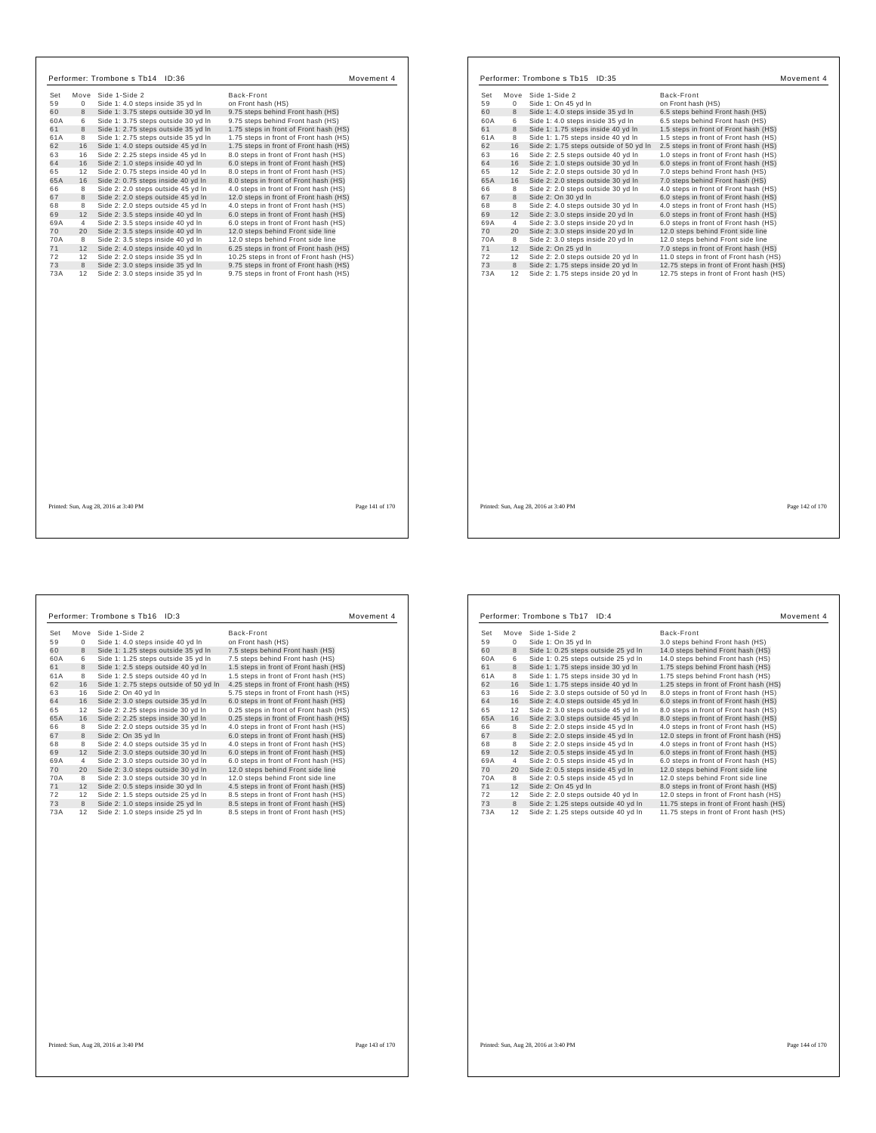|           |                | Performer: Trombone s Tb14 ID:36                                       | Movement 4                                                                       |  |
|-----------|----------------|------------------------------------------------------------------------|----------------------------------------------------------------------------------|--|
| Set       |                | Move Side 1-Side 2                                                     | Back-Front                                                                       |  |
| 59        | $\Omega$       | Side 1: 4.0 steps inside 35 yd In                                      | on Front hash (HS)                                                               |  |
| 60        | 8              | Side 1: 3.75 steps outside 30 yd In                                    | 9.75 steps behind Front hash (HS)                                                |  |
| 60A       | 6              | Side 1: 3.75 steps outside 30 yd In                                    | 9.75 steps behind Front hash (HS)                                                |  |
| 61        | 8              | Side 1: 2.75 steps outside 35 yd In                                    | 1.75 steps in front of Front hash (HS)                                           |  |
| 61A       | 8              | Side 1: 2.75 steps outside 35 yd In                                    | 1.75 steps in front of Front hash (HS)                                           |  |
| 62        | 16             | Side 1: 4.0 steps outside 45 yd In                                     | 1.75 steps in front of Front hash (HS)                                           |  |
| 63        | 16             | Side 2: 2.25 steps inside 45 yd In                                     | 8.0 steps in front of Front hash (HS)                                            |  |
| 64        | 16             | Side 2: 1.0 steps inside 40 yd In                                      | 6.0 steps in front of Front hash (HS)                                            |  |
| 65        | 12             | Side 2: 0.75 steps inside 40 yd In                                     | 8.0 steps in front of Front hash (HS)                                            |  |
| 65A       | 16             | Side 2: 0.75 steps inside 40 yd In                                     | 8.0 steps in front of Front hash (HS)                                            |  |
| 66        | 8              | Side 2: 2.0 steps outside 45 vd In                                     | 4.0 steps in front of Front hash (HS)                                            |  |
| 67        | 8              | Side 2: 2.0 steps outside 45 vd In                                     | 12.0 steps in front of Front hash (HS)                                           |  |
| 68        | 8              | Side 2: 2.0 steps outside 45 yd In                                     | 4.0 steps in front of Front hash (HS)                                            |  |
| 69        | 12             | Side 2: 3.5 steps inside 40 yd In                                      | 6.0 steps in front of Front hash (HS)                                            |  |
| 69A       | $\overline{4}$ | Side 2: 3.5 steps inside 40 yd In                                      | 6.0 steps in front of Front hash (HS)                                            |  |
| 70        | 20             | Side 2: 3.5 steps inside 40 yd In                                      | 12.0 steps behind Front side line                                                |  |
| 70A       | 8              | Side 2: 3.5 steps inside 40 yd In                                      | 12.0 steps behind Front side line                                                |  |
| 71        | 12             | Side 2: 4.0 steps inside 40 yd In                                      | 6.25 steps in front of Front hash (HS)                                           |  |
| 72        | 12             | Side 2: 2.0 steps inside 35 yd In                                      | 10.25 steps in front of Front hash (HS)                                          |  |
| 73<br>73A | 8<br>12        | Side 2: 3.0 steps inside 35 yd In<br>Side 2: 3.0 steps inside 35 yd In | 9.75 steps in front of Front hash (HS)<br>9.75 steps in front of Front hash (HS) |  |
|           |                |                                                                        |                                                                                  |  |
|           |                | Printed: Sun, Aug 28, 2016 at 3:40 PM                                  | Page 141 of 170                                                                  |  |

г

| Set  | Move        | Side 1-Side 2                          | Back-Front                              |
|------|-------------|----------------------------------------|-----------------------------------------|
| 59   | $\mathbf 0$ | Side 1: On 45 yd In                    | on Front hash (HS)                      |
| 60   | 8           | Side 1: 4.0 steps inside 35 yd In      | 6.5 steps behind Front hash (HS)        |
| 60A  | 6           | Side 1: 4.0 steps inside 35 yd In      | 6.5 steps behind Front hash (HS)        |
| 61   | 8           | Side 1: 1.75 steps inside 40 yd In     | 1.5 steps in front of Front hash (HS)   |
| 61 A | 8           | Side 1: 1.75 steps inside 40 yd In     | 1.5 steps in front of Front hash (HS)   |
| 62   | 16          | Side 2: 1.75 steps outside of 50 yd In | 2.5 steps in front of Front hash (HS)   |
| 63   | 16          | Side 2: 2.5 steps outside 40 yd In     | 1.0 steps in front of Front hash (HS)   |
| 64   | 16          | Side 2: 1.0 steps outside 30 yd In     | 6.0 steps in front of Front hash (HS)   |
| 65   | 12          | Side 2: 2.0 steps outside 30 yd In     | 7.0 steps behind Front hash (HS)        |
| 65A  | 16          | Side 2: 2.0 steps outside 30 yd In     | 7.0 steps behind Front hash (HS)        |
| 66   | 8           | Side 2: 2.0 steps outside 30 yd In     | 4.0 steps in front of Front hash (HS)   |
| 67   | 8           | Side 2: On 30 yd In                    | 6.0 steps in front of Front hash (HS)   |
| 68   | 8           | Side 2: 4.0 steps outside 30 yd In     | 4.0 steps in front of Front hash (HS)   |
| 69   | 12          | Side 2: 3.0 steps inside 20 yd In      | 6.0 steps in front of Front hash (HS)   |
| 69A  | 4           | Side 2: 3.0 steps inside 20 yd In      | 6.0 steps in front of Front hash (HS)   |
| 70   | 20          | Side 2: 3.0 steps inside 20 yd In      | 12.0 steps behind Front side line       |
| 70A  | 8           | Side 2: 3.0 steps inside 20 yd In      | 12.0 steps behind Front side line       |
| 71   | 12          | Side 2: On 25 yd In                    | 7.0 steps in front of Front hash (HS)   |
| 72   | 12          | Side 2: 2.0 steps outside 20 yd In     | 11.0 steps in front of Front hash (HS)  |
| 73   | $^{\rm 8}$  | Side 2: 1.75 steps inside 20 yd In     | 12.75 steps in front of Front hash (HS) |
| 73A  | 12          | Side 2: 1.75 steps inside 20 yd In     | 12.75 steps in front of Front hash (HS) |
|      |             |                                        |                                         |
|      |             |                                        |                                         |
|      |             |                                        |                                         |
|      |             |                                        |                                         |
|      |             |                                        |                                         |

 $\Gamma$ 

٦

 $\mathbf{I}$ 

Printed: Sun, Aug 28, 2016 at 3:40 PM Page 142 of 170

| Set | Move         | Side 1-Side 2                          | Back-Front                             |
|-----|--------------|----------------------------------------|----------------------------------------|
| 59  | $\mathbf{0}$ | Side 1: 4.0 steps inside 40 yd In      | on Front hash (HS)                     |
| 60  | 8            | Side 1: 1.25 steps outside 35 yd In    | 7.5 steps behind Front hash (HS)       |
| 60A | 6            | Side 1: 1.25 steps outside 35 yd In    | 7.5 steps behind Front hash (HS)       |
| 61  | 8            | Side 1: 2.5 steps outside 40 yd In     | 1.5 steps in front of Front hash (HS)  |
| 61A | 8            | Side 1: 2.5 steps outside 40 yd In     | 1.5 steps in front of Front hash (HS)  |
| 62  | 16           | Side 1: 2.75 steps outside of 50 yd In | 4.25 steps in front of Front hash (HS) |
| 63  | 16           | Side 2: On 40 yd In                    | 5.75 steps in front of Front hash (HS) |
| 64  | 16           | Side 2: 3.0 steps outside 35 yd In     | 6.0 steps in front of Front hash (HS)  |
| 65  | 12           | Side 2: 2.25 steps inside 30 yd In     | 0.25 steps in front of Front hash (HS) |
| 65A | 16           | Side 2: 2.25 steps inside 30 yd In     | 0.25 steps in front of Front hash (HS) |
| 66  | 8            | Side 2: 2.0 steps outside 35 yd In     | 4.0 steps in front of Front hash (HS)  |
| 67  | 8            | Side 2: On 35 yd In                    | 6.0 steps in front of Front hash (HS)  |
| 68  | 8            | Side 2: 4.0 steps outside 35 vd In     | 4.0 steps in front of Front hash (HS)  |
| 69  | 12           | Side 2: 3.0 steps outside 30 yd In     | 6.0 steps in front of Front hash (HS)  |
| 69A | 4            | Side 2: 3.0 steps outside 30 yd In     | 6.0 steps in front of Front hash (HS)  |
| 70  | 20           | Side 2: 3.0 steps outside 30 yd In     | 12.0 steps behind Front side line      |
| 70A | 8            | Side 2: 3.0 steps outside 30 yd In     | 12.0 steps behind Front side line      |
| 71  | 12           | Side 2: 0.5 steps inside 30 yd In      | 4.5 steps in front of Front hash (HS)  |
| 72  | 12           | Side 2: 1.5 steps outside 25 yd In     | 8.5 steps in front of Front hash (HS)  |
| 73  | 8            | Side 2: 1.0 steps inside 25 yd In      | 8.5 steps in front of Front hash (HS)  |
| 73A | 12           | Side 2: 1.0 steps inside 25 yd In      | 8.5 steps in front of Front hash (HS)  |
|     |              |                                        |                                        |

| Set | Move | Side 1-Side 2                         | Back-Front                              |  |
|-----|------|---------------------------------------|-----------------------------------------|--|
| 59  | 0    | Side 1: On 35 yd In                   | 3.0 steps behind Front hash (HS)        |  |
| 60  | 8    | Side 1: 0.25 steps outside 25 yd In   | 14.0 steps behind Front hash (HS)       |  |
| 60A | 6    | Side 1: 0.25 steps outside 25 yd In   | 14.0 steps behind Front hash (HS)       |  |
| 61  | 8    | Side 1: 1.75 steps inside 30 yd In    | 1.75 steps behind Front hash (HS)       |  |
| 61A | 8    | Side 1: 1.75 steps inside 30 yd In    | 1.75 steps behind Front hash (HS)       |  |
| 62  | 16   | Side 1: 1.75 steps inside 40 yd In    | 1.25 steps in front of Front hash (HS)  |  |
| 63  | 16   | Side 2: 3.0 steps outside of 50 yd In | 8.0 steps in front of Front hash (HS)   |  |
| 64  | 16   | Side 2: 4.0 steps outside 45 yd In    | 6.0 steps in front of Front hash (HS)   |  |
| 65  | 12   | Side 2: 3.0 steps outside 45 yd In    | 8.0 steps in front of Front hash (HS)   |  |
| 65A | 16   | Side 2: 3.0 steps outside 45 vd In    | 8.0 steps in front of Front hash (HS)   |  |
| 66  | 8    | Side 2: 2.0 steps inside 45 vd In     | 4.0 steps in front of Front hash (HS)   |  |
| 67  | 8    | Side 2: 2.0 steps inside 45 yd In     | 12.0 steps in front of Front hash (HS)  |  |
| 68  | 8    | Side 2: 2.0 steps inside 45 yd In     | 4.0 steps in front of Front hash (HS)   |  |
| 69  | 12   | Side 2: 0.5 steps inside 45 yd In     | 6.0 steps in front of Front hash (HS)   |  |
| 69A | 4    | Side 2: 0.5 steps inside 45 yd In     | 6.0 steps in front of Front hash (HS)   |  |
| 70  | 20   | Side 2: 0.5 steps inside 45 yd In     | 12.0 steps behind Front side line       |  |
| 70A | 8    | Side 2: 0.5 steps inside 45 yd In     | 12.0 steps behind Front side line       |  |
| 71  | 12   | Side 2: On 45 vd In                   | 8.0 steps in front of Front hash (HS)   |  |
| 72  | 12   | Side 2: 2.0 steps outside 40 yd In    | 12.0 steps in front of Front hash (HS)  |  |
| 73  | 8    | Side 2: 1.25 steps outside 40 yd In   | 11.75 steps in front of Front hash (HS) |  |
| 73A | 12   | Side 2: 1.25 steps outside 40 yd In   | 11.75 steps in front of Front hash (HS) |  |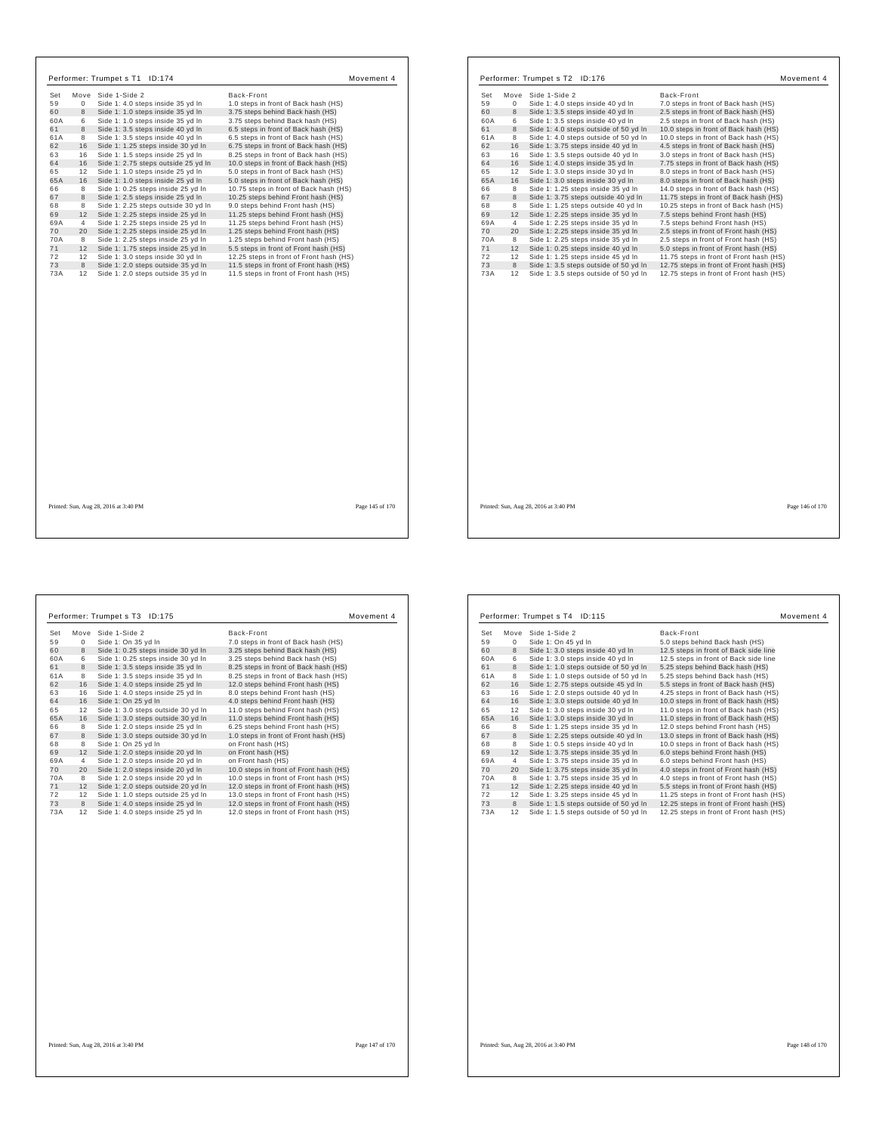| Performer: Trumpet s T1 ID:174                              | Movement 4                              |     |                  | Performer: Trumpet s T2 ID:176           |                                         |                 |
|-------------------------------------------------------------|-----------------------------------------|-----|------------------|------------------------------------------|-----------------------------------------|-----------------|
|                                                             |                                         |     |                  |                                          |                                         | Movement 4      |
| Move Side 1-Side 2<br>Set                                   | Back-Front                              | Set |                  | Move Side 1-Side 2                       | Back-Front                              |                 |
| 59<br>$\mathbf{0}$<br>Side 1: 4.0 steps inside 35 yd In     | 1.0 steps in front of Back hash (HS)    | 59  | $\circ$          | Side 1: 4.0 steps inside 40 yd In        | 7.0 steps in front of Back hash (HS)    |                 |
| 60<br>8<br>Side 1: 1.0 steps inside 35 yd In                | 3.75 steps behind Back hash (HS)        | 60  | 8                | Side 1: 3.5 steps inside 40 yd In        | 2.5 steps in front of Back hash (HS)    |                 |
| 60A<br>Side 1: 1.0 steps inside 35 yd In<br>6               | 3.75 steps behind Back hash (HS)        | 60A | 6                | Side 1: 3.5 steps inside 40 yd In        | 2.5 steps in front of Back hash (HS)    |                 |
| 61<br>8<br>Side 1: 3.5 steps inside 40 yd In                | 6.5 steps in front of Back hash (HS)    | 61  | 8                | Side 1: 4.0 steps outside of 50 yd In    | 10.0 steps in front of Back hash (HS)   |                 |
| 61A<br>Side 1: 3.5 steps inside 40 yd In<br>8               | 6.5 steps in front of Back hash (HS)    | 61A | 8                | Side 1: 4.0 steps outside of 50 yd In    | 10.0 steps in front of Back hash (HS)   |                 |
| 62<br>16<br>Side 1: 1.25 steps inside 30 yd In              | 6.75 steps in front of Back hash (HS)   | 62  | 16               | Side 1: 3.75 steps inside 40 yd In       | 4.5 steps in front of Back hash (HS)    |                 |
| 63<br>16<br>Side 1: 1.5 steps inside 25 yd In               | 8.25 steps in front of Back hash (HS)   | 63  | 16               | Side 1: 3.5 steps outside 40 yd In       | 3.0 steps in front of Back hash (HS)    |                 |
| 64<br>16<br>Side 1: 2.75 steps outside 25 yd In             | 10.0 steps in front of Back hash (HS)   | 64  | 16               | Side 1: 4.0 steps inside 35 yd In        | 7.75 steps in front of Back hash (HS)   |                 |
| 65<br>Side 1: 1.0 steps inside 25 yd In<br>12               | 5.0 steps in front of Back hash (HS)    | 65  | 12               | Side 1: 3.0 steps inside 30 yd In        | 8.0 steps in front of Back hash (HS)    |                 |
| 65A<br>16<br>Side 1: 1.0 steps inside 25 yd In              | 5.0 steps in front of Back hash (HS)    | 65A | 16               | Side 1: 3.0 steps inside 30 yd In        | 8.0 steps in front of Back hash (HS)    |                 |
| Side 1: 0.25 steps inside 25 yd In<br>66<br>8               | 10.75 steps in front of Back hash (HS)  | 66  | 8                | Side 1: 1.25 steps inside 35 yd In       | 14.0 steps in front of Back hash (HS)   |                 |
| 67<br>8<br>Side 1: 2.5 steps inside 25 yd In                | 10.25 steps behind Front hash (HS)      | 67  | $\boldsymbol{8}$ | Side 1: 3.75 steps outside 40 yd In      | 11.75 steps in front of Back hash (HS)  |                 |
| 68<br>Side 1: 2.25 steps outside 30 yd In<br>8              | 9.0 steps behind Front hash (HS)        | 68  | 8                | Side 1: 1.25 steps outside 40 yd In      | 10.25 steps in front of Back hash (HS)  |                 |
| 69<br>12 Side 1: 2.25 steps inside 25 yd In                 | 11.25 steps behind Front hash (HS)      | 69  | 12               | Side 1: 2.25 steps inside 35 yd In       | 7.5 steps behind Front hash (HS)        |                 |
| 69A<br>Side 1: 2.25 steps inside 25 yd In<br>$\overline{4}$ | 11.25 steps behind Front hash (HS)      | 69A | $\overline{4}$   | Side 1: 2.25 steps inside 35 yd In       | 7.5 steps behind Front hash (HS)        |                 |
| 70<br>20<br>Side 1: 2.25 steps inside 25 yd In              | 1.25 steps behind Front hash (HS)       | 70  | 20               | Side 1: 2.25 steps inside 35 yd In       | 2.5 steps in front of Front hash (HS)   |                 |
| 70A<br>Side 1: 2.25 steps inside 25 yd In<br>8              | 1.25 steps behind Front hash (HS)       | 70A | 8                | Side 1: 2.25 steps inside 35 yd In       | 2.5 steps in front of Front hash (HS)   |                 |
| 71<br>12 Side 1: 1.75 steps inside 25 yd In                 | 5.5 steps in front of Front hash (HS)   | 71  | 12               | Side 1: 0.25 steps inside 40 yd In       | 5.0 steps in front of Front hash (HS)   |                 |
| 72<br>12<br>Side 1: 3.0 steps inside 30 yd In               | 12.25 steps in front of Front hash (HS) | 72  | 12               | Side 1: 1.25 steps inside 45 yd In       | 11.75 steps in front of Front hash (HS) |                 |
| 73<br>8<br>Side 1: 2.0 steps outside 35 yd In               | 11.5 steps in front of Front hash (HS)  | 73  | 8                | Side 1: 3.5 steps outside of 50 yd In    | 12.75 steps in front of Front hash (HS) |                 |
| 73A<br>12 Side 1: 2.0 steps outside 35 yd In                | 11.5 steps in front of Front hash (HS)  | 73A |                  | 12 Side 1: 3.5 steps outside of 50 yd In | 12.75 steps in front of Front hash (HS) |                 |
|                                                             |                                         |     |                  |                                          |                                         |                 |
| Printed: Sun, Aug 28, 2016 at 3:40 PM                       | Page 145 of 170                         |     |                  | Printed: Sun, Aug 28, 2016 at 3:40 PM    |                                         | Page 146 of 170 |

 $\sqrt{ }$ 

|     |      | Performer: Trumpet s T3<br>ID:175  | Movement 4                             |
|-----|------|------------------------------------|----------------------------------------|
| Set | Move | Side 1-Side 2                      | Back-Front                             |
| 59  | 0    | Side 1: On 35 yd In                | 7.0 steps in front of Back hash (HS)   |
| 60  | 8    | Side 1: 0.25 steps inside 30 yd In | 3.25 steps behind Back hash (HS)       |
| 60A | 6    | Side 1: 0.25 steps inside 30 yd In | 3.25 steps behind Back hash (HS)       |
| 61  | 8    | Side 1: 3.5 steps inside 35 yd In  | 8.25 steps in front of Back hash (HS)  |
| 61A | 8    | Side 1: 3.5 steps inside 35 yd In  | 8.25 steps in front of Back hash (HS)  |
| 62  | 16   | Side 1: 4.0 steps inside 25 yd In  | 12.0 steps behind Front hash (HS)      |
| 63  | 16   | Side 1: 4.0 steps inside 25 yd In  | 8.0 steps behind Front hash (HS)       |
| 64  | 16   | Side 1: On 25 yd In                | 4.0 steps behind Front hash (HS)       |
| 65  | 12   | Side 1: 3.0 steps outside 30 yd In | 11.0 steps behind Front hash (HS)      |
| 65A | 16   | Side 1: 3.0 steps outside 30 yd In | 11.0 steps behind Front hash (HS)      |
| 66  | 8    | Side 1: 2.0 steps inside 25 yd In  | 6.25 steps behind Front hash (HS)      |
| 67  | 8    | Side 1: 3.0 steps outside 30 yd In | 1.0 steps in front of Front hash (HS)  |
| 68  | 8    | Side 1: On 25 yd In                | on Front hash (HS)                     |
| 69  | 12   | Side 1: 2.0 steps inside 20 yd In  | on Front hash (HS)                     |
| 69A | 4    | Side 1: 2.0 steps inside 20 yd In  | on Front hash (HS)                     |
| 70  | 20   | Side 1: 2.0 steps inside 20 yd In  | 10.0 steps in front of Front hash (HS) |
| 70A | 8    | Side 1: 2.0 steps inside 20 yd In  | 10.0 steps in front of Front hash (HS) |
| 71  | 12   | Side 1: 2.0 steps outside 20 yd In | 12.0 steps in front of Front hash (HS) |
| 72  | 12   | Side 1: 1.0 steps outside 25 yd In | 13.0 steps in front of Front hash (HS) |
| 73  | 8    | Side 1: 4.0 steps inside 25 yd In  | 12.0 steps in front of Front hash (HS) |
| 73A | 12   | Side 1: 4.0 steps inside 25 yd In  | 12.0 steps in front of Front hash (HS) |

| Set | Move | Side 1-Side 2                         | Back-Front                              |
|-----|------|---------------------------------------|-----------------------------------------|
| 59  | 0    | Side 1: On 45 yd In                   | 5.0 steps behind Back hash (HS)         |
| 60  | 8    | Side 1: 3.0 steps inside 40 yd In     | 12.5 steps in front of Back side line   |
| 60A | 6    | Side 1: 3.0 steps inside 40 yd In     | 12.5 steps in front of Back side line   |
| 61  | 8    | Side 1: 1.0 steps outside of 50 yd In | 5.25 steps behind Back hash (HS)        |
| 61A | 8    | Side 1: 1.0 steps outside of 50 yd In | 5.25 steps behind Back hash (HS)        |
| 62  | 16   | Side 1: 2.75 steps outside 45 yd In   | 5.5 steps in front of Back hash (HS)    |
| 63  | 16   | Side 1: 2.0 steps outside 40 yd In    | 4.25 steps in front of Back hash (HS)   |
| 64  | 16   | Side 1: 3.0 steps outside 40 yd In    | 10.0 steps in front of Back hash (HS)   |
| 65  | 12   | Side 1: 3.0 steps inside 30 yd In     | 11.0 steps in front of Back hash (HS)   |
| 65A | 16   | Side 1: 3.0 steps inside 30 yd In     | 11.0 steps in front of Back hash (HS)   |
| 66  | 8    | Side 1: 1.25 steps inside 35 yd In    | 12.0 steps behind Front hash (HS)       |
| 67  | 8    | Side 1: 2.25 steps outside 40 yd In   | 13.0 steps in front of Back hash (HS)   |
| 68  | 8    | Side 1: 0.5 steps inside 40 yd In     | 10.0 steps in front of Back hash (HS)   |
| 69  | 12   | Side 1: 3.75 steps inside 35 yd In    | 6.0 steps behind Front hash (HS)        |
| 69A | 4    | Side 1: 3.75 steps inside 35 yd In    | 6.0 steps behind Front hash (HS)        |
| 70  | 20   | Side 1: 3.75 steps inside 35 yd In    | 4.0 steps in front of Front hash (HS)   |
| 70A | 8    | Side 1: 3.75 steps inside 35 yd In    | 4.0 steps in front of Front hash (HS)   |
| 71  | 12   | Side 1: 2.25 steps inside 40 yd In    | 5.5 steps in front of Front hash (HS)   |
| 72  | 12   | Side 1: 3.25 steps inside 45 yd In    | 11.25 steps in front of Front hash (HS) |
| 73  | 8    | Side 1: 1.5 steps outside of 50 yd In | 12.25 steps in front of Front hash (HS) |
| 73A | 12   | Side 1: 1.5 steps outside of 50 yd In | 12.25 steps in front of Front hash (HS) |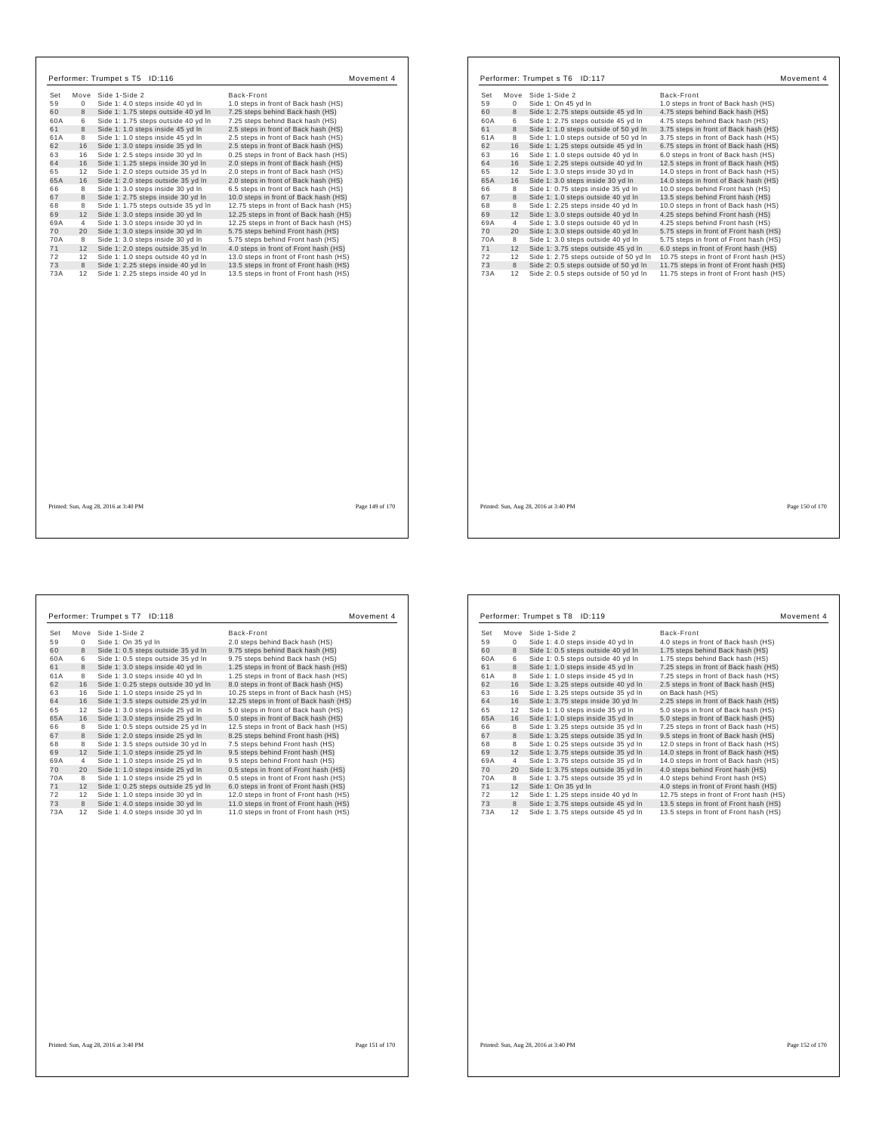|           |                | Performer: Trumpet s T5 ID:116                                           |                                                                                  | Movement 4      |           |         | Performer: Trumpet s T6 ID:117                                                 | M                                                                                  |
|-----------|----------------|--------------------------------------------------------------------------|----------------------------------------------------------------------------------|-----------------|-----------|---------|--------------------------------------------------------------------------------|------------------------------------------------------------------------------------|
| Set       |                | Move Side 1-Side 2                                                       | Back-Front                                                                       |                 | Set       |         | Move Side 1-Side 2                                                             | Back-Front                                                                         |
| 59        | 0              | Side 1: 4.0 steps inside 40 yd In                                        | 1.0 steps in front of Back hash (HS)                                             |                 | 59        | 0       | Side 1: On 45 yd In                                                            | 1.0 steps in front of Back hash (HS)                                               |
| 60        | 8              | Side 1: 1.75 steps outside 40 yd In                                      | 7.25 steps behind Back hash (HS)                                                 |                 | 60        | 8       | Side 1: 2.75 steps outside 45 yd In                                            | 4.75 steps behind Back hash (HS)                                                   |
| 60A       | 6              | Side 1: 1.75 steps outside 40 yd In                                      | 7.25 steps behind Back hash (HS)                                                 |                 | 60A       | 6       | Side 1: 2.75 steps outside 45 yd In                                            | 4.75 steps behind Back hash (HS)                                                   |
| 61        | 8              | Side 1: 1.0 steps inside 45 yd In                                        | 2.5 steps in front of Back hash (HS)                                             |                 | 61        | 8       | Side 1: 1.0 steps outside of 50 yd In                                          | 3.75 steps in front of Back hash (HS)                                              |
| 61A       | 8              | Side 1: 1.0 steps inside 45 yd In                                        | 2.5 steps in front of Back hash (HS)                                             |                 | 61A       | 8       | Side 1: 1.0 steps outside of 50 yd In                                          | 3.75 steps in front of Back hash (HS)                                              |
| 62        | 16             | Side 1: 3.0 steps inside 35 yd In                                        | 2.5 steps in front of Back hash (HS)                                             |                 | 62        | 16      | Side 1: 1.25 steps outside 45 yd In                                            | 6.75 steps in front of Back hash (HS)                                              |
| 63        | 16             | Side 1: 2.5 steps inside 30 yd In                                        | 0.25 steps in front of Back hash (HS)                                            |                 | 63        | 16      | Side 1: 1.0 steps outside 40 yd In                                             | 6.0 steps in front of Back hash (HS)                                               |
| 64        | 16             | Side 1: 1.25 steps inside 30 yd In                                       | 2.0 steps in front of Back hash (HS)                                             |                 | 64        | 16      | Side 1: 2.25 steps outside 40 yd In                                            | 12.5 steps in front of Back hash (HS)                                              |
| 65        | 12             | Side 1: 2.0 steps outside 35 yd In                                       | 2.0 steps in front of Back hash (HS)                                             |                 | 65        | 12      | Side 1: 3.0 steps inside 30 yd In                                              | 14.0 steps in front of Back hash (HS)                                              |
| 65A       | 16             | Side 1: 2.0 steps outside 35 yd In                                       | 2.0 steps in front of Back hash (HS)                                             |                 | 65A       | 16      | Side 1: 3.0 steps inside 30 yd In                                              | 14.0 steps in front of Back hash (HS)                                              |
| 66        | 8              | Side 1: 3.0 steps inside 30 yd In                                        | 6.5 steps in front of Back hash (HS)                                             |                 | 66        | 8       | Side 1: 0.75 steps inside 35 yd In                                             | 10.0 steps behind Front hash (HS)                                                  |
| 67        | 8              | Side 1: 2.75 steps inside 30 yd In                                       | 10.0 steps in front of Back hash (HS)                                            |                 | 67        | 8       | Side 1: 1.0 steps outside 40 yd In                                             | 13.5 steps behind Front hash (HS)                                                  |
| 68        | 8              | Side 1: 1.75 steps outside 35 yd In                                      | 12.75 steps in front of Back hash (HS)                                           |                 | 68        | 8       | Side 1: 2.25 steps inside 40 yd In                                             | 10.0 steps in front of Back hash (HS)                                              |
| 69        | 12             | Side 1: 3.0 steps inside 30 yd In                                        | 12.25 steps in front of Back hash (HS)                                           |                 | 69        | 12      | Side 1: 3.0 steps outside 40 yd In                                             | 4.25 steps behind Front hash (HS)                                                  |
| 69A       | $\overline{4}$ | Side 1: 3.0 steps inside 30 yd In                                        | 12.25 steps in front of Back hash (HS)                                           |                 | 69A       | 4       | Side 1: 3.0 steps outside 40 yd In                                             | 4.25 steps behind Front hash (HS)                                                  |
| 70        | 20             | Side 1: 3.0 steps inside 30 yd In                                        | 5.75 steps behind Front hash (HS)                                                |                 | 70        | 20      | Side 1: 3.0 steps outside 40 yd In                                             | 5.75 steps in front of Front hash (HS)                                             |
| 70A       | 8              | Side 1: 3.0 steps inside 30 yd In                                        | 5.75 steps behind Front hash (HS)                                                |                 | 70A       | 8       | Side 1: 3.0 steps outside 40 yd In                                             | 5.75 steps in front of Front hash (HS)                                             |
| 71        | 12             | Side 1: 2.0 steps outside 35 yd In                                       | 4.0 steps in front of Front hash (HS)                                            |                 | 71        | 12      | Side 1: 3.75 steps outside 45 yd In                                            | 6.0 steps in front of Front hash (HS)                                              |
| 72        | 12             | Side 1: 1.0 steps outside 40 yd In                                       | 13.0 steps in front of Front hash (HS)                                           |                 | 72        | 12      | Side 1: 2.75 steps outside of 50 yd In                                         | 10.75 steps in front of Front hash (HS)                                            |
| 73<br>73A | 8<br>12        | Side 1: 2.25 steps inside 40 yd In<br>Side 1: 2.25 steps inside 40 yd In | 13.5 steps in front of Front hash (HS)<br>13.5 steps in front of Front hash (HS) |                 | 73<br>73A | 8<br>12 | Side 2: 0.5 steps outside of 50 yd In<br>Side 2: 0.5 steps outside of 50 yd In | 11.75 steps in front of Front hash (HS)<br>11.75 steps in front of Front hash (HS) |
|           |                |                                                                          |                                                                                  |                 |           |         |                                                                                |                                                                                    |
|           |                | Printed: Sun, Aug 28, 2016 at 3:40 PM                                    |                                                                                  | Page 149 of 170 |           |         | Printed: Sun, Aug 28, 2016 at 3:40 PM                                          |                                                                                    |

| Performer: Trumpet s T7 | ID:118                              | Movement 4                             |
|-------------------------|-------------------------------------|----------------------------------------|
| Set<br>Move             | Side 1-Side 2                       | Back-Front                             |
| 59<br>0                 | Side 1: On 35 yd In                 | 2.0 steps behind Back hash (HS)        |
| 60<br>8                 | Side 1: 0.5 steps outside 35 yd In  | 9.75 steps behind Back hash (HS)       |
| 60A<br>6                | Side 1: 0.5 steps outside 35 yd In  | 9.75 steps behind Back hash (HS)       |
| 61<br>8                 | Side 1: 3.0 steps inside 40 yd In   | 1.25 steps in front of Back hash (HS)  |
| 61A<br>8                | Side 1: 3.0 steps inside 40 yd In   | 1.25 steps in front of Back hash (HS)  |
| 62<br>16                | Side 1: 0.25 steps outside 30 yd In | 8.0 steps in front of Back hash (HS)   |
| 63<br>16                | Side 1: 1.0 steps inside 25 yd In   | 10.25 steps in front of Back hash (HS) |
| 64<br>16                | Side 1: 3.5 steps outside 25 yd In  | 12.25 steps in front of Back hash (HS) |
| 65<br>12                | Side 1: 3.0 steps inside 25 yd In   | 5.0 steps in front of Back hash (HS)   |
| 65A<br>16               | Side 1: 3.0 steps inside 25 yd In   | 5.0 steps in front of Back hash (HS)   |
| 66<br>8                 | Side 1: 0.5 steps outside 25 yd In  | 12.5 steps in front of Back hash (HS)  |
| 67<br>8                 | Side 1: 2.0 steps inside 25 yd In   | 8.25 steps behind Front hash (HS)      |
| 68<br>8                 | Side 1: 3.5 steps outside 30 yd In  | 7.5 steps behind Front hash (HS)       |
| 69<br>12                | Side 1: 1.0 steps inside 25 yd In   | 9.5 steps behind Front hash (HS)       |
| 69A<br>4                | Side 1: 1.0 steps inside 25 yd In   | 9.5 steps behind Front hash (HS)       |
| 70<br>20                | Side 1: 1.0 steps inside 25 yd In   | 0.5 steps in front of Front hash (HS)  |
| 70A<br>8                | Side 1: 1.0 steps inside 25 yd In   | 0.5 steps in front of Front hash (HS)  |
| 71<br>12                | Side 1: 0.25 steps outside 25 yd In | 6.0 steps in front of Front hash (HS)  |
| 72<br>12                | Side 1: 1.0 steps inside 30 yd In   | 12.0 steps in front of Front hash (HS) |
| 73<br>8                 | Side 1: 4.0 steps inside 30 yd In   | 11.0 steps in front of Front hash (HS) |
| 73A<br>12               | Side 1: 4.0 steps inside 30 yd In   | 11.0 steps in front of Front hash (HS) |
|                         |                                     |                                        |
|                         |                                     |                                        |

|     |                | Performer: Trumpet s T8 ID:119      | Movement 4                              |
|-----|----------------|-------------------------------------|-----------------------------------------|
| Set | Move           | Side 1-Side 2                       | Back-Front                              |
| 59  | $^{\circ}$     | Side 1: 4.0 steps inside 40 yd In   | 4.0 steps in front of Back hash (HS)    |
| 60  | 8              | Side 1: 0.5 steps outside 40 yd In  | 1.75 steps behind Back hash (HS)        |
| 60A | 6              | Side 1: 0.5 steps outside 40 yd In  | 1.75 steps behind Back hash (HS)        |
| 61  | 8              | Side 1: 1.0 steps inside 45 yd In   | 7.25 steps in front of Back hash (HS)   |
| 61A | 8              | Side 1: 1.0 steps inside 45 yd In   | 7.25 steps in front of Back hash (HS)   |
| 62  | 16             | Side 1: 3.25 steps outside 40 yd In | 2.5 steps in front of Back hash (HS)    |
| 63  | 16             | Side 1: 3.25 steps outside 35 yd In | on Back hash (HS)                       |
| 64  | 16             | Side 1: 3.75 steps inside 30 yd In  | 2.25 steps in front of Back hash (HS)   |
| 65  | 12             | Side 1: 1.0 steps inside 35 yd In   | 5.0 steps in front of Back hash (HS)    |
| 65A | 16             | Side 1: 1.0 steps inside 35 yd In   | 5.0 steps in front of Back hash (HS)    |
| 66  | 8              | Side 1: 3.25 steps outside 35 yd In | 7.25 steps in front of Back hash (HS)   |
| 67  | 8              | Side 1: 3.25 steps outside 35 yd In | 9.5 steps in front of Back hash (HS)    |
| 68  | 8              | Side 1: 0.25 steps outside 35 yd In | 12.0 steps in front of Back hash (HS)   |
| 69  | 12             | Side 1: 3.75 steps outside 35 yd In | 14.0 steps in front of Back hash (HS)   |
| 69A | $\overline{4}$ | Side 1: 3.75 steps outside 35 yd In | 14.0 steps in front of Back hash (HS)   |
| 70  | 20             | Side 1: 3.75 steps outside 35 yd In | 4.0 steps behind Front hash (HS)        |
| 70A | 8              | Side 1: 3.75 steps outside 35 yd In | 4.0 steps behind Front hash (HS)        |
| 71  | 12             | Side 1: On 35 yd In                 | 4.0 steps in front of Front hash (HS)   |
| 72  | 12             | Side 1: 1.25 steps inside 40 yd In  | 12.75 steps in front of Front hash (HS) |
| 73  | 8              | Side 1: 3.75 steps outside 45 yd In | 13.5 steps in front of Front hash (HS)  |
| 73A | 12             | Side 1: 3.75 steps outside 45 yd In | 13.5 steps in front of Front hash (HS)  |

Printed: Sun, Aug 28, 2016 at 3:40 PM Page 152 of 170

Movement 4

Page 150 of 170  $\,$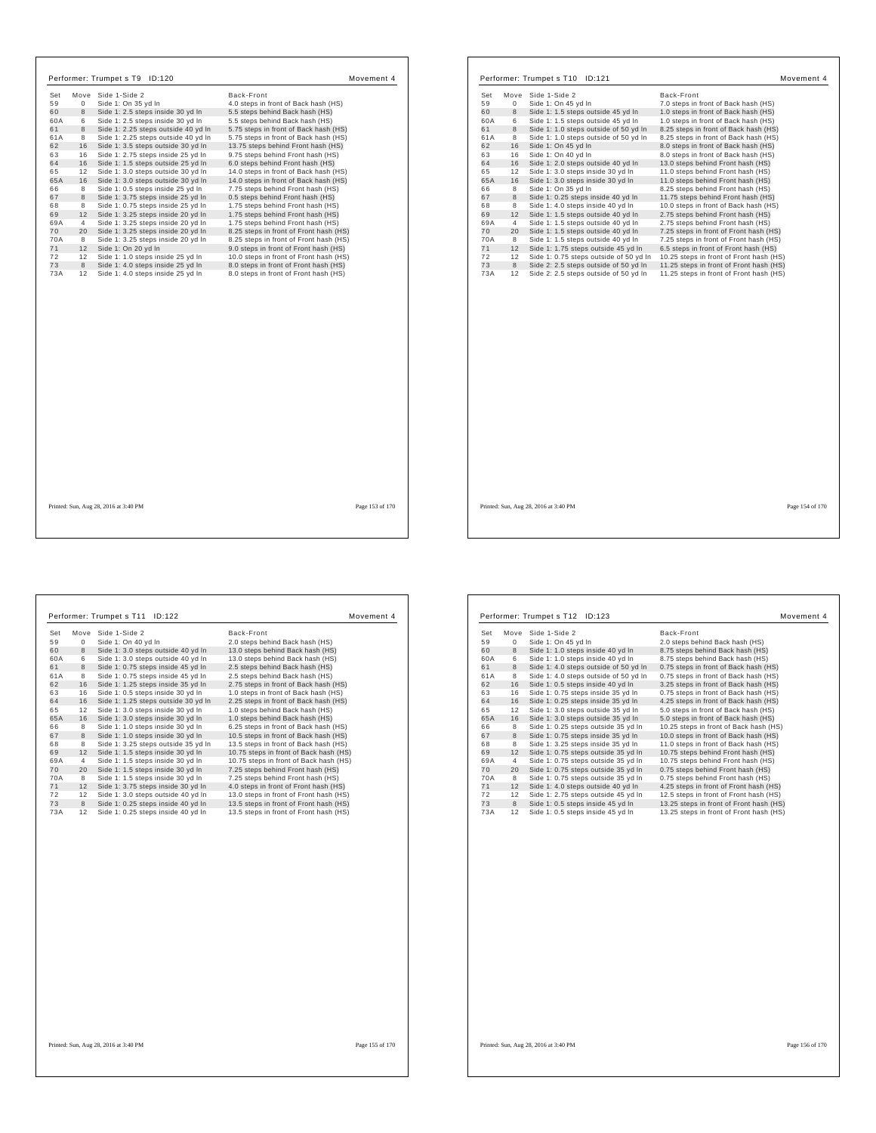| Set<br>59<br>60<br>60A<br>61<br>61A                                           | $\mathbf{0}$<br>8<br>6<br>8<br>8                                                   | Performer: Trumpet s T9 ID:120<br>Move Side 1-Side 2<br>Side 1: On 35 yd In<br>Side 1: 2.5 steps inside 30 yd In<br>Side 1: 2.5 steps inside 30 yd In<br>Side 1: 2.25 steps outside 40 yd In<br>Side 1: 2.25 steps outside 40 yd In                                                                                                                                                                                                                                                        | Back-Front<br>4.0 steps in front of Back hash (HS)<br>5.5 steps behind Back hash (HS)<br>5.5 steps behind Back hash (HS)<br>5.75 steps in front of Back hash (HS)<br>5.75 steps in front of Back hash (HS)                                                                                                                                                                                                                                                                                                         | Movement 4      | Set<br>59<br>60<br>60A<br>61<br>61A                                                  | $\circ$<br>8<br>6<br>8<br>8                                                        | Performer: Trumpet s T10 ID:121<br>Move Side 1-Side 2<br>Side 1: On 45 yd In<br>Side 1: 1.5 steps outside 45 yd In<br>Side 1: 1.5 steps outside 45 yd In<br>Side 1: 1.0 steps outside of 50 yd In<br>Side 1: 1.0 steps outside of 50 yd In                                                                                                                                                                                                                  | Back-Front<br>7.0 steps in front of Back hash (HS)<br>1.0 steps in front of Back hash (HS)<br>1.0 steps in front of Back hash (HS)<br>8.25 steps in front of Back hash (HS)<br>8.25 steps in front of Back hash (HS)                                                                                                                                                                                                                                                                                                   | Movement 4      |
|-------------------------------------------------------------------------------|------------------------------------------------------------------------------------|--------------------------------------------------------------------------------------------------------------------------------------------------------------------------------------------------------------------------------------------------------------------------------------------------------------------------------------------------------------------------------------------------------------------------------------------------------------------------------------------|--------------------------------------------------------------------------------------------------------------------------------------------------------------------------------------------------------------------------------------------------------------------------------------------------------------------------------------------------------------------------------------------------------------------------------------------------------------------------------------------------------------------|-----------------|--------------------------------------------------------------------------------------|------------------------------------------------------------------------------------|-------------------------------------------------------------------------------------------------------------------------------------------------------------------------------------------------------------------------------------------------------------------------------------------------------------------------------------------------------------------------------------------------------------------------------------------------------------|------------------------------------------------------------------------------------------------------------------------------------------------------------------------------------------------------------------------------------------------------------------------------------------------------------------------------------------------------------------------------------------------------------------------------------------------------------------------------------------------------------------------|-----------------|
| 62<br>63<br>64<br>65<br>65A<br>66<br>67<br>68<br>69<br>69A<br>70<br>70A<br>71 | 16<br>16<br>16<br>12<br>16<br>8<br>8<br>8<br>12<br>$\overline{4}$<br>20<br>8<br>12 | Side 1: 3.5 steps outside 30 yd In<br>Side 1: 2.75 steps inside 25 yd In<br>Side 1: 1.5 steps outside 25 yd In<br>Side 1: 3.0 steps outside 30 yd In<br>Side 1: 3.0 steps outside 30 yd In<br>Side 1: 0.5 steps inside 25 yd In<br>Side 1: 3.75 steps inside 25 yd In<br>Side 1: 0.75 steps inside 25 yd In<br>Side 1: 3.25 steps inside 20 yd In<br>Side 1: 3.25 steps inside 20 yd In<br>Side 1: 3.25 steps inside 20 yd In<br>Side 1: 3.25 steps inside 20 yd In<br>Side 1: On 20 yd In | 13.75 steps behind Front hash (HS)<br>9.75 steps behind Front hash (HS)<br>6.0 steps behind Front hash (HS)<br>14.0 steps in front of Back hash (HS)<br>14.0 steps in front of Back hash (HS)<br>7.75 steps behind Front hash (HS)<br>0.5 steps behind Front hash (HS)<br>1.75 steps behind Front hash (HS)<br>1.75 steps behind Front hash (HS)<br>1.75 steps behind Front hash (HS)<br>8.25 steps in front of Front hash (HS)<br>8.25 steps in front of Front hash (HS)<br>9.0 steps in front of Front hash (HS) |                 | 62<br>63<br>64<br>65<br>65A<br>66<br>67<br>68<br>69<br>69A<br>70<br><b>70A</b><br>71 | 16<br>16<br>16<br>12<br>16<br>8<br>8<br>8<br>12<br>$\overline{4}$<br>20<br>8<br>12 | Side 1: On 45 yd In<br>Side 1: On 40 yd In<br>Side 1: 2.0 steps outside 40 yd In<br>Side 1: 3.0 steps inside 30 yd In<br>Side 1: 3.0 steps inside 30 yd In<br>Side 1: On 35 yd In<br>Side 1: 0.25 steps inside 40 yd In<br>Side 1: 4.0 steps inside 40 yd In<br>Side 1: 1.5 steps outside 40 yd In<br>Side 1: 1.5 steps outside 40 yd In<br>Side 1: 1.5 steps outside 40 yd In<br>Side 1: 1.5 steps outside 40 yd In<br>Side 1: 1.75 steps outside 45 yd In | 8.0 steps in front of Back hash (HS)<br>8.0 steps in front of Back hash (HS)<br>13.0 steps behind Front hash (HS)<br>11.0 steps behind Front hash (HS)<br>11.0 steps behind Front hash (HS)<br>8.25 steps behind Front hash (HS)<br>11.75 steps behind Front hash (HS)<br>10.0 steps in front of Back hash (HS)<br>2.75 steps behind Front hash (HS)<br>2.75 steps behind Front hash (HS)<br>7.25 steps in front of Front hash (HS)<br>7.25 steps in front of Front hash (HS)<br>6.5 steps in front of Front hash (HS) |                 |
| 72<br>73<br>73A                                                               | 12<br>8<br>12                                                                      | Side 1: 1.0 steps inside 25 yd In<br>Side 1: 4.0 steps inside 25 yd In<br>Side 1: 4.0 steps inside 25 yd In                                                                                                                                                                                                                                                                                                                                                                                | 10.0 steps in front of Front hash (HS)<br>8.0 steps in front of Front hash (HS)<br>8.0 steps in front of Front hash (HS)                                                                                                                                                                                                                                                                                                                                                                                           |                 | 72<br>73<br>73A                                                                      | 12<br>8<br>12                                                                      | Side 1: 0.75 steps outside of 50 yd In<br>Side 2: 2.5 steps outside of 50 yd In<br>Side 2: 2.5 steps outside of 50 yd In                                                                                                                                                                                                                                                                                                                                    | 10.25 steps in front of Front hash (HS)<br>11.25 steps in front of Front hash (HS)<br>11.25 steps in front of Front hash (HS)                                                                                                                                                                                                                                                                                                                                                                                          |                 |
|                                                                               |                                                                                    | Printed: Sun, Aug 28, 2016 at 3:40 PM                                                                                                                                                                                                                                                                                                                                                                                                                                                      |                                                                                                                                                                                                                                                                                                                                                                                                                                                                                                                    | Page 153 of 170 |                                                                                      |                                                                                    | Printed: Sun, Aug 28, 2016 at 3:40 PM                                                                                                                                                                                                                                                                                                                                                                                                                       |                                                                                                                                                                                                                                                                                                                                                                                                                                                                                                                        | Page 154 of 170 |

|     |             | Performer: Trumpet s T11<br>ID:122  | Movement 4                             |
|-----|-------------|-------------------------------------|----------------------------------------|
| Set | Move        | Side 1-Side 2                       | Back-Front                             |
| 59  | $\mathbf 0$ | Side 1: On 40 yd In                 | 2.0 steps behind Back hash (HS)        |
| 60  | 8           | Side 1: 3.0 steps outside 40 yd In  | 13.0 steps behind Back hash (HS)       |
| 60A | 6           | Side 1: 3.0 steps outside 40 yd In  | 13.0 steps behind Back hash (HS)       |
| 61  | 8           | Side 1: 0.75 steps inside 45 yd In  | 2.5 steps behind Back hash (HS)        |
| 61A | 8           | Side 1: 0.75 steps inside 45 yd In  | 2.5 steps behind Back hash (HS)        |
| 62  | 16          | Side 1: 1.25 steps inside 35 yd In  | 2.75 steps in front of Back hash (HS)  |
| 63  | 16          | Side 1: 0.5 steps inside 30 yd In   | 1.0 steps in front of Back hash (HS)   |
| 64  | 16          | Side 1: 1.25 steps outside 30 yd In | 2.25 steps in front of Back hash (HS)  |
| 65  | 12          | Side 1: 3.0 steps inside 30 yd In   | 1.0 steps behind Back hash (HS)        |
| 65A | 16          | Side 1: 3.0 steps inside 30 yd In   | 1.0 steps behind Back hash (HS)        |
| 66  | 8           | Side 1: 1.0 steps inside 30 yd In   | 6.25 steps in front of Back hash (HS)  |
| 67  | 8           | Side 1: 1.0 steps inside 30 yd In   | 10.5 steps in front of Back hash (HS)  |
| 68  | 8           | Side 1: 3.25 steps outside 35 yd In | 13.5 steps in front of Back hash (HS)  |
| 69  | 12          | Side 1: 1.5 steps inside 30 yd In   | 10.75 steps in front of Back hash (HS) |
| 69A | 4           | Side 1: 1.5 steps inside 30 yd In   | 10.75 steps in front of Back hash (HS) |
| 70  | 20          | Side 1: 1.5 steps inside 30 yd In   | 7.25 steps behind Front hash (HS)      |
| 70A | 8           | Side 1: 1.5 steps inside 30 yd In   | 7.25 steps behind Front hash (HS)      |
| 71  | 12          | Side 1: 3.75 steps inside 30 yd In  | 4.0 steps in front of Front hash (HS)  |
| 72  | 12          | Side 1: 3.0 steps outside 40 yd In  | 13.0 steps in front of Front hash (HS) |
| 73  | 8           | Side 1: 0.25 steps inside 40 yd In  | 13.5 steps in front of Front hash (HS) |
| 73A | 12          | Side 1: 0.25 steps inside 40 yd In  | 13.5 steps in front of Front hash (HS) |
|     |             |                                     |                                        |

| Set | Move           | Side 1-Side 2                         | Back-Front                              |
|-----|----------------|---------------------------------------|-----------------------------------------|
| 59  | 0              | Side 1: On 45 vd In                   | 2.0 steps behind Back hash (HS)         |
| 60  | 8              | Side 1: 1.0 steps inside 40 yd In     | 8.75 steps behind Back hash (HS)        |
| 60A | 6              | Side 1: 1.0 steps inside 40 yd In     | 8.75 steps behind Back hash (HS)        |
| 61  | 8              | Side 1: 4.0 steps outside of 50 yd In | 0.75 steps in front of Back hash (HS)   |
| 61A | 8              | Side 1: 4.0 steps outside of 50 yd In | 0.75 steps in front of Back hash (HS)   |
| 62  | 16             | Side 1: 0.5 steps inside 40 yd In     | 3.25 steps in front of Back hash (HS)   |
| 63  | 16             | Side 1: 0.75 steps inside 35 yd In    | 0.75 steps in front of Back hash (HS)   |
| 64  | 16             | Side 1: 0.25 steps inside 35 yd In    | 4.25 steps in front of Back hash (HS)   |
| 65  | 12             | Side 1: 3.0 steps outside 35 yd In    | 5.0 steps in front of Back hash (HS)    |
| 65A | 16             | Side 1: 3.0 steps outside 35 yd In    | 5.0 steps in front of Back hash (HS)    |
| 66  | 8              | Side 1: 0.25 steps outside 35 vd In   | 10.25 steps in front of Back hash (HS)  |
| 67  | 8              | Side 1: 0.75 steps inside 35 yd In    | 10.0 steps in front of Back hash (HS)   |
| 68  | 8              | Side 1: 3.25 steps inside 35 yd In    | 11.0 steps in front of Back hash (HS)   |
| 69  | 12             | Side 1: 0.75 steps outside 35 yd In   | 10.75 steps behind Front hash (HS)      |
| 69A | $\overline{4}$ | Side 1: 0.75 steps outside 35 yd In   | 10.75 steps behind Front hash (HS)      |
| 70  | 20             | Side 1: 0.75 steps outside 35 yd In   | 0.75 steps behind Front hash (HS)       |
| 70A | 8              | Side 1: 0.75 steps outside 35 yd In   | 0.75 steps behind Front hash (HS)       |
| 71  | 12             | Side 1: 4.0 steps outside 40 yd In    | 4.25 steps in front of Front hash (HS)  |
| 72  | 12             | Side 1: 2.75 steps outside 45 yd In   | 12.5 steps in front of Front hash (HS)  |
| 73  | 8              | Side 1: 0.5 steps inside 45 yd In     | 13.25 steps in front of Front hash (HS) |
| 73A | 12             | Side 1: 0.5 steps inside 45 vd In     | 13.25 steps in front of Front hash (HS) |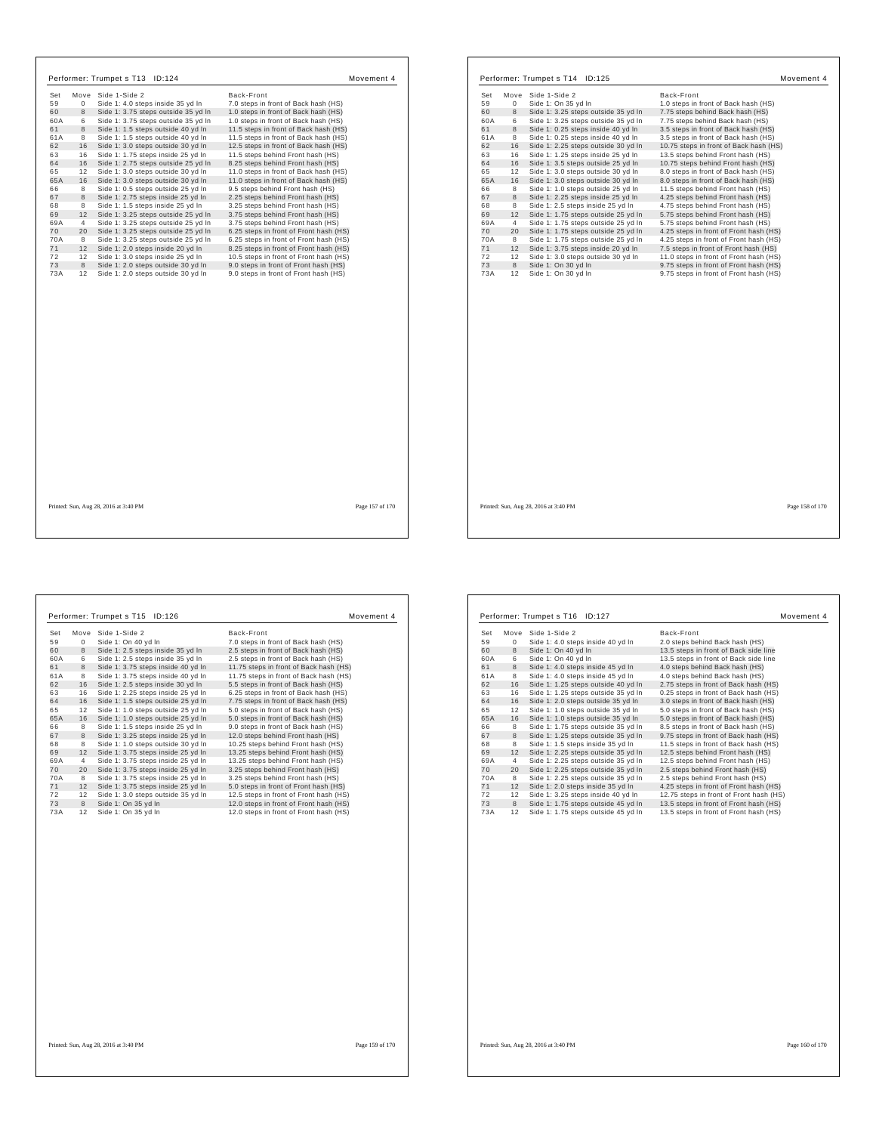| Performer: Trumpet s T13 ID:124                                                                                                                                                                                                                                                                                                                                                                                                                                                                                                                                                                                                                                                                                                                                                                                                                                                                                                                                                                                                                                                                                                          | Movement 4                                                                                                                                                                                                                                                                                                                                                                                                                                                                                                                                                                                                                                                                                                                                                                                                                                                                  |                                                                                                                                         |                                                                                                                                        | Performer: Trumpet s T14 ID:125                                                                                                                                                                                                                                                                                                                                                                                                                                                                                                                                                                                                                                                                                                                                                                           | Movement 4                                                                                                                                                                                                                                                                                                                                                                                                                                                                                                                                                                                                                                                                                                                                                                                                                                                          |  |
|------------------------------------------------------------------------------------------------------------------------------------------------------------------------------------------------------------------------------------------------------------------------------------------------------------------------------------------------------------------------------------------------------------------------------------------------------------------------------------------------------------------------------------------------------------------------------------------------------------------------------------------------------------------------------------------------------------------------------------------------------------------------------------------------------------------------------------------------------------------------------------------------------------------------------------------------------------------------------------------------------------------------------------------------------------------------------------------------------------------------------------------|-----------------------------------------------------------------------------------------------------------------------------------------------------------------------------------------------------------------------------------------------------------------------------------------------------------------------------------------------------------------------------------------------------------------------------------------------------------------------------------------------------------------------------------------------------------------------------------------------------------------------------------------------------------------------------------------------------------------------------------------------------------------------------------------------------------------------------------------------------------------------------|-----------------------------------------------------------------------------------------------------------------------------------------|----------------------------------------------------------------------------------------------------------------------------------------|-----------------------------------------------------------------------------------------------------------------------------------------------------------------------------------------------------------------------------------------------------------------------------------------------------------------------------------------------------------------------------------------------------------------------------------------------------------------------------------------------------------------------------------------------------------------------------------------------------------------------------------------------------------------------------------------------------------------------------------------------------------------------------------------------------------|---------------------------------------------------------------------------------------------------------------------------------------------------------------------------------------------------------------------------------------------------------------------------------------------------------------------------------------------------------------------------------------------------------------------------------------------------------------------------------------------------------------------------------------------------------------------------------------------------------------------------------------------------------------------------------------------------------------------------------------------------------------------------------------------------------------------------------------------------------------------|--|
| Set<br>Move Side 1-Side 2<br>59<br>$\mathbf 0$<br>Side 1: 4.0 steps inside 35 yd In<br>60<br>8<br>Side 1: 3.75 steps outside 35 yd In<br>60A<br>Side 1: 3.75 steps outside 35 yd In<br>6<br>61<br>8<br>Side 1: 1.5 steps outside 40 yd In<br>61A<br>Side 1: 1.5 steps outside 40 yd In<br>8<br>62<br>16<br>Side 1: 3.0 steps outside 30 yd In<br>63<br>16<br>Side 1: 1.75 steps inside 25 yd In<br>64<br>16<br>Side 1: 2.75 steps outside 25 yd In<br>65<br>12<br>Side 1: 3.0 steps outside 30 yd In<br>65A<br>16<br>Side 1: 3.0 steps outside 30 yd In<br>66<br>Side 1: 0.5 steps outside 25 yd In<br>8<br>67<br>8<br>Side 1: 2.75 steps inside 25 yd In<br>68<br>Side 1: 1.5 steps inside 25 yd In<br>8<br>69<br>12<br>Side 1: 3.25 steps outside 25 yd In<br>69A<br>Side 1: 3.25 steps outside 25 yd In<br>$\overline{4}$<br>70<br>20<br>Side 1: 3.25 steps outside 25 yd In<br>70A<br>Side 1: 3.25 steps outside 25 yd In<br>8<br>71<br>12<br>Side 1: 2.0 steps inside 20 yd In<br>72<br>12<br>Side 1: 3.0 steps inside 25 vd In<br>73<br>8<br>Side 1: 2.0 steps outside 30 yd In<br>73A<br>12<br>Side 1: 2.0 steps outside 30 yd In | Back-Front<br>7.0 steps in front of Back hash (HS)<br>1.0 steps in front of Back hash (HS)<br>1.0 steps in front of Back hash (HS)<br>11.5 steps in front of Back hash (HS)<br>11.5 steps in front of Back hash (HS)<br>12.5 steps in front of Back hash (HS)<br>11.5 steps behind Front hash (HS)<br>8.25 steps behind Front hash (HS)<br>11.0 steps in front of Back hash (HS)<br>11.0 steps in front of Back hash (HS)<br>9.5 steps behind Front hash (HS)<br>2.25 steps behind Front hash (HS)<br>3.25 steps behind Front hash (HS)<br>3.75 steps behind Front hash (HS)<br>3.75 steps behind Front hash (HS)<br>6.25 steps in front of Front hash (HS)<br>6.25 steps in front of Front hash (HS)<br>8.25 steps in front of Front hash (HS)<br>10.5 steps in front of Front hash (HS)<br>9.0 steps in front of Front hash (HS)<br>9.0 steps in front of Front hash (HS) | Set<br>59<br>60<br>60A<br>61<br>61A<br>62<br>63<br>64<br>65<br>65A<br>66<br>67<br>68<br>69<br>69A<br>70<br>70A<br>71<br>72<br>73<br>73A | $\mathbf 0$<br>8<br>6<br>8<br>8<br>16<br>16<br>16<br>12<br>16<br>8<br>8<br>8<br>12<br>$\overline{4}$<br>20<br>8<br>12<br>12<br>8<br>12 | Move Side 1-Side 2<br>Side 1: On 35 yd In<br>Side 1: 3.25 steps outside 35 yd In<br>Side 1: 3.25 steps outside 35 yd In<br>Side 1: 0.25 steps inside 40 yd In<br>Side 1: 0.25 steps inside 40 yd In<br>Side 1: 2.25 steps outside 30 yd In<br>Side 1: 1.25 steps inside 25 yd In<br>Side 1: 3.5 steps outside 25 yd In<br>Side 1: 3.0 steps outside 30 yd In<br>Side 1: 3.0 steps outside 30 yd In<br>Side 1: 1.0 steps outside 25 yd In<br>Side 1: 2.25 steps inside 25 yd In<br>Side 1: 2.5 steps inside 25 yd In<br>Side 1: 1.75 steps outside 25 yd In<br>Side 1: 1.75 steps outside 25 yd In<br>Side 1: 1.75 steps outside 25 yd In<br>Side 1: 1.75 steps outside 25 yd In<br>Side 1: 3.75 steps inside 20 yd In<br>Side 1: 3.0 steps outside 30 yd In<br>Side 1: On 30 yd In<br>Side 1: On 30 yd In | Back-Front<br>1.0 steps in front of Back hash (HS)<br>7.75 steps behind Back hash (HS)<br>7.75 steps behind Back hash (HS)<br>3.5 steps in front of Back hash (HS)<br>3.5 steps in front of Back hash (HS)<br>10.75 steps in front of Back hash (HS)<br>13.5 steps behind Front hash (HS)<br>10.75 steps behind Front hash (HS)<br>8.0 steps in front of Back hash (HS)<br>8.0 steps in front of Back hash (HS)<br>11.5 steps behind Front hash (HS)<br>4.25 steps behind Front hash (HS)<br>4.75 steps behind Front hash (HS)<br>5.75 steps behind Front hash (HS)<br>5.75 steps behind Front hash (HS)<br>4.25 steps in front of Front hash (HS)<br>4.25 steps in front of Front hash (HS)<br>7.5 steps in front of Front hash (HS)<br>11.0 steps in front of Front hash (HS)<br>9.75 steps in front of Front hash (HS)<br>9.75 steps in front of Front hash (HS) |  |
| Printed: Sun, Aug 28, 2016 at 3:40 PM                                                                                                                                                                                                                                                                                                                                                                                                                                                                                                                                                                                                                                                                                                                                                                                                                                                                                                                                                                                                                                                                                                    | Page 157 of 170                                                                                                                                                                                                                                                                                                                                                                                                                                                                                                                                                                                                                                                                                                                                                                                                                                                             |                                                                                                                                         |                                                                                                                                        | Printed: Sun, Aug 28, 2016 at 3:40 PM                                                                                                                                                                                                                                                                                                                                                                                                                                                                                                                                                                                                                                                                                                                                                                     | Page 158 of 170                                                                                                                                                                                                                                                                                                                                                                                                                                                                                                                                                                                                                                                                                                                                                                                                                                                     |  |

|     |                | Performer: Trumpet s T15<br>ID:126 | Movement 4                             |
|-----|----------------|------------------------------------|----------------------------------------|
| Set | Move           | Side 1-Side 2                      | Back-Front                             |
| 59  | $\mathbf{0}$   | Side 1: On 40 yd In                | 7.0 steps in front of Back hash (HS)   |
| 60  | 8              | Side 1: 2.5 steps inside 35 yd In  | 2.5 steps in front of Back hash (HS)   |
| 60A | 6              | Side 1: 2.5 steps inside 35 yd In  | 2.5 steps in front of Back hash (HS)   |
| 61  | 8              | Side 1: 3.75 steps inside 40 yd In | 11.75 steps in front of Back hash (HS) |
| 61A | 8              | Side 1: 3.75 steps inside 40 yd In | 11.75 steps in front of Back hash (HS) |
| 62  | 16             | Side 1: 2.5 steps inside 30 yd In  | 5.5 steps in front of Back hash (HS)   |
| 63  | 16             | Side 1: 2.25 steps inside 25 yd In | 6.25 steps in front of Back hash (HS)  |
| 64  | 16             | Side 1: 1.5 steps outside 25 yd In | 7.75 steps in front of Back hash (HS)  |
| 65  | 12             | Side 1: 1.0 steps outside 25 yd In | 5.0 steps in front of Back hash (HS)   |
| 65A | 16             | Side 1: 1.0 steps outside 25 yd In | 5.0 steps in front of Back hash (HS)   |
| 66  | 8              | Side 1: 1.5 steps inside 25 yd In  | 9.0 steps in front of Back hash (HS)   |
| 67  | 8              | Side 1: 3.25 steps inside 25 yd In | 12.0 steps behind Front hash (HS)      |
| 68  | 8              | Side 1: 1.0 steps outside 30 yd In | 10.25 steps behind Front hash (HS)     |
| 69  | 12             | Side 1: 3.75 steps inside 25 yd In | 13.25 steps behind Front hash (HS)     |
| 69A | $\overline{4}$ | Side 1: 3.75 steps inside 25 yd In | 13.25 steps behind Front hash (HS)     |
| 70  | 20             | Side 1: 3.75 steps inside 25 yd In | 3.25 steps behind Front hash (HS)      |
| 70A | 8              | Side 1: 3.75 steps inside 25 yd In | 3.25 steps behind Front hash (HS)      |
| 71  | 12             | Side 1: 3.75 steps inside 25 yd In | 5.0 steps in front of Front hash (HS)  |
| 72  | 12             | Side 1: 3.0 steps outside 35 yd In | 12.5 steps in front of Front hash (HS) |
| 73  | 8              | Side 1: On 35 yd In                | 12.0 steps in front of Front hash (HS) |
| 73A | 12             | Side 1: On 35 yd In                | 12.0 steps in front of Front hash (HS) |
|     |                |                                    |                                        |

| Set       | Move Side 1-Side 2                                                         | Back-Front                                                                       |
|-----------|----------------------------------------------------------------------------|----------------------------------------------------------------------------------|
| 59<br>0   | Side 1: 4.0 steps inside 40 yd In                                          | 2.0 steps behind Back hash (HS)                                                  |
| 60<br>8   | Side 1: On 40 yd In                                                        | 13.5 steps in front of Back side line                                            |
| 60A<br>6  | Side 1: On 40 yd In                                                        | 13.5 steps in front of Back side line                                            |
| 61<br>8   | Side 1: 4.0 steps inside 45 yd In                                          | 4.0 steps behind Back hash (HS)                                                  |
| 8<br>61A  | Side 1: 4.0 steps inside 45 yd In                                          | 4.0 steps behind Back hash (HS)                                                  |
| 62<br>16  | Side 1: 1.25 steps outside 40 yd In                                        | 2.75 steps in front of Back hash (HS)                                            |
| 63<br>16  | Side 1: 1.25 steps outside 35 yd In                                        | 0.25 steps in front of Back hash (HS)                                            |
| 64<br>16  | Side 1: 2.0 steps outside 35 yd In                                         | 3.0 steps in front of Back hash (HS)                                             |
| 65<br>12  | Side 1: 1.0 steps outside 35 yd In                                         | 5.0 steps in front of Back hash (HS)                                             |
| 65A<br>16 | Side 1: 1.0 steps outside 35 yd In                                         | 5.0 steps in front of Back hash (HS)                                             |
| 66<br>8   | Side 1: 1.75 steps outside 35 yd In                                        | 8.5 steps in front of Back hash (HS)                                             |
| 67<br>8   | Side 1: 1.25 steps outside 35 yd In                                        | 9.75 steps in front of Back hash (HS)                                            |
| 68<br>8   | Side 1: 1.5 steps inside 35 yd In                                          | 11.5 steps in front of Back hash (HS)                                            |
| 69<br>12  | Side 1: 2.25 steps outside 35 yd In                                        | 12.5 steps behind Front hash (HS)                                                |
| 69A<br>4  | Side 1: 2.25 steps outside 35 yd In                                        | 12.5 steps behind Front hash (HS)                                                |
| 70<br>20  | Side 1: 2.25 steps outside 35 yd In                                        | 2.5 steps behind Front hash (HS)                                                 |
| 70A<br>8  | Side 1: 2.25 steps outside 35 yd In                                        | 2.5 steps behind Front hash (HS)                                                 |
| 71<br>12  | Side 1: 2.0 steps inside 35 yd In                                          | 4.25 steps in front of Front hash (HS)                                           |
| 72<br>12  | Side 1: 3.25 steps inside 40 yd In                                         | 12.75 steps in front of Front hash (HS)                                          |
| 73<br>8   |                                                                            |                                                                                  |
| 73A<br>12 | Side 1: 1.75 steps outside 45 yd In<br>Side 1: 1.75 steps outside 45 yd In | 13.5 steps in front of Front hash (HS)<br>13.5 steps in front of Front hash (HS) |
|           |                                                                            |                                                                                  |

┐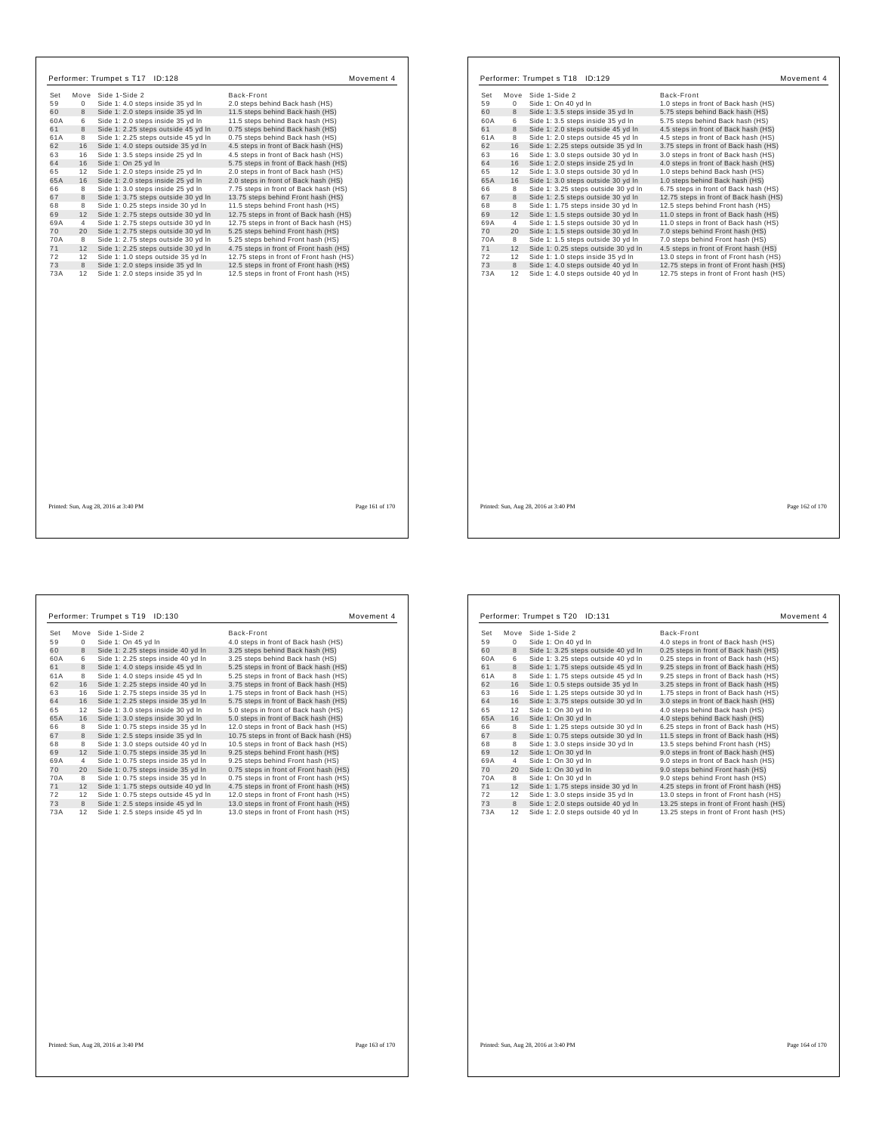| Performer: Trumpet s T17 ID:128                                                                                                                                                                                                                                                                                                                                                                                                                                                                                                                                                                                                                                                                                                                                                                                                                                                                                                                                                                                                                                                                                     | Movement 4                                                                                                                                                                                                                                                                                                                                                                                                                                                                                                                                                                                                                                                                                                                                                                                                                                                        | Performer: Trumpet s T18 ID:129                                                                                                                                                                                                                                                                                                                                                                                                                                                                                                                                                                                                                                                                                                                                                                                                                                                                                                                                                                                                                                                                                       | Movement 4                                                                                                                                                                                                                                                                                                                                                                                                                                                                                                                                                                                                                                                                                                                                                                                                                                                           |
|---------------------------------------------------------------------------------------------------------------------------------------------------------------------------------------------------------------------------------------------------------------------------------------------------------------------------------------------------------------------------------------------------------------------------------------------------------------------------------------------------------------------------------------------------------------------------------------------------------------------------------------------------------------------------------------------------------------------------------------------------------------------------------------------------------------------------------------------------------------------------------------------------------------------------------------------------------------------------------------------------------------------------------------------------------------------------------------------------------------------|-------------------------------------------------------------------------------------------------------------------------------------------------------------------------------------------------------------------------------------------------------------------------------------------------------------------------------------------------------------------------------------------------------------------------------------------------------------------------------------------------------------------------------------------------------------------------------------------------------------------------------------------------------------------------------------------------------------------------------------------------------------------------------------------------------------------------------------------------------------------|-----------------------------------------------------------------------------------------------------------------------------------------------------------------------------------------------------------------------------------------------------------------------------------------------------------------------------------------------------------------------------------------------------------------------------------------------------------------------------------------------------------------------------------------------------------------------------------------------------------------------------------------------------------------------------------------------------------------------------------------------------------------------------------------------------------------------------------------------------------------------------------------------------------------------------------------------------------------------------------------------------------------------------------------------------------------------------------------------------------------------|----------------------------------------------------------------------------------------------------------------------------------------------------------------------------------------------------------------------------------------------------------------------------------------------------------------------------------------------------------------------------------------------------------------------------------------------------------------------------------------------------------------------------------------------------------------------------------------------------------------------------------------------------------------------------------------------------------------------------------------------------------------------------------------------------------------------------------------------------------------------|
| Move Side 1-Side 2<br>Set<br>59<br>Side 1: 4.0 steps inside 35 yd In<br>$\Omega$<br>Side 1: 2.0 steps inside 35 yd In<br>60<br>8<br>60A<br>Side 1: 2.0 steps inside 35 yd In<br>6<br>8<br>Side 1: 2.25 steps outside 45 yd In<br>61<br>Side 1: 2.25 steps outside 45 yd In<br>61A<br>8<br>62<br>Side 1: 4.0 steps outside 35 yd In<br>16<br>63<br>Side 1: 3.5 steps inside 25 yd In<br>16<br>64<br>16<br>Side 1: On 25 yd In<br>65<br>Side 1: 2.0 steps inside 25 yd In<br>12<br>65A<br>Side 1: 2.0 steps inside 25 yd In<br>16<br>Side 1: 3.0 steps inside 25 yd In<br>66<br>8<br>Side 1: 3.75 steps outside 30 yd In<br>67<br>8<br>68<br>8<br>Side 1: 0.25 steps inside 30 yd In<br>69<br>12<br>Side 1: 2.75 steps outside 30 yd In<br>69A<br>Side 1: 2.75 steps outside 30 yd In<br>$\overline{4}$<br>70<br>Side 1: 2.75 steps outside 30 yd In<br>20<br><b>70A</b><br>Side 1: 2.75 steps outside 30 yd In<br>8<br>71<br>12 Side 1: 2.25 steps outside 30 yd In<br>72<br>Side 1: 1.0 steps outside 35 yd In<br>12<br>73<br>8<br>Side 1: 2.0 steps inside 35 yd In<br>73A<br>12 Side 1: 2.0 steps inside 35 yd In | Back-Front<br>2.0 steps behind Back hash (HS)<br>11.5 steps behind Back hash (HS)<br>11.5 steps behind Back hash (HS)<br>0.75 steps behind Back hash (HS)<br>0.75 steps behind Back hash (HS)<br>4.5 steps in front of Back hash (HS)<br>4.5 steps in front of Back hash (HS)<br>5.75 steps in front of Back hash (HS)<br>2.0 steps in front of Back hash (HS)<br>2.0 steps in front of Back hash (HS)<br>7.75 steps in front of Back hash (HS)<br>13.75 steps behind Front hash (HS)<br>11.5 steps behind Front hash (HS)<br>12.75 steps in front of Back hash (HS)<br>12.75 steps in front of Back hash (HS)<br>5.25 steps behind Front hash (HS)<br>5.25 steps behind Front hash (HS)<br>4.75 steps in front of Front hash (HS)<br>12.75 steps in front of Front hash (HS)<br>12.5 steps in front of Front hash (HS)<br>12.5 steps in front of Front hash (HS) | Set<br>Move Side 1-Side 2<br>59<br>$\mathbf 0$<br>Side 1: On 40 yd In<br>60<br>Side 1: 3.5 steps inside 35 yd In<br>8<br>60A<br>Side 1: 3.5 steps inside 35 yd In<br>6<br>61<br>8<br>Side 1: 2.0 steps outside 45 yd In<br>Side 1: 2.0 steps outside 45 yd In<br>61A<br>8<br>62<br>16<br>Side 1: 2.25 steps outside 35 yd In<br>63<br>16<br>Side 1: 3.0 steps outside 30 yd In<br>64<br>Side 1: 2.0 steps inside 25 yd In<br>16<br>65<br>Side 1: 3.0 steps outside 30 yd In<br>12<br>65A<br>16<br>Side 1: 3.0 steps outside 30 yd In<br>Side 1: 3.25 steps outside 30 yd In<br>66<br>8<br>67<br>8<br>Side 1: 2.5 steps outside 30 yd In<br>68<br>8<br>Side 1: 1.75 steps inside 30 yd In<br>69<br>12<br>Side 1: 1.5 steps outside 30 yd In<br>69A<br>Side 1: 1.5 steps outside 30 yd In<br>$\overline{4}$<br>70<br>20<br>Side 1: 1.5 steps outside 30 yd In<br>70A<br>Side 1: 1.5 steps outside 30 yd In<br>8<br>Side 1: 0.25 steps outside 30 yd In<br>71<br>12<br>72<br>12<br>Side 1: 1.0 steps inside 35 yd In<br>73<br>8<br>Side 1: 4.0 steps outside 40 yd In<br>73A<br>Side 1: 4.0 steps outside 40 yd In<br>12 | Back-Front<br>1.0 steps in front of Back hash (HS)<br>5.75 steps behind Back hash (HS)<br>5.75 steps behind Back hash (HS)<br>4.5 steps in front of Back hash (HS)<br>4.5 steps in front of Back hash (HS)<br>3.75 steps in front of Back hash (HS)<br>3.0 steps in front of Back hash (HS)<br>4.0 steps in front of Back hash (HS)<br>1.0 steps behind Back hash (HS)<br>1.0 steps behind Back hash (HS)<br>6.75 steps in front of Back hash (HS)<br>12.75 steps in front of Back hash (HS)<br>12.5 steps behind Front hash (HS)<br>11.0 steps in front of Back hash (HS)<br>11.0 steps in front of Back hash (HS)<br>7.0 steps behind Front hash (HS)<br>7.0 steps behind Front hash (HS)<br>4.5 steps in front of Front hash (HS)<br>13.0 steps in front of Front hash (HS)<br>12.75 steps in front of Front hash (HS)<br>12.75 steps in front of Front hash (HS) |
| Printed: Sun, Aug 28, 2016 at 3:40 PM                                                                                                                                                                                                                                                                                                                                                                                                                                                                                                                                                                                                                                                                                                                                                                                                                                                                                                                                                                                                                                                                               | Page 161 of 170                                                                                                                                                                                                                                                                                                                                                                                                                                                                                                                                                                                                                                                                                                                                                                                                                                                   | Printed: Sun, Aug 28, 2016 at 3:40 PM                                                                                                                                                                                                                                                                                                                                                                                                                                                                                                                                                                                                                                                                                                                                                                                                                                                                                                                                                                                                                                                                                 | Page 162 of 170                                                                                                                                                                                                                                                                                                                                                                                                                                                                                                                                                                                                                                                                                                                                                                                                                                                      |
|                                                                                                                                                                                                                                                                                                                                                                                                                                                                                                                                                                                                                                                                                                                                                                                                                                                                                                                                                                                                                                                                                                                     |                                                                                                                                                                                                                                                                                                                                                                                                                                                                                                                                                                                                                                                                                                                                                                                                                                                                   |                                                                                                                                                                                                                                                                                                                                                                                                                                                                                                                                                                                                                                                                                                                                                                                                                                                                                                                                                                                                                                                                                                                       |                                                                                                                                                                                                                                                                                                                                                                                                                                                                                                                                                                                                                                                                                                                                                                                                                                                                      |

|     |             | Performer: Trumpet s T19<br>ID:130  | Movement 4                             |
|-----|-------------|-------------------------------------|----------------------------------------|
| Set | Move        | Side 1-Side 2                       | Back-Front                             |
| 59  | $\mathbf 0$ | Side 1: On 45 yd In                 | 4.0 steps in front of Back hash (HS)   |
| 60  | 8           | Side 1: 2.25 steps inside 40 yd In  | 3.25 steps behind Back hash (HS)       |
| 60A | 6           | Side 1: 2.25 steps inside 40 yd In  | 3.25 steps behind Back hash (HS)       |
| 61  | 8           | Side 1: 4.0 steps inside 45 yd In   | 5.25 steps in front of Back hash (HS)  |
| 61A | 8           | Side 1: 4.0 steps inside 45 yd In   | 5.25 steps in front of Back hash (HS)  |
| 62  | 16          | Side 1: 2.25 steps inside 40 yd In  | 3.75 steps in front of Back hash (HS)  |
| 63  | 16          | Side 1: 2.75 steps inside 35 yd In  | 1.75 steps in front of Back hash (HS)  |
| 64  | 16          | Side 1: 2.25 steps inside 35 yd In  | 5.75 steps in front of Back hash (HS)  |
| 65  | 12          | Side 1: 3.0 steps inside 30 yd In   | 5.0 steps in front of Back hash (HS)   |
| 65A | 16          | Side 1: 3.0 steps inside 30 yd In   | 5.0 steps in front of Back hash (HS)   |
| 66  | 8           | Side 1: 0.75 steps inside 35 yd In  | 12.0 steps in front of Back hash (HS)  |
| 67  | 8           | Side 1: 2.5 steps inside 35 yd In   | 10.75 steps in front of Back hash (HS) |
| 68  | 8           | Side 1: 3.0 steps outside 40 yd In  | 10.5 steps in front of Back hash (HS)  |
| 69  | 12          | Side 1: 0.75 steps inside 35 yd In  | 9.25 steps behind Front hash (HS)      |
| 69A | 4           | Side 1: 0.75 steps inside 35 yd In  | 9.25 steps behind Front hash (HS)      |
| 70  | 20          | Side 1: 0.75 steps inside 35 yd In  | 0.75 steps in front of Front hash (HS) |
| 70A | 8           | Side 1: 0.75 steps inside 35 yd In  | 0.75 steps in front of Front hash (HS) |
| 71  | 12          | Side 1: 1.75 steps outside 40 yd In | 4.75 steps in front of Front hash (HS) |
| 72  | 12          | Side 1: 0.75 steps outside 45 yd In | 12.0 steps in front of Front hash (HS) |
| 73  | 8           | Side 1: 2.5 steps inside 45 yd In   | 13.0 steps in front of Front hash (HS) |
| 73A | 12          | Side 1: 2.5 steps inside 45 yd In   | 13.0 steps in front of Front hash (HS) |
|     |             |                                     |                                        |

|     |      | Performer: Trumpet s T20 ID:131     | Movement 4                              |
|-----|------|-------------------------------------|-----------------------------------------|
| Set | Move | Side 1-Side 2                       | Back-Front                              |
| 59  | 0    | Side 1: On 40 yd In                 | 4.0 steps in front of Back hash (HS)    |
| 60  | 8    | Side 1: 3.25 steps outside 40 yd In | 0.25 steps in front of Back hash (HS)   |
| 60A | 6    | Side 1: 3.25 steps outside 40 yd In | 0.25 steps in front of Back hash (HS)   |
| 61  | 8    | Side 1: 1.75 steps outside 45 yd In | 9.25 steps in front of Back hash (HS)   |
| 61A | 8    | Side 1: 1.75 steps outside 45 yd In | 9.25 steps in front of Back hash (HS)   |
| 62  | 16   | Side 1: 0.5 steps outside 35 yd In  | 3.25 steps in front of Back hash (HS)   |
| 63  | 16   | Side 1: 1.25 steps outside 30 yd In | 1.75 steps in front of Back hash (HS)   |
| 64  | 16   | Side 1: 3.75 steps outside 30 yd In | 3.0 steps in front of Back hash (HS)    |
| 65  | 12   | Side 1: On 30 yd In                 | 4.0 steps behind Back hash (HS)         |
| 65A | 16   | Side 1: On 30 yd In                 | 4.0 steps behind Back hash (HS)         |
| 66  | 8    | Side 1: 1.25 steps outside 30 yd In | 6.25 steps in front of Back hash (HS)   |
| 67  | 8    | Side 1: 0.75 steps outside 30 yd In | 11.5 steps in front of Back hash (HS)   |
| 68  | 8    | Side 1: 3.0 steps inside 30 yd In   | 13.5 steps behind Front hash (HS)       |
| 69  | 12   | Side 1: On 30 yd In                 | 9.0 steps in front of Back hash (HS)    |
| 69A | 4    | Side 1: On 30 yd In                 | 9.0 steps in front of Back hash (HS)    |
| 70  | 20   | Side 1: On 30 yd In                 | 9.0 steps behind Front hash (HS)        |
| 70A | 8    | Side 1: On 30 vd In                 | 9.0 steps behind Front hash (HS)        |
| 71  | 12   | Side 1: 1.75 steps inside 30 yd In  | 4.25 steps in front of Front hash (HS)  |
| 72  | 12   | Side 1: 3.0 steps inside 35 yd In   | 13.0 steps in front of Front hash (HS)  |
| 73  | 8    | Side 1: 2.0 steps outside 40 yd In  | 13.25 steps in front of Front hash (HS) |
| 73A | 12   | Side 1: 2.0 steps outside 40 yd In  | 13.25 steps in front of Front hash (HS) |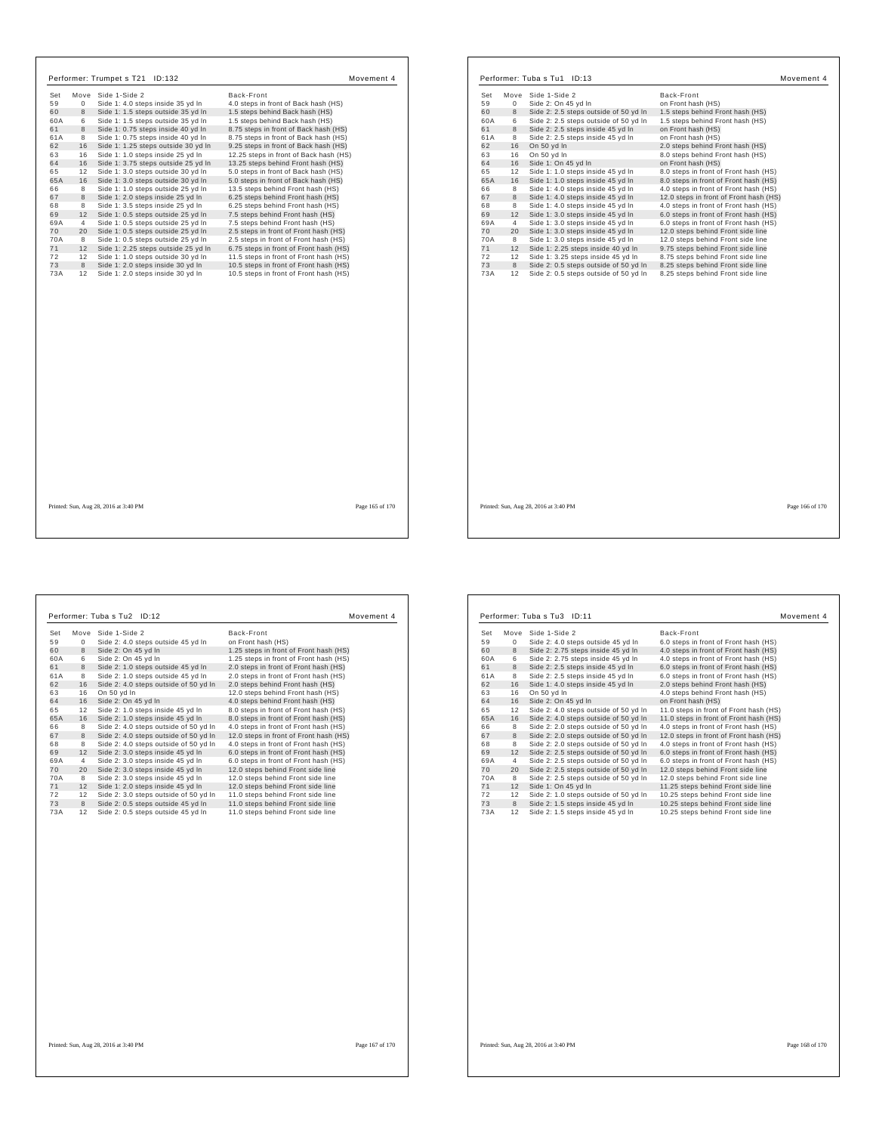| Set<br>59<br>$\mathbf 0$<br>60<br>$\bf{8}$<br>60A<br>6<br>61<br>8 | Move Side 1-Side 2<br>Side 1: 4.0 steps inside 35 yd In | Back-Front                             |
|-------------------------------------------------------------------|---------------------------------------------------------|----------------------------------------|
|                                                                   |                                                         | 4.0 steps in front of Back hash (HS)   |
|                                                                   | Side 1: 1.5 steps outside 35 yd In                      | 1.5 steps behind Back hash (HS)        |
|                                                                   | Side 1: 1.5 steps outside 35 yd In                      | 1.5 steps behind Back hash (HS)        |
|                                                                   | Side 1: 0.75 steps inside 40 vd In                      | 8.75 steps in front of Back hash (HS)  |
| 61A<br>8                                                          | Side 1: 0.75 steps inside 40 yd In                      | 8.75 steps in front of Back hash (HS)  |
| 62<br>16                                                          | Side 1: 1.25 steps outside 30 yd In                     | 9.25 steps in front of Back hash (HS)  |
| 63<br>16                                                          | Side 1: 1.0 steps inside 25 yd In                       | 12.25 steps in front of Back hash (HS) |
| 64<br>16                                                          | Side 1: 3.75 steps outside 25 yd In                     | 13.25 steps behind Front hash (HS)     |
| 65<br>12                                                          | Side 1: 3.0 steps outside 30 vd In                      | 5.0 steps in front of Back hash (HS)   |
| 65A<br>16                                                         | Side 1: 3.0 steps outside 30 yd In                      | 5.0 steps in front of Back hash (HS)   |
| 66<br>8                                                           | Side 1: 1.0 steps outside 25 vd In                      | 13.5 steps behind Front hash (HS)      |
| 67<br>8                                                           | Side 1: 2.0 steps inside 25 vd In                       | 6.25 steps behind Front hash (HS)      |
| 68<br>8                                                           | Side 1: 3.5 steps inside 25 yd In                       | 6.25 steps behind Front hash (HS)      |
| 69<br>12                                                          | Side 1: 0.5 steps outside 25 yd In                      | 7.5 steps behind Front hash (HS)       |
| 69A<br>4                                                          | Side 1: 0.5 steps outside 25 yd In                      | 7.5 steps behind Front hash (HS)       |
| 70<br>20                                                          | Side 1: 0.5 steps outside 25 yd In                      | 2.5 steps in front of Front hash (HS)  |
| 70A<br>8                                                          | Side 1: 0.5 steps outside 25 yd In                      | 2.5 steps in front of Front hash (HS)  |
| 71<br>12                                                          | Side 1: 2.25 steps outside 25 vd In                     | 6.75 steps in front of Front hash (HS) |
| 72<br>12                                                          | Side 1: 1.0 steps outside 30 yd In                      | 11.5 steps in front of Front hash (HS) |
| 73<br>8                                                           | Side 1: 2.0 steps inside 30 yd In                       | 10.5 steps in front of Front hash (HS) |
| 73A<br>12                                                         | Side 1: 2.0 steps inside 30 yd In                       | 10.5 steps in front of Front hash (HS) |
|                                                                   |                                                         |                                        |
|                                                                   | Printed: Sun, Aug 28, 2016 at 3:40 PM                   | Page 165 of 170                        |

| Set       | Move    | Side 1-Side 2                                                                  | Back-Front                                                             |
|-----------|---------|--------------------------------------------------------------------------------|------------------------------------------------------------------------|
| 59        | 0       | Side 2: On 45 yd In                                                            | on Front hash (HS)                                                     |
| 60        | 8       | Side 2: 2.5 steps outside of 50 yd In                                          | 1.5 steps behind Front hash (HS)                                       |
| 60A       | 6       | Side 2: 2.5 steps outside of 50 yd In                                          | 1.5 steps behind Front hash (HS)                                       |
| 61        | 8       | Side 2: 2.5 steps inside 45 yd In                                              | on Front hash (HS)                                                     |
| 61A       | 8       | Side 2: 2.5 steps inside 45 yd In                                              | on Front hash (HS)                                                     |
| 62        | 16      | On 50 yd In                                                                    | 2.0 steps behind Front hash (HS)                                       |
| 63        | 16      | On 50 yd In                                                                    | 8.0 steps behind Front hash (HS)                                       |
| 64        | 16      | Side 1: On 45 yd In                                                            | on Front hash (HS)                                                     |
| 65        | 12      | Side 1: 1.0 steps inside 45 yd In                                              | 8.0 steps in front of Front hash (HS)                                  |
| 65A       | 16      | Side 1: 1.0 steps inside 45 yd In                                              | 8.0 steps in front of Front hash (HS)                                  |
| 66        | 8       | Side 1: 4.0 steps inside 45 vd In                                              | 4.0 steps in front of Front hash (HS)                                  |
| 67        | 8       | Side 1: 4.0 steps inside 45 yd In                                              | 12.0 steps in front of Front hash (HS)                                 |
| 68        | 8       | Side 1: 4.0 steps inside 45 yd In                                              | 4.0 steps in front of Front hash (HS)                                  |
| 69        | 12      | Side 1: 3.0 steps inside 45 yd In                                              | 6.0 steps in front of Front hash (HS)                                  |
| 69A       | 4       | Side 1: 3.0 steps inside 45 yd In                                              | 6.0 steps in front of Front hash (HS)                                  |
| 70        | 20      | Side 1: 3.0 steps inside 45 yd In                                              | 12.0 steps behind Front side line                                      |
| 70A       | 8       | Side 1: 3.0 steps inside 45 yd In                                              | 12.0 steps behind Front side line                                      |
| 71        | 12      | Side 1: 2.25 steps inside 40 yd In                                             | 9.75 steps behind Front side line                                      |
| 72        | 12      | Side 1: 3.25 steps inside 45 yd In                                             | 8.75 steps behind Front side line                                      |
| 73<br>73A | 8<br>12 | Side 2: 0.5 steps outside of 50 yd In<br>Side 2: 0.5 steps outside of 50 yd In | 8.25 steps behind Front side line<br>8.25 steps behind Front side line |
|           |         |                                                                                |                                                                        |
|           |         |                                                                                |                                                                        |

 $\mathbf{I}$ 

| Set | Move        | Side 1-Side 2                         | Back-Front                             |
|-----|-------------|---------------------------------------|----------------------------------------|
| 59  | $\mathbf 0$ | Side 2: 4.0 steps outside 45 yd In    | on Front hash (HS)                     |
| 60  | 8           | Side 2: On 45 yd In                   | 1.25 steps in front of Front hash (HS) |
| 60A | 6           | Side 2: On 45 yd In                   | 1.25 steps in front of Front hash (HS) |
| 61  | 8           | Side 2: 1.0 steps outside 45 yd In    | 2.0 steps in front of Front hash (HS)  |
| 61A | 8           | Side 2: 1.0 steps outside 45 yd In    | 2.0 steps in front of Front hash (HS)  |
| 62  | 16          | Side 2: 4.0 steps outside of 50 yd In | 2.0 steps behind Front hash (HS)       |
| 63  | 16          | On 50 yd In                           | 12.0 steps behind Front hash (HS)      |
| 64  | 16          | Side 2: On 45 yd In                   | 4.0 steps behind Front hash (HS)       |
| 65  | 12          | Side 2: 1.0 steps inside 45 yd In     | 8.0 steps in front of Front hash (HS)  |
| 65A | 16          | Side 2: 1.0 steps inside 45 yd In     | 8.0 steps in front of Front hash (HS)  |
| 66  | 8           | Side 2: 4.0 steps outside of 50 yd In | 4.0 steps in front of Front hash (HS)  |
| 67  | 8           | Side 2: 4.0 steps outside of 50 yd In | 12.0 steps in front of Front hash (HS) |
| 68  | 8           | Side 2: 4.0 steps outside of 50 yd In | 4.0 steps in front of Front hash (HS)  |
| 69  | 12          | Side 2: 3.0 steps inside 45 yd In     | 6.0 steps in front of Front hash (HS)  |
| 69A | 4           | Side 2: 3.0 steps inside 45 yd In     | 6.0 steps in front of Front hash (HS)  |
| 70  | 20          | Side 2: 3.0 steps inside 45 yd In     | 12.0 steps behind Front side line      |
| 70A | 8           | Side 2: 3.0 steps inside 45 yd In     | 12.0 steps behind Front side line      |
| 71  | 12          | Side 1: 2.0 steps inside 45 yd In     | 12.0 steps behind Front side line      |
| 72  | 12          | Side 2: 3.0 steps outside of 50 yd In | 11.0 steps behind Front side line      |
| 73  | 8           | Side 2: 0.5 steps outside 45 yd In    | 11.0 steps behind Front side line      |
| 73A | 12          | Side 2: 0.5 steps outside 45 yd In    | 11.0 steps behind Front side line      |

| Set | Move | Side 1-Side 2                         | Back-Front                             |
|-----|------|---------------------------------------|----------------------------------------|
| 59  | 0    | Side 2: 4.0 steps outside 45 yd In    | 6.0 steps in front of Front hash (HS)  |
| 60  | 8    | Side 2: 2.75 steps inside 45 yd In    | 4.0 steps in front of Front hash (HS)  |
| 60A | 6    | Side 2: 2.75 steps inside 45 yd In    | 4.0 steps in front of Front hash (HS)  |
| 61  | 8    | Side 2: 2.5 steps inside 45 yd In     | 6.0 steps in front of Front hash (HS)  |
| 61A | 8    | Side 2: 2.5 steps inside 45 yd In     | 6.0 steps in front of Front hash (HS)  |
| 62  | 16   | Side 1: 4.0 steps inside 45 yd In     | 2.0 steps behind Front hash (HS)       |
| 63  | 16   | On 50 yd In                           | 4.0 steps behind Front hash (HS)       |
| 64  | 16   | Side 2: On 45 yd In                   | on Front hash (HS)                     |
| 65  | 12   | Side 2: 4.0 steps outside of 50 yd In | 11.0 steps in front of Front hash (HS) |
| 65A | 16   | Side 2: 4.0 steps outside of 50 yd In | 11.0 steps in front of Front hash (HS) |
| 66  | 8    | Side 2: 2.0 steps outside of 50 yd In | 4.0 steps in front of Front hash (HS)  |
| 67  | 8    | Side 2: 2.0 steps outside of 50 yd In | 12.0 steps in front of Front hash (HS) |
| 68  | 8    | Side 2: 2.0 steps outside of 50 yd In | 4.0 steps in front of Front hash (HS)  |
| 69  | 12   | Side 2: 2.5 steps outside of 50 yd In | 6.0 steps in front of Front hash (HS)  |
| 69A | 4    | Side 2: 2.5 steps outside of 50 yd In | 6.0 steps in front of Front hash (HS)  |
| 70  | 20   | Side 2: 2.5 steps outside of 50 yd In | 12.0 steps behind Front side line      |
| 70A | 8    | Side 2: 2.5 steps outside of 50 yd In | 12.0 steps behind Front side line      |
| 71  | 12   | Side 1: On 45 yd In                   | 11.25 steps behind Front side line     |
| 72  | 12   | Side 2: 1.0 steps outside of 50 yd In | 10.25 steps behind Front side line     |
| 73  | 8    | Side 2: 1.5 steps inside 45 yd In     | 10.25 steps behind Front side line     |
| 73A | 12   | Side 2: 1.5 steps inside 45 yd In     | 10.25 steps behind Front side line     |